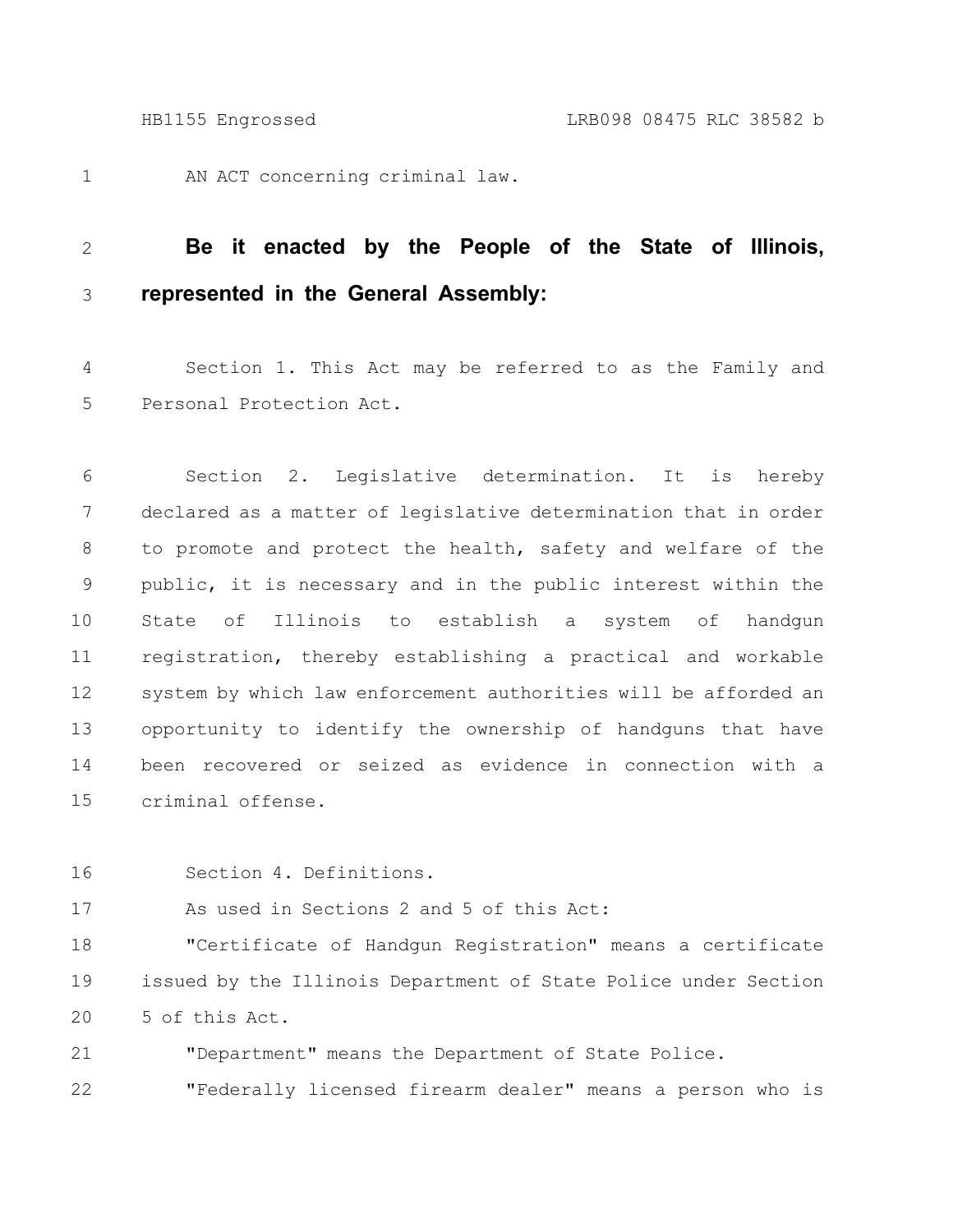AN ACT concerning criminal law. 1

## **Be it enacted by the People of the State of Illinois, represented in the General Assembly:** 2 3

Section 1. This Act may be referred to as the Family and Personal Protection Act. 4 5

Section 2. Legislative determination. It is hereby declared as a matter of legislative determination that in order to promote and protect the health, safety and welfare of the public, it is necessary and in the public interest within the State of Illinois to establish a system of handgun registration, thereby establishing a practical and workable system by which law enforcement authorities will be afforded an opportunity to identify the ownership of handguns that have been recovered or seized as evidence in connection with a criminal offense. 6 7 8 9 10 11 12 13 14 15

Section 4. Definitions. 16

As used in Sections 2 and 5 of this Act: 17

"Certificate of Handgun Registration" means a certificate issued by the Illinois Department of State Police under Section 5 of this Act. 18 19 20

"Department" means the Department of State Police. 21

"Federally licensed firearm dealer" means a person who is 22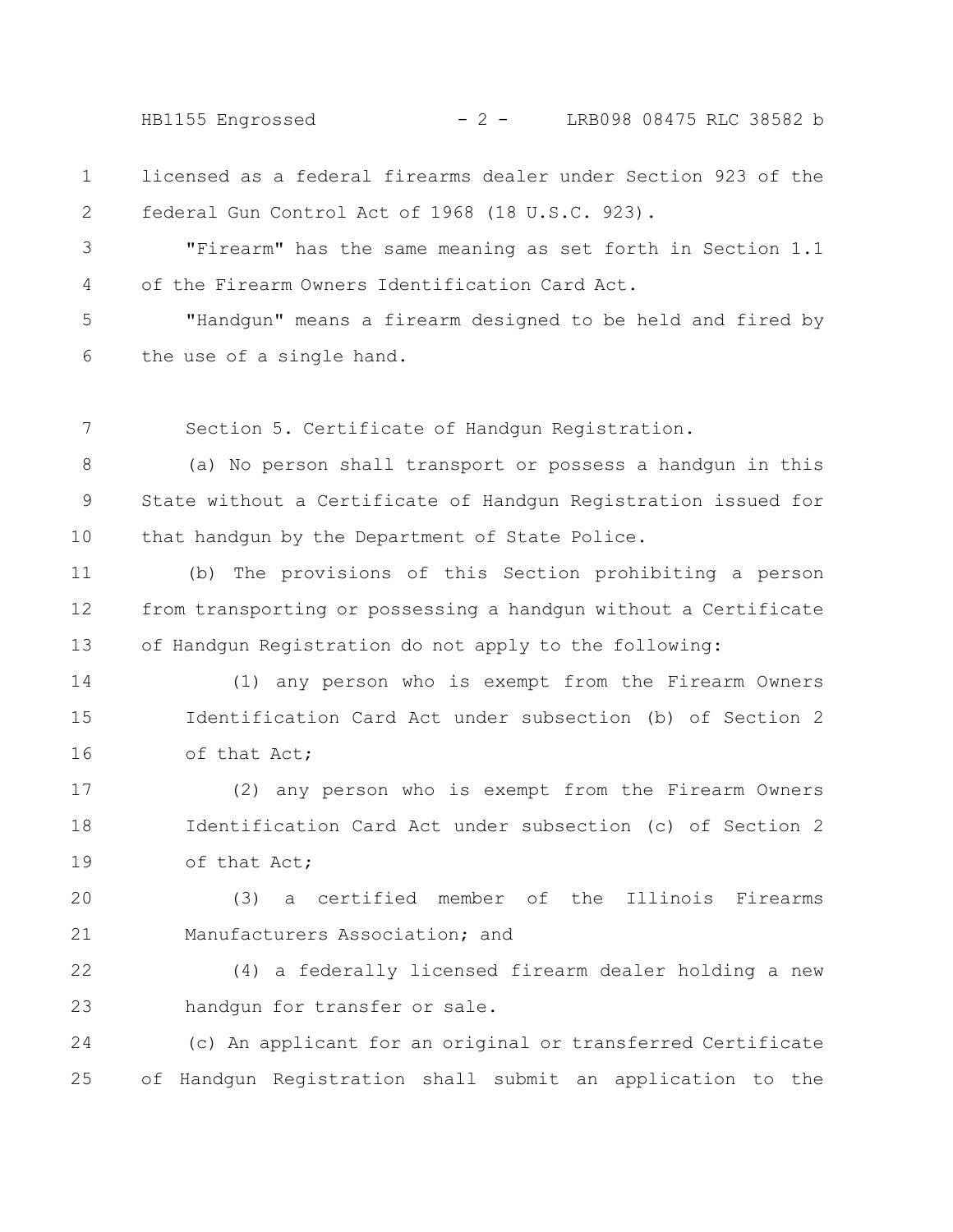HB1155 Engrossed - 2 - LRB098 08475 RLC 38582 b

licensed as a federal firearms dealer under Section 923 of the federal Gun Control Act of 1968 (18 U.S.C. 923). 1 2

"Firearm" has the same meaning as set forth in Section 1.1 of the Firearm Owners Identification Card Act. 3 4

"Handgun" means a firearm designed to be held and fired by the use of a single hand. 5 6

Section 5. Certificate of Handgun Registration. 7

(a) No person shall transport or possess a handgun in this State without a Certificate of Handgun Registration issued for that handgun by the Department of State Police. 8 9 10

(b) The provisions of this Section prohibiting a person from transporting or possessing a handgun without a Certificate of Handgun Registration do not apply to the following: 11 12 13

(1) any person who is exempt from the Firearm Owners Identification Card Act under subsection (b) of Section 2 of that Act; 14 15 16

(2) any person who is exempt from the Firearm Owners Identification Card Act under subsection (c) of Section 2 of that Act; 17 18 19

(3) a certified member of the Illinois Firearms Manufacturers Association; and 20 21

(4) a federally licensed firearm dealer holding a new handgun for transfer or sale. 22 23

(c) An applicant for an original or transferred Certificate of Handgun Registration shall submit an application to the 24 25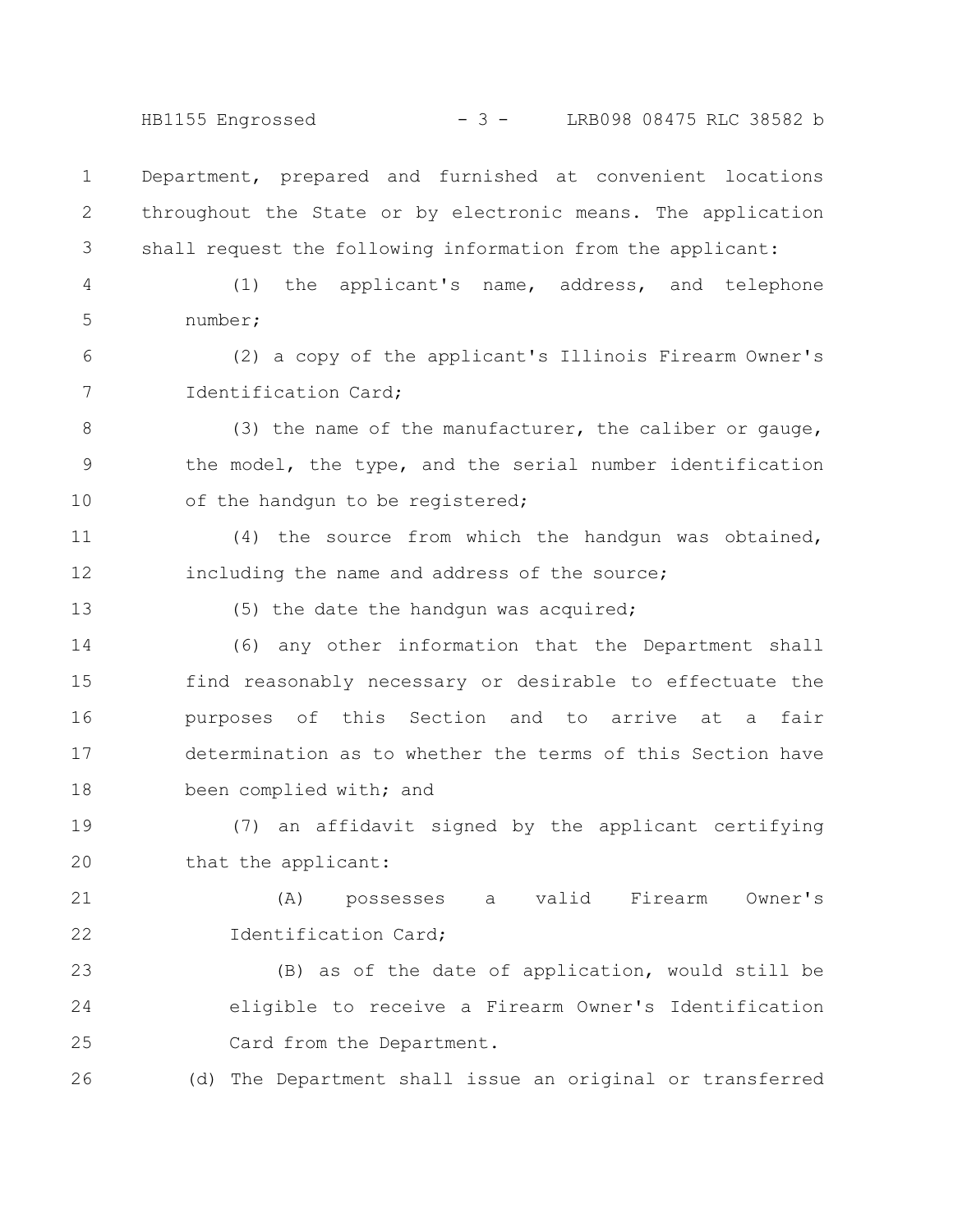HB1155 Engrossed - 3 - LRB098 08475 RLC 38582 b

Department, prepared and furnished at convenient locations throughout the State or by electronic means. The application shall request the following information from the applicant: 1 2 3

(1) the applicant's name, address, and telephone number; 4 5

(2) a copy of the applicant's Illinois Firearm Owner's Identification Card; 6 7

(3) the name of the manufacturer, the caliber or gauge, the model, the type, and the serial number identification of the handgun to be registered; 8 9 10

(4) the source from which the handgun was obtained, including the name and address of the source; 11 12

13

(5) the date the handgun was acquired;

(6) any other information that the Department shall find reasonably necessary or desirable to effectuate the purposes of this Section and to arrive at a fair determination as to whether the terms of this Section have been complied with; and 14 15 16 17 18

(7) an affidavit signed by the applicant certifying that the applicant: 19 20

(A) possesses a valid Firearm Owner's Identification Card; 21 22

(B) as of the date of application, would still be eligible to receive a Firearm Owner's Identification Card from the Department. 23 24 25

(d) The Department shall issue an original or transferred 26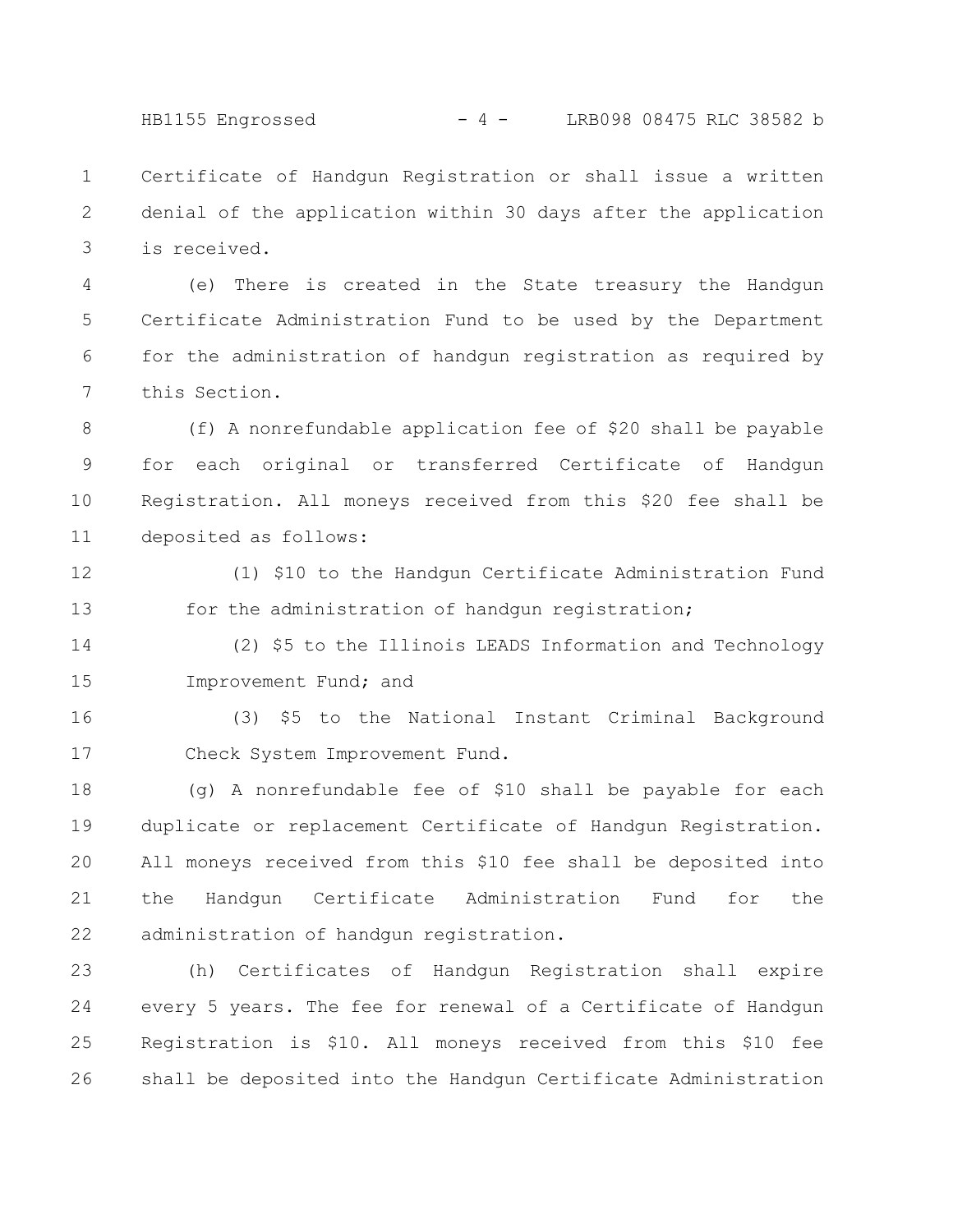HB1155 Engrossed - 4 - LRB098 08475 RLC 38582 b

Certificate of Handgun Registration or shall issue a written denial of the application within 30 days after the application is received. 1 2 3

(e) There is created in the State treasury the Handgun Certificate Administration Fund to be used by the Department for the administration of handgun registration as required by this Section. 4 5 6 7

(f) A nonrefundable application fee of \$20 shall be payable for each original or transferred Certificate of Handgun Registration. All moneys received from this \$20 fee shall be deposited as follows: 8 9 10 11

(1) \$10 to the Handgun Certificate Administration Fund for the administration of handgun registration; 12 13

(2) \$5 to the Illinois LEADS Information and Technology Improvement Fund; and 14 15

(3) \$5 to the National Instant Criminal Background Check System Improvement Fund. 16 17

(g) A nonrefundable fee of \$10 shall be payable for each duplicate or replacement Certificate of Handgun Registration. All moneys received from this \$10 fee shall be deposited into the Handgun Certificate Administration Fund for the administration of handgun registration. 18 19 20 21 22

(h) Certificates of Handgun Registration shall expire every 5 years. The fee for renewal of a Certificate of Handgun Registration is \$10. All moneys received from this \$10 fee shall be deposited into the Handgun Certificate Administration 23 24 25 26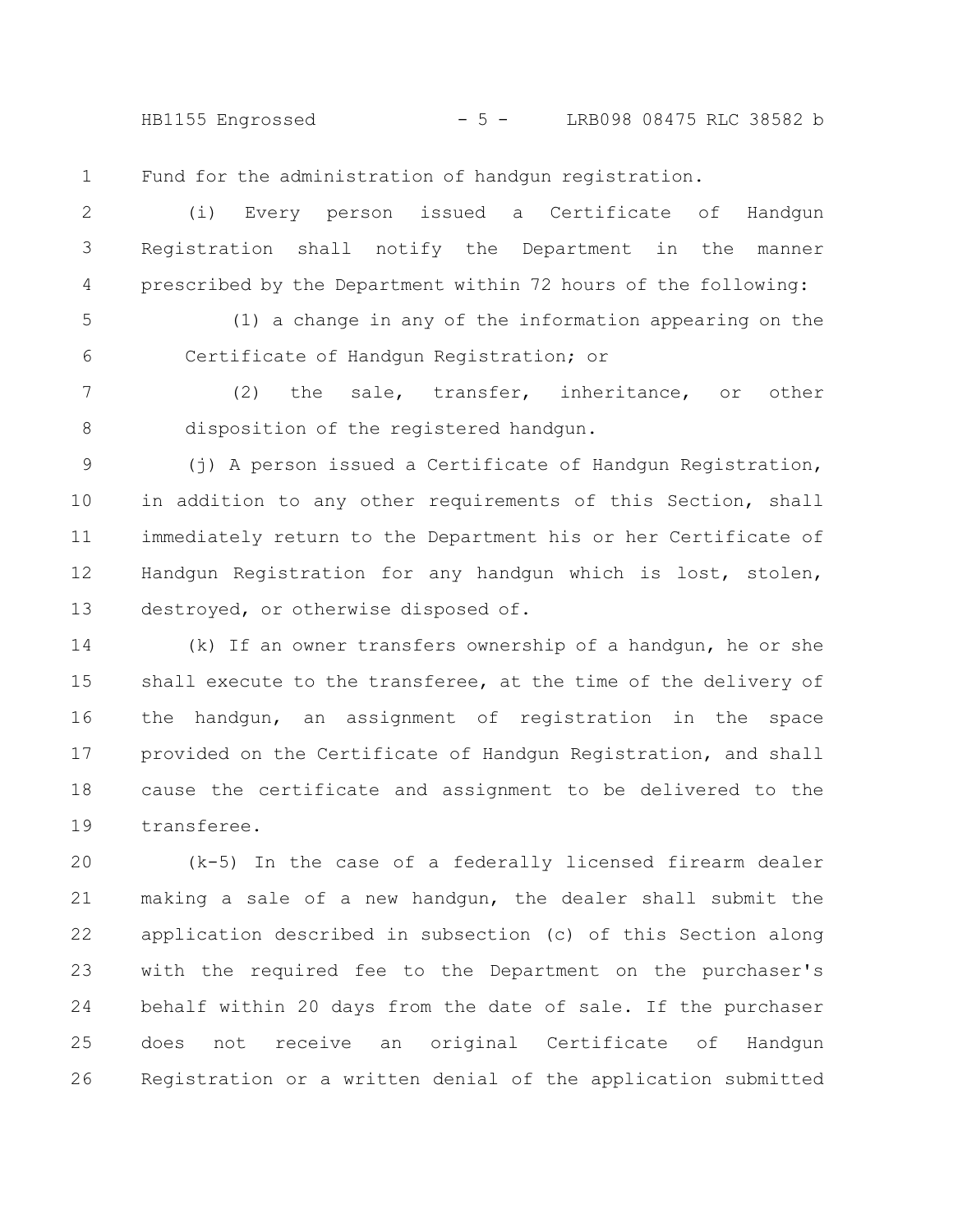HB1155 Engrossed - 5 - LRB098 08475 RLC 38582 b

Fund for the administration of handgun registration. 1

(i) Every person issued a Certificate of Handgun Registration shall notify the Department in the manner prescribed by the Department within 72 hours of the following: 2 3 4

(1) a change in any of the information appearing on the Certificate of Handgun Registration; or 5 6

(2) the sale, transfer, inheritance, or other disposition of the registered handgun. 7 8

(j) A person issued a Certificate of Handgun Registration, in addition to any other requirements of this Section, shall immediately return to the Department his or her Certificate of Handgun Registration for any handgun which is lost, stolen, destroyed, or otherwise disposed of. 9 10 11 12 13

(k) If an owner transfers ownership of a handgun, he or she shall execute to the transferee, at the time of the delivery of the handgun, an assignment of registration in the space provided on the Certificate of Handgun Registration, and shall cause the certificate and assignment to be delivered to the transferee. 14 15 16 17 18 19

(k-5) In the case of a federally licensed firearm dealer making a sale of a new handgun, the dealer shall submit the application described in subsection (c) of this Section along with the required fee to the Department on the purchaser's behalf within 20 days from the date of sale. If the purchaser does not receive an original Certificate of Handgun Registration or a written denial of the application submitted 20 21 22 23 24 25 26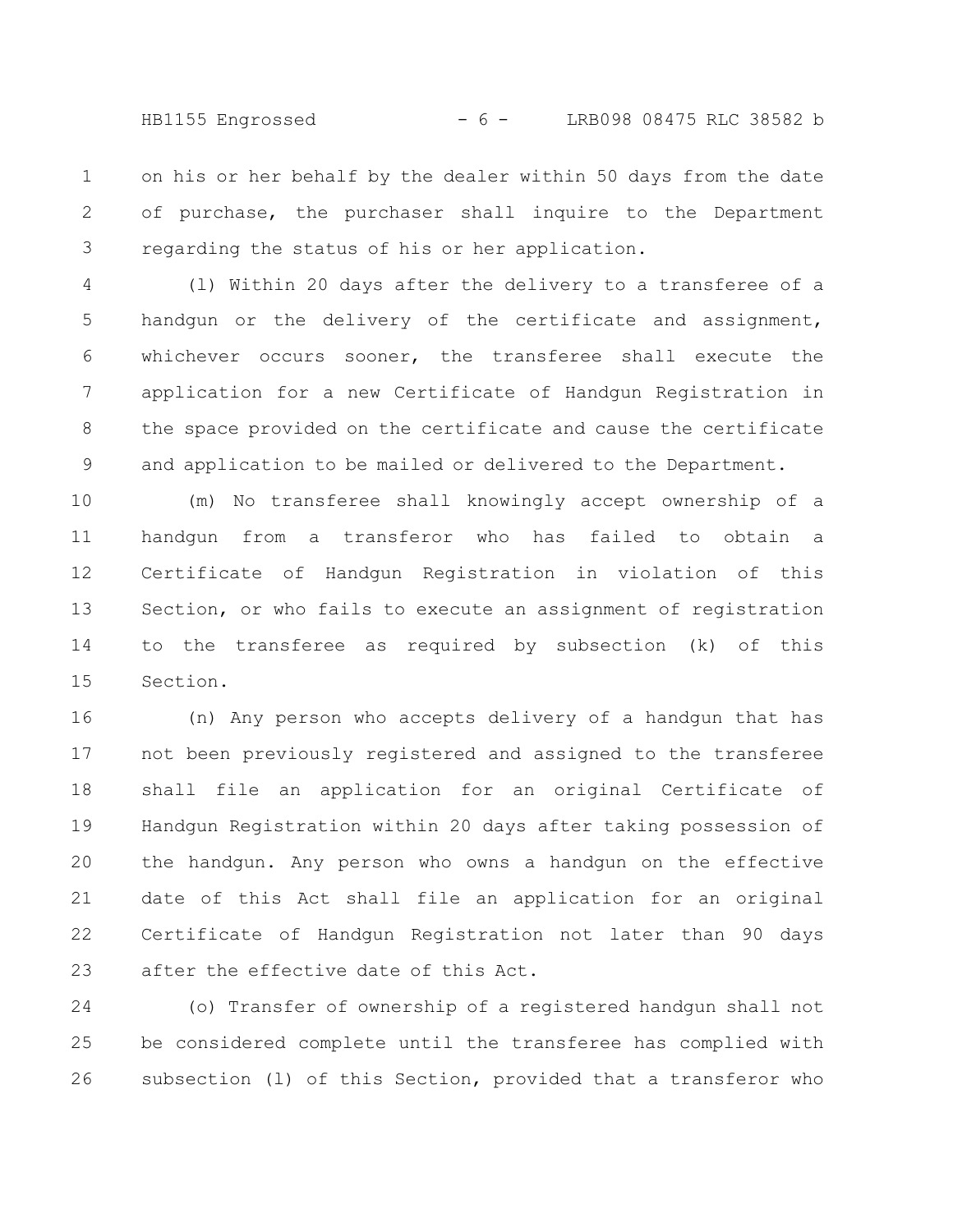HB1155 Engrossed - 6 - LRB098 08475 RLC 38582 b

on his or her behalf by the dealer within 50 days from the date of purchase, the purchaser shall inquire to the Department regarding the status of his or her application. 1 2 3

(l) Within 20 days after the delivery to a transferee of a handgun or the delivery of the certificate and assignment, whichever occurs sooner, the transferee shall execute the application for a new Certificate of Handgun Registration in the space provided on the certificate and cause the certificate and application to be mailed or delivered to the Department. 4 5 6 7 8 9

(m) No transferee shall knowingly accept ownership of a handgun from a transferor who has failed to obtain a Certificate of Handgun Registration in violation of this Section, or who fails to execute an assignment of registration to the transferee as required by subsection (k) of this Section. 10 11 12 13 14 15

(n) Any person who accepts delivery of a handgun that has not been previously registered and assigned to the transferee shall file an application for an original Certificate of Handgun Registration within 20 days after taking possession of the handgun. Any person who owns a handgun on the effective date of this Act shall file an application for an original Certificate of Handgun Registration not later than 90 days after the effective date of this Act. 16 17 18 19 20 21 22 23

(o) Transfer of ownership of a registered handgun shall not be considered complete until the transferee has complied with subsection (l) of this Section, provided that a transferor who 24 25 26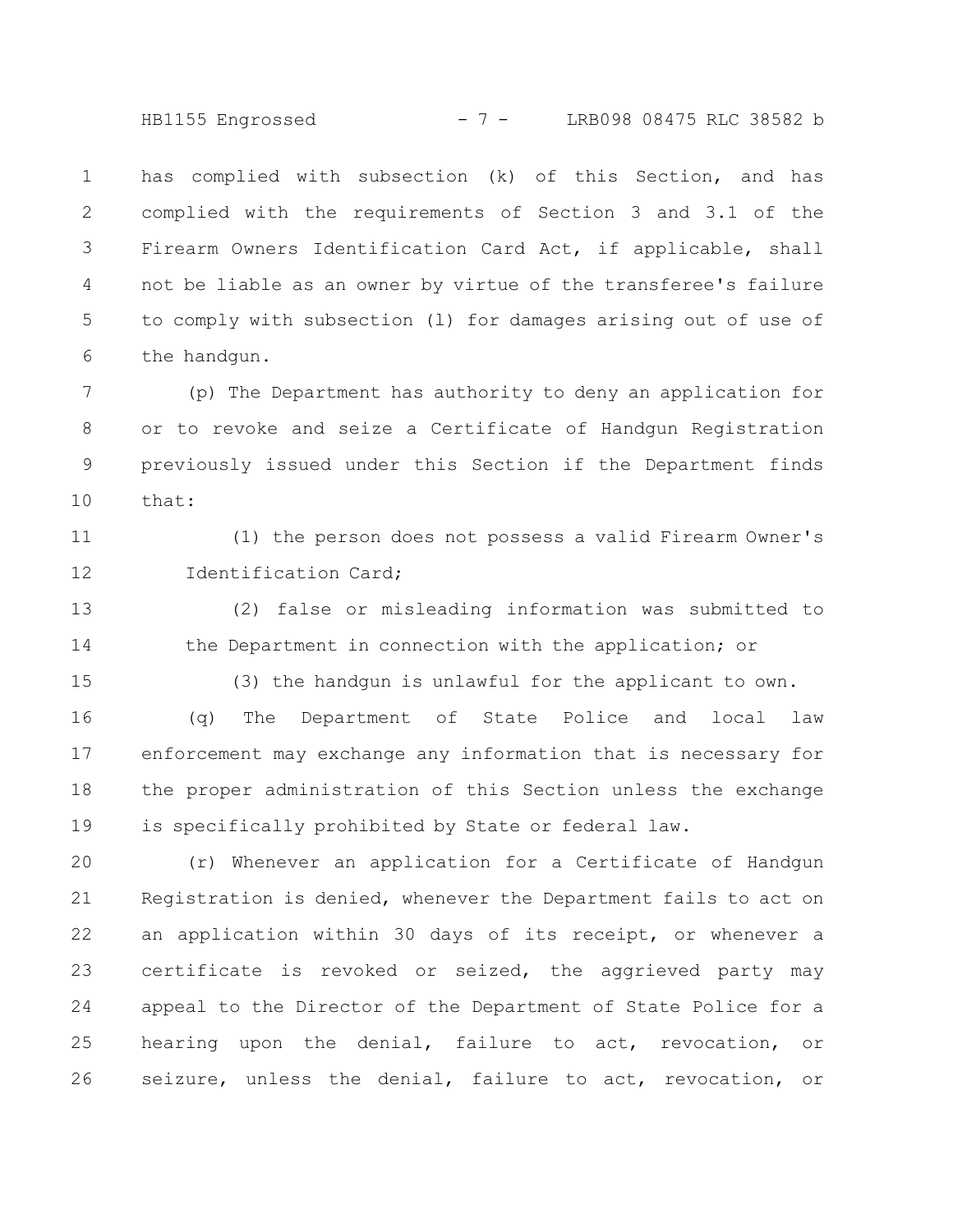HB1155 Engrossed - 7 - LRB098 08475 RLC 38582 b

has complied with subsection (k) of this Section, and has complied with the requirements of Section 3 and 3.1 of the Firearm Owners Identification Card Act, if applicable, shall not be liable as an owner by virtue of the transferee's failure to comply with subsection (l) for damages arising out of use of the handgun. 1 2 3 4 5 6

(p) The Department has authority to deny an application for or to revoke and seize a Certificate of Handgun Registration previously issued under this Section if the Department finds that: 7 8 9 10

(1) the person does not possess a valid Firearm Owner's Identification Card; 11 12

(2) false or misleading information was submitted to the Department in connection with the application; or 13 14

15

(3) the handgun is unlawful for the applicant to own.

(q) The Department of State Police and local law enforcement may exchange any information that is necessary for the proper administration of this Section unless the exchange is specifically prohibited by State or federal law. 16 17 18 19

(r) Whenever an application for a Certificate of Handgun Registration is denied, whenever the Department fails to act on an application within 30 days of its receipt, or whenever a certificate is revoked or seized, the aggrieved party may appeal to the Director of the Department of State Police for a hearing upon the denial, failure to act, revocation, or seizure, unless the denial, failure to act, revocation, or 20 21 22 23 24 25 26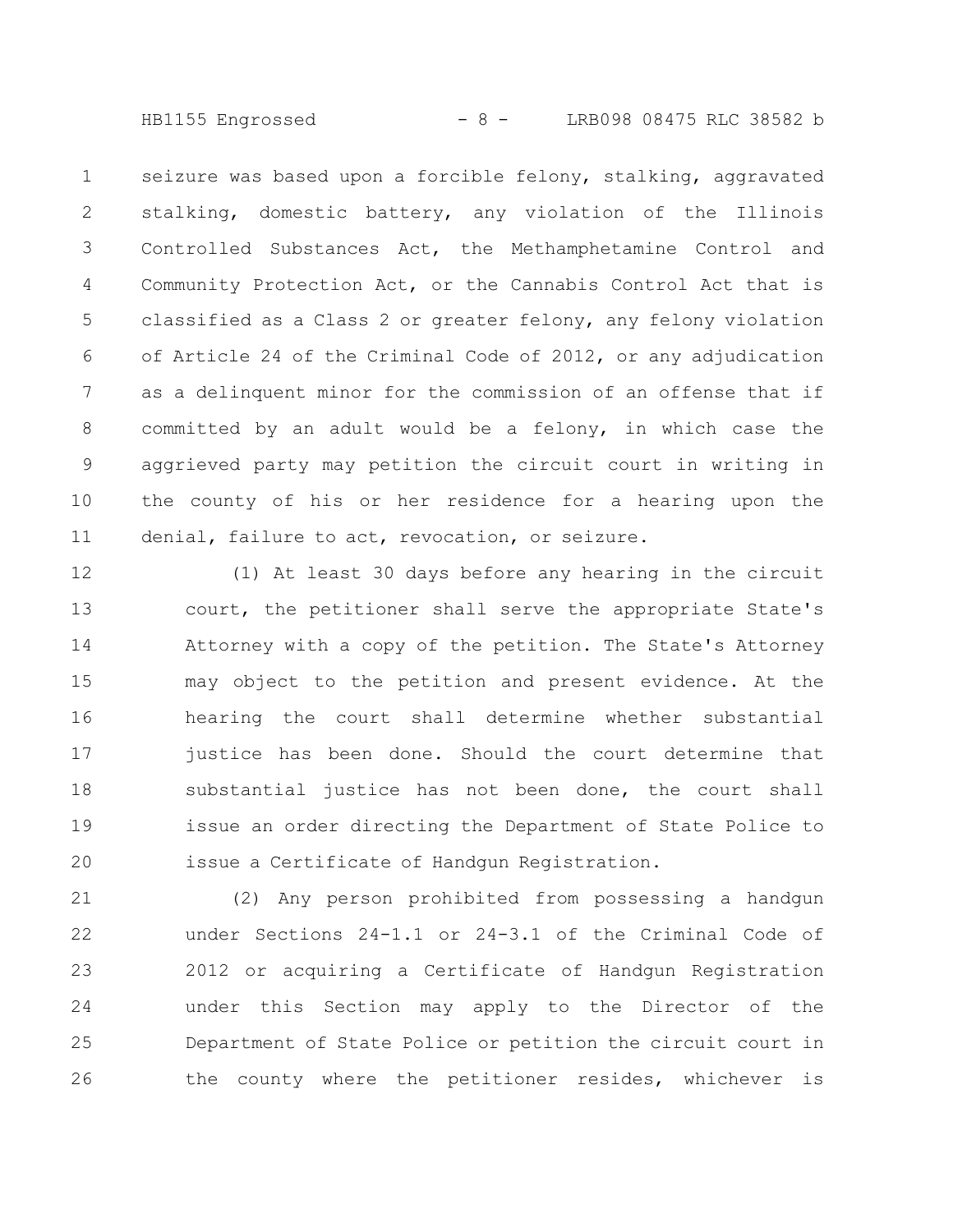HB1155 Engrossed - 8 - LRB098 08475 RLC 38582 b

seizure was based upon a forcible felony, stalking, aggravated stalking, domestic battery, any violation of the Illinois Controlled Substances Act, the Methamphetamine Control and Community Protection Act, or the Cannabis Control Act that is classified as a Class 2 or greater felony, any felony violation of Article 24 of the Criminal Code of 2012, or any adjudication as a delinquent minor for the commission of an offense that if committed by an adult would be a felony, in which case the aggrieved party may petition the circuit court in writing in the county of his or her residence for a hearing upon the denial, failure to act, revocation, or seizure. 1 2 3 4 5 6 7 8 9 10 11

(1) At least 30 days before any hearing in the circuit court, the petitioner shall serve the appropriate State's Attorney with a copy of the petition. The State's Attorney may object to the petition and present evidence. At the hearing the court shall determine whether substantial justice has been done. Should the court determine that substantial justice has not been done, the court shall issue an order directing the Department of State Police to issue a Certificate of Handgun Registration. 12 13 14 15 16 17 18 19 20

(2) Any person prohibited from possessing a handgun under Sections 24-1.1 or 24-3.1 of the Criminal Code of 2012 or acquiring a Certificate of Handgun Registration under this Section may apply to the Director of the Department of State Police or petition the circuit court in the county where the petitioner resides, whichever is 21 22 23 24 25 26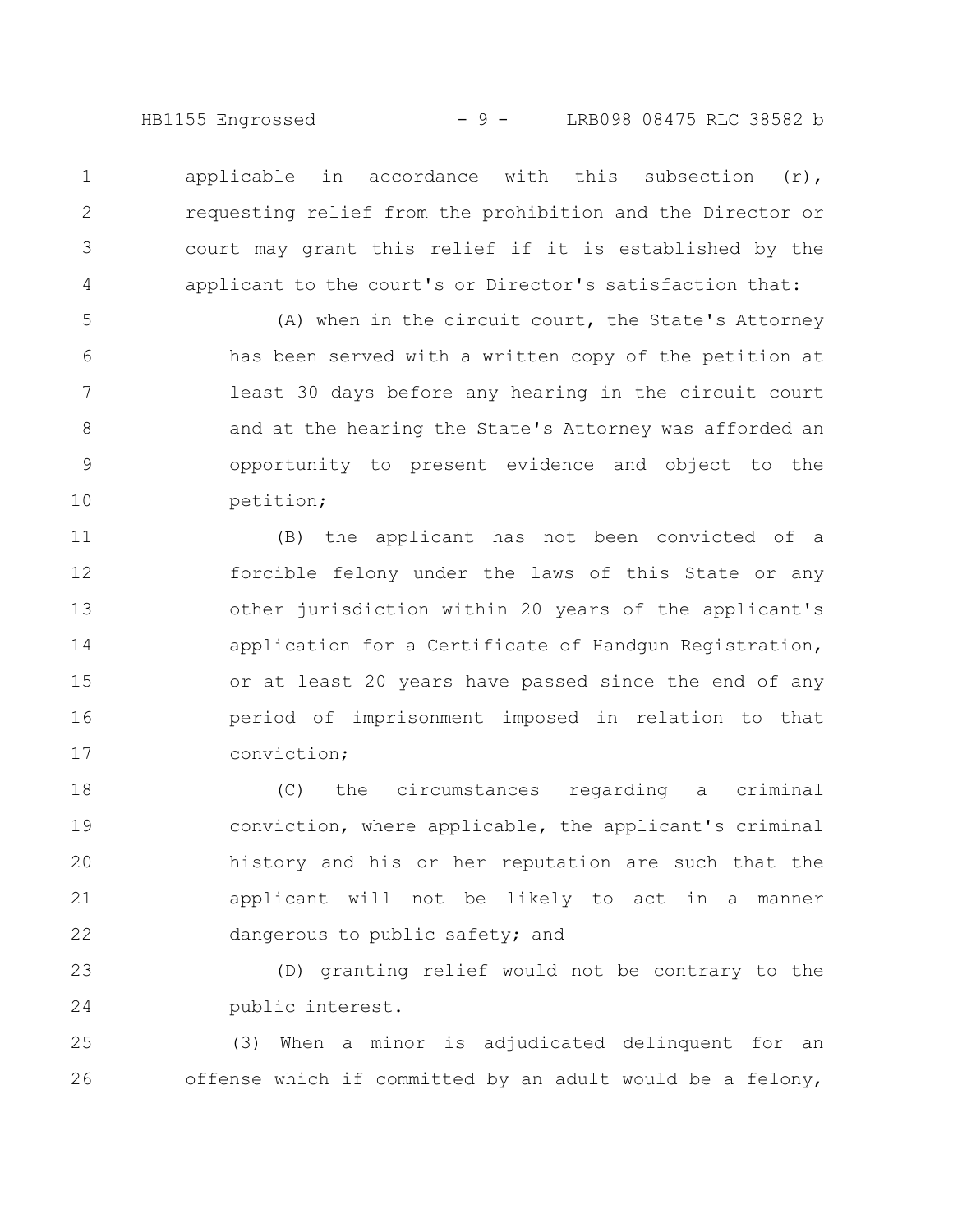HB1155 Engrossed - 9 - LRB098 08475 RLC 38582 b

applicable in accordance with this subsection  $(r)$ , requesting relief from the prohibition and the Director or court may grant this relief if it is established by the applicant to the court's or Director's satisfaction that: 1 2 3 4

(A) when in the circuit court, the State's Attorney has been served with a written copy of the petition at least 30 days before any hearing in the circuit court and at the hearing the State's Attorney was afforded an opportunity to present evidence and object to the petition; 5 6 7 8 9 10

(B) the applicant has not been convicted of a forcible felony under the laws of this State or any other jurisdiction within 20 years of the applicant's application for a Certificate of Handgun Registration, or at least 20 years have passed since the end of any period of imprisonment imposed in relation to that conviction; 11 12 13 14 15 16 17

(C) the circumstances regarding a criminal conviction, where applicable, the applicant's criminal history and his or her reputation are such that the applicant will not be likely to act in a manner dangerous to public safety; and 18 19 20 21 22

(D) granting relief would not be contrary to the public interest. 23 24

(3) When a minor is adjudicated delinquent for an offense which if committed by an adult would be a felony, 25 26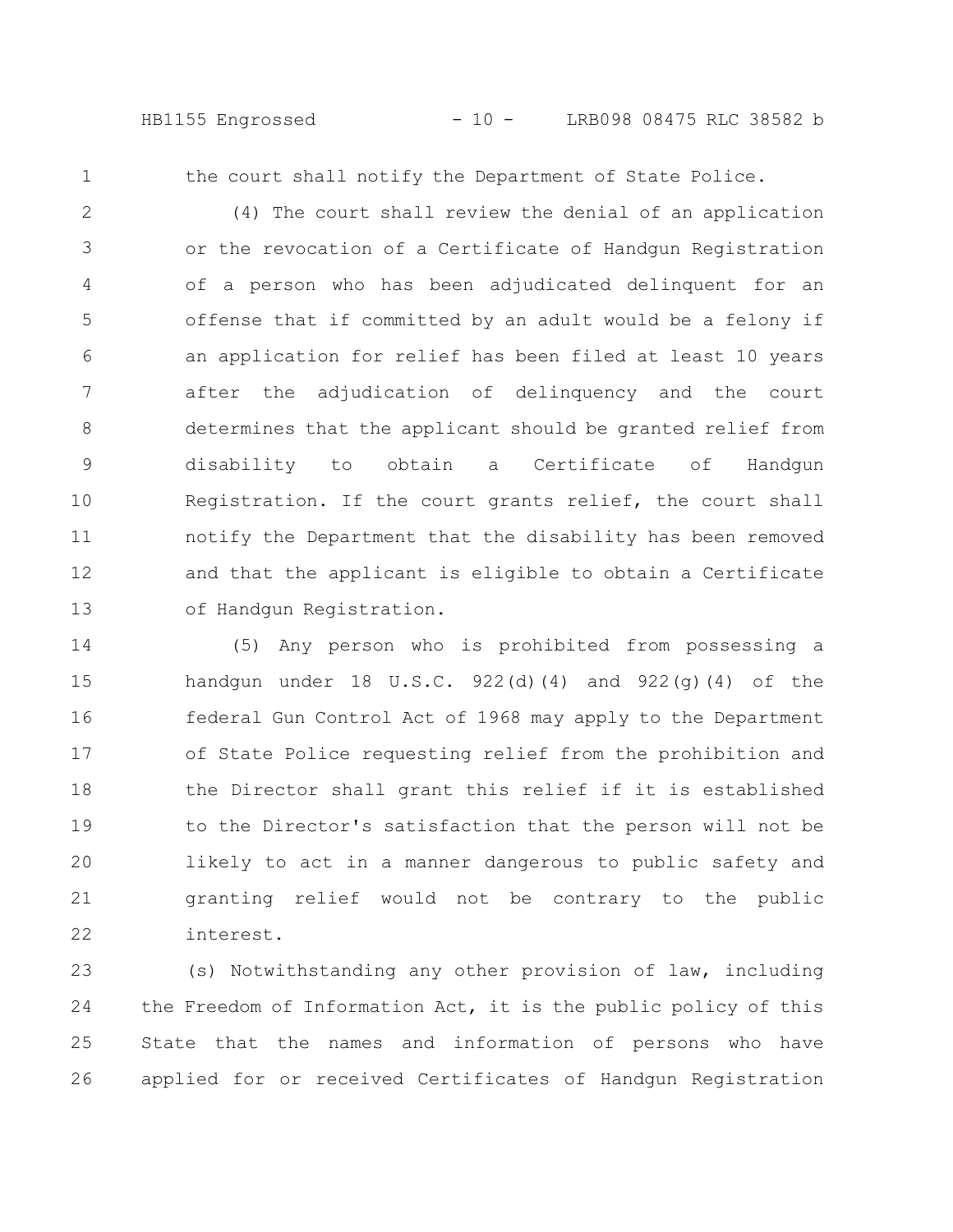HB1155 Engrossed - 10 - LRB098 08475 RLC 38582 b

1

the court shall notify the Department of State Police.

(4) The court shall review the denial of an application or the revocation of a Certificate of Handgun Registration of a person who has been adjudicated delinquent for an offense that if committed by an adult would be a felony if an application for relief has been filed at least 10 years after the adjudication of delinquency and the court determines that the applicant should be granted relief from disability to obtain a Certificate of Handgun Registration. If the court grants relief, the court shall notify the Department that the disability has been removed and that the applicant is eligible to obtain a Certificate of Handgun Registration. 2 3 4 5 6 7 8 9 10 11 12 13

(5) Any person who is prohibited from possessing a handgun under 18 U.S.C.  $922(d)(4)$  and  $922(q)(4)$  of the federal Gun Control Act of 1968 may apply to the Department of State Police requesting relief from the prohibition and the Director shall grant this relief if it is established to the Director's satisfaction that the person will not be likely to act in a manner dangerous to public safety and granting relief would not be contrary to the public interest. 14 15 16 17 18 19 20 21 22

(s) Notwithstanding any other provision of law, including the Freedom of Information Act, it is the public policy of this State that the names and information of persons who have applied for or received Certificates of Handgun Registration 23 24 25 26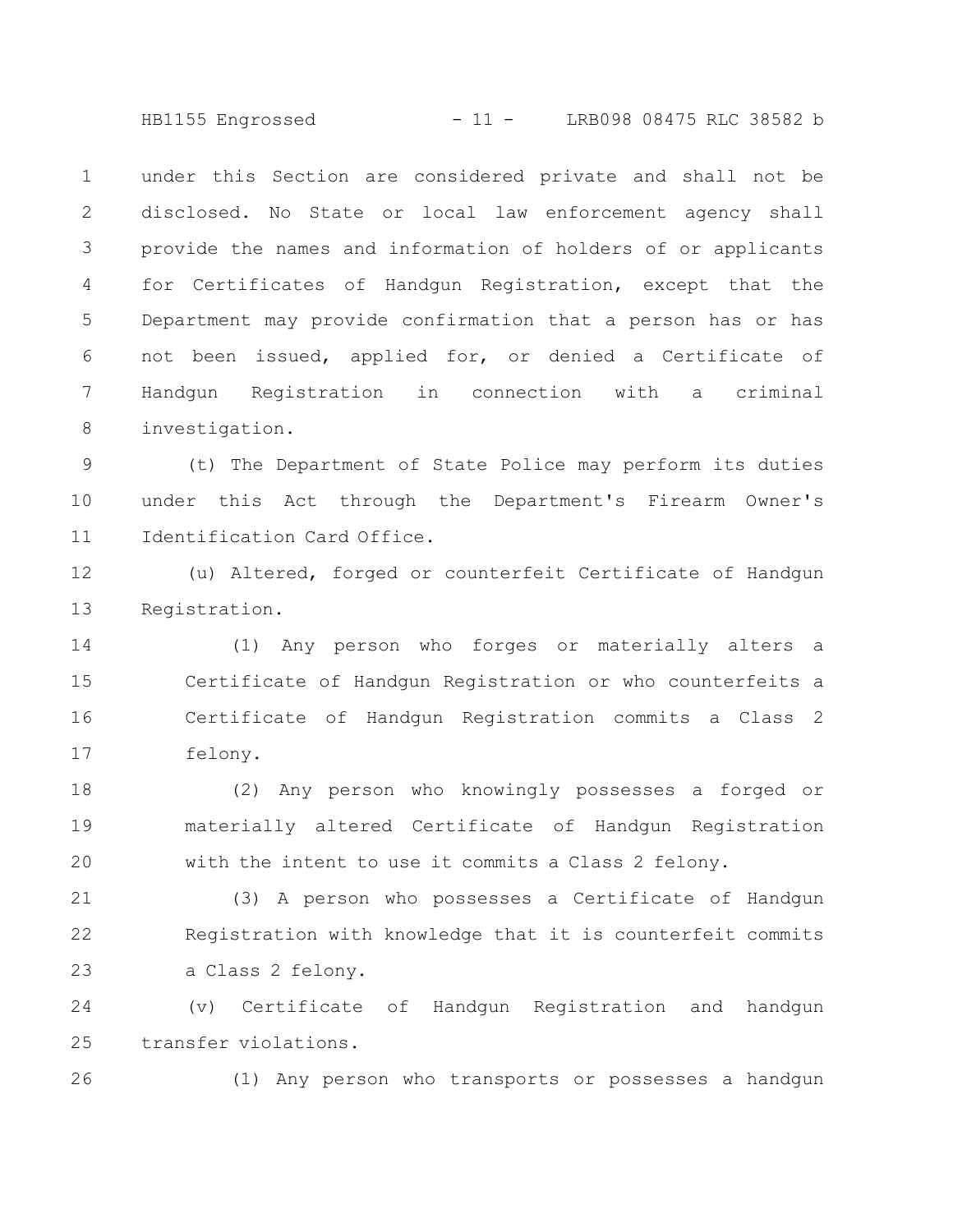HB1155 Engrossed - 11 - LRB098 08475 RLC 38582 b

under this Section are considered private and shall not be disclosed. No State or local law enforcement agency shall provide the names and information of holders of or applicants for Certificates of Handgun Registration, except that the Department may provide confirmation that a person has or has not been issued, applied for, or denied a Certificate of Handgun Registration in connection with a criminal investigation. 1 2 3 4 5 6 7 8

(t) The Department of State Police may perform its duties under this Act through the Department's Firearm Owner's Identification Card Office. 9 10 11

(u) Altered, forged or counterfeit Certificate of Handgun Registration. 12 13

(1) Any person who forges or materially alters a Certificate of Handgun Registration or who counterfeits a Certificate of Handgun Registration commits a Class 2 felony. 14 15 16 17

(2) Any person who knowingly possesses a forged or materially altered Certificate of Handgun Registration with the intent to use it commits a Class 2 felony. 18 19 20

(3) A person who possesses a Certificate of Handgun Registration with knowledge that it is counterfeit commits a Class 2 felony. 21 22 23

(v) Certificate of Handgun Registration and handgun transfer violations. 24 25

26

(1) Any person who transports or possesses a handgun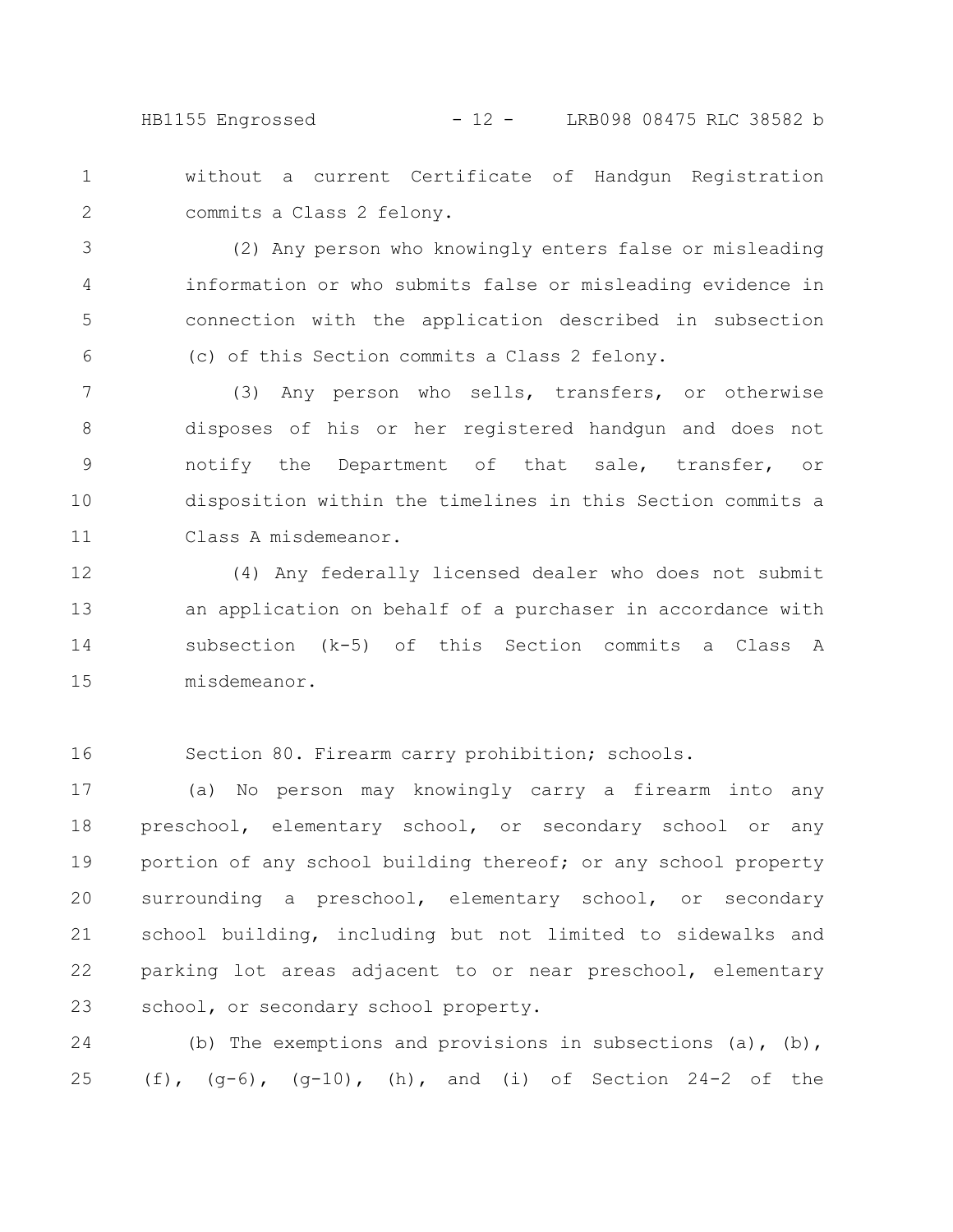HB1155 Engrossed - 12 - LRB098 08475 RLC 38582 b

without a current Certificate of Handgun Registration commits a Class 2 felony. 1 2

(2) Any person who knowingly enters false or misleading information or who submits false or misleading evidence in connection with the application described in subsection (c) of this Section commits a Class 2 felony. 3 4 5 6

(3) Any person who sells, transfers, or otherwise disposes of his or her registered handgun and does not notify the Department of that sale, transfer, or disposition within the timelines in this Section commits a Class A misdemeanor. 7 8 9 10 11

(4) Any federally licensed dealer who does not submit an application on behalf of a purchaser in accordance with subsection (k-5) of this Section commits a Class A misdemeanor. 12 13 14 15

Section 80. Firearm carry prohibition; schools. 16

(a) No person may knowingly carry a firearm into any preschool, elementary school, or secondary school or any portion of any school building thereof; or any school property surrounding a preschool, elementary school, or secondary school building, including but not limited to sidewalks and parking lot areas adjacent to or near preschool, elementary school, or secondary school property. 17 18 19 20 21 22 23

(b) The exemptions and provisions in subsections (a), (b), (f),  $(q-6)$ ,  $(q-10)$ , (h), and (i) of Section 24-2 of the 24 25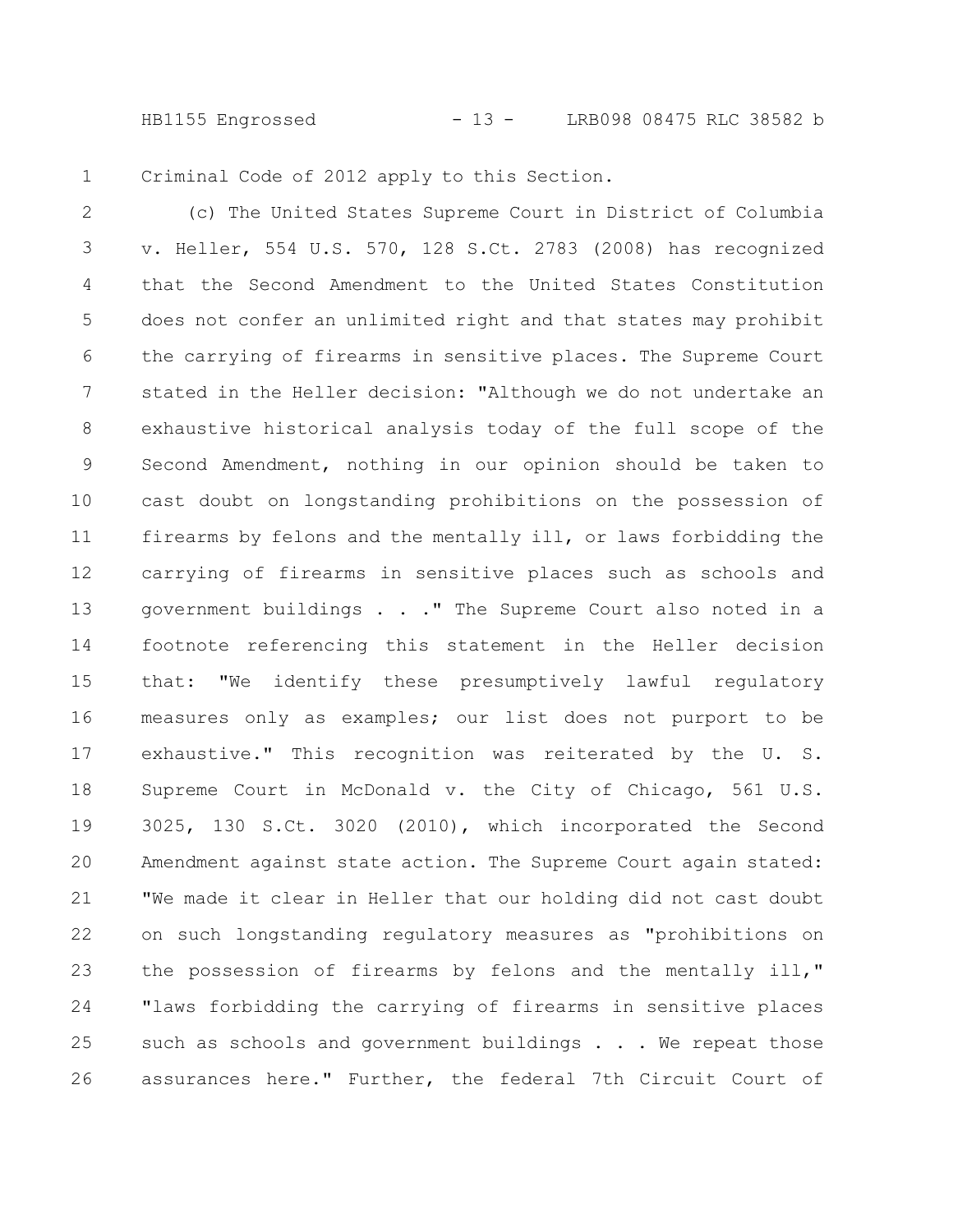HB1155 Engrossed - 13 - LRB098 08475 RLC 38582 b

Criminal Code of 2012 apply to this Section. 1

(c) The United States Supreme Court in District of Columbia v. Heller, 554 U.S. 570, 128 S.Ct. 2783 (2008) has recognized that the Second Amendment to the United States Constitution does not confer an unlimited right and that states may prohibit the carrying of firearms in sensitive places. The Supreme Court stated in the Heller decision: "Although we do not undertake an exhaustive historical analysis today of the full scope of the Second Amendment, nothing in our opinion should be taken to cast doubt on longstanding prohibitions on the possession of firearms by felons and the mentally ill, or laws forbidding the carrying of firearms in sensitive places such as schools and government buildings . . ." The Supreme Court also noted in a footnote referencing this statement in the Heller decision that: "We identify these presumptively lawful regulatory measures only as examples; our list does not purport to be exhaustive." This recognition was reiterated by the U. S. Supreme Court in McDonald v. the City of Chicago, 561 U.S. 3025, 130 S.Ct. 3020 (2010), which incorporated the Second Amendment against state action. The Supreme Court again stated: "We made it clear in Heller that our holding did not cast doubt on such longstanding regulatory measures as "prohibitions on the possession of firearms by felons and the mentally ill," "laws forbidding the carrying of firearms in sensitive places such as schools and government buildings . . . We repeat those assurances here." Further, the federal 7th Circuit Court of 2 3 4 5 6 7 8 9 10 11 12 13 14 15 16 17 18 19 20 21 22 23 24 25 26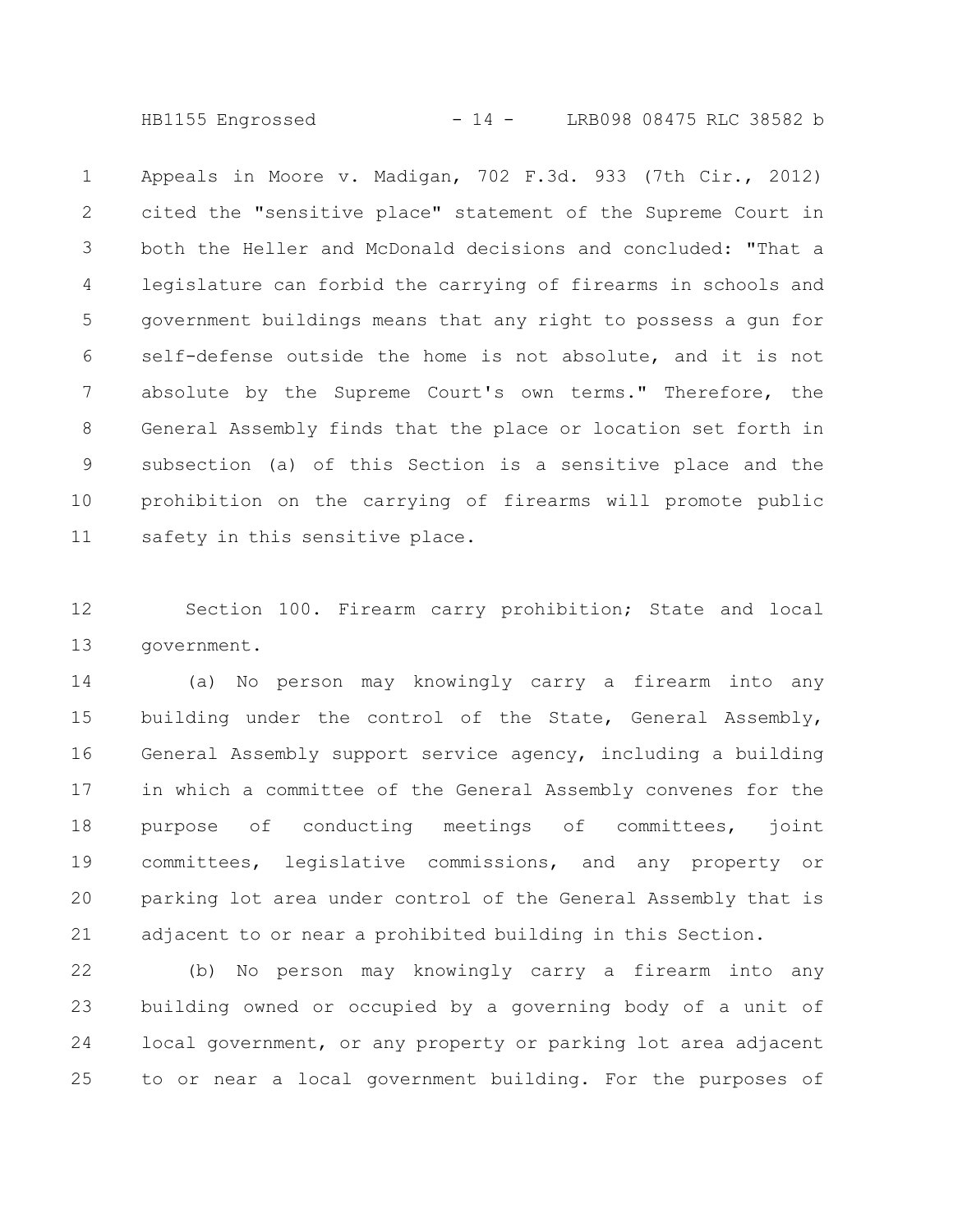HB1155 Engrossed - 14 - LRB098 08475 RLC 38582 b

Appeals in Moore v. Madigan, 702 F.3d. 933 (7th Cir., 2012) cited the "sensitive place" statement of the Supreme Court in both the Heller and McDonald decisions and concluded: "That a legislature can forbid the carrying of firearms in schools and government buildings means that any right to possess a gun for self-defense outside the home is not absolute, and it is not absolute by the Supreme Court's own terms." Therefore, the General Assembly finds that the place or location set forth in subsection (a) of this Section is a sensitive place and the prohibition on the carrying of firearms will promote public safety in this sensitive place. 1 2 3 4 5 6 7 8 9 10 11

Section 100. Firearm carry prohibition; State and local government. 12 13

(a) No person may knowingly carry a firearm into any building under the control of the State, General Assembly, General Assembly support service agency, including a building in which a committee of the General Assembly convenes for the purpose of conducting meetings of committees, joint committees, legislative commissions, and any property or parking lot area under control of the General Assembly that is adjacent to or near a prohibited building in this Section. 14 15 16 17 18 19 20 21

(b) No person may knowingly carry a firearm into any building owned or occupied by a governing body of a unit of local government, or any property or parking lot area adjacent to or near a local government building. For the purposes of 22 23 24 25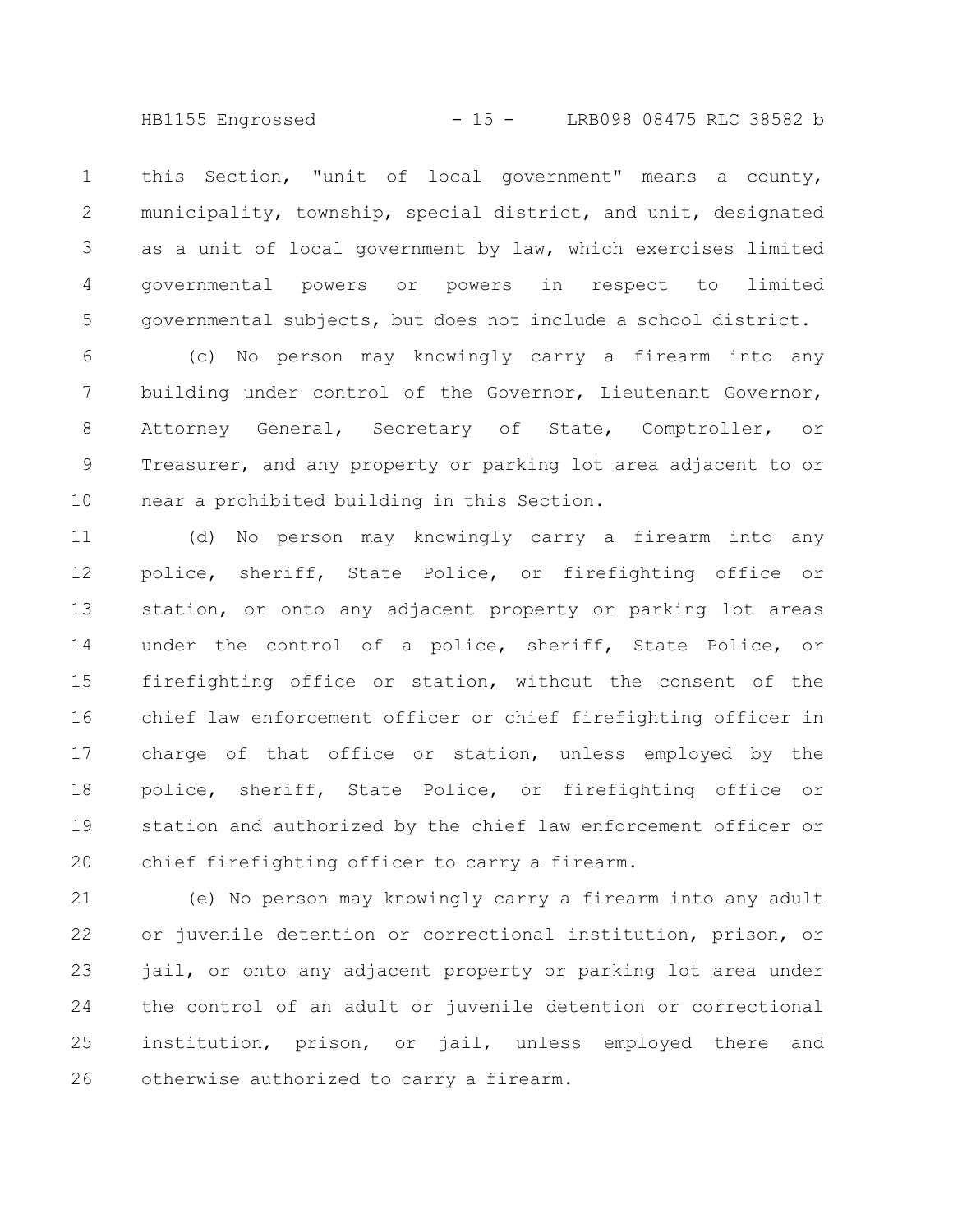HB1155 Engrossed - 15 - LRB098 08475 RLC 38582 b

this Section, "unit of local government" means a county, municipality, township, special district, and unit, designated as a unit of local government by law, which exercises limited governmental powers or powers in respect to limited governmental subjects, but does not include a school district. 1 2 3 4 5

(c) No person may knowingly carry a firearm into any building under control of the Governor, Lieutenant Governor, Attorney General, Secretary of State, Comptroller, or Treasurer, and any property or parking lot area adjacent to or near a prohibited building in this Section. 6 7 8 9 10

(d) No person may knowingly carry a firearm into any police, sheriff, State Police, or firefighting office or station, or onto any adjacent property or parking lot areas under the control of a police, sheriff, State Police, or firefighting office or station, without the consent of the chief law enforcement officer or chief firefighting officer in charge of that office or station, unless employed by the police, sheriff, State Police, or firefighting office or station and authorized by the chief law enforcement officer or chief firefighting officer to carry a firearm. 11 12 13 14 15 16 17 18 19 20

(e) No person may knowingly carry a firearm into any adult or juvenile detention or correctional institution, prison, or jail, or onto any adjacent property or parking lot area under the control of an adult or juvenile detention or correctional institution, prison, or jail, unless employed there and otherwise authorized to carry a firearm. 21 22 23 24 25 26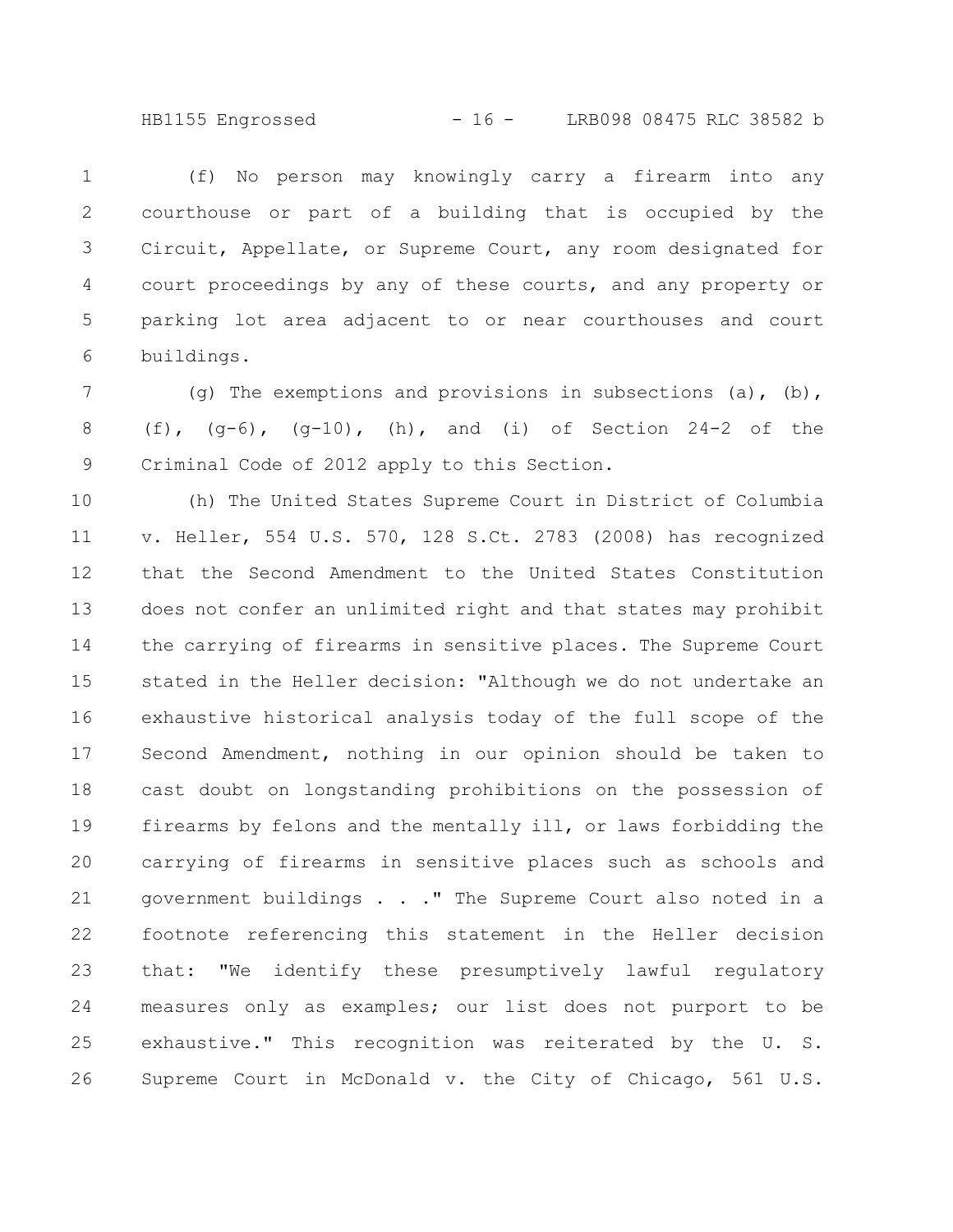HB1155 Engrossed - 16 - LRB098 08475 RLC 38582 b

(f) No person may knowingly carry a firearm into any courthouse or part of a building that is occupied by the Circuit, Appellate, or Supreme Court, any room designated for court proceedings by any of these courts, and any property or parking lot area adjacent to or near courthouses and court buildings. 1 2 3 4 5 6

(q) The exemptions and provisions in subsections (a), (b), (f),  $(q-6)$ ,  $(q-10)$ , (h), and (i) of Section 24-2 of the Criminal Code of 2012 apply to this Section. 7 8 9

(h) The United States Supreme Court in District of Columbia v. Heller, 554 U.S. 570, 128 S.Ct. 2783 (2008) has recognized that the Second Amendment to the United States Constitution does not confer an unlimited right and that states may prohibit the carrying of firearms in sensitive places. The Supreme Court stated in the Heller decision: "Although we do not undertake an exhaustive historical analysis today of the full scope of the Second Amendment, nothing in our opinion should be taken to cast doubt on longstanding prohibitions on the possession of firearms by felons and the mentally ill, or laws forbidding the carrying of firearms in sensitive places such as schools and government buildings . . ." The Supreme Court also noted in a footnote referencing this statement in the Heller decision that: "We identify these presumptively lawful regulatory measures only as examples; our list does not purport to be exhaustive." This recognition was reiterated by the U. S. Supreme Court in McDonald v. the City of Chicago, 561 U.S. 10 11 12 13 14 15 16 17 18 19 20 21 22 23 24 25 26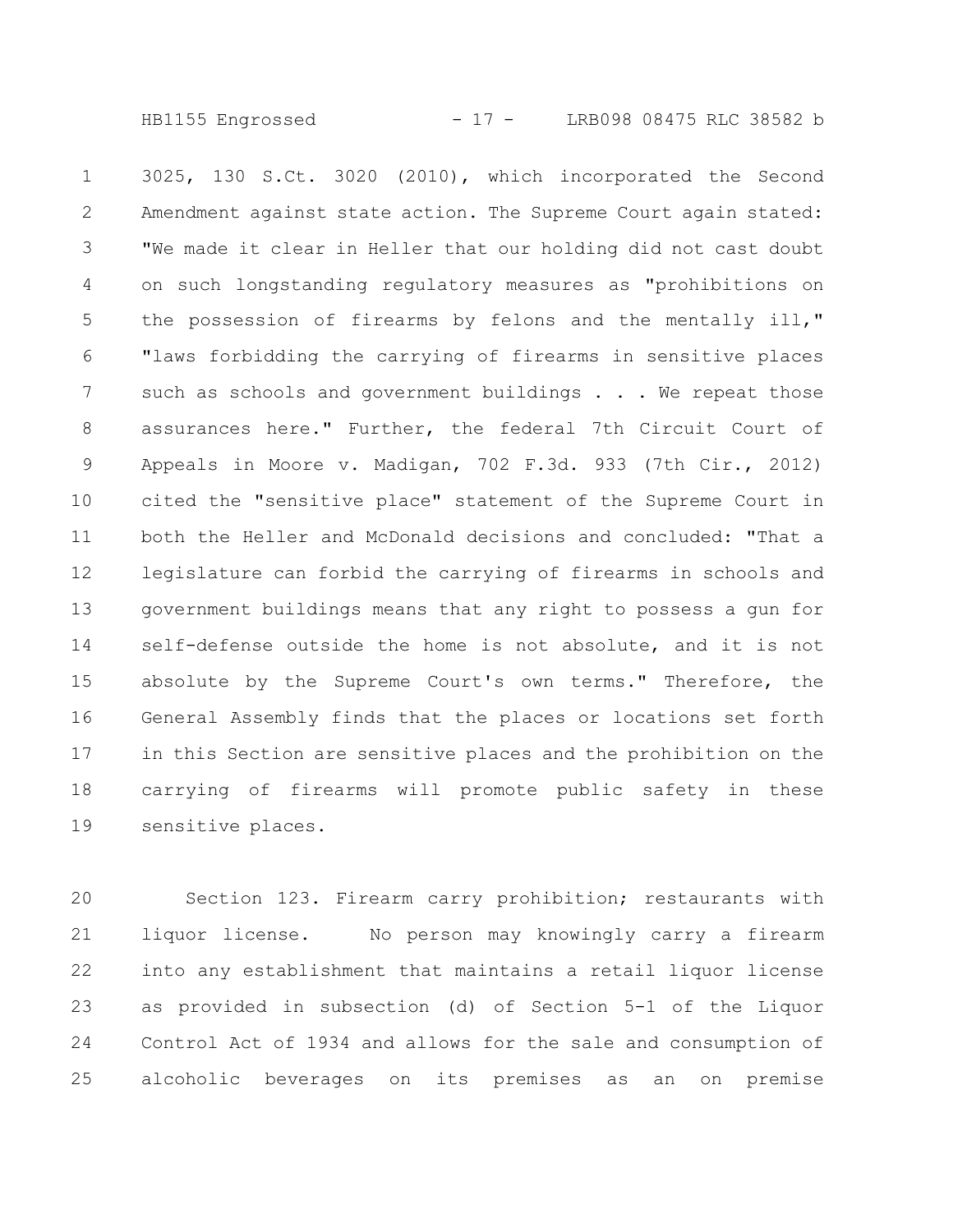HB1155 Engrossed - 17 - LRB098 08475 RLC 38582 b

3025, 130 S.Ct. 3020 (2010), which incorporated the Second Amendment against state action. The Supreme Court again stated: "We made it clear in Heller that our holding did not cast doubt on such longstanding regulatory measures as "prohibitions on the possession of firearms by felons and the mentally ill," "laws forbidding the carrying of firearms in sensitive places such as schools and government buildings . . . We repeat those assurances here." Further, the federal 7th Circuit Court of Appeals in Moore v. Madigan, 702 F.3d. 933 (7th Cir., 2012) cited the "sensitive place" statement of the Supreme Court in both the Heller and McDonald decisions and concluded: "That a legislature can forbid the carrying of firearms in schools and government buildings means that any right to possess a gun for self-defense outside the home is not absolute, and it is not absolute by the Supreme Court's own terms." Therefore, the General Assembly finds that the places or locations set forth in this Section are sensitive places and the prohibition on the carrying of firearms will promote public safety in these sensitive places. 1 2 3 4 5 6 7 8 9 10 11 12 13 14 15 16 17 18 19

Section 123. Firearm carry prohibition; restaurants with liquor license. No person may knowingly carry a firearm into any establishment that maintains a retail liquor license as provided in subsection (d) of Section 5-1 of the Liquor Control Act of 1934 and allows for the sale and consumption of alcoholic beverages on its premises as an on premise 20 21 22 23 24 25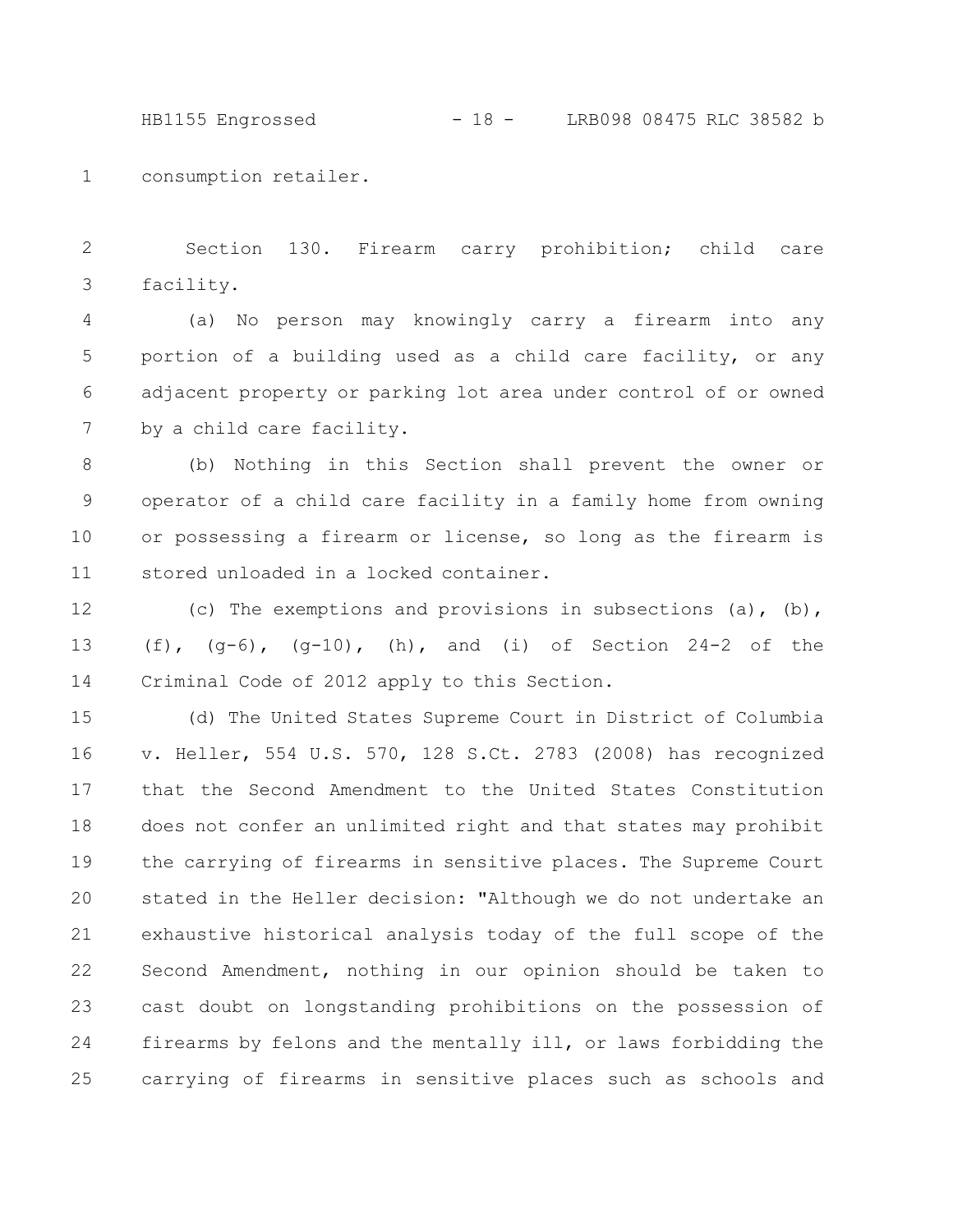HB1155 Engrossed - 18 - LRB098 08475 RLC 38582 b

consumption retailer. 1

Section 130. Firearm carry prohibition; child care facility. 2 3

(a) No person may knowingly carry a firearm into any portion of a building used as a child care facility, or any adjacent property or parking lot area under control of or owned by a child care facility. 4 5 6 7

(b) Nothing in this Section shall prevent the owner or operator of a child care facility in a family home from owning or possessing a firearm or license, so long as the firearm is stored unloaded in a locked container. 8 9 10 11

(c) The exemptions and provisions in subsections (a),  $(b)$ , (f),  $(q-6)$ ,  $(q-10)$ , (h), and (i) of Section 24-2 of the Criminal Code of 2012 apply to this Section. 12 13 14

(d) The United States Supreme Court in District of Columbia v. Heller, 554 U.S. 570, 128 S.Ct. 2783 (2008) has recognized that the Second Amendment to the United States Constitution does not confer an unlimited right and that states may prohibit the carrying of firearms in sensitive places. The Supreme Court stated in the Heller decision: "Although we do not undertake an exhaustive historical analysis today of the full scope of the Second Amendment, nothing in our opinion should be taken to cast doubt on longstanding prohibitions on the possession of firearms by felons and the mentally ill, or laws forbidding the carrying of firearms in sensitive places such as schools and 15 16 17 18 19 20 21 22 23 24 25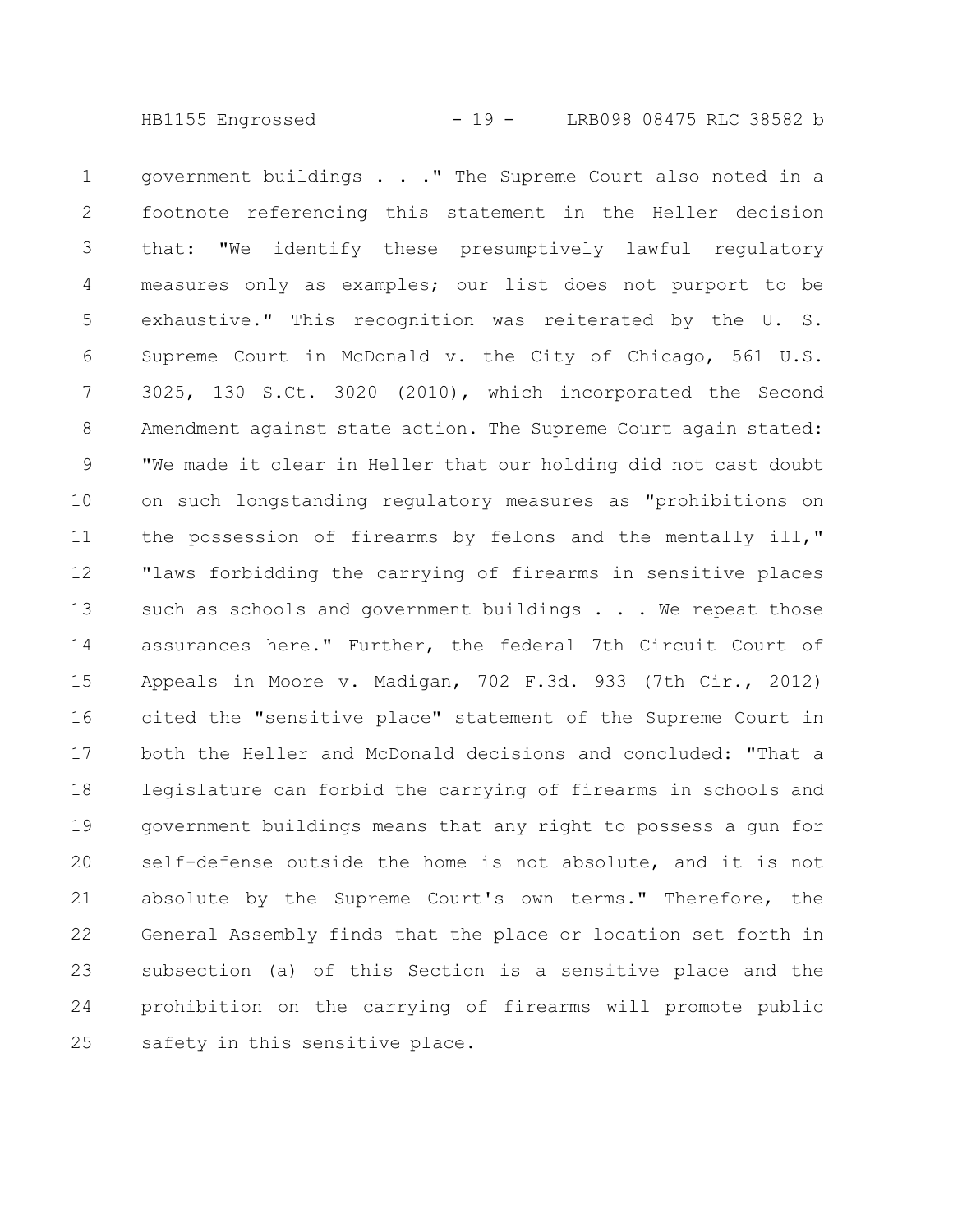government buildings . . ." The Supreme Court also noted in a footnote referencing this statement in the Heller decision that: "We identify these presumptively lawful regulatory measures only as examples; our list does not purport to be exhaustive." This recognition was reiterated by the U. S. Supreme Court in McDonald v. the City of Chicago, 561 U.S. 3025, 130 S.Ct. 3020 (2010), which incorporated the Second Amendment against state action. The Supreme Court again stated: "We made it clear in Heller that our holding did not cast doubt on such longstanding regulatory measures as "prohibitions on the possession of firearms by felons and the mentally ill," "laws forbidding the carrying of firearms in sensitive places such as schools and government buildings . . . We repeat those assurances here." Further, the federal 7th Circuit Court of Appeals in Moore v. Madigan, 702 F.3d. 933 (7th Cir., 2012) cited the "sensitive place" statement of the Supreme Court in both the Heller and McDonald decisions and concluded: "That a legislature can forbid the carrying of firearms in schools and government buildings means that any right to possess a gun for self-defense outside the home is not absolute, and it is not absolute by the Supreme Court's own terms." Therefore, the General Assembly finds that the place or location set forth in subsection (a) of this Section is a sensitive place and the prohibition on the carrying of firearms will promote public safety in this sensitive place. 1 2 3 4 5 6 7 8 9 10 11 12 13 14 15 16 17 18 19 20 21 22 23 24 25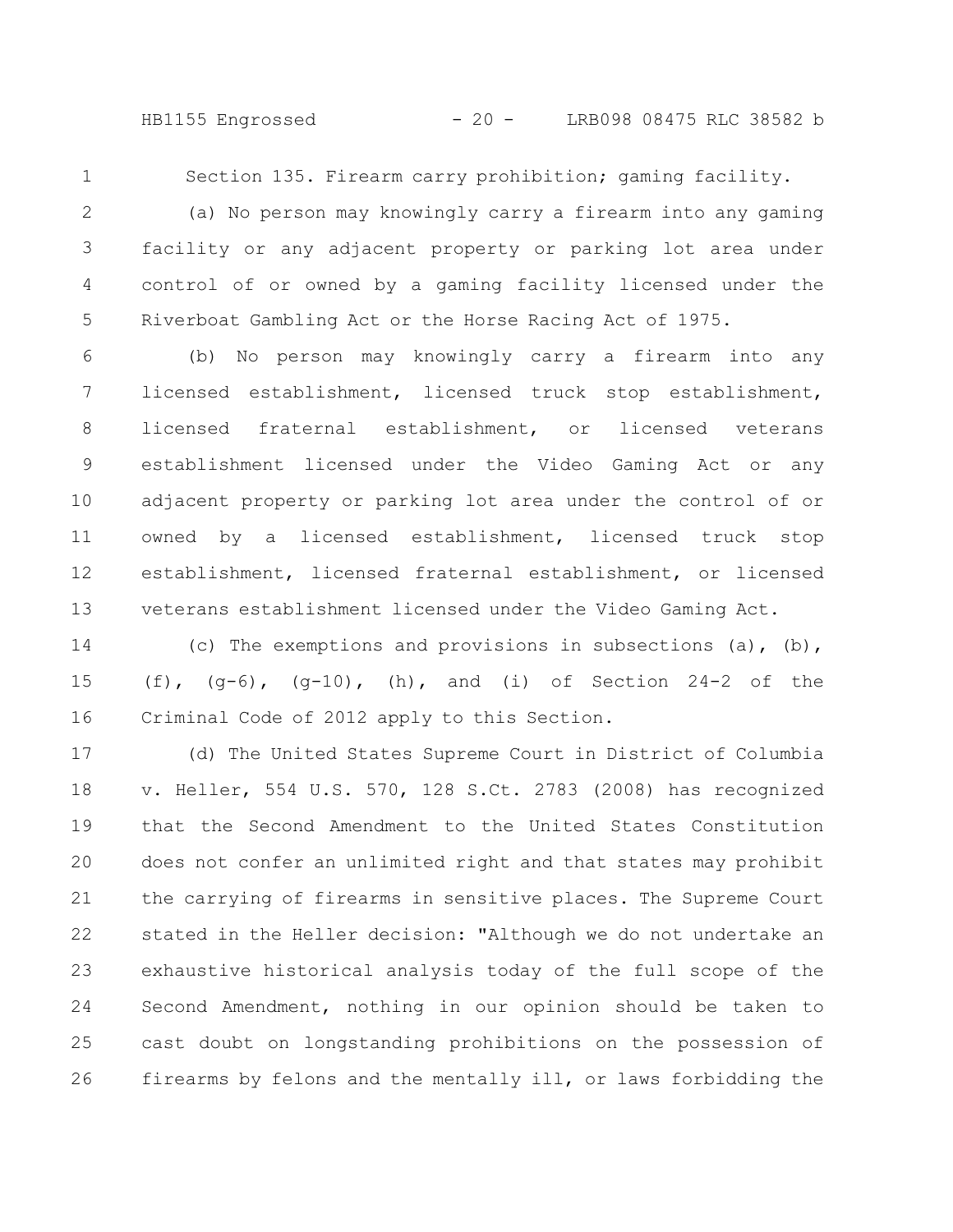HB1155 Engrossed - 20 - LRB098 08475 RLC 38582 b

1

Section 135. Firearm carry prohibition; gaming facility.

(a) No person may knowingly carry a firearm into any gaming facility or any adjacent property or parking lot area under control of or owned by a gaming facility licensed under the Riverboat Gambling Act or the Horse Racing Act of 1975. 2 3 4 5

(b) No person may knowingly carry a firearm into any licensed establishment, licensed truck stop establishment, licensed fraternal establishment, or licensed veterans establishment licensed under the Video Gaming Act or any adjacent property or parking lot area under the control of or owned by a licensed establishment, licensed truck stop establishment, licensed fraternal establishment, or licensed veterans establishment licensed under the Video Gaming Act. 6 7 8 9 10 11 12 13

(c) The exemptions and provisions in subsections (a),  $(b)$ , (f),  $(q-6)$ ,  $(q-10)$ , (h), and (i) of Section 24-2 of the Criminal Code of 2012 apply to this Section. 14 15 16

(d) The United States Supreme Court in District of Columbia v. Heller, 554 U.S. 570, 128 S.Ct. 2783 (2008) has recognized that the Second Amendment to the United States Constitution does not confer an unlimited right and that states may prohibit the carrying of firearms in sensitive places. The Supreme Court stated in the Heller decision: "Although we do not undertake an exhaustive historical analysis today of the full scope of the Second Amendment, nothing in our opinion should be taken to cast doubt on longstanding prohibitions on the possession of firearms by felons and the mentally ill, or laws forbidding the 17 18 19 20 21 22 23 24 25 26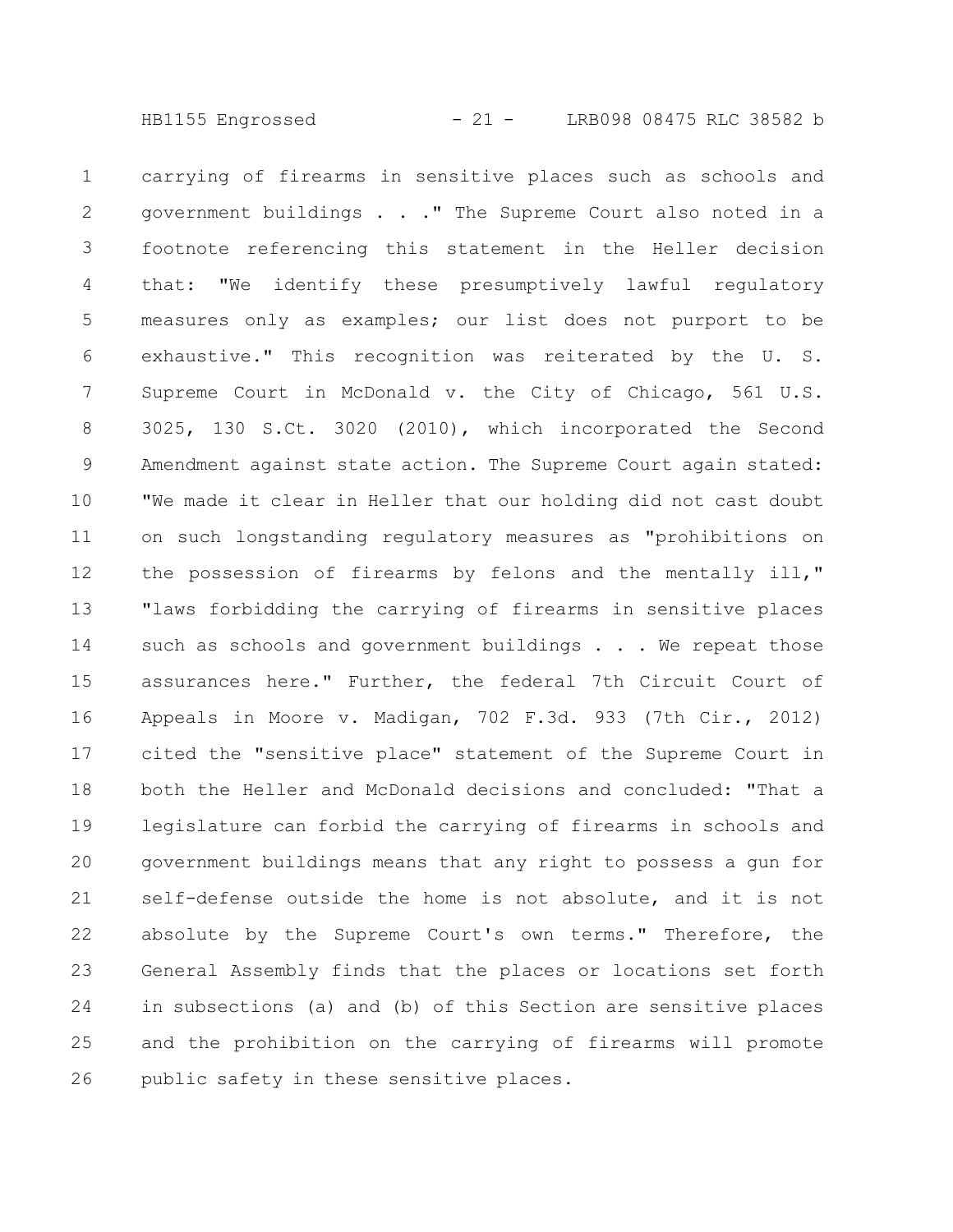HB1155 Engrossed - 21 - LRB098 08475 RLC 38582 b

carrying of firearms in sensitive places such as schools and government buildings . . ." The Supreme Court also noted in a footnote referencing this statement in the Heller decision that: "We identify these presumptively lawful regulatory measures only as examples; our list does not purport to be exhaustive." This recognition was reiterated by the U. S. Supreme Court in McDonald v. the City of Chicago, 561 U.S. 3025, 130 S.Ct. 3020 (2010), which incorporated the Second Amendment against state action. The Supreme Court again stated: "We made it clear in Heller that our holding did not cast doubt on such longstanding regulatory measures as "prohibitions on the possession of firearms by felons and the mentally ill," "laws forbidding the carrying of firearms in sensitive places such as schools and government buildings . . . We repeat those assurances here." Further, the federal 7th Circuit Court of Appeals in Moore v. Madigan, 702 F.3d. 933 (7th Cir., 2012) cited the "sensitive place" statement of the Supreme Court in both the Heller and McDonald decisions and concluded: "That a legislature can forbid the carrying of firearms in schools and government buildings means that any right to possess a gun for self-defense outside the home is not absolute, and it is not absolute by the Supreme Court's own terms." Therefore, the General Assembly finds that the places or locations set forth in subsections (a) and (b) of this Section are sensitive places and the prohibition on the carrying of firearms will promote public safety in these sensitive places. 1 2 3 4 5 6 7 8 9 10 11 12 13 14 15 16 17 18 19 20 21 22 23 24 25 26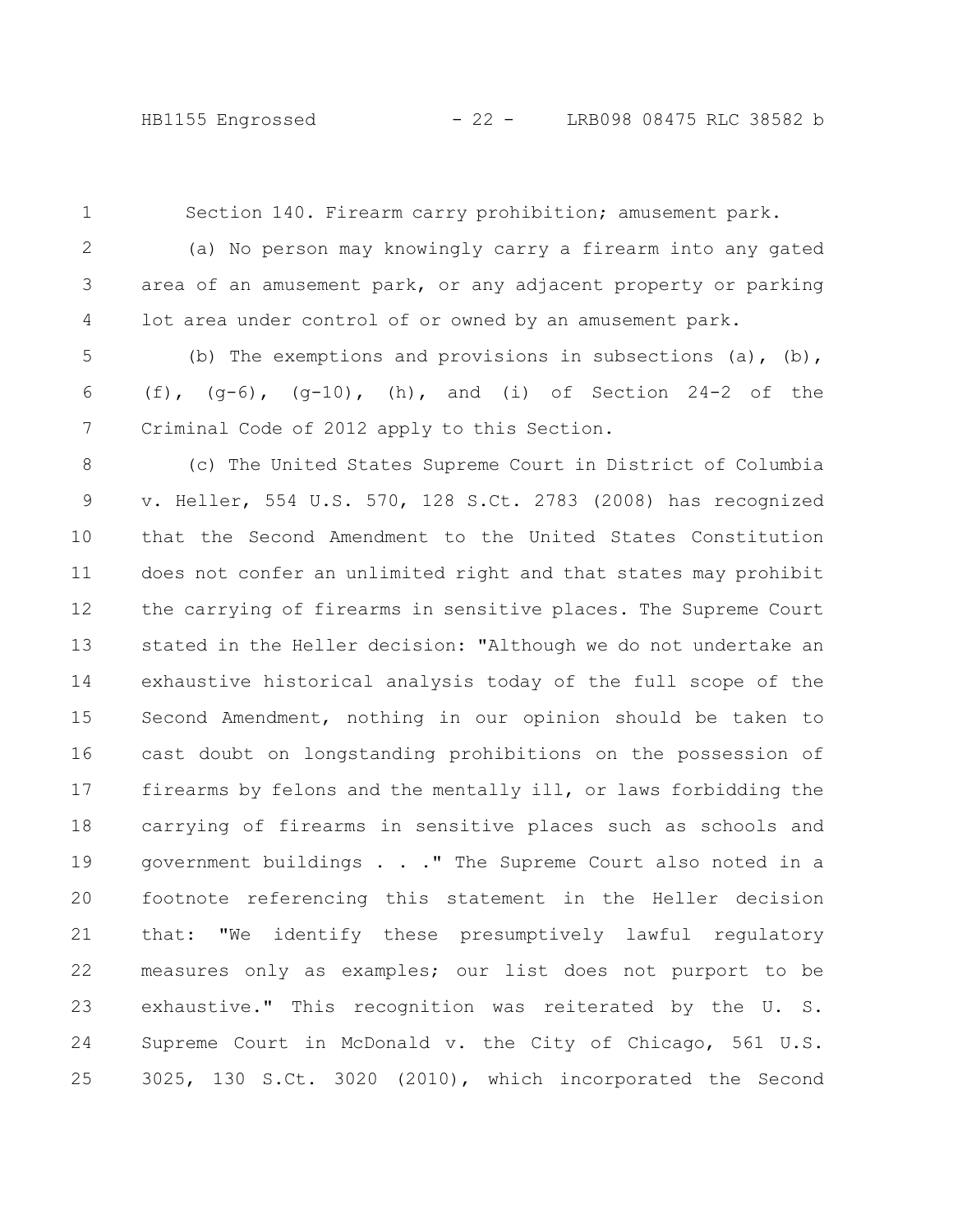1

Section 140. Firearm carry prohibition; amusement park.

(a) No person may knowingly carry a firearm into any gated area of an amusement park, or any adjacent property or parking lot area under control of or owned by an amusement park. 2 3 4

(b) The exemptions and provisions in subsections (a),  $(b)$ , (f),  $(q-6)$ ,  $(q-10)$ , (h), and (i) of Section 24-2 of the Criminal Code of 2012 apply to this Section. 5 6 7

(c) The United States Supreme Court in District of Columbia v. Heller, 554 U.S. 570, 128 S.Ct. 2783 (2008) has recognized that the Second Amendment to the United States Constitution does not confer an unlimited right and that states may prohibit the carrying of firearms in sensitive places. The Supreme Court stated in the Heller decision: "Although we do not undertake an exhaustive historical analysis today of the full scope of the Second Amendment, nothing in our opinion should be taken to cast doubt on longstanding prohibitions on the possession of firearms by felons and the mentally ill, or laws forbidding the carrying of firearms in sensitive places such as schools and government buildings . . ." The Supreme Court also noted in a footnote referencing this statement in the Heller decision that: "We identify these presumptively lawful regulatory measures only as examples; our list does not purport to be exhaustive." This recognition was reiterated by the U. S. Supreme Court in McDonald v. the City of Chicago, 561 U.S. 3025, 130 S.Ct. 3020 (2010), which incorporated the Second 8 9 10 11 12 13 14 15 16 17 18 19 20 21 22 23 24 25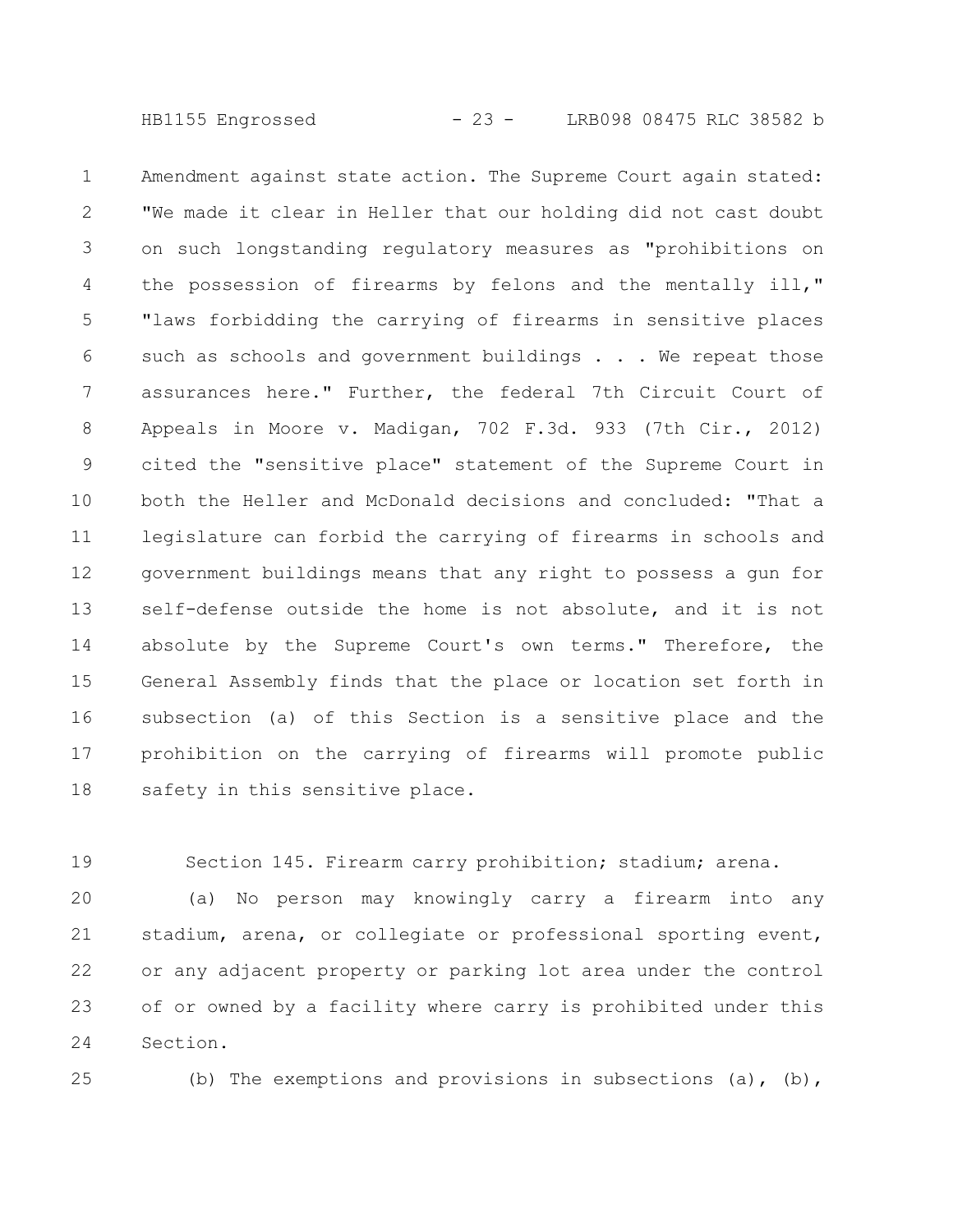HB1155 Engrossed - 23 - LRB098 08475 RLC 38582 b

Amendment against state action. The Supreme Court again stated: "We made it clear in Heller that our holding did not cast doubt on such longstanding regulatory measures as "prohibitions on the possession of firearms by felons and the mentally ill," "laws forbidding the carrying of firearms in sensitive places such as schools and government buildings . . . We repeat those assurances here." Further, the federal 7th Circuit Court of Appeals in Moore v. Madigan, 702 F.3d. 933 (7th Cir., 2012) cited the "sensitive place" statement of the Supreme Court in both the Heller and McDonald decisions and concluded: "That a legislature can forbid the carrying of firearms in schools and government buildings means that any right to possess a gun for self-defense outside the home is not absolute, and it is not absolute by the Supreme Court's own terms." Therefore, the General Assembly finds that the place or location set forth in subsection (a) of this Section is a sensitive place and the prohibition on the carrying of firearms will promote public safety in this sensitive place. 1 2 3 4 5 6 7 8 9 10 11 12 13 14 15 16 17 18

Section 145. Firearm carry prohibition; stadium; arena. 19

(a) No person may knowingly carry a firearm into any stadium, arena, or collegiate or professional sporting event, or any adjacent property or parking lot area under the control of or owned by a facility where carry is prohibited under this Section. 20 21 22 23 24

$$
25\,
$$

(b) The exemptions and provisions in subsections (a), (b),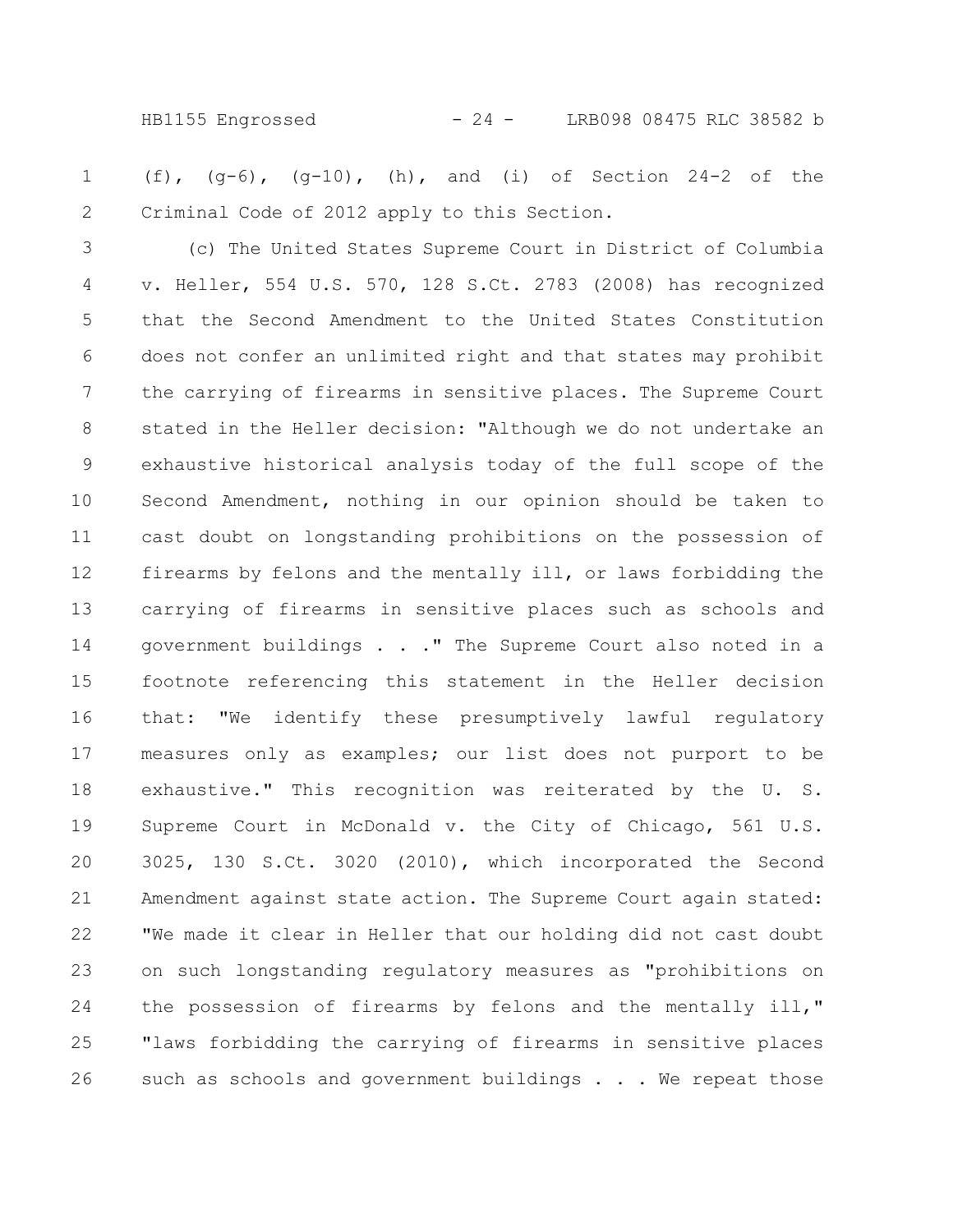HB1155 Engrossed - 24 - LRB098 08475 RLC 38582 b

(f),  $(q-6)$ ,  $(q-10)$ , (h), and (i) of Section 24-2 of the Criminal Code of 2012 apply to this Section. 1 2

(c) The United States Supreme Court in District of Columbia v. Heller, 554 U.S. 570, 128 S.Ct. 2783 (2008) has recognized that the Second Amendment to the United States Constitution does not confer an unlimited right and that states may prohibit the carrying of firearms in sensitive places. The Supreme Court stated in the Heller decision: "Although we do not undertake an exhaustive historical analysis today of the full scope of the Second Amendment, nothing in our opinion should be taken to cast doubt on longstanding prohibitions on the possession of firearms by felons and the mentally ill, or laws forbidding the carrying of firearms in sensitive places such as schools and government buildings . . ." The Supreme Court also noted in a footnote referencing this statement in the Heller decision that: "We identify these presumptively lawful regulatory measures only as examples; our list does not purport to be exhaustive." This recognition was reiterated by the U. S. Supreme Court in McDonald v. the City of Chicago, 561 U.S. 3025, 130 S.Ct. 3020 (2010), which incorporated the Second Amendment against state action. The Supreme Court again stated: "We made it clear in Heller that our holding did not cast doubt on such longstanding regulatory measures as "prohibitions on the possession of firearms by felons and the mentally ill," "laws forbidding the carrying of firearms in sensitive places such as schools and government buildings . . . We repeat those 3 4 5 6 7 8 9 10 11 12 13 14 15 16 17 18 19 20 21 22 23 24 25 26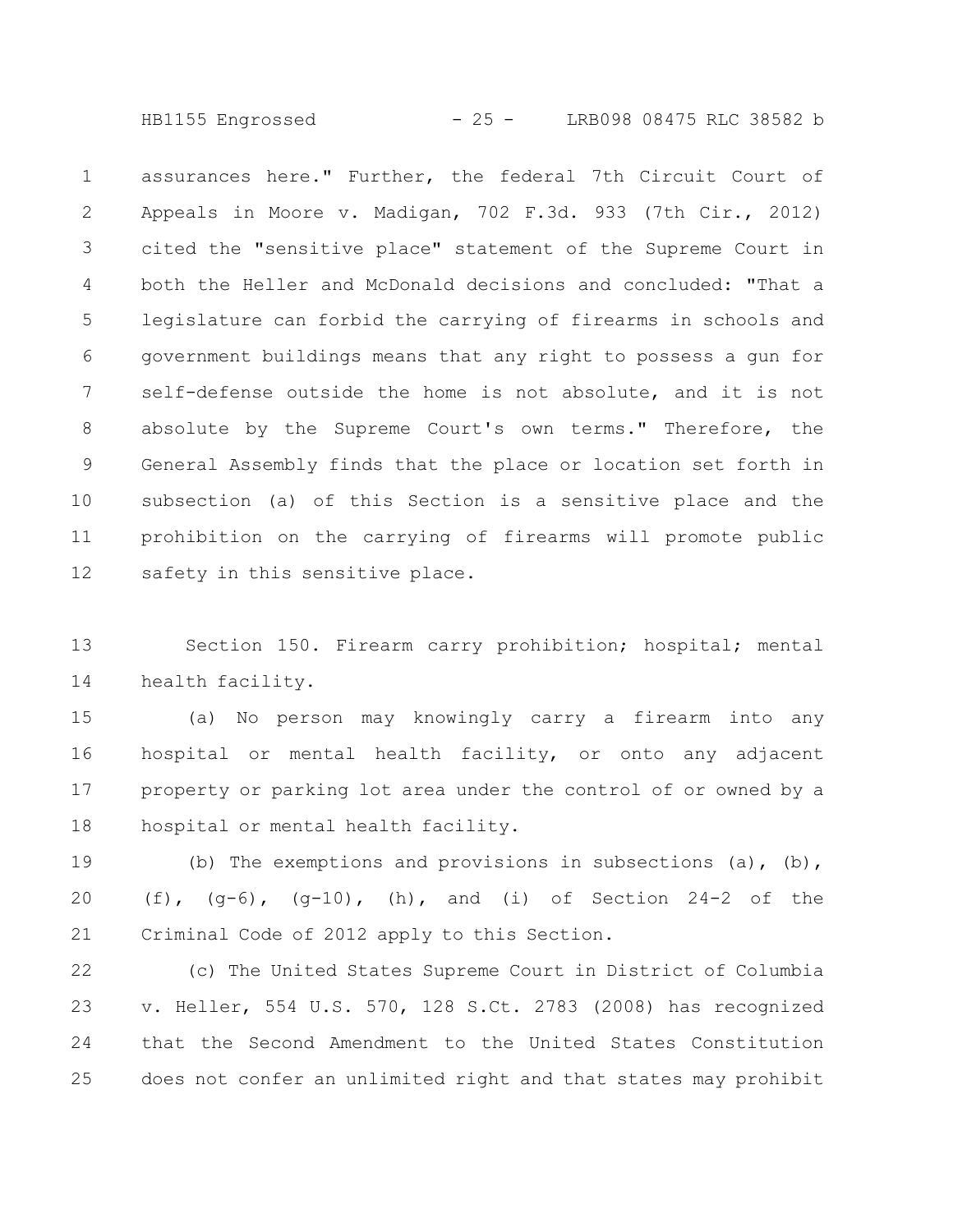HB1155 Engrossed - 25 - LRB098 08475 RLC 38582 b

assurances here." Further, the federal 7th Circuit Court of Appeals in Moore v. Madigan, 702 F.3d. 933 (7th Cir., 2012) cited the "sensitive place" statement of the Supreme Court in both the Heller and McDonald decisions and concluded: "That a legislature can forbid the carrying of firearms in schools and government buildings means that any right to possess a gun for self-defense outside the home is not absolute, and it is not absolute by the Supreme Court's own terms." Therefore, the General Assembly finds that the place or location set forth in subsection (a) of this Section is a sensitive place and the prohibition on the carrying of firearms will promote public safety in this sensitive place. 1 2 3 4 5 6 7 8 9 10 11 12

Section 150. Firearm carry prohibition; hospital; mental health facility. 13 14

(a) No person may knowingly carry a firearm into any hospital or mental health facility, or onto any adjacent property or parking lot area under the control of or owned by a hospital or mental health facility. 15 16 17 18

(b) The exemptions and provisions in subsections (a), (b), (f),  $(g-6)$ ,  $(g-10)$ , (h), and (i) of Section 24-2 of the Criminal Code of 2012 apply to this Section. 19 20 21

(c) The United States Supreme Court in District of Columbia v. Heller, 554 U.S. 570, 128 S.Ct. 2783 (2008) has recognized that the Second Amendment to the United States Constitution does not confer an unlimited right and that states may prohibit 22 23 24 25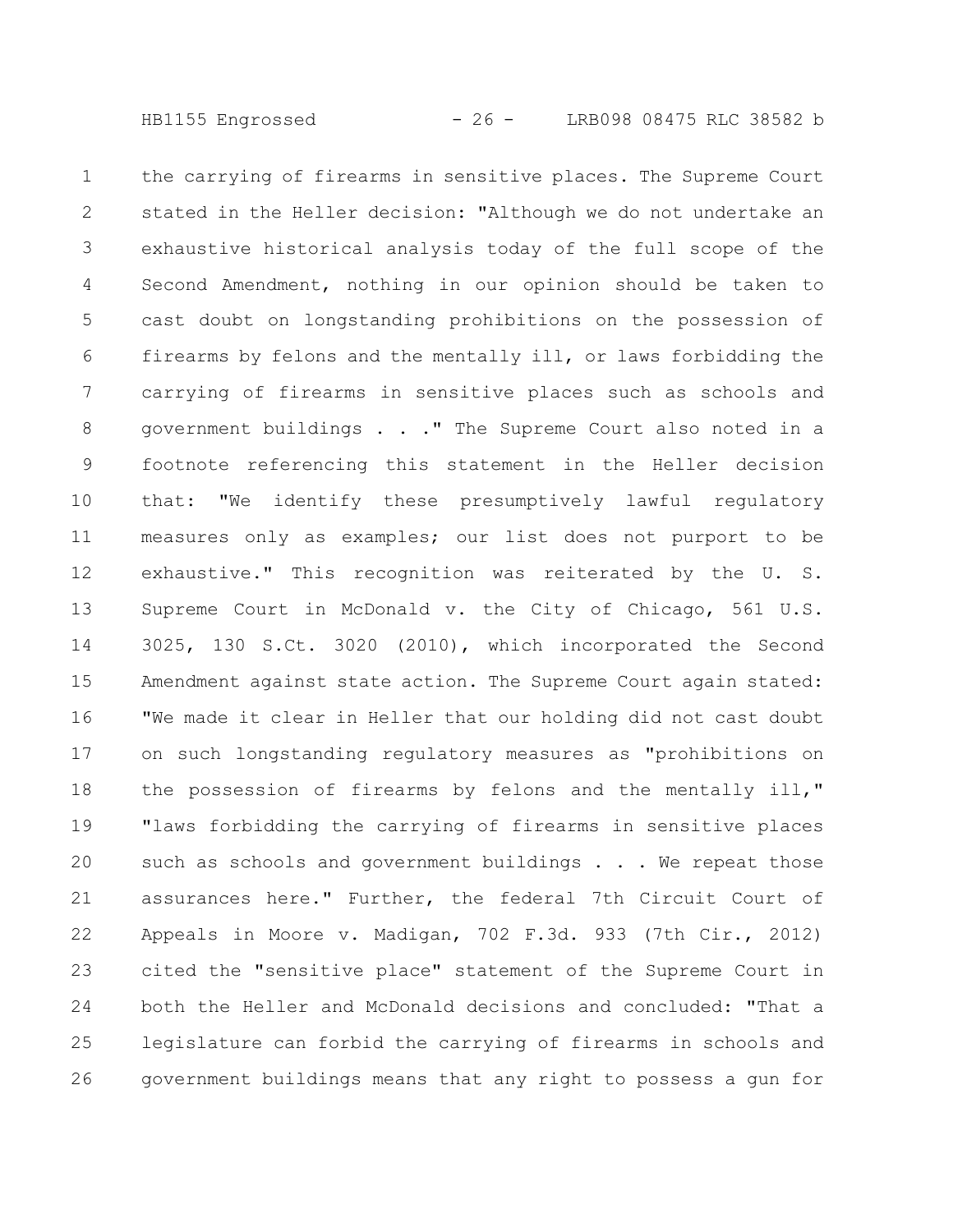the carrying of firearms in sensitive places. The Supreme Court stated in the Heller decision: "Although we do not undertake an exhaustive historical analysis today of the full scope of the Second Amendment, nothing in our opinion should be taken to cast doubt on longstanding prohibitions on the possession of firearms by felons and the mentally ill, or laws forbidding the carrying of firearms in sensitive places such as schools and government buildings . . ." The Supreme Court also noted in a footnote referencing this statement in the Heller decision that: "We identify these presumptively lawful regulatory measures only as examples; our list does not purport to be exhaustive." This recognition was reiterated by the U. S. Supreme Court in McDonald v. the City of Chicago, 561 U.S. 3025, 130 S.Ct. 3020 (2010), which incorporated the Second Amendment against state action. The Supreme Court again stated: "We made it clear in Heller that our holding did not cast doubt on such longstanding regulatory measures as "prohibitions on the possession of firearms by felons and the mentally ill," "laws forbidding the carrying of firearms in sensitive places such as schools and government buildings . . . We repeat those assurances here." Further, the federal 7th Circuit Court of Appeals in Moore v. Madigan, 702 F.3d. 933 (7th Cir., 2012) cited the "sensitive place" statement of the Supreme Court in both the Heller and McDonald decisions and concluded: "That a legislature can forbid the carrying of firearms in schools and government buildings means that any right to possess a gun for 1 2 3 4 5 6 7 8 9 10 11 12 13 14 15 16 17 18 19 20 21 22 23 24 25 26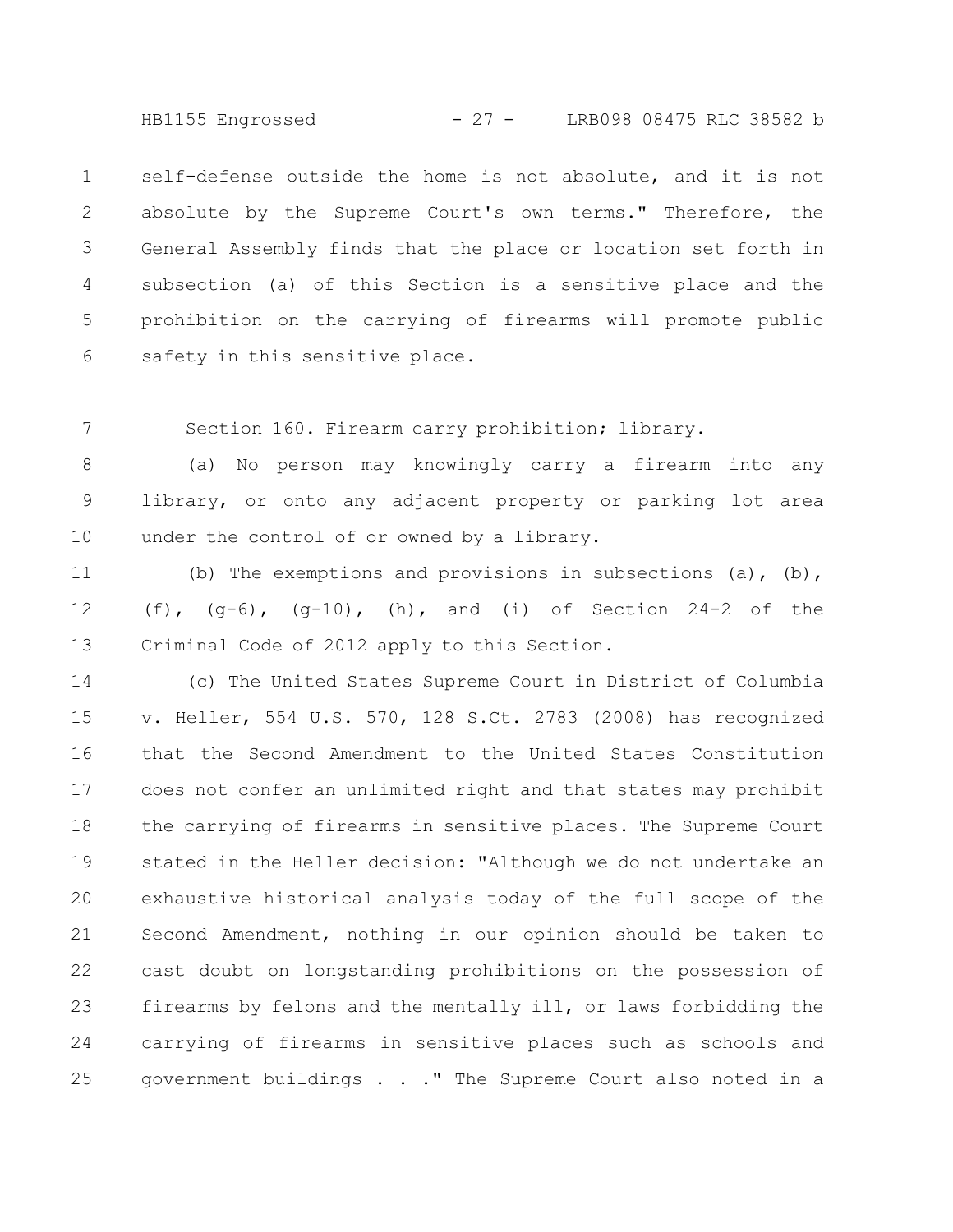HB1155 Engrossed - 27 - LRB098 08475 RLC 38582 b

self-defense outside the home is not absolute, and it is not absolute by the Supreme Court's own terms." Therefore, the General Assembly finds that the place or location set forth in subsection (a) of this Section is a sensitive place and the prohibition on the carrying of firearms will promote public safety in this sensitive place. 1 2 3 4 5 6

Section 160. Firearm carry prohibition; library. 7

(a) No person may knowingly carry a firearm into any library, or onto any adjacent property or parking lot area under the control of or owned by a library. 8 9 10

(b) The exemptions and provisions in subsections (a), (b), (f),  $(q-6)$ ,  $(q-10)$ , (h), and (i) of Section 24-2 of the Criminal Code of 2012 apply to this Section. 11 12 13

(c) The United States Supreme Court in District of Columbia v. Heller, 554 U.S. 570, 128 S.Ct. 2783 (2008) has recognized that the Second Amendment to the United States Constitution does not confer an unlimited right and that states may prohibit the carrying of firearms in sensitive places. The Supreme Court stated in the Heller decision: "Although we do not undertake an exhaustive historical analysis today of the full scope of the Second Amendment, nothing in our opinion should be taken to cast doubt on longstanding prohibitions on the possession of firearms by felons and the mentally ill, or laws forbidding the carrying of firearms in sensitive places such as schools and government buildings . . ." The Supreme Court also noted in a 14 15 16 17 18 19 20 21 22 23 24 25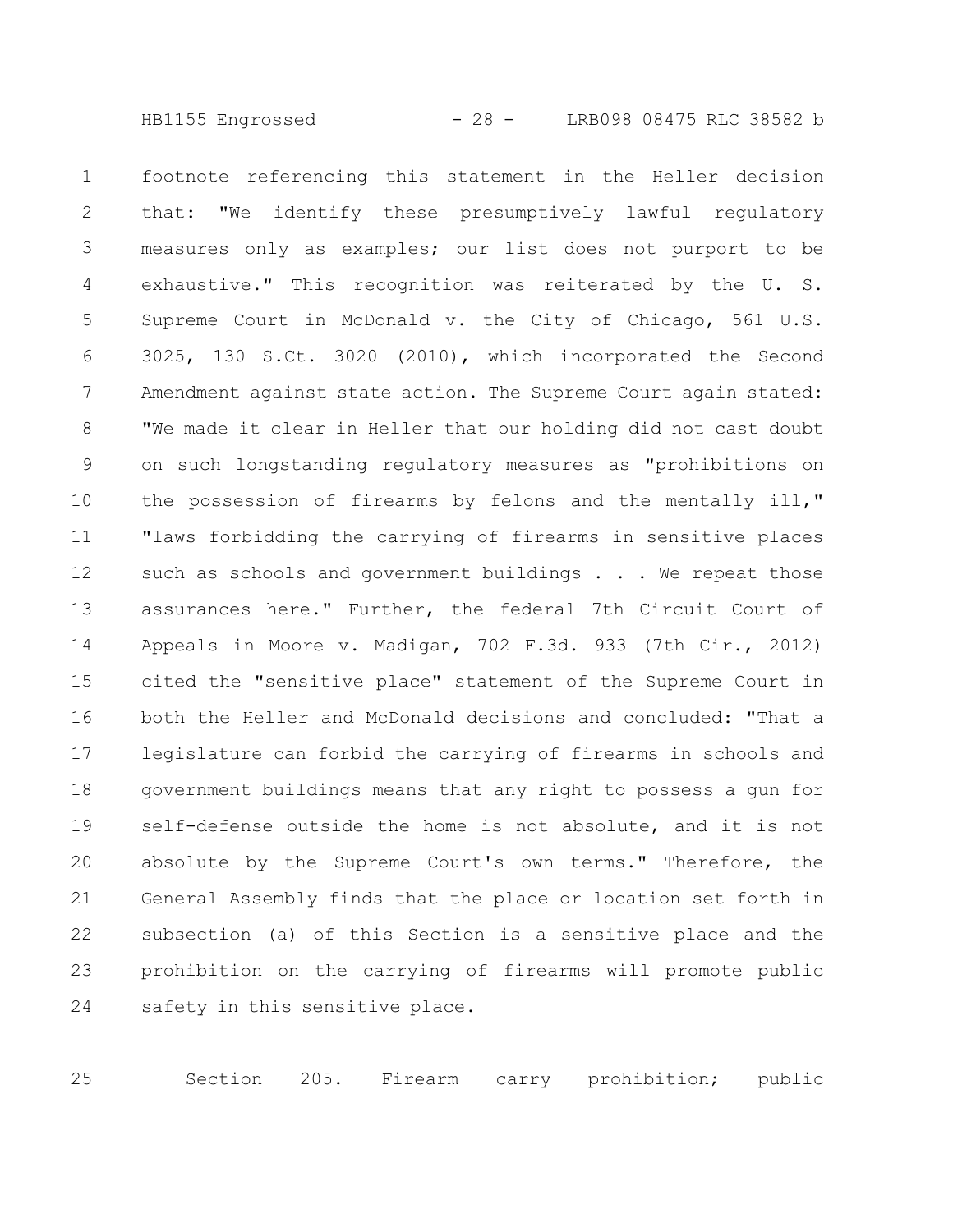footnote referencing this statement in the Heller decision that: "We identify these presumptively lawful regulatory measures only as examples; our list does not purport to be exhaustive." This recognition was reiterated by the U. S. Supreme Court in McDonald v. the City of Chicago, 561 U.S. 3025, 130 S.Ct. 3020 (2010), which incorporated the Second Amendment against state action. The Supreme Court again stated: "We made it clear in Heller that our holding did not cast doubt on such longstanding regulatory measures as "prohibitions on the possession of firearms by felons and the mentally ill," "laws forbidding the carrying of firearms in sensitive places such as schools and government buildings . . . We repeat those assurances here." Further, the federal 7th Circuit Court of Appeals in Moore v. Madigan, 702 F.3d. 933 (7th Cir., 2012) cited the "sensitive place" statement of the Supreme Court in both the Heller and McDonald decisions and concluded: "That a legislature can forbid the carrying of firearms in schools and government buildings means that any right to possess a gun for self-defense outside the home is not absolute, and it is not absolute by the Supreme Court's own terms." Therefore, the General Assembly finds that the place or location set forth in subsection (a) of this Section is a sensitive place and the prohibition on the carrying of firearms will promote public safety in this sensitive place. 1 2 3 4 5 6 7 8 9 10 11 12 13 14 15 16 17 18 19 20 21 22 23 24

Section 205. Firearm carry prohibition; public 25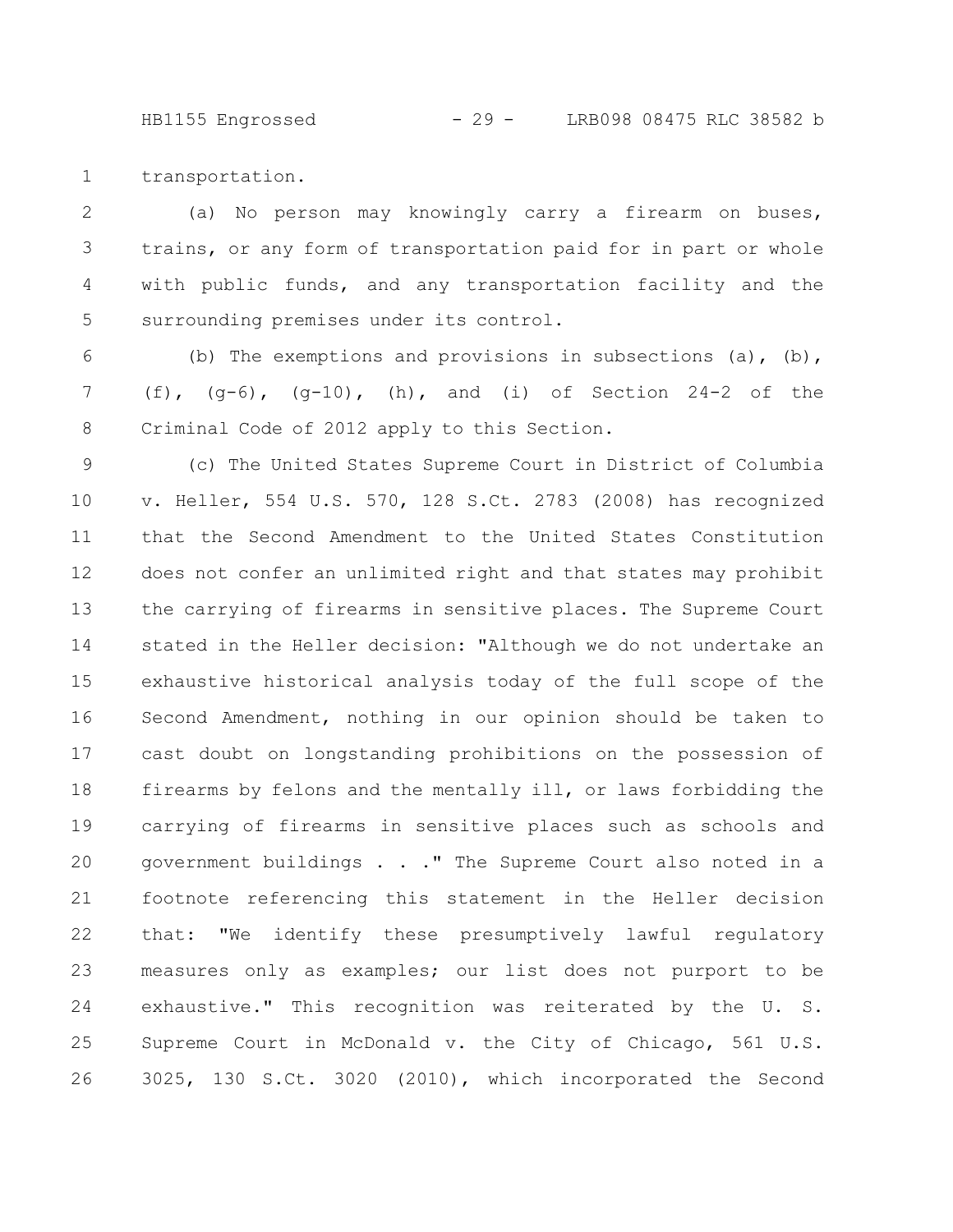HB1155 Engrossed - 29 - LRB098 08475 RLC 38582 b

transportation. 1

(a) No person may knowingly carry a firearm on buses, trains, or any form of transportation paid for in part or whole with public funds, and any transportation facility and the surrounding premises under its control. 2 3 4 5

(b) The exemptions and provisions in subsections  $(a)$ ,  $(b)$ , (f),  $(q-6)$ ,  $(q-10)$ , (h), and (i) of Section 24-2 of the Criminal Code of 2012 apply to this Section. 6 7 8

(c) The United States Supreme Court in District of Columbia v. Heller, 554 U.S. 570, 128 S.Ct. 2783 (2008) has recognized that the Second Amendment to the United States Constitution does not confer an unlimited right and that states may prohibit the carrying of firearms in sensitive places. The Supreme Court stated in the Heller decision: "Although we do not undertake an exhaustive historical analysis today of the full scope of the Second Amendment, nothing in our opinion should be taken to cast doubt on longstanding prohibitions on the possession of firearms by felons and the mentally ill, or laws forbidding the carrying of firearms in sensitive places such as schools and government buildings . . ." The Supreme Court also noted in a footnote referencing this statement in the Heller decision that: "We identify these presumptively lawful regulatory measures only as examples; our list does not purport to be exhaustive." This recognition was reiterated by the U. S. Supreme Court in McDonald v. the City of Chicago, 561 U.S. 3025, 130 S.Ct. 3020 (2010), which incorporated the Second 9 10 11 12 13 14 15 16 17 18 19 20 21 22 23 24 25 26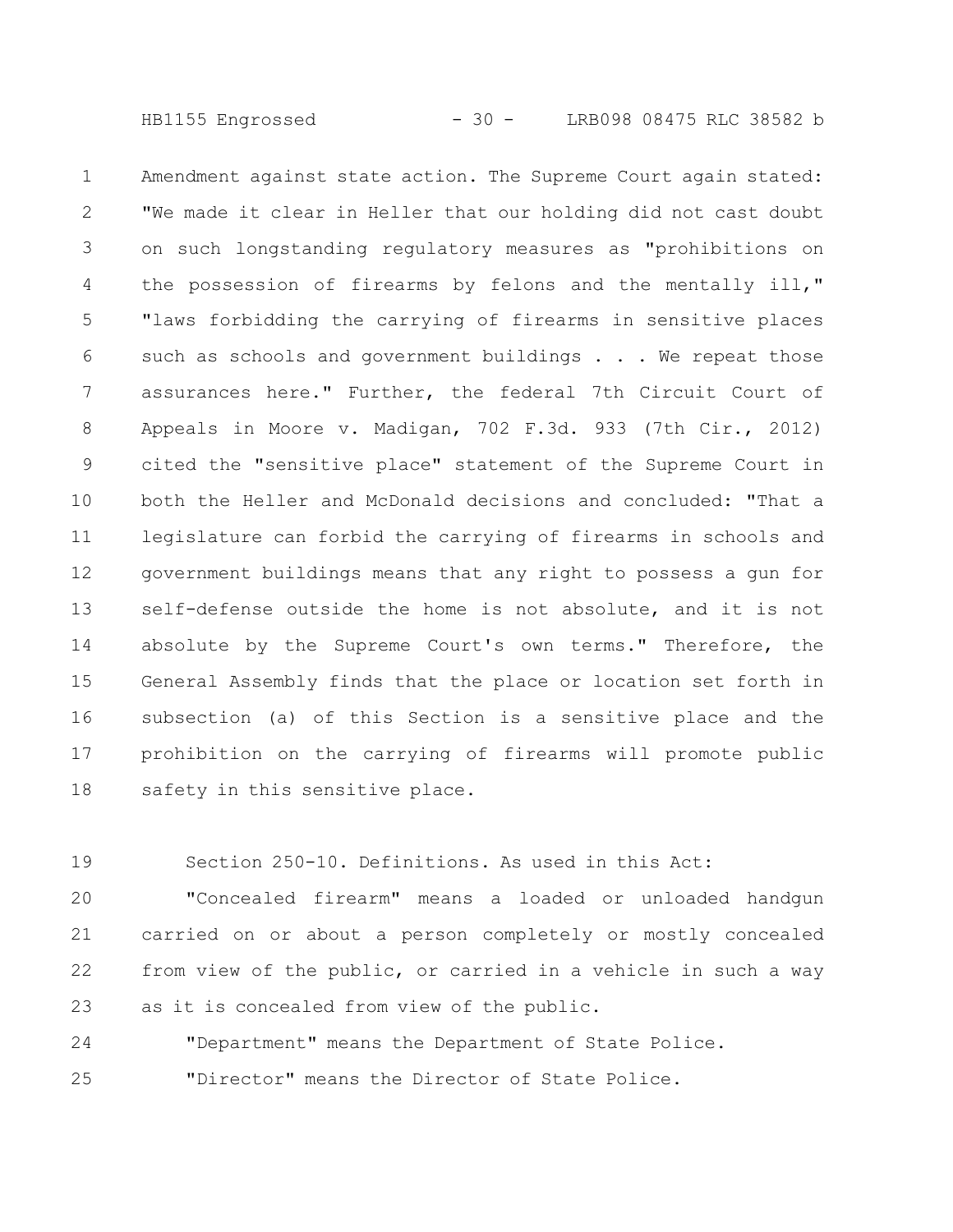HB1155 Engrossed - 30 - LRB098 08475 RLC 38582 b

Amendment against state action. The Supreme Court again stated: "We made it clear in Heller that our holding did not cast doubt on such longstanding regulatory measures as "prohibitions on the possession of firearms by felons and the mentally ill," "laws forbidding the carrying of firearms in sensitive places such as schools and government buildings . . . We repeat those assurances here." Further, the federal 7th Circuit Court of Appeals in Moore v. Madigan, 702 F.3d. 933 (7th Cir., 2012) cited the "sensitive place" statement of the Supreme Court in both the Heller and McDonald decisions and concluded: "That a legislature can forbid the carrying of firearms in schools and government buildings means that any right to possess a gun for self-defense outside the home is not absolute, and it is not absolute by the Supreme Court's own terms." Therefore, the General Assembly finds that the place or location set forth in subsection (a) of this Section is a sensitive place and the prohibition on the carrying of firearms will promote public safety in this sensitive place. 1 2 3 4 5 6 7 8 9 10 11 12 13 14 15 16 17 18

Section 250-10. Definitions. As used in this Act: 19

"Concealed firearm" means a loaded or unloaded handgun carried on or about a person completely or mostly concealed from view of the public, or carried in a vehicle in such a way as it is concealed from view of the public. 20 21 22 23

"Department" means the Department of State Police. "Director" means the Director of State Police. 24 25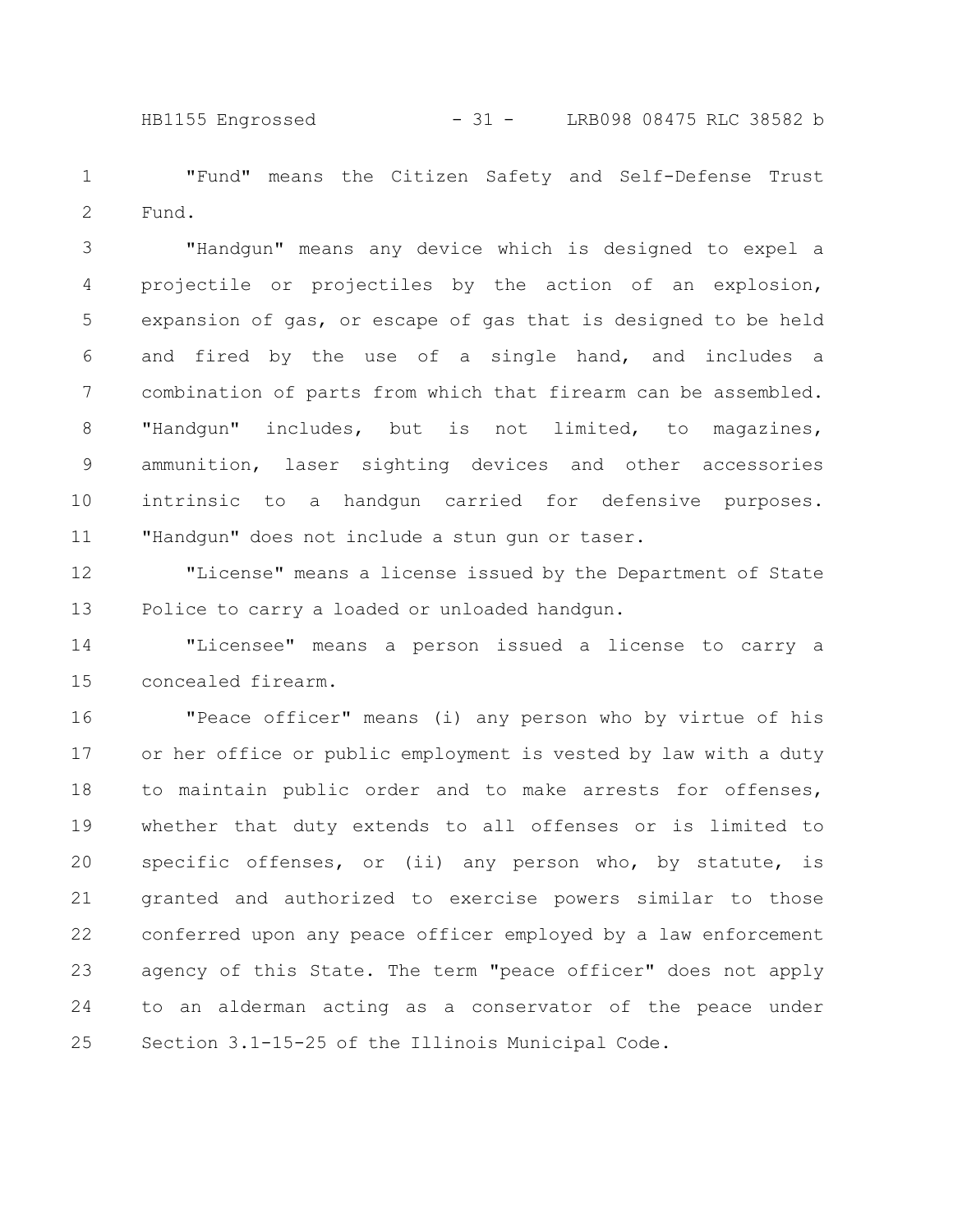HB1155 Engrossed - 31 - LRB098 08475 RLC 38582 b

"Fund" means the Citizen Safety and Self-Defense Trust Fund. 1 2

"Handgun" means any device which is designed to expel a projectile or projectiles by the action of an explosion, expansion of gas, or escape of gas that is designed to be held and fired by the use of a single hand, and includes a combination of parts from which that firearm can be assembled. "Handgun" includes, but is not limited, to magazines, ammunition, laser sighting devices and other accessories intrinsic to a handgun carried for defensive purposes. "Handgun" does not include a stun gun or taser. 3 4 5 6 7 8 9 10 11

"License" means a license issued by the Department of State Police to carry a loaded or unloaded handgun. 12 13

"Licensee" means a person issued a license to carry a concealed firearm. 14 15

"Peace officer" means (i) any person who by virtue of his or her office or public employment is vested by law with a duty to maintain public order and to make arrests for offenses, whether that duty extends to all offenses or is limited to specific offenses, or (ii) any person who, by statute, is granted and authorized to exercise powers similar to those conferred upon any peace officer employed by a law enforcement agency of this State. The term "peace officer" does not apply to an alderman acting as a conservator of the peace under Section 3.1-15-25 of the Illinois Municipal Code. 16 17 18 19 20 21 22 23 24 25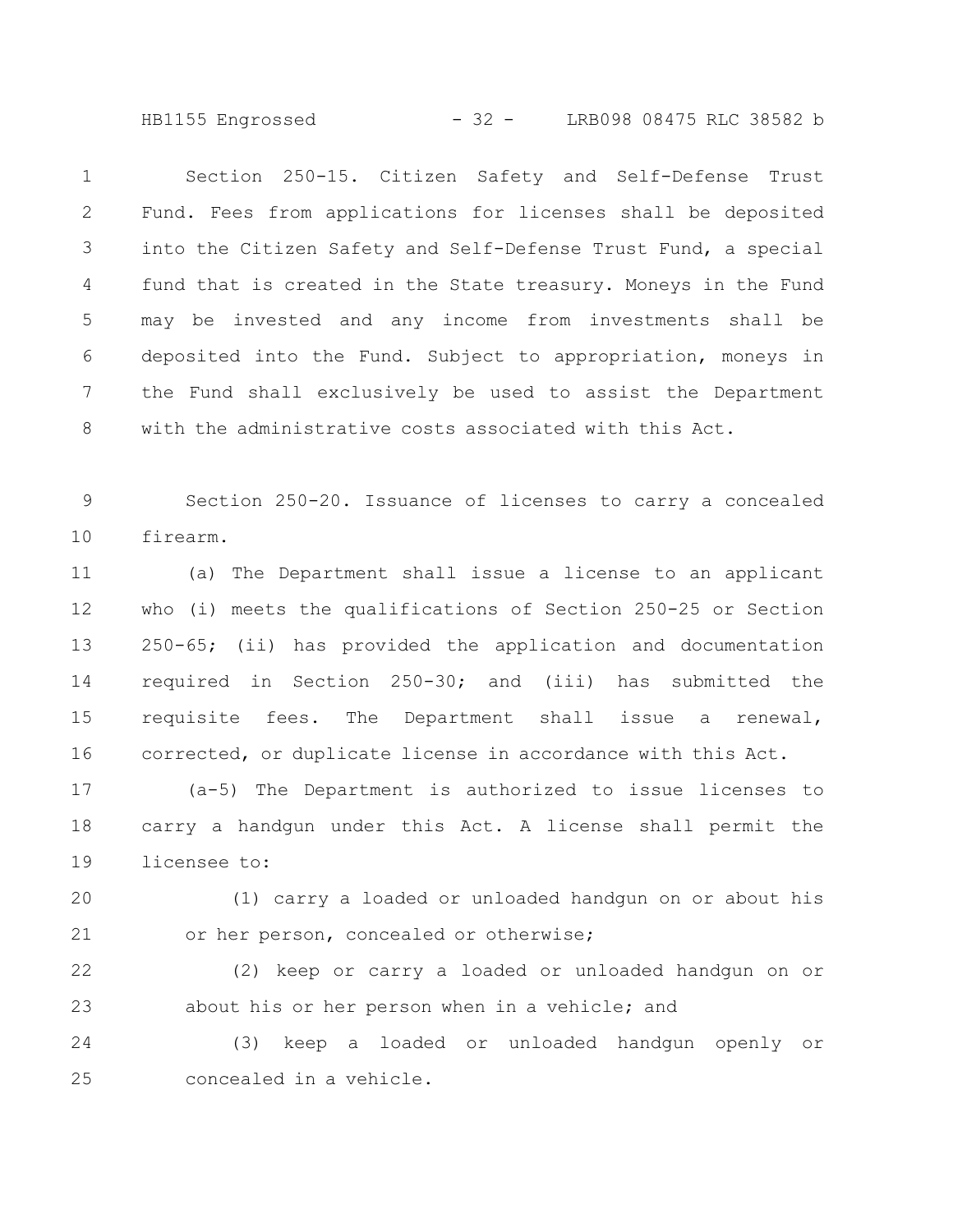HB1155 Engrossed - 32 - LRB098 08475 RLC 38582 b

Section 250-15. Citizen Safety and Self-Defense Trust Fund. Fees from applications for licenses shall be deposited into the Citizen Safety and Self-Defense Trust Fund, a special fund that is created in the State treasury. Moneys in the Fund may be invested and any income from investments shall be deposited into the Fund. Subject to appropriation, moneys in the Fund shall exclusively be used to assist the Department with the administrative costs associated with this Act. 1 2 3 4 5 6 7 8

Section 250-20. Issuance of licenses to carry a concealed firearm. 9 10

(a) The Department shall issue a license to an applicant who (i) meets the qualifications of Section 250-25 or Section 250-65; (ii) has provided the application and documentation required in Section 250-30; and (iii) has submitted the requisite fees. The Department shall issue a renewal, corrected, or duplicate license in accordance with this Act. 11 12 13 14 15 16

(a-5) The Department is authorized to issue licenses to carry a handgun under this Act. A license shall permit the licensee to: 17 18 19

(1) carry a loaded or unloaded handgun on or about his or her person, concealed or otherwise; 20 21

(2) keep or carry a loaded or unloaded handgun on or about his or her person when in a vehicle; and 22 23

(3) keep a loaded or unloaded handgun openly or concealed in a vehicle. 24 25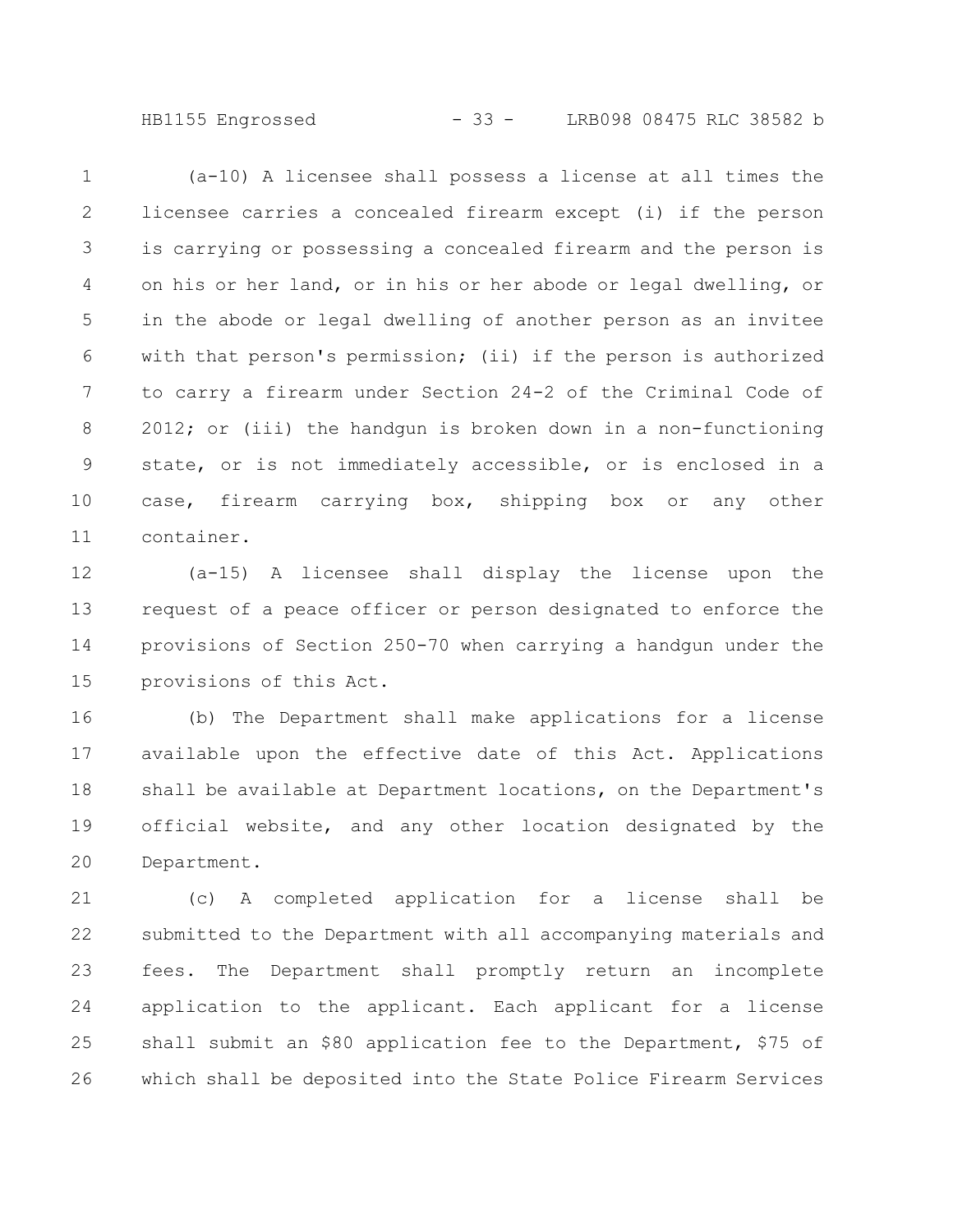HB1155 Engrossed - 33 - LRB098 08475 RLC 38582 b

(a-10) A licensee shall possess a license at all times the licensee carries a concealed firearm except (i) if the person is carrying or possessing a concealed firearm and the person is on his or her land, or in his or her abode or legal dwelling, or in the abode or legal dwelling of another person as an invitee with that person's permission; (ii) if the person is authorized to carry a firearm under Section 24-2 of the Criminal Code of 2012; or (iii) the handgun is broken down in a non-functioning state, or is not immediately accessible, or is enclosed in a case, firearm carrying box, shipping box or any other container. 1 2 3 4 5 6 7 8 9 10 11

(a-15) A licensee shall display the license upon the request of a peace officer or person designated to enforce the provisions of Section 250-70 when carrying a handgun under the provisions of this Act. 12 13 14 15

(b) The Department shall make applications for a license available upon the effective date of this Act. Applications shall be available at Department locations, on the Department's official website, and any other location designated by the Department. 16 17 18 19 20

(c) A completed application for a license shall be submitted to the Department with all accompanying materials and fees. The Department shall promptly return an incomplete application to the applicant. Each applicant for a license shall submit an \$80 application fee to the Department, \$75 of which shall be deposited into the State Police Firearm Services 21 22 23 24 25 26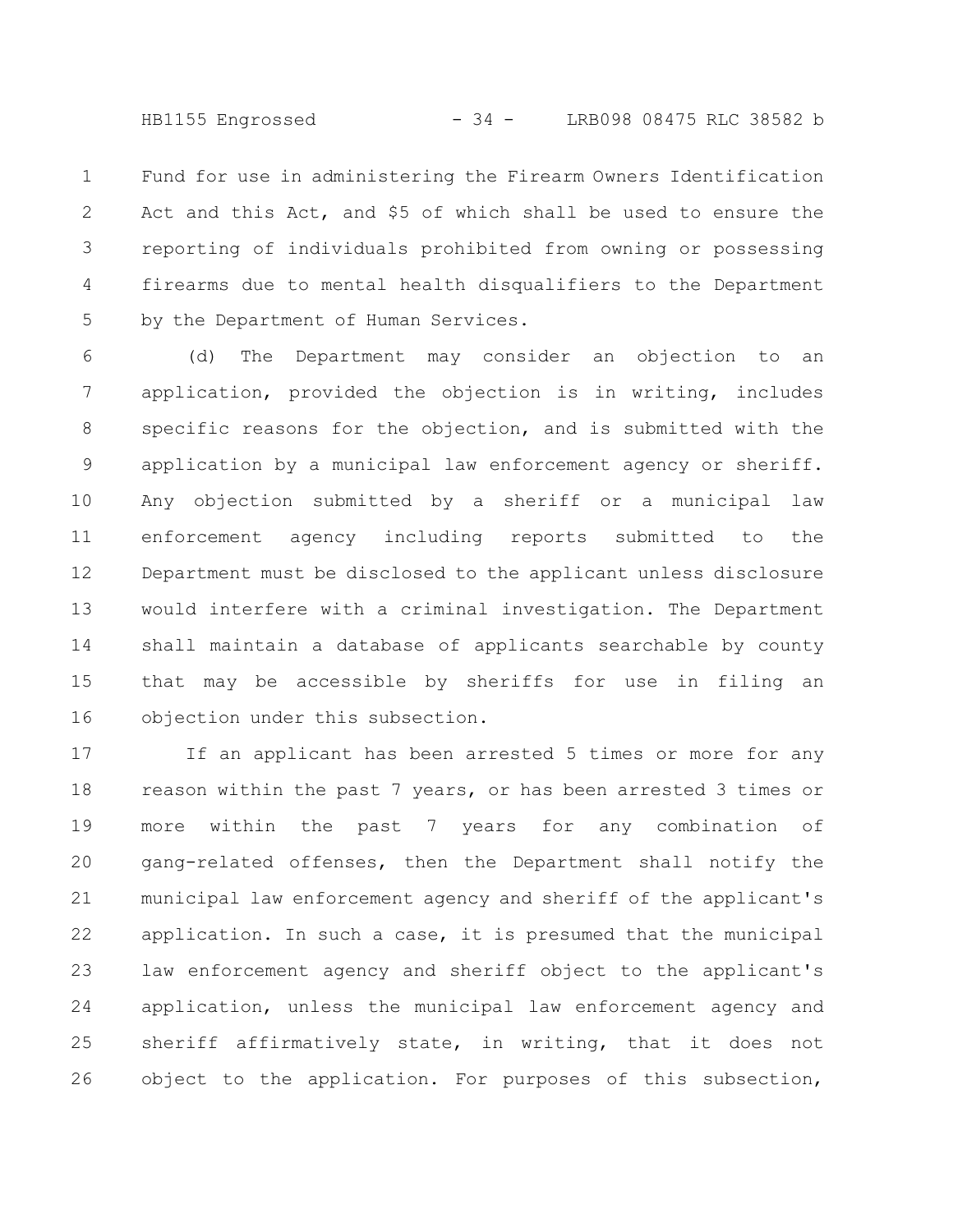HB1155 Engrossed - 34 - LRB098 08475 RLC 38582 b

Fund for use in administering the Firearm Owners Identification Act and this Act, and \$5 of which shall be used to ensure the reporting of individuals prohibited from owning or possessing firearms due to mental health disqualifiers to the Department by the Department of Human Services. 1 2 3 4 5

(d) The Department may consider an objection to an application, provided the objection is in writing, includes specific reasons for the objection, and is submitted with the application by a municipal law enforcement agency or sheriff. Any objection submitted by a sheriff or a municipal law enforcement agency including reports submitted to the Department must be disclosed to the applicant unless disclosure would interfere with a criminal investigation. The Department shall maintain a database of applicants searchable by county that may be accessible by sheriffs for use in filing an objection under this subsection. 6 7 8 9 10 11 12 13 14 15 16

If an applicant has been arrested 5 times or more for any reason within the past 7 years, or has been arrested 3 times or more within the past 7 years for any combination of gang-related offenses, then the Department shall notify the municipal law enforcement agency and sheriff of the applicant's application. In such a case, it is presumed that the municipal law enforcement agency and sheriff object to the applicant's application, unless the municipal law enforcement agency and sheriff affirmatively state, in writing, that it does not object to the application. For purposes of this subsection, 17 18 19 20 21 22 23 24 25 26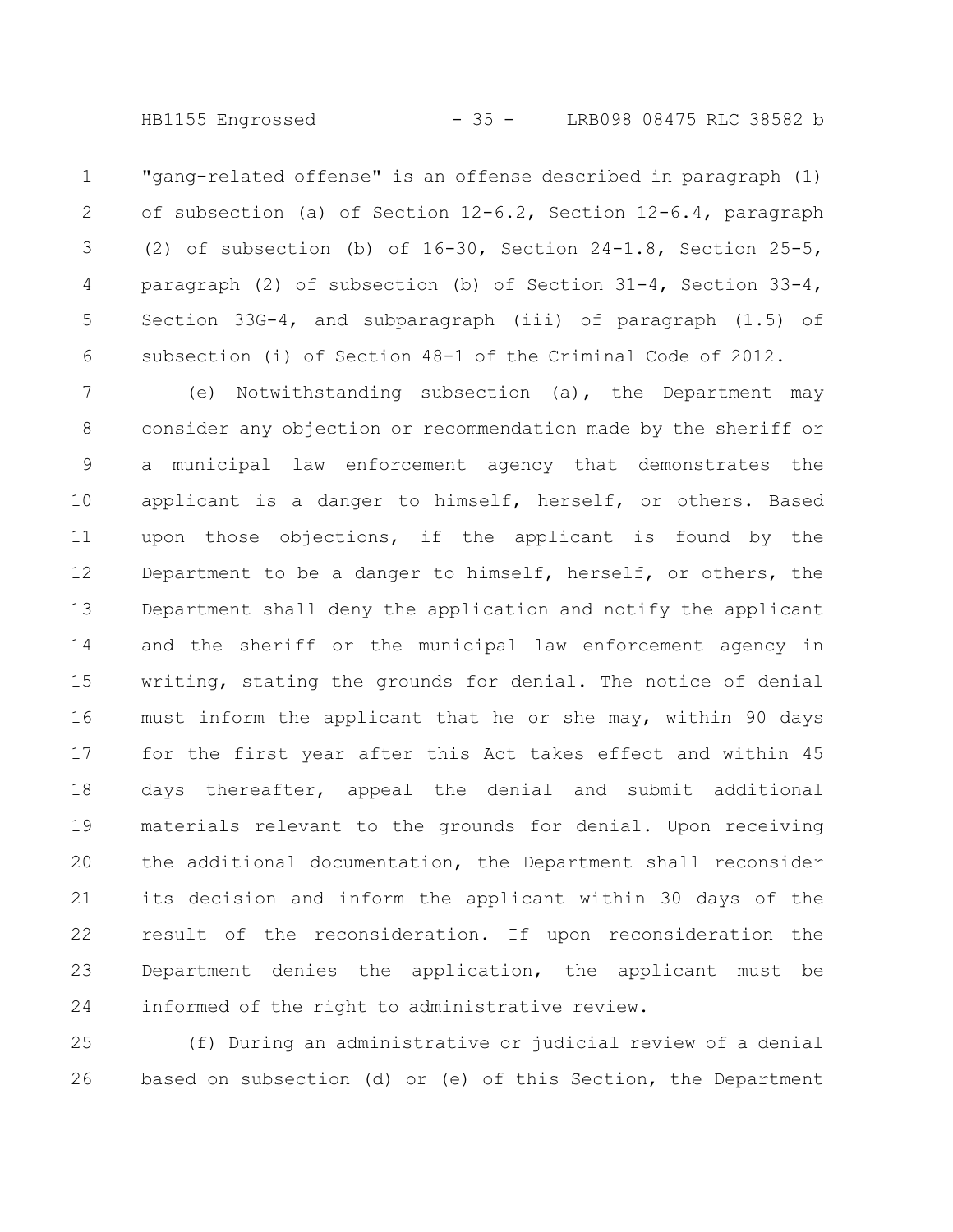"gang-related offense" is an offense described in paragraph (1) of subsection (a) of Section 12-6.2, Section 12-6.4, paragraph (2) of subsection (b) of 16-30, Section 24-1.8, Section 25-5, paragraph (2) of subsection (b) of Section  $31-4$ , Section  $33-4$ , Section 33G-4, and subparagraph (iii) of paragraph (1.5) of subsection (i) of Section 48-1 of the Criminal Code of 2012. 1 2 3 4 5 6

(e) Notwithstanding subsection (a), the Department may consider any objection or recommendation made by the sheriff or a municipal law enforcement agency that demonstrates the applicant is a danger to himself, herself, or others. Based upon those objections, if the applicant is found by the Department to be a danger to himself, herself, or others, the Department shall deny the application and notify the applicant and the sheriff or the municipal law enforcement agency in writing, stating the grounds for denial. The notice of denial must inform the applicant that he or she may, within 90 days for the first year after this Act takes effect and within 45 days thereafter, appeal the denial and submit additional materials relevant to the grounds for denial. Upon receiving the additional documentation, the Department shall reconsider its decision and inform the applicant within 30 days of the result of the reconsideration. If upon reconsideration the Department denies the application, the applicant must be informed of the right to administrative review. 7 8 9 10 11 12 13 14 15 16 17 18 19 20 21 22 23 24

(f) During an administrative or judicial review of a denial based on subsection (d) or (e) of this Section, the Department 25 26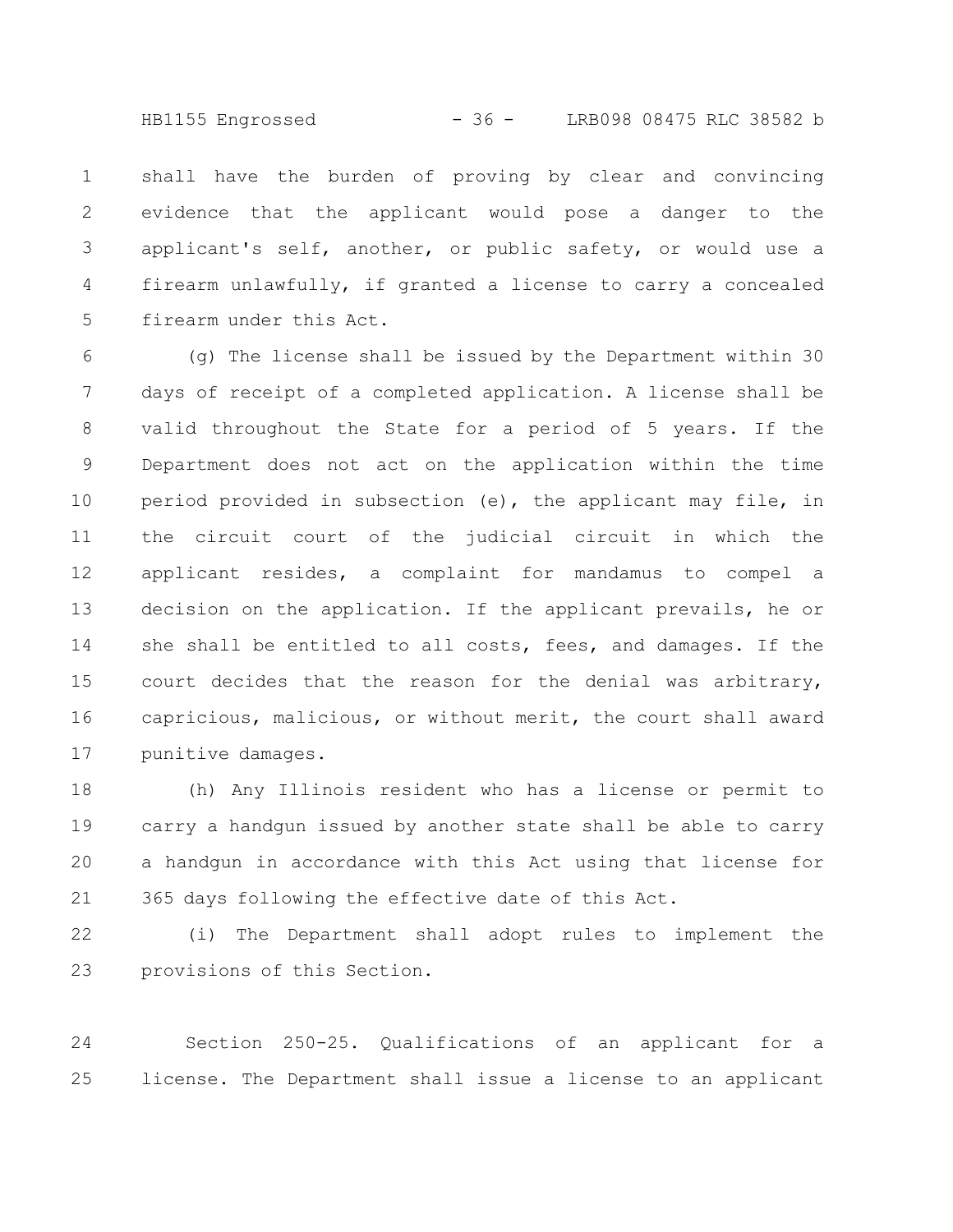HB1155 Engrossed - 36 - LRB098 08475 RLC 38582 b

shall have the burden of proving by clear and convincing evidence that the applicant would pose a danger to the applicant's self, another, or public safety, or would use a firearm unlawfully, if granted a license to carry a concealed firearm under this Act. 1 2 3 4 5

(g) The license shall be issued by the Department within 30 days of receipt of a completed application. A license shall be valid throughout the State for a period of 5 years. If the Department does not act on the application within the time period provided in subsection (e), the applicant may file, in the circuit court of the judicial circuit in which the applicant resides, a complaint for mandamus to compel a decision on the application. If the applicant prevails, he or she shall be entitled to all costs, fees, and damages. If the court decides that the reason for the denial was arbitrary, capricious, malicious, or without merit, the court shall award punitive damages. 6 7 8 9 10 11 12 13 14 15 16 17

(h) Any Illinois resident who has a license or permit to carry a handgun issued by another state shall be able to carry a handgun in accordance with this Act using that license for 365 days following the effective date of this Act. 18 19 20 21

(i) The Department shall adopt rules to implement the provisions of this Section. 22 23

Section 250-25. Qualifications of an applicant for a license. The Department shall issue a license to an applicant 24 25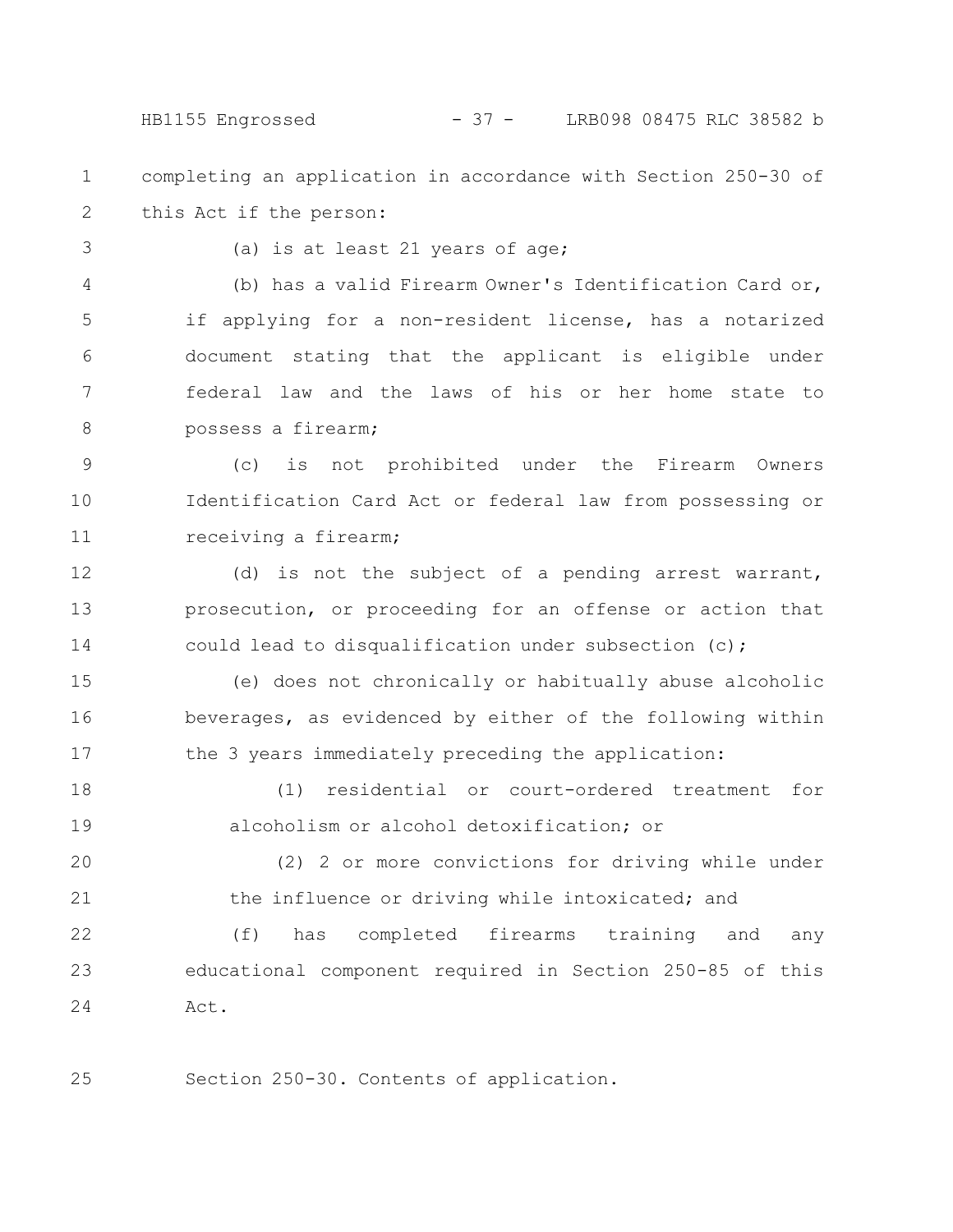HB1155 Engrossed - 37 - LRB098 08475 RLC 38582 b

- completing an application in accordance with Section 250-30 of this Act if the person: 1 2
- 3

(a) is at least 21 years of age;

(b) has a valid Firearm Owner's Identification Card or, if applying for a non-resident license, has a notarized document stating that the applicant is eligible under federal law and the laws of his or her home state to possess a firearm; 4 5 6 7 8

(c) is not prohibited under the Firearm Owners Identification Card Act or federal law from possessing or receiving a firearm; 9 10 11

(d) is not the subject of a pending arrest warrant, prosecution, or proceeding for an offense or action that could lead to disqualification under subsection (c); 12 13 14

(e) does not chronically or habitually abuse alcoholic beverages, as evidenced by either of the following within the 3 years immediately preceding the application: 15 16 17

(1) residential or court-ordered treatment for alcoholism or alcohol detoxification; or 18 19

(2) 2 or more convictions for driving while under the influence or driving while intoxicated; and 20 21

(f) has completed firearms training and any educational component required in Section 250-85 of this Act. 22 23 24

Section 250-30. Contents of application. 25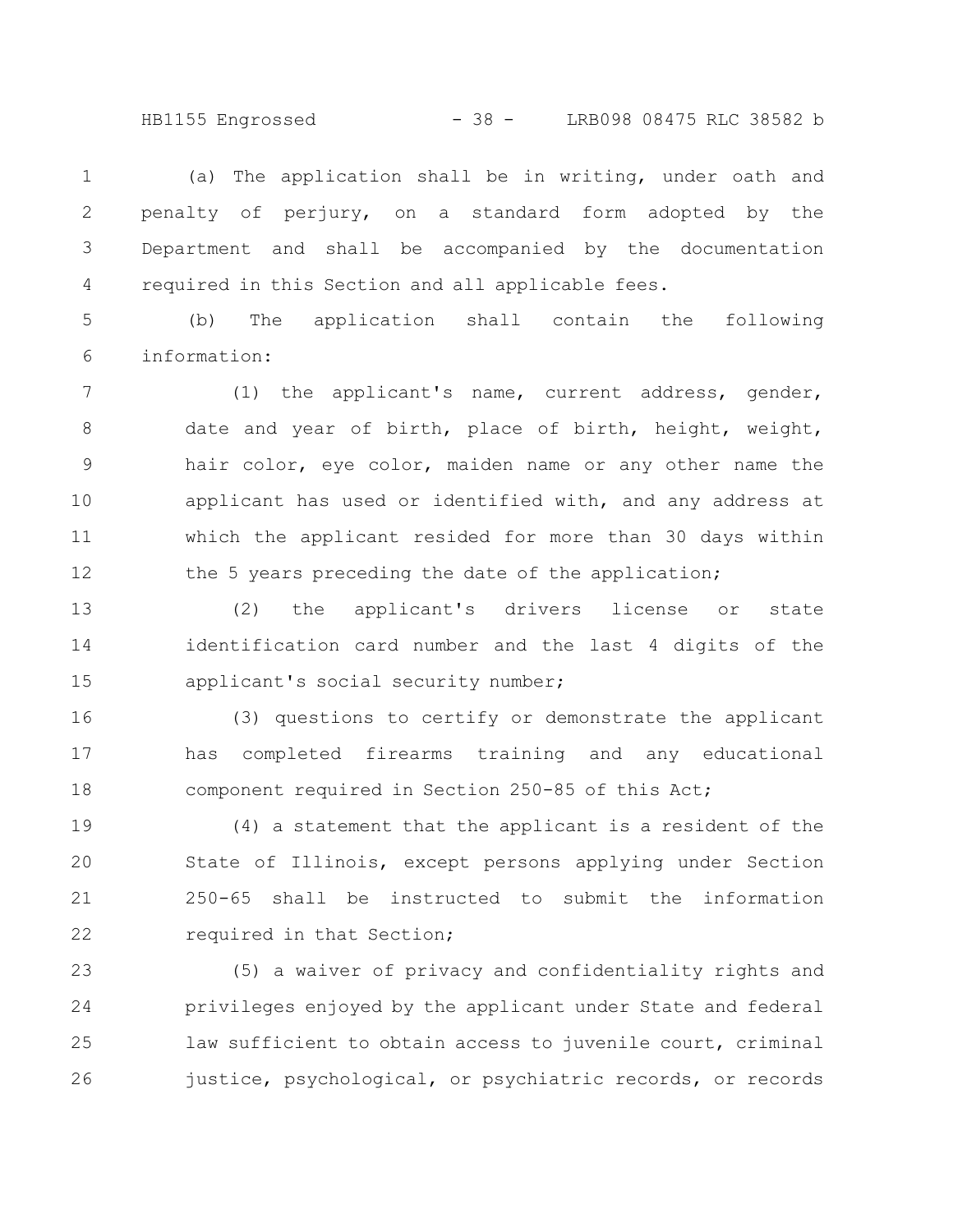HB1155 Engrossed - 38 - LRB098 08475 RLC 38582 b

(a) The application shall be in writing, under oath and penalty of perjury, on a standard form adopted by the Department and shall be accompanied by the documentation required in this Section and all applicable fees. 1 2 3 4

(b) The application shall contain the following information: 5 6

(1) the applicant's name, current address, gender, date and year of birth, place of birth, height, weight, hair color, eye color, maiden name or any other name the applicant has used or identified with, and any address at which the applicant resided for more than 30 days within the 5 years preceding the date of the application; 7 8 9 10 11 12

(2) the applicant's drivers license or state identification card number and the last 4 digits of the applicant's social security number; 13 14 15

(3) questions to certify or demonstrate the applicant has completed firearms training and any educational component required in Section 250-85 of this Act; 16 17 18

(4) a statement that the applicant is a resident of the State of Illinois, except persons applying under Section 250-65 shall be instructed to submit the information required in that Section; 19 20 21 22

(5) a waiver of privacy and confidentiality rights and privileges enjoyed by the applicant under State and federal law sufficient to obtain access to juvenile court, criminal justice, psychological, or psychiatric records, or records 23 24 25 26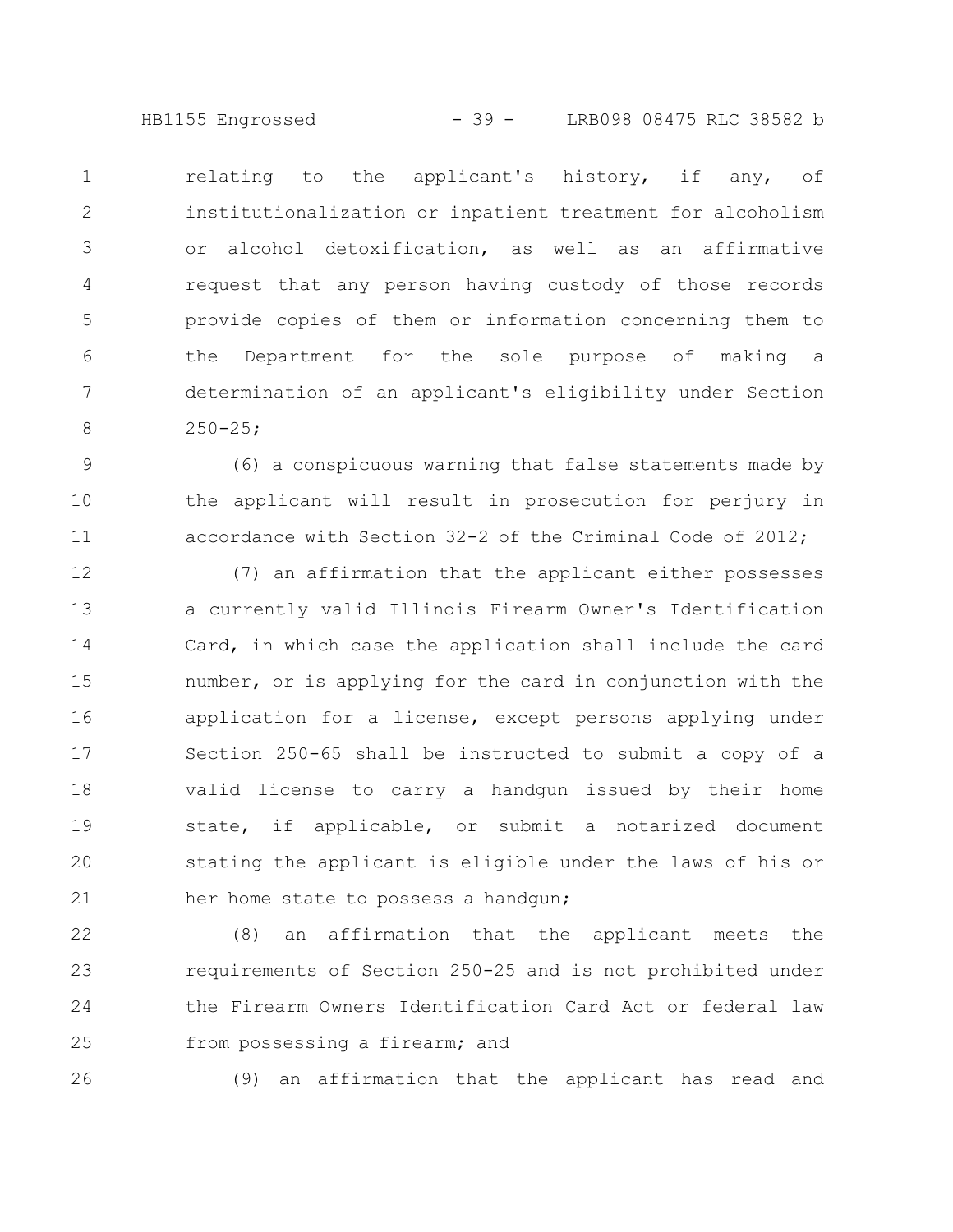HB1155 Engrossed - 39 - LRB098 08475 RLC 38582 b

relating to the applicant's history, if any, of institutionalization or inpatient treatment for alcoholism or alcohol detoxification, as well as an affirmative request that any person having custody of those records provide copies of them or information concerning them to the Department for the sole purpose of making a determination of an applicant's eligibility under Section  $250 - 25;$ 1 2 3 4 5 6 7 8

(6) a conspicuous warning that false statements made by the applicant will result in prosecution for perjury in accordance with Section 32-2 of the Criminal Code of 2012; 9 10 11

(7) an affirmation that the applicant either possesses a currently valid Illinois Firearm Owner's Identification Card, in which case the application shall include the card number, or is applying for the card in conjunction with the application for a license, except persons applying under Section 250-65 shall be instructed to submit a copy of a valid license to carry a handgun issued by their home state, if applicable, or submit a notarized document stating the applicant is eligible under the laws of his or her home state to possess a handgun; 12 13 14 15 16 17 18 19 20 21

(8) an affirmation that the applicant meets the requirements of Section 250-25 and is not prohibited under the Firearm Owners Identification Card Act or federal law from possessing a firearm; and 22 23 24 25

26

(9) an affirmation that the applicant has read and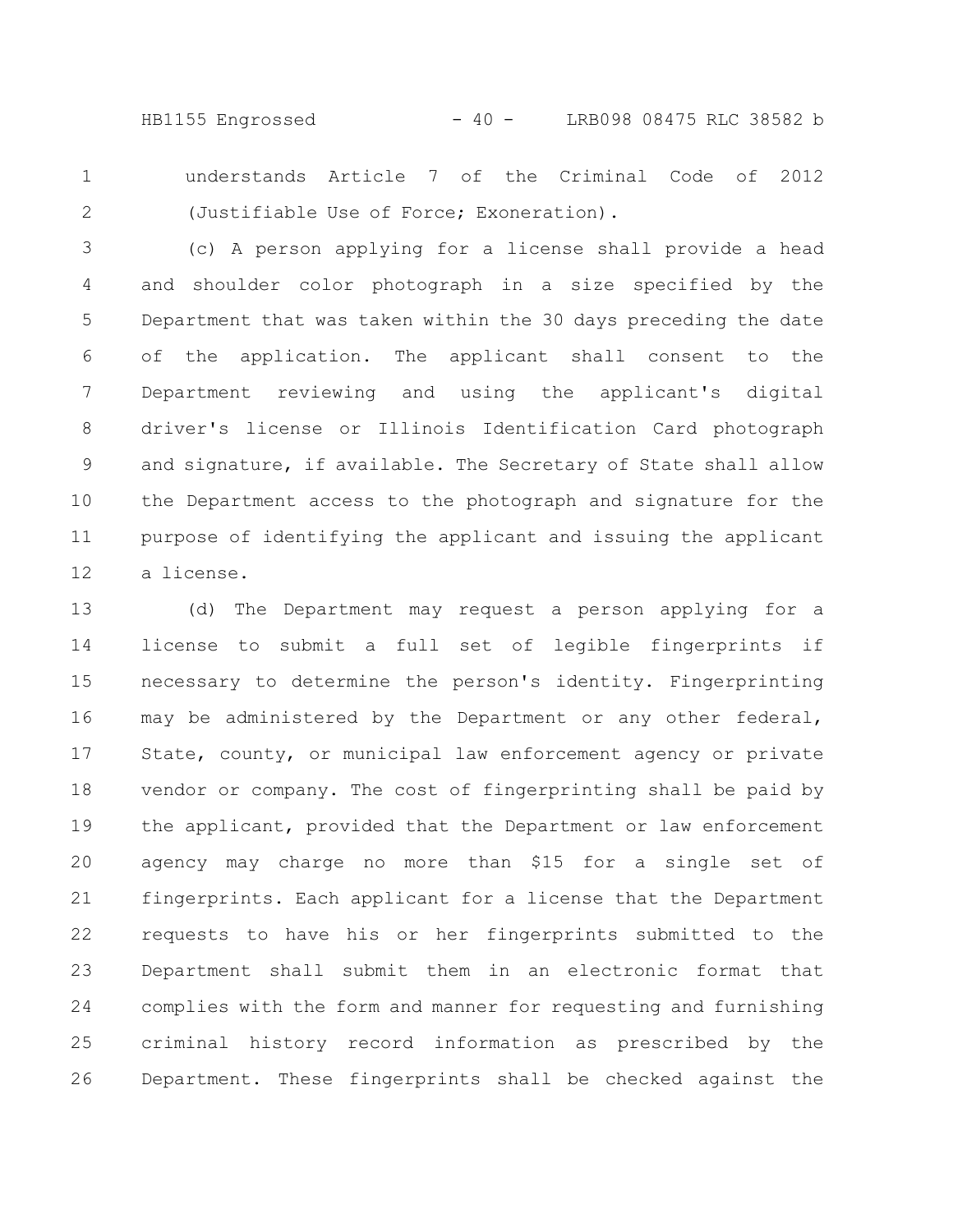HB1155 Engrossed - 40 - LRB098 08475 RLC 38582 b

understands Article 7 of the Criminal Code of 2012 (Justifiable Use of Force; Exoneration). 1 2

(c) A person applying for a license shall provide a head and shoulder color photograph in a size specified by the Department that was taken within the 30 days preceding the date of the application. The applicant shall consent to the Department reviewing and using the applicant's digital driver's license or Illinois Identification Card photograph and signature, if available. The Secretary of State shall allow the Department access to the photograph and signature for the purpose of identifying the applicant and issuing the applicant a license. 3 4 5 6 7 8 9 10 11 12

(d) The Department may request a person applying for a license to submit a full set of legible fingerprints if necessary to determine the person's identity. Fingerprinting may be administered by the Department or any other federal, State, county, or municipal law enforcement agency or private vendor or company. The cost of fingerprinting shall be paid by the applicant, provided that the Department or law enforcement agency may charge no more than \$15 for a single set of fingerprints. Each applicant for a license that the Department requests to have his or her fingerprints submitted to the Department shall submit them in an electronic format that complies with the form and manner for requesting and furnishing criminal history record information as prescribed by the Department. These fingerprints shall be checked against the 13 14 15 16 17 18 19 20 21 22 23 24 25 26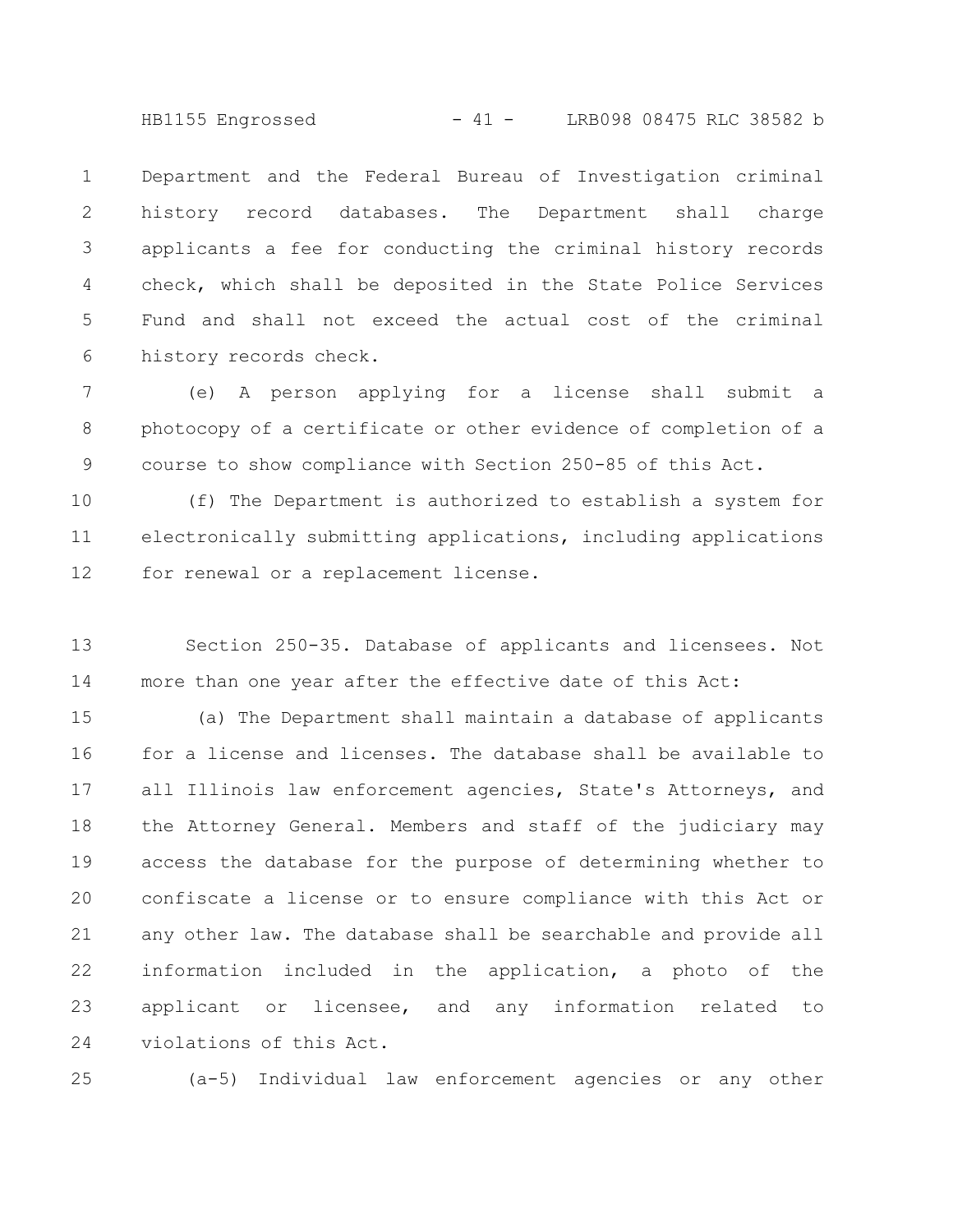HB1155 Engrossed - 41 - LRB098 08475 RLC 38582 b

Department and the Federal Bureau of Investigation criminal history record databases. The Department shall charge applicants a fee for conducting the criminal history records check, which shall be deposited in the State Police Services Fund and shall not exceed the actual cost of the criminal history records check. 1 2 3 4 5 6

(e) A person applying for a license shall submit a photocopy of a certificate or other evidence of completion of a course to show compliance with Section 250-85 of this Act. 7 8 9

(f) The Department is authorized to establish a system for electronically submitting applications, including applications for renewal or a replacement license. 10 11 12

Section 250-35. Database of applicants and licensees. Not more than one year after the effective date of this Act: 13 14

(a) The Department shall maintain a database of applicants for a license and licenses. The database shall be available to all Illinois law enforcement agencies, State's Attorneys, and the Attorney General. Members and staff of the judiciary may access the database for the purpose of determining whether to confiscate a license or to ensure compliance with this Act or any other law. The database shall be searchable and provide all information included in the application, a photo of the applicant or licensee, and any information related to violations of this Act. 15 16 17 18 19 20 21 22 23 24

25

(a-5) Individual law enforcement agencies or any other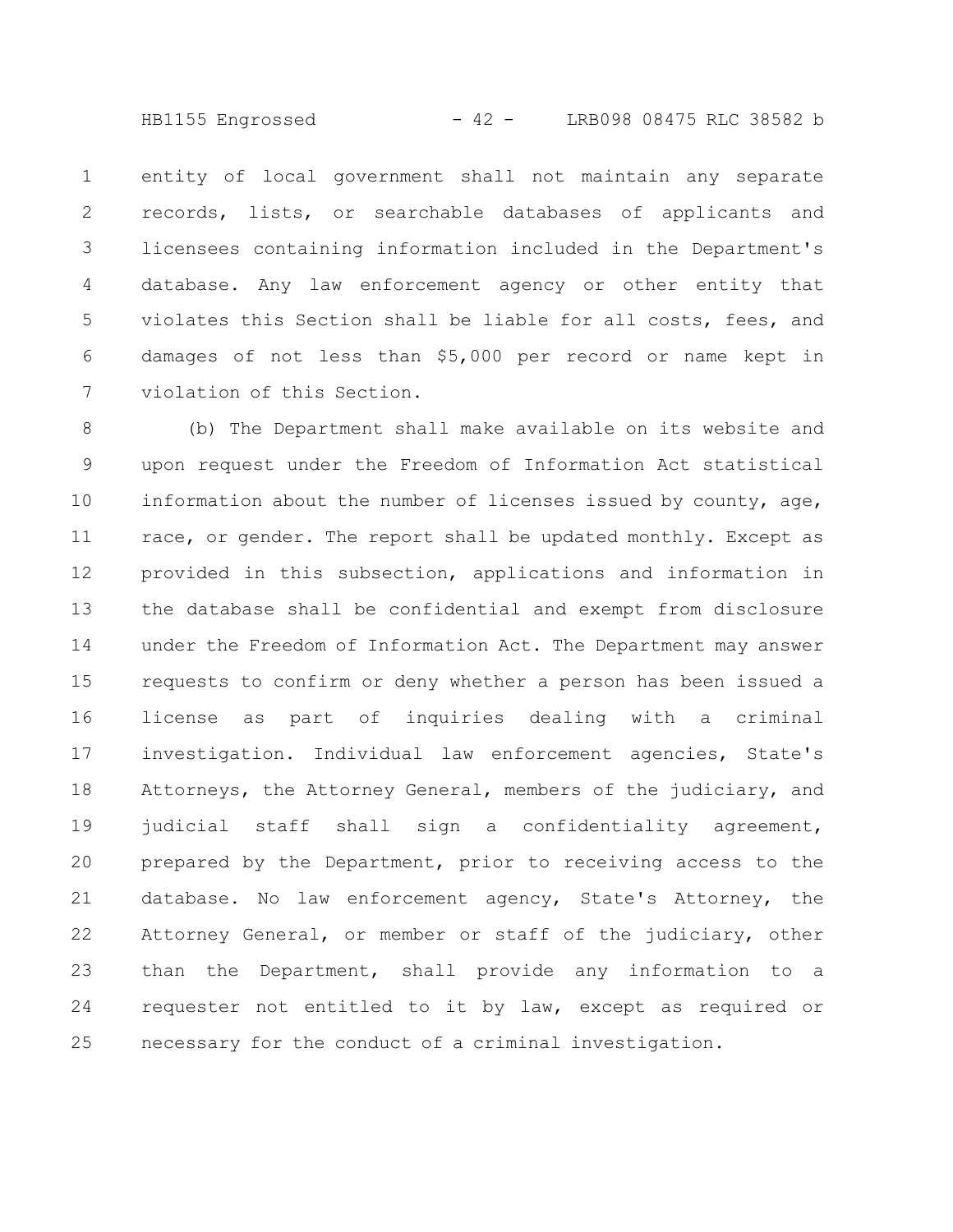HB1155 Engrossed - 42 - LRB098 08475 RLC 38582 b

entity of local government shall not maintain any separate records, lists, or searchable databases of applicants and licensees containing information included in the Department's database. Any law enforcement agency or other entity that violates this Section shall be liable for all costs, fees, and damages of not less than \$5,000 per record or name kept in violation of this Section. 1 2 3 4 5 6 7

(b) The Department shall make available on its website and upon request under the Freedom of Information Act statistical information about the number of licenses issued by county, age, race, or gender. The report shall be updated monthly. Except as provided in this subsection, applications and information in the database shall be confidential and exempt from disclosure under the Freedom of Information Act. The Department may answer requests to confirm or deny whether a person has been issued a license as part of inquiries dealing with a criminal investigation. Individual law enforcement agencies, State's Attorneys, the Attorney General, members of the judiciary, and judicial staff shall sign a confidentiality agreement, prepared by the Department, prior to receiving access to the database. No law enforcement agency, State's Attorney, the Attorney General, or member or staff of the judiciary, other than the Department, shall provide any information to a requester not entitled to it by law, except as required or necessary for the conduct of a criminal investigation. 8 9 10 11 12 13 14 15 16 17 18 19 20 21 22 23 24 25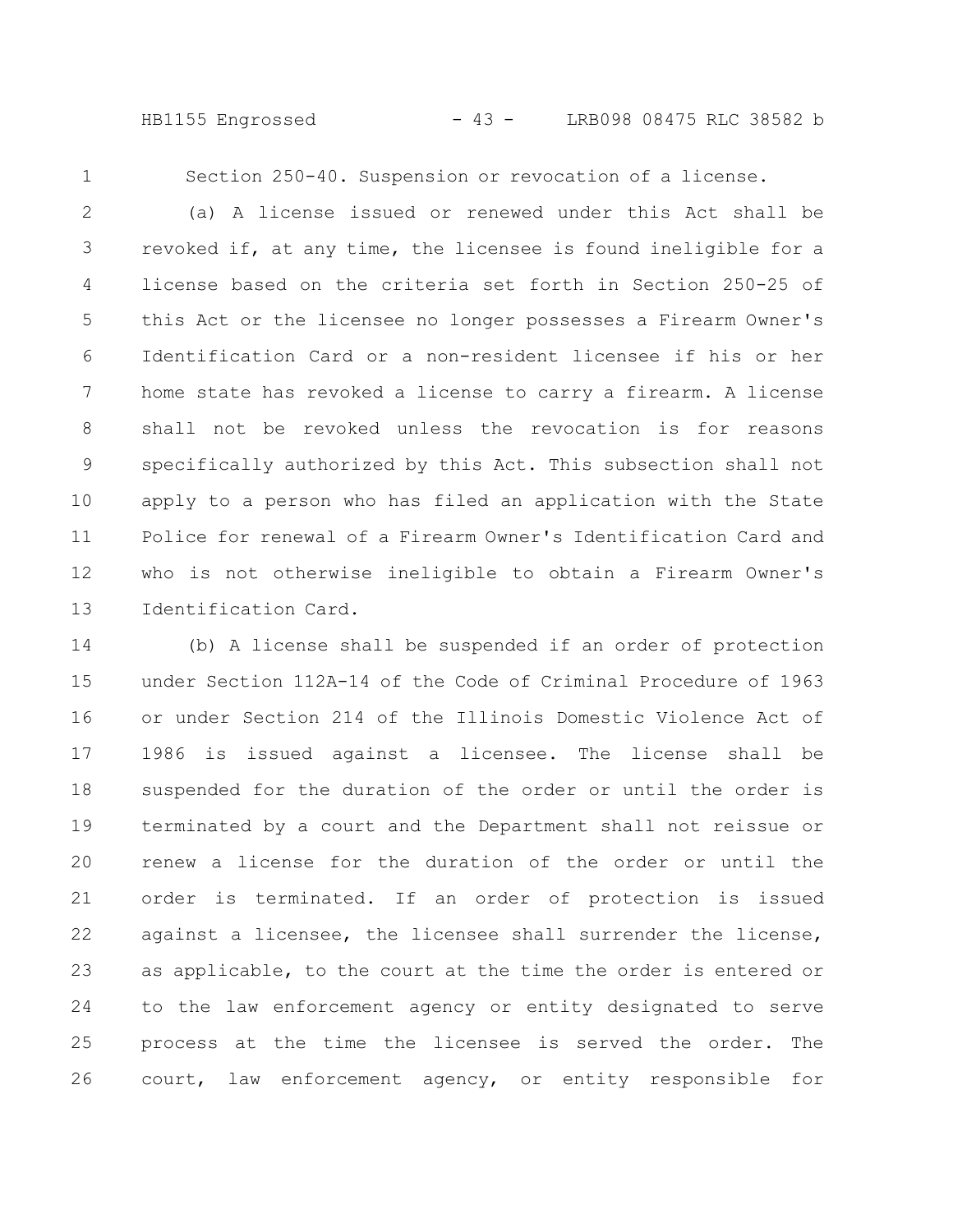HB1155 Engrossed - 43 - LRB098 08475 RLC 38582 b

1

Section 250-40. Suspension or revocation of a license.

(a) A license issued or renewed under this Act shall be revoked if, at any time, the licensee is found ineligible for a license based on the criteria set forth in Section 250-25 of this Act or the licensee no longer possesses a Firearm Owner's Identification Card or a non-resident licensee if his or her home state has revoked a license to carry a firearm. A license shall not be revoked unless the revocation is for reasons specifically authorized by this Act. This subsection shall not apply to a person who has filed an application with the State Police for renewal of a Firearm Owner's Identification Card and who is not otherwise ineligible to obtain a Firearm Owner's Identification Card. 2 3 4 5 6 7 8 9 10 11 12 13

(b) A license shall be suspended if an order of protection under Section 112A-14 of the Code of Criminal Procedure of 1963 or under Section 214 of the Illinois Domestic Violence Act of 1986 is issued against a licensee. The license shall be suspended for the duration of the order or until the order is terminated by a court and the Department shall not reissue or renew a license for the duration of the order or until the order is terminated. If an order of protection is issued against a licensee, the licensee shall surrender the license, as applicable, to the court at the time the order is entered or to the law enforcement agency or entity designated to serve process at the time the licensee is served the order. The court, law enforcement agency, or entity responsible for 14 15 16 17 18 19 20 21 22 23 24 25 26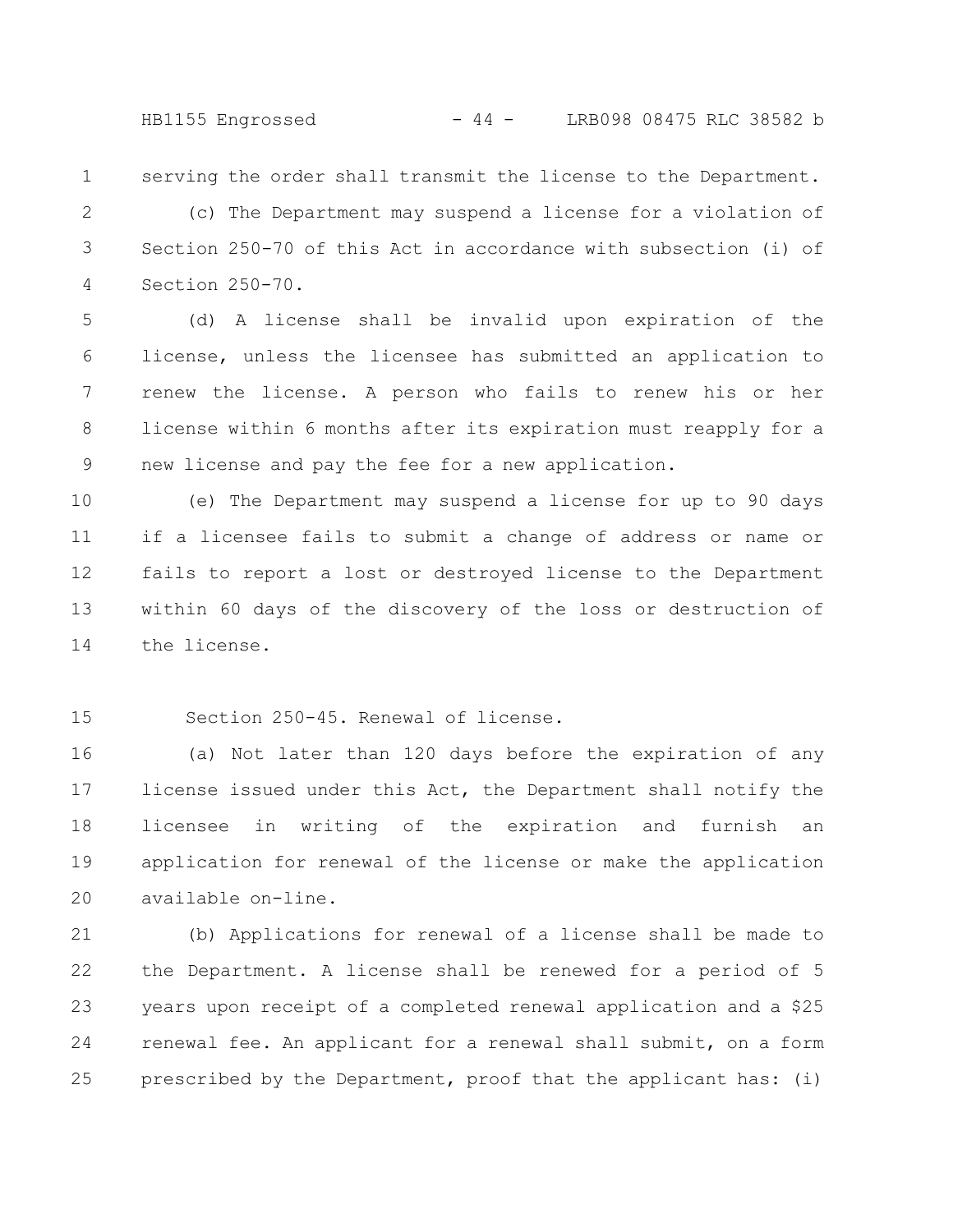serving the order shall transmit the license to the Department. 1

(c) The Department may suspend a license for a violation of Section 250-70 of this Act in accordance with subsection (i) of Section 250-70. 2 3 4

(d) A license shall be invalid upon expiration of the license, unless the licensee has submitted an application to renew the license. A person who fails to renew his or her license within 6 months after its expiration must reapply for a new license and pay the fee for a new application. 5 6 7 8 9

(e) The Department may suspend a license for up to 90 days if a licensee fails to submit a change of address or name or fails to report a lost or destroyed license to the Department within 60 days of the discovery of the loss or destruction of the license. 10 11 12 13 14

Section 250-45. Renewal of license. 15

(a) Not later than 120 days before the expiration of any license issued under this Act, the Department shall notify the licensee in writing of the expiration and furnish an application for renewal of the license or make the application available on-line. 16 17 18 19 20

(b) Applications for renewal of a license shall be made to the Department. A license shall be renewed for a period of 5 years upon receipt of a completed renewal application and a \$25 renewal fee. An applicant for a renewal shall submit, on a form prescribed by the Department, proof that the applicant has: (i) 21 22 23 24 25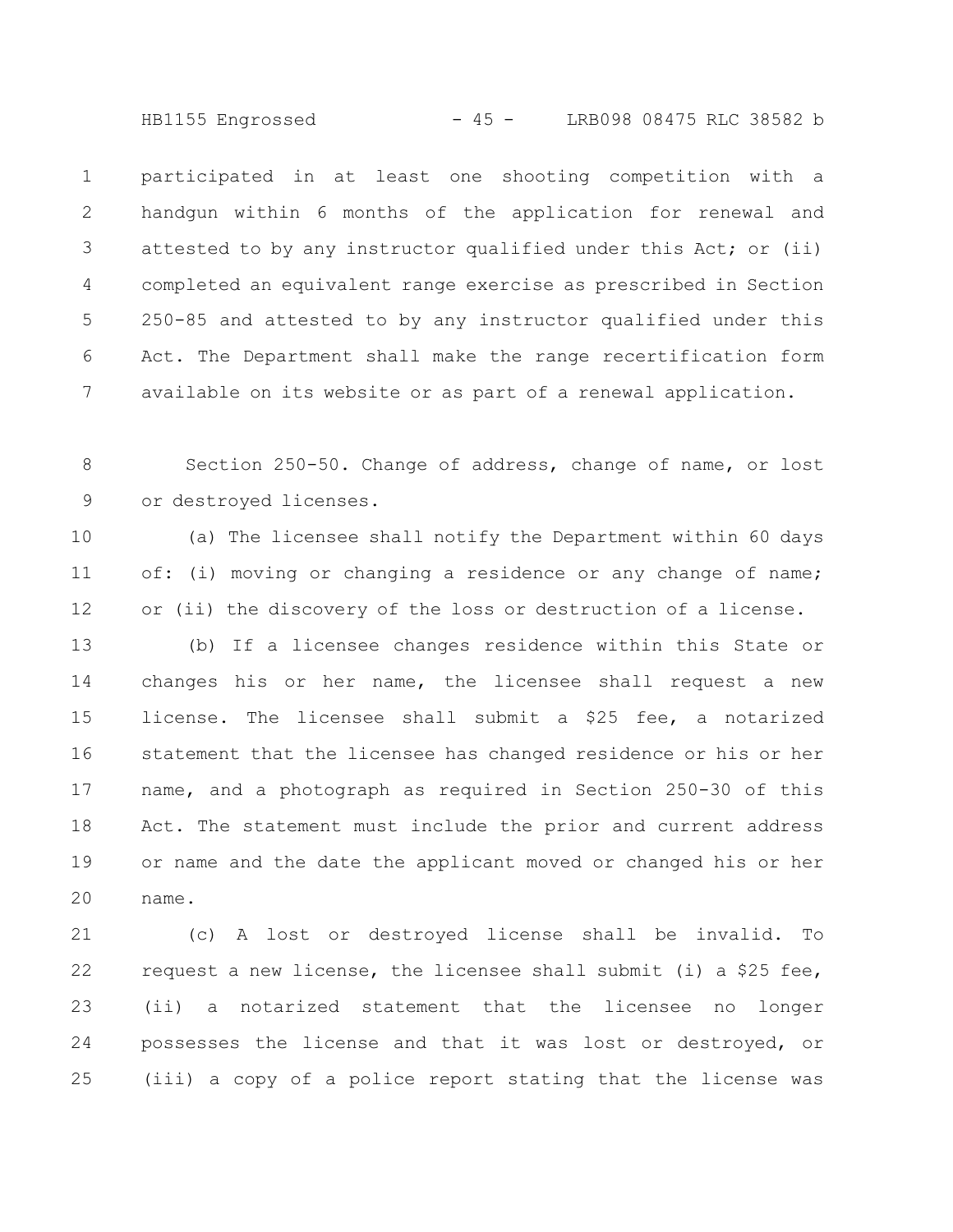HB1155 Engrossed - 45 - LRB098 08475 RLC 38582 b

participated in at least one shooting competition with a handgun within 6 months of the application for renewal and attested to by any instructor qualified under this Act; or (ii) completed an equivalent range exercise as prescribed in Section 250-85 and attested to by any instructor qualified under this Act. The Department shall make the range recertification form available on its website or as part of a renewal application. 1 2 3 4 5 6 7

Section 250-50. Change of address, change of name, or lost or destroyed licenses. 8 9

(a) The licensee shall notify the Department within 60 days of: (i) moving or changing a residence or any change of name; or (ii) the discovery of the loss or destruction of a license. 10 11 12

(b) If a licensee changes residence within this State or changes his or her name, the licensee shall request a new license. The licensee shall submit a \$25 fee, a notarized statement that the licensee has changed residence or his or her name, and a photograph as required in Section 250-30 of this Act. The statement must include the prior and current address or name and the date the applicant moved or changed his or her name. 13 14 15 16 17 18 19 20

(c) A lost or destroyed license shall be invalid. To request a new license, the licensee shall submit (i) a \$25 fee, (ii) a notarized statement that the licensee no longer possesses the license and that it was lost or destroyed, or (iii) a copy of a police report stating that the license was 21 22 23 24 25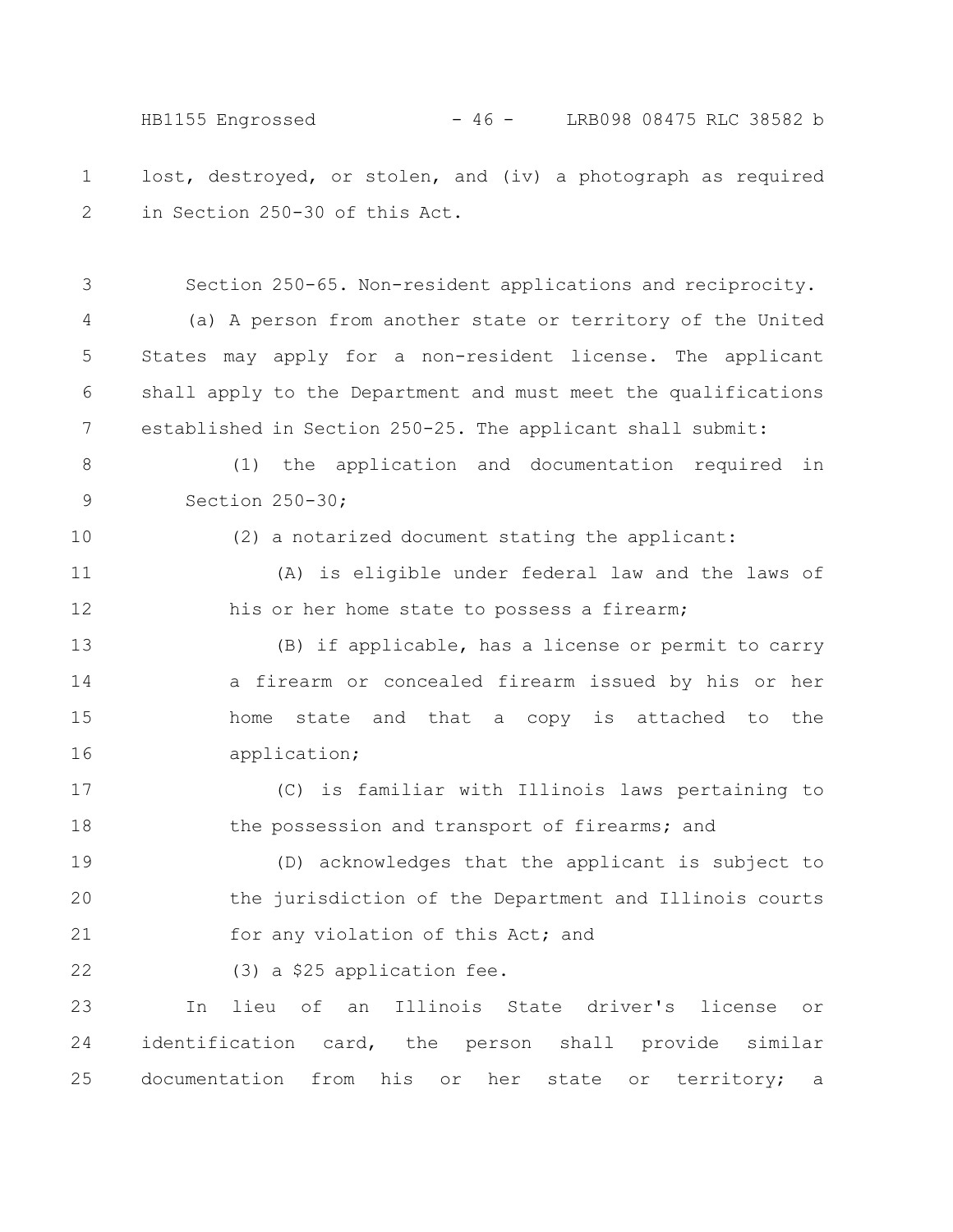HB1155 Engrossed - 46 - LRB098 08475 RLC 38582 b

lost, destroyed, or stolen, and (iv) a photograph as required in Section 250-30 of this Act. 1 2

Section 250-65. Non-resident applications and reciprocity.

(a) A person from another state or territory of the United States may apply for a non-resident license. The applicant shall apply to the Department and must meet the qualifications established in Section 250-25. The applicant shall submit: 4 5 6 7

(1) the application and documentation required in Section 250-30; 8 9

10

3

(2) a notarized document stating the applicant:

(A) is eligible under federal law and the laws of his or her home state to possess a firearm; 11 12

(B) if applicable, has a license or permit to carry a firearm or concealed firearm issued by his or her home state and that a copy is attached to the application; 13 14 15 16

(C) is familiar with Illinois laws pertaining to the possession and transport of firearms; and 17 18

(D) acknowledges that the applicant is subject to the jurisdiction of the Department and Illinois courts for any violation of this Act; and 19 20 21

(3) a \$25 application fee. 22

In lieu of an Illinois State driver's license or identification card, the person shall provide similar documentation from his or her state or territory; a 23 24 25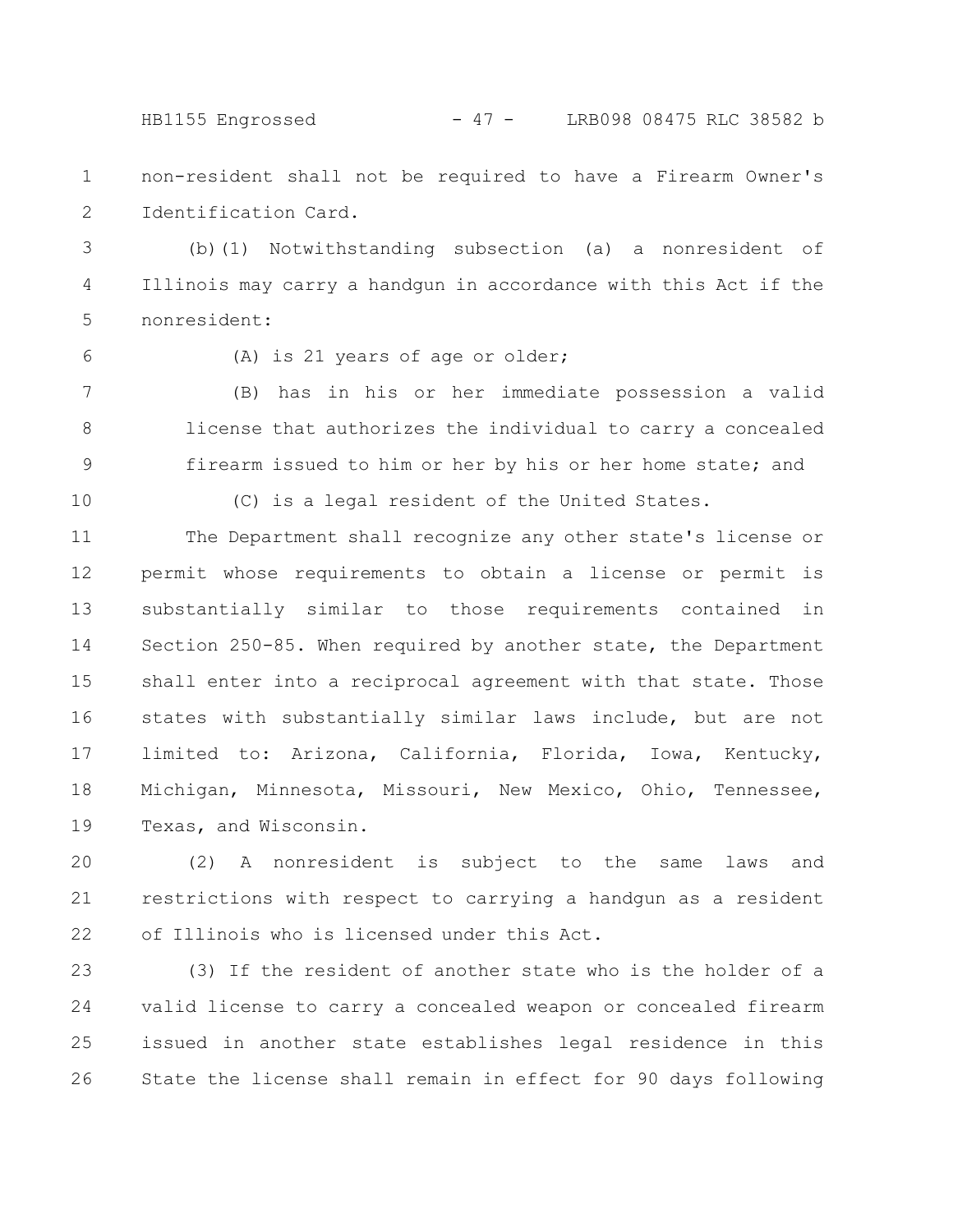HB1155 Engrossed - 47 - LRB098 08475 RLC 38582 b

non-resident shall not be required to have a Firearm Owner's Identification Card. 1 2

(b)(1) Notwithstanding subsection (a) a nonresident of Illinois may carry a handgun in accordance with this Act if the nonresident: 3 4 5

6

(A) is 21 years of age or older;

(B) has in his or her immediate possession a valid license that authorizes the individual to carry a concealed firearm issued to him or her by his or her home state; and 7 8 9

10

(C) is a legal resident of the United States.

The Department shall recognize any other state's license or permit whose requirements to obtain a license or permit is substantially similar to those requirements contained in Section 250-85. When required by another state, the Department shall enter into a reciprocal agreement with that state. Those states with substantially similar laws include, but are not limited to: Arizona, California, Florida, Iowa, Kentucky, Michigan, Minnesota, Missouri, New Mexico, Ohio, Tennessee, Texas, and Wisconsin. 11 12 13 14 15 16 17 18 19

(2) A nonresident is subject to the same laws and restrictions with respect to carrying a handgun as a resident of Illinois who is licensed under this Act. 20 21 22

(3) If the resident of another state who is the holder of a valid license to carry a concealed weapon or concealed firearm issued in another state establishes legal residence in this State the license shall remain in effect for 90 days following 23 24 25 26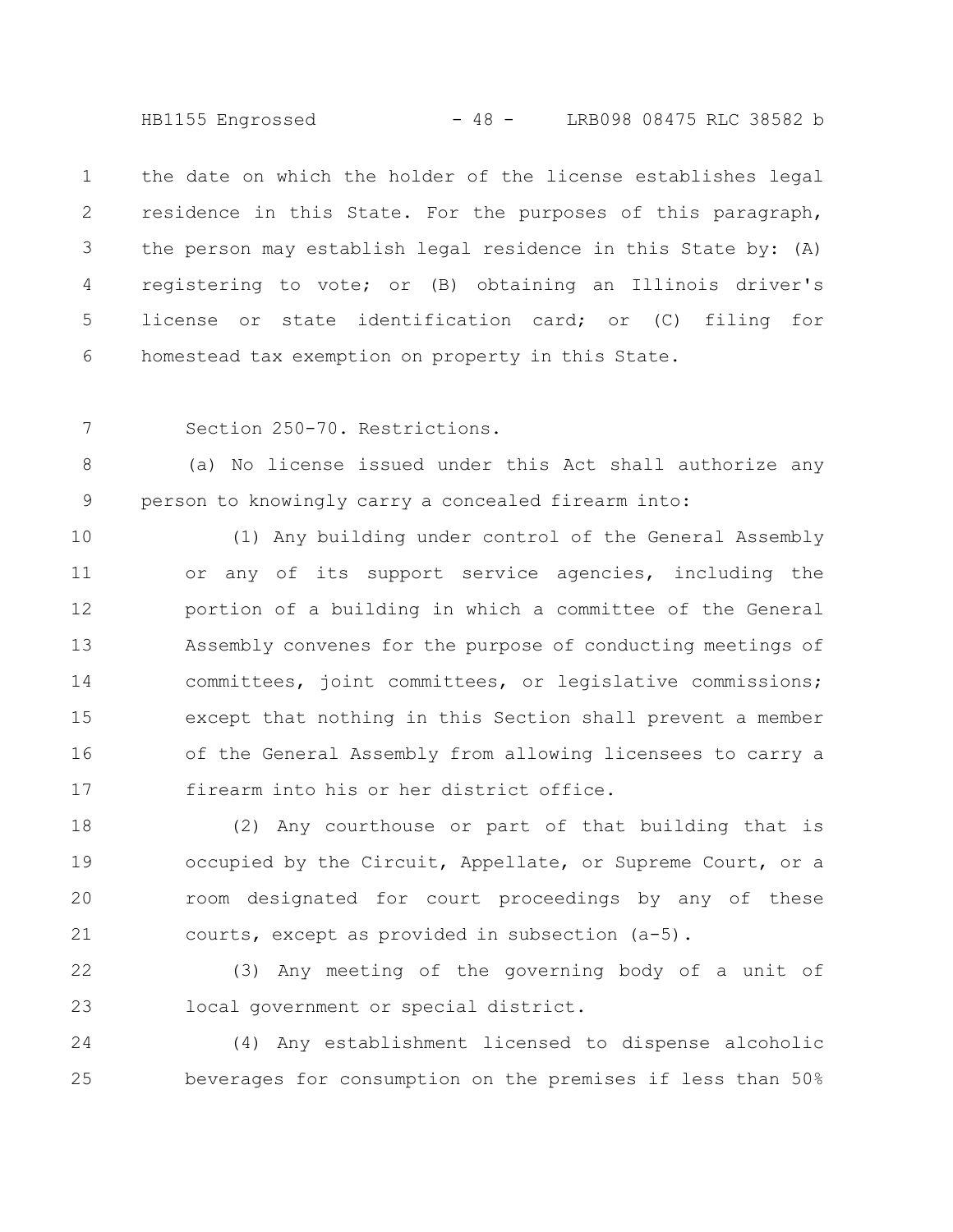HB1155 Engrossed - 48 - LRB098 08475 RLC 38582 b

the date on which the holder of the license establishes legal residence in this State. For the purposes of this paragraph, the person may establish legal residence in this State by: (A) registering to vote; or (B) obtaining an Illinois driver's license or state identification card; or (C) filing for homestead tax exemption on property in this State. 1 2 3 4 5 6

Section 250-70. Restrictions. 7

(a) No license issued under this Act shall authorize any person to knowingly carry a concealed firearm into: 8 9

(1) Any building under control of the General Assembly or any of its support service agencies, including the portion of a building in which a committee of the General Assembly convenes for the purpose of conducting meetings of committees, joint committees, or legislative commissions; except that nothing in this Section shall prevent a member of the General Assembly from allowing licensees to carry a firearm into his or her district office. 10 11 12 13 14 15 16 17

(2) Any courthouse or part of that building that is occupied by the Circuit, Appellate, or Supreme Court, or a room designated for court proceedings by any of these courts, except as provided in subsection (a-5). 18 19 20 21

(3) Any meeting of the governing body of a unit of local government or special district. 22 23

(4) Any establishment licensed to dispense alcoholic beverages for consumption on the premises if less than 50% 24 25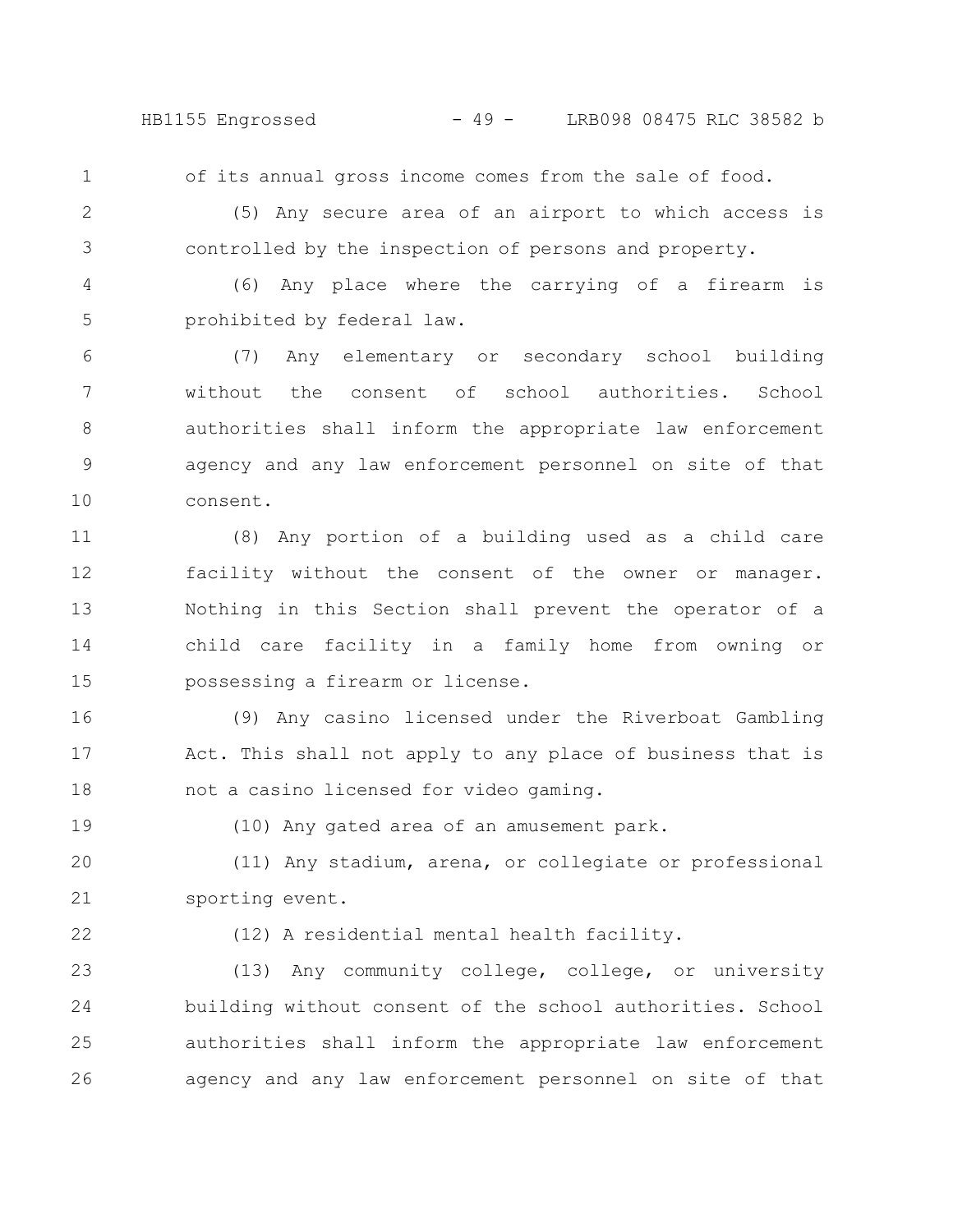HB1155 Engrossed - 49 - LRB098 08475 RLC 38582 b

of its annual gross income comes from the sale of food.

2

3

4

1

(5) Any secure area of an airport to which access is

controlled by the inspection of persons and property.

(6) Any place where the carrying of a firearm is prohibited by federal law. 5

(7) Any elementary or secondary school building without the consent of school authorities. School authorities shall inform the appropriate law enforcement agency and any law enforcement personnel on site of that consent. 6 7 8 9 10

(8) Any portion of a building used as a child care facility without the consent of the owner or manager. Nothing in this Section shall prevent the operator of a child care facility in a family home from owning or possessing a firearm or license. 11 12 13 14 15

(9) Any casino licensed under the Riverboat Gambling Act. This shall not apply to any place of business that is not a casino licensed for video gaming. 16 17 18

19

(10) Any gated area of an amusement park.

(11) Any stadium, arena, or collegiate or professional sporting event. 20 21

22

(12) A residential mental health facility.

(13) Any community college, college, or university building without consent of the school authorities. School authorities shall inform the appropriate law enforcement agency and any law enforcement personnel on site of that 23 24 25 26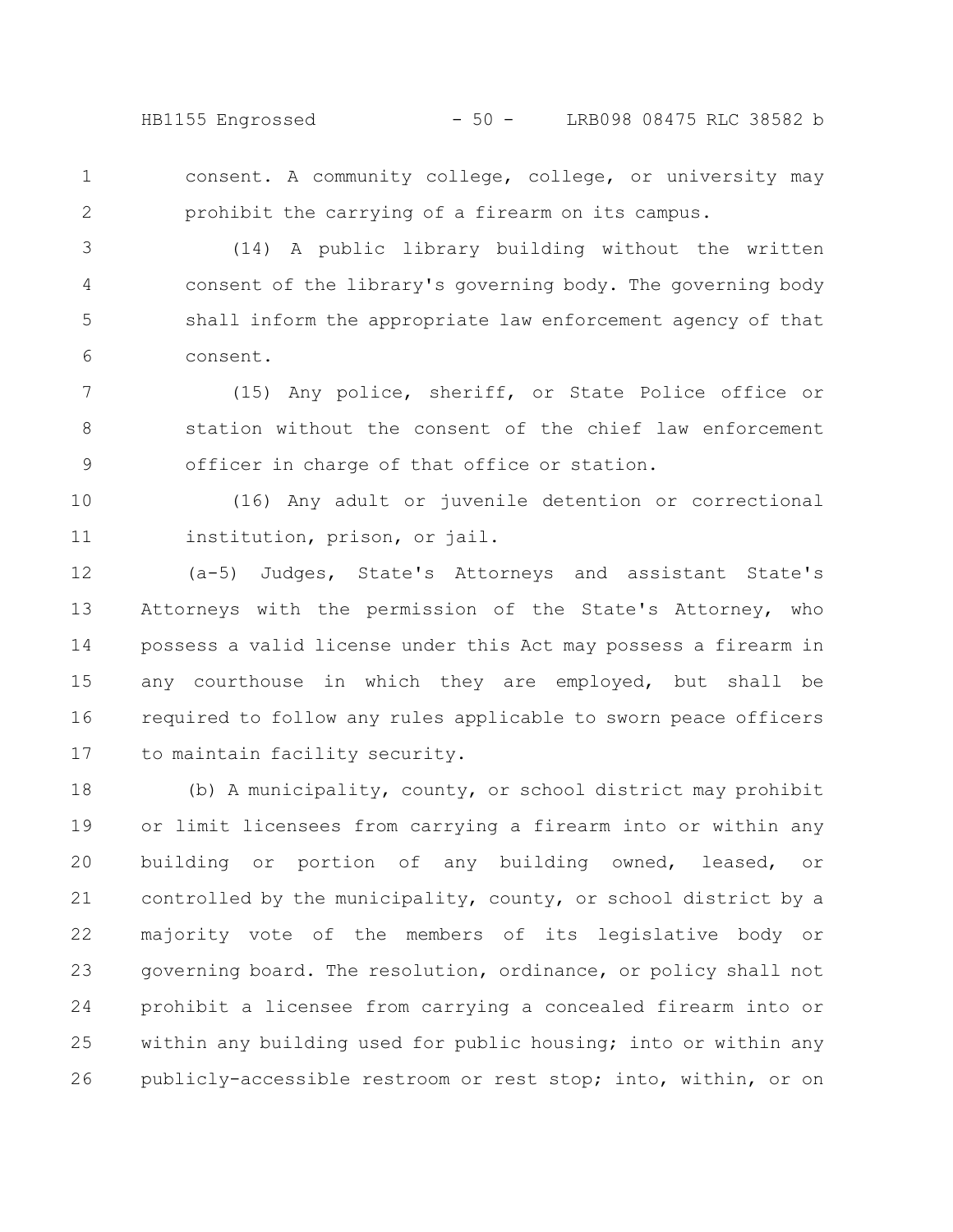HB1155 Engrossed - 50 - LRB098 08475 RLC 38582 b

consent. A community college, college, or university may prohibit the carrying of a firearm on its campus. 1 2

(14) A public library building without the written consent of the library's governing body. The governing body shall inform the appropriate law enforcement agency of that consent. 3 4 5 6

(15) Any police, sheriff, or State Police office or station without the consent of the chief law enforcement officer in charge of that office or station. 7 8 9

(16) Any adult or juvenile detention or correctional institution, prison, or jail. 10 11

(a-5) Judges, State's Attorneys and assistant State's Attorneys with the permission of the State's Attorney, who possess a valid license under this Act may possess a firearm in any courthouse in which they are employed, but shall be required to follow any rules applicable to sworn peace officers to maintain facility security. 12 13 14 15 16 17

(b) A municipality, county, or school district may prohibit or limit licensees from carrying a firearm into or within any building or portion of any building owned, leased, or controlled by the municipality, county, or school district by a majority vote of the members of its legislative body or governing board. The resolution, ordinance, or policy shall not prohibit a licensee from carrying a concealed firearm into or within any building used for public housing; into or within any publicly-accessible restroom or rest stop; into, within, or on 18 19 20 21 22 23 24 25 26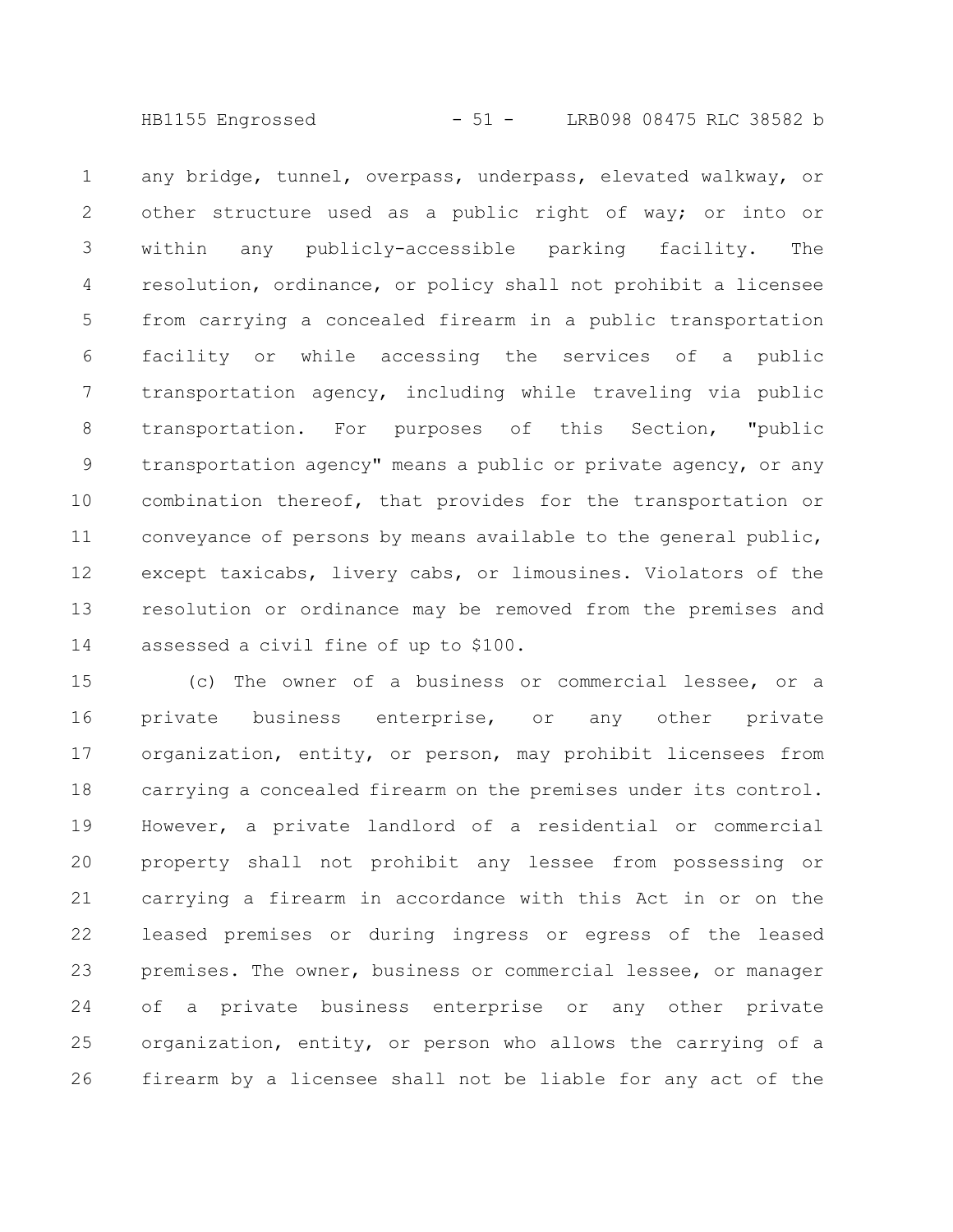HB1155 Engrossed - 51 - LRB098 08475 RLC 38582 b

any bridge, tunnel, overpass, underpass, elevated walkway, or other structure used as a public right of way; or into or within any publicly-accessible parking facility. The resolution, ordinance, or policy shall not prohibit a licensee from carrying a concealed firearm in a public transportation facility or while accessing the services of a public transportation agency, including while traveling via public transportation. For purposes of this Section, "public transportation agency" means a public or private agency, or any combination thereof, that provides for the transportation or conveyance of persons by means available to the general public, except taxicabs, livery cabs, or limousines. Violators of the resolution or ordinance may be removed from the premises and assessed a civil fine of up to \$100. 1 2 3 4 5 6 7 8 9 10 11 12 13 14

(c) The owner of a business or commercial lessee, or a private business enterprise, or any other private organization, entity, or person, may prohibit licensees from carrying a concealed firearm on the premises under its control. However, a private landlord of a residential or commercial property shall not prohibit any lessee from possessing or carrying a firearm in accordance with this Act in or on the leased premises or during ingress or egress of the leased premises. The owner, business or commercial lessee, or manager of a private business enterprise or any other private organization, entity, or person who allows the carrying of a firearm by a licensee shall not be liable for any act of the 15 16 17 18 19 20 21 22 23 24 25 26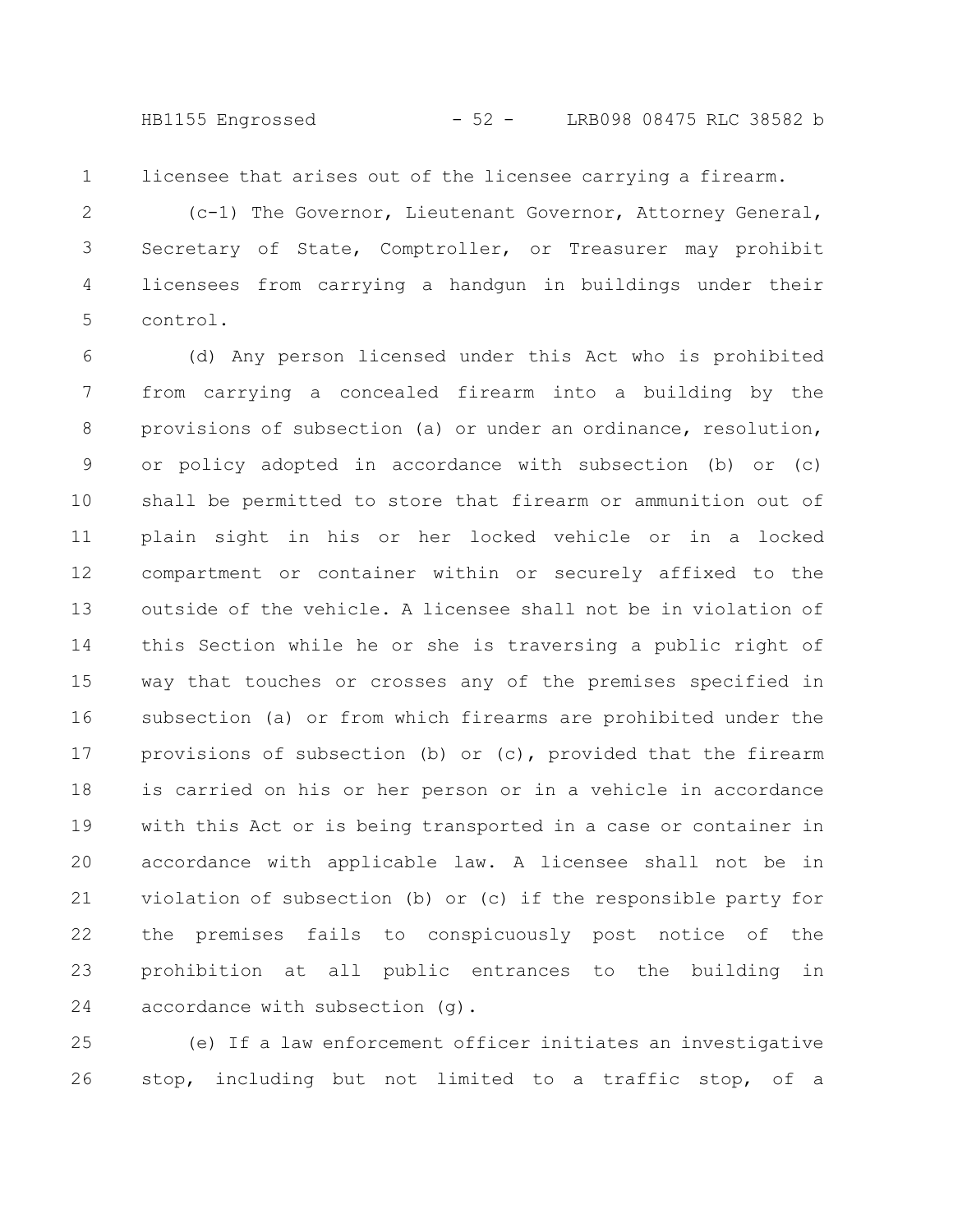licensee that arises out of the licensee carrying a firearm. 1

(c-1) The Governor, Lieutenant Governor, Attorney General, Secretary of State, Comptroller, or Treasurer may prohibit licensees from carrying a handgun in buildings under their control. 2 3 4 5

(d) Any person licensed under this Act who is prohibited from carrying a concealed firearm into a building by the provisions of subsection (a) or under an ordinance, resolution, or policy adopted in accordance with subsection (b) or (c) shall be permitted to store that firearm or ammunition out of plain sight in his or her locked vehicle or in a locked compartment or container within or securely affixed to the outside of the vehicle. A licensee shall not be in violation of this Section while he or she is traversing a public right of way that touches or crosses any of the premises specified in subsection (a) or from which firearms are prohibited under the provisions of subsection (b) or (c), provided that the firearm is carried on his or her person or in a vehicle in accordance with this Act or is being transported in a case or container in accordance with applicable law. A licensee shall not be in violation of subsection (b) or (c) if the responsible party for the premises fails to conspicuously post notice of the prohibition at all public entrances to the building in accordance with subsection (g). 6 7 8 9 10 11 12 13 14 15 16 17 18 19 20 21 22 23 24

(e) If a law enforcement officer initiates an investigative stop, including but not limited to a traffic stop, of a 25 26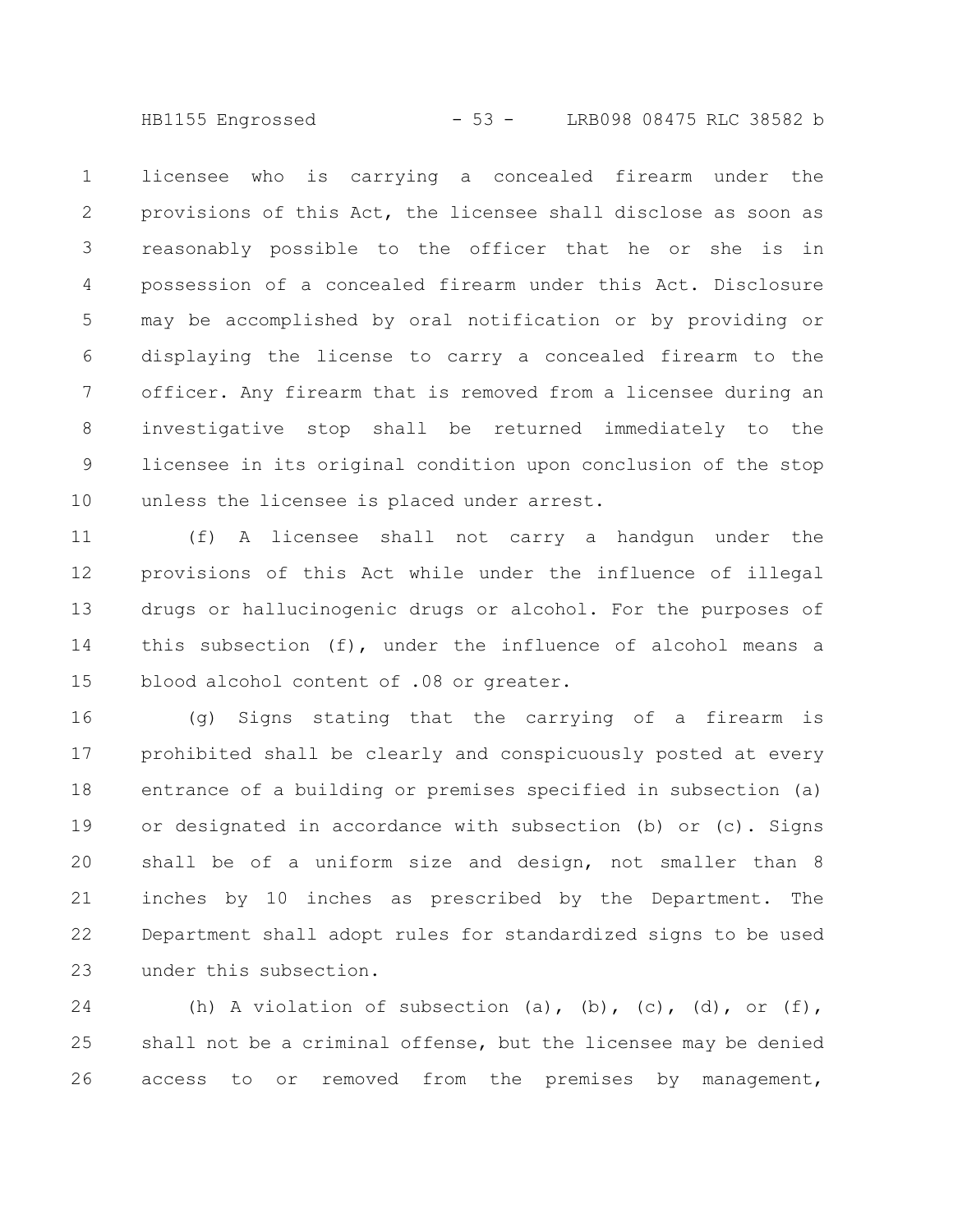HB1155 Engrossed - 53 - LRB098 08475 RLC 38582 b

licensee who is carrying a concealed firearm under the provisions of this Act, the licensee shall disclose as soon as reasonably possible to the officer that he or she is in possession of a concealed firearm under this Act. Disclosure may be accomplished by oral notification or by providing or displaying the license to carry a concealed firearm to the officer. Any firearm that is removed from a licensee during an investigative stop shall be returned immediately to the licensee in its original condition upon conclusion of the stop unless the licensee is placed under arrest. 1 2 3 4 5 6 7 8 9 10

(f) A licensee shall not carry a handgun under the provisions of this Act while under the influence of illegal drugs or hallucinogenic drugs or alcohol. For the purposes of this subsection (f), under the influence of alcohol means a blood alcohol content of .08 or greater. 11 12 13 14 15

(g) Signs stating that the carrying of a firearm is prohibited shall be clearly and conspicuously posted at every entrance of a building or premises specified in subsection (a) or designated in accordance with subsection (b) or (c). Signs shall be of a uniform size and design, not smaller than 8 inches by 10 inches as prescribed by the Department. The Department shall adopt rules for standardized signs to be used under this subsection. 16 17 18 19 20 21 22 23

(h) A violation of subsection (a), (b), (c), (d), or (f), shall not be a criminal offense, but the licensee may be denied access to or removed from the premises by management, 24 25 26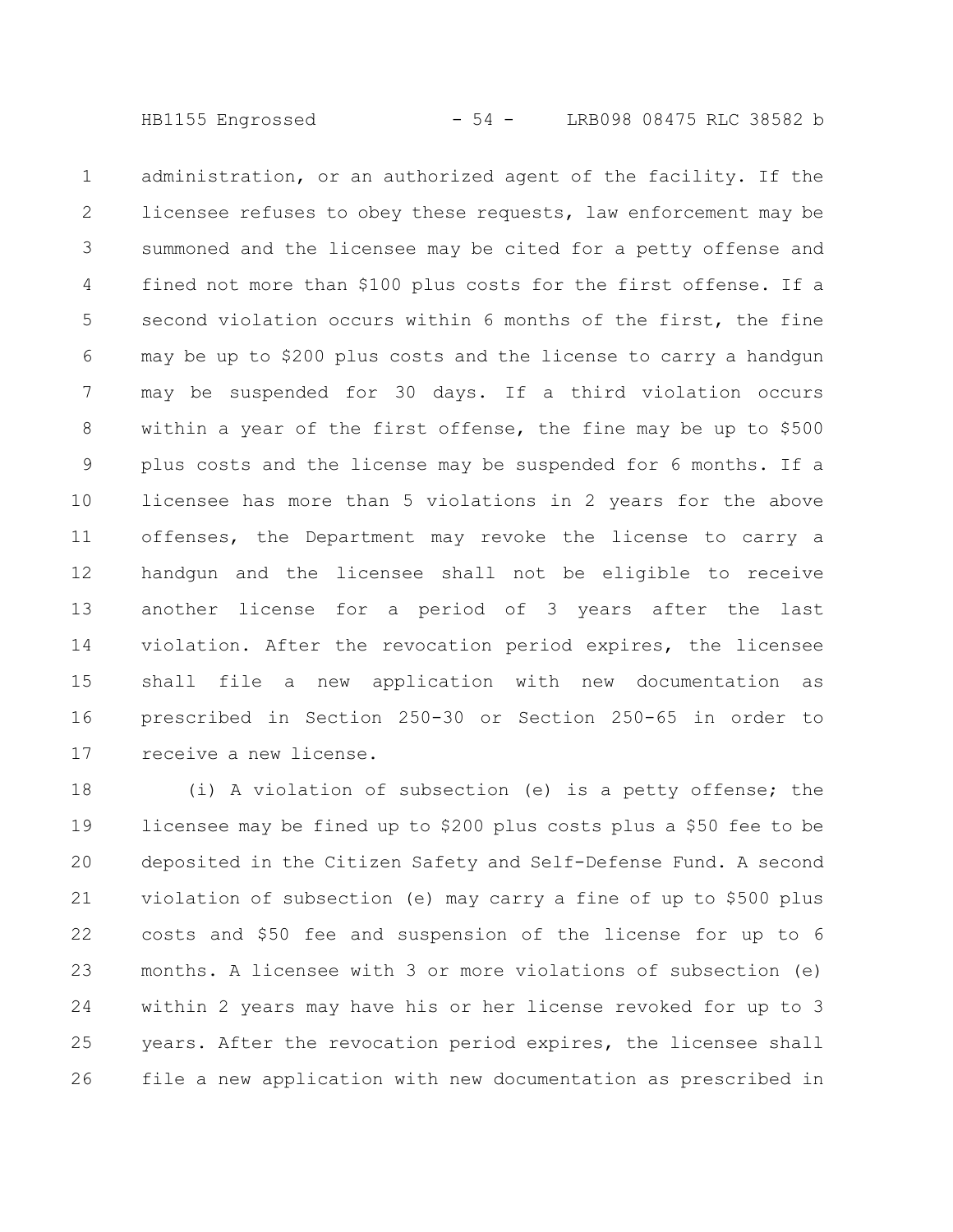administration, or an authorized agent of the facility. If the licensee refuses to obey these requests, law enforcement may be summoned and the licensee may be cited for a petty offense and fined not more than \$100 plus costs for the first offense. If a second violation occurs within 6 months of the first, the fine may be up to \$200 plus costs and the license to carry a handgun may be suspended for 30 days. If a third violation occurs within a year of the first offense, the fine may be up to \$500 plus costs and the license may be suspended for 6 months. If a licensee has more than 5 violations in 2 years for the above offenses, the Department may revoke the license to carry a handgun and the licensee shall not be eligible to receive another license for a period of 3 years after the last violation. After the revocation period expires, the licensee shall file a new application with new documentation as prescribed in Section 250-30 or Section 250-65 in order to receive a new license. 1 2 3 4 5 6 7 8 9 10 11 12 13 14 15 16 17

(i) A violation of subsection (e) is a petty offense; the licensee may be fined up to \$200 plus costs plus a \$50 fee to be deposited in the Citizen Safety and Self-Defense Fund. A second violation of subsection (e) may carry a fine of up to \$500 plus costs and \$50 fee and suspension of the license for up to 6 months. A licensee with 3 or more violations of subsection (e) within 2 years may have his or her license revoked for up to 3 years. After the revocation period expires, the licensee shall file a new application with new documentation as prescribed in 18 19 20 21 22 23 24 25 26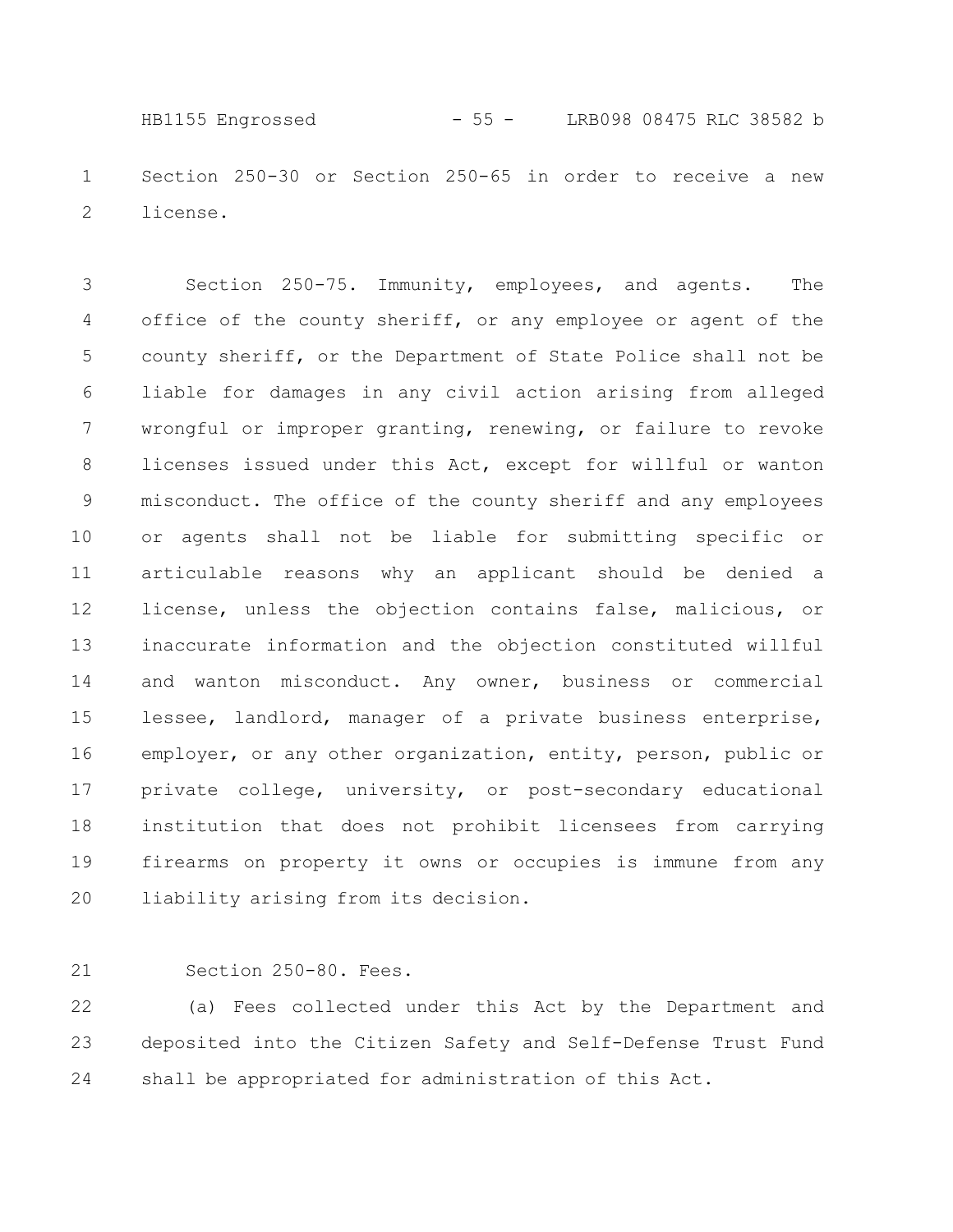Section 250-30 or Section 250-65 in order to receive a new license. 1 2 HB1155 Engrossed - 55 - LRB098 08475 RLC 38582 b

Section 250-75. Immunity, employees, and agents. The office of the county sheriff, or any employee or agent of the county sheriff, or the Department of State Police shall not be liable for damages in any civil action arising from alleged wrongful or improper granting, renewing, or failure to revoke licenses issued under this Act, except for willful or wanton misconduct. The office of the county sheriff and any employees or agents shall not be liable for submitting specific or articulable reasons why an applicant should be denied a license, unless the objection contains false, malicious, or inaccurate information and the objection constituted willful and wanton misconduct. Any owner, business or commercial lessee, landlord, manager of a private business enterprise, employer, or any other organization, entity, person, public or private college, university, or post-secondary educational institution that does not prohibit licensees from carrying firearms on property it owns or occupies is immune from any liability arising from its decision. 3 4 5 6 7 8 9 10 11 12 13 14 15 16 17 18 19 20

Section 250-80. Fees. 21

(a) Fees collected under this Act by the Department and deposited into the Citizen Safety and Self-Defense Trust Fund shall be appropriated for administration of this Act. 22 23 24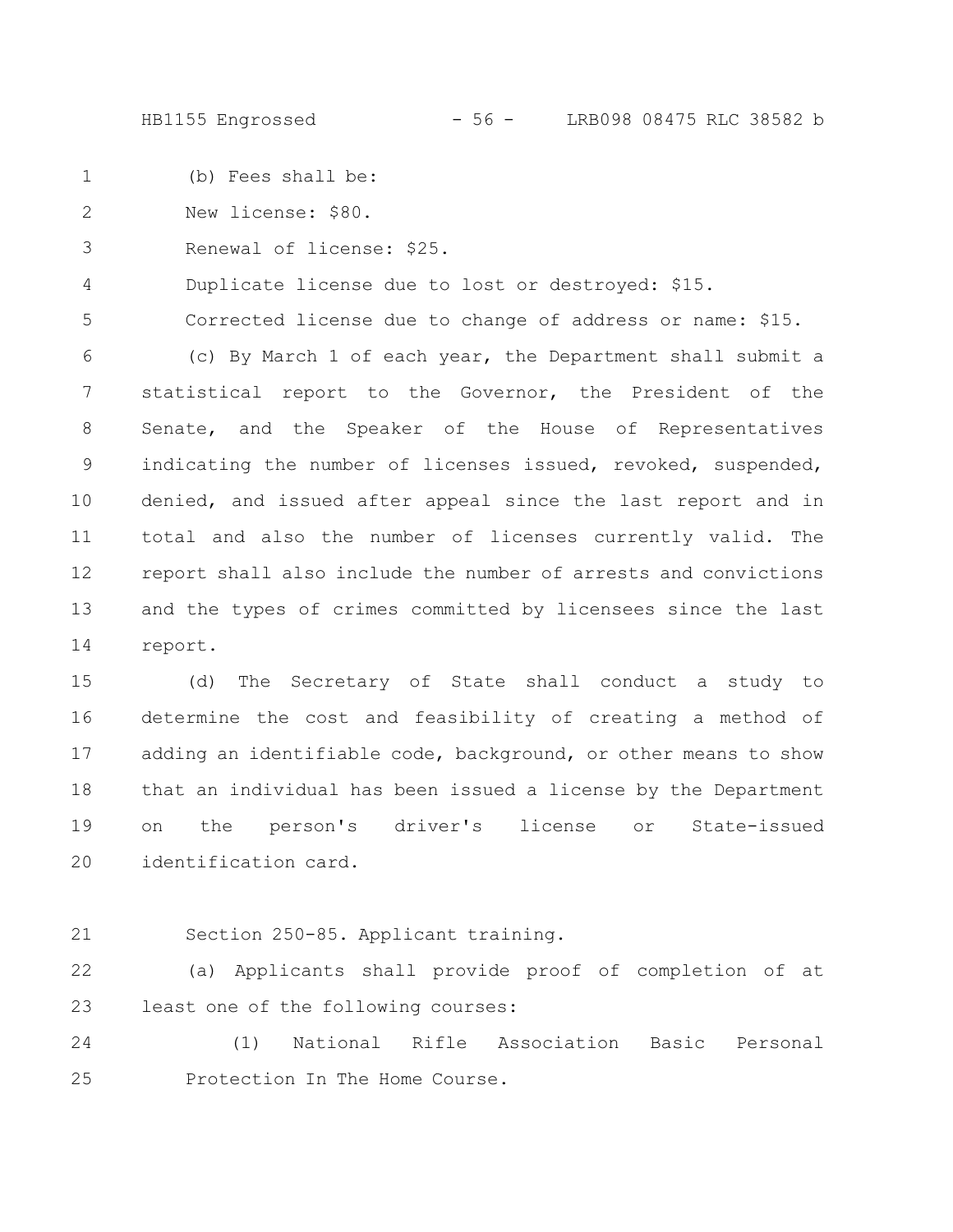HB1155 Engrossed - 56 - LRB098 08475 RLC 38582 b

(b) Fees shall be: 1

New license: \$80. 2

Renewal of license: \$25. 3

Duplicate license due to lost or destroyed: \$15. 4

Corrected license due to change of address or name: \$15. 5

(c) By March 1 of each year, the Department shall submit a statistical report to the Governor, the President of the Senate, and the Speaker of the House of Representatives indicating the number of licenses issued, revoked, suspended, denied, and issued after appeal since the last report and in total and also the number of licenses currently valid. The report shall also include the number of arrests and convictions and the types of crimes committed by licensees since the last report. 6 7 8 9 10 11 12 13 14

(d) The Secretary of State shall conduct a study to determine the cost and feasibility of creating a method of adding an identifiable code, background, or other means to show that an individual has been issued a license by the Department on the person's driver's license or State-issued identification card. 15 16 17 18 19 20

21

Section 250-85. Applicant training.

(a) Applicants shall provide proof of completion of at least one of the following courses: 22 23

(1) National Rifle Association Basic Personal Protection In The Home Course. 24 25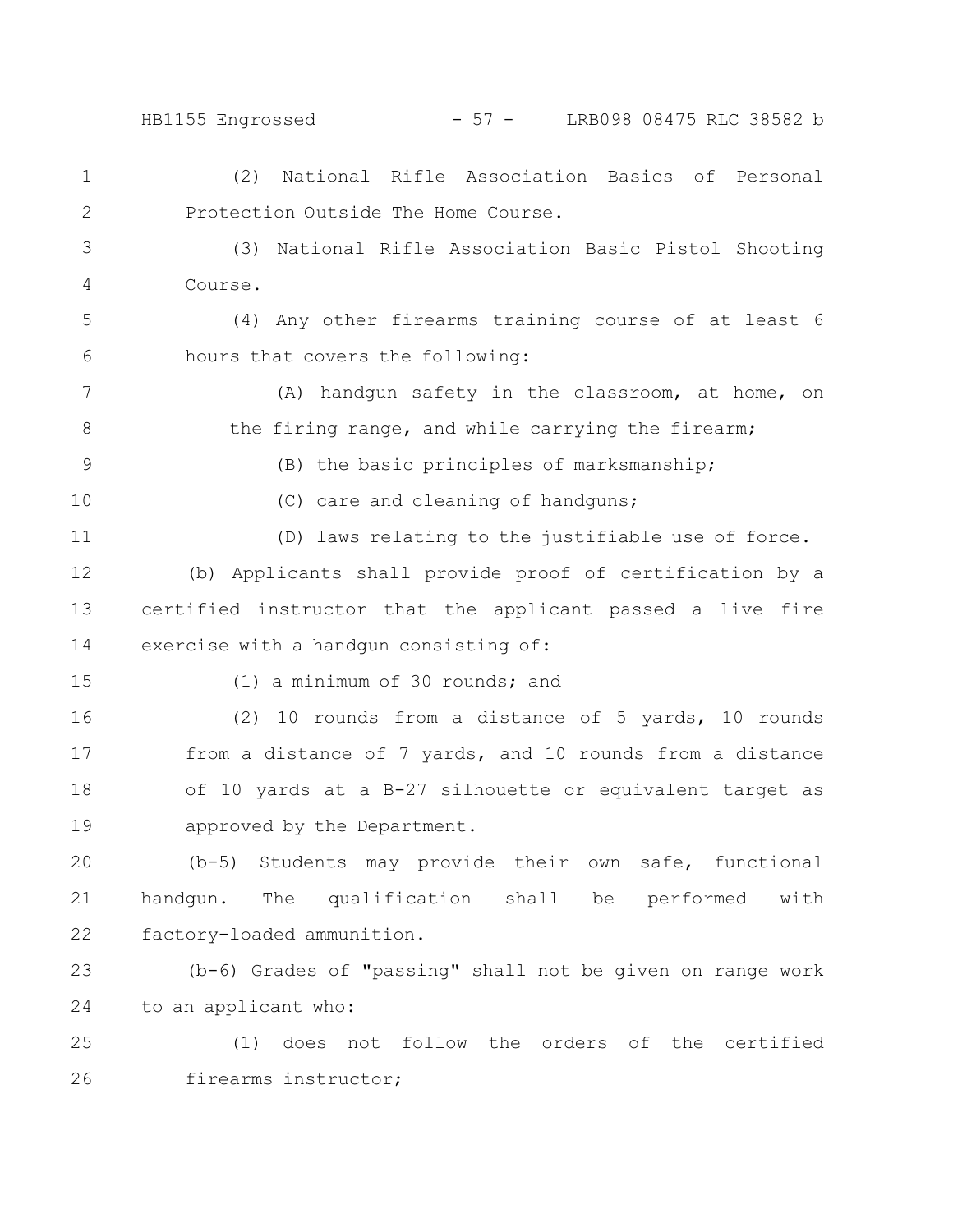HB1155 Engrossed - 57 - LRB098 08475 RLC 38582 b

(2) National Rifle Association Basics of Personal Protection Outside The Home Course. 1 2

(3) National Rifle Association Basic Pistol Shooting Course. 3 4

(4) Any other firearms training course of at least 6 hours that covers the following: 5 6

(A) handgun safety in the classroom, at home, on the firing range, and while carrying the firearm; 7 8

(B) the basic principles of marksmanship;

10

15

9

(C) care and cleaning of handguns;

(D) laws relating to the justifiable use of force. 11

(b) Applicants shall provide proof of certification by a certified instructor that the applicant passed a live fire exercise with a handgun consisting of: 12 13 14

(1) a minimum of 30 rounds; and

(2) 10 rounds from a distance of 5 yards, 10 rounds from a distance of 7 yards, and 10 rounds from a distance of 10 yards at a B-27 silhouette or equivalent target as approved by the Department. 16 17 18 19

(b-5) Students may provide their own safe, functional handgun. The qualification shall be performed with factory-loaded ammunition. 20 21 22

(b-6) Grades of "passing" shall not be given on range work to an applicant who: 23 24

(1) does not follow the orders of the certified firearms instructor; 25 26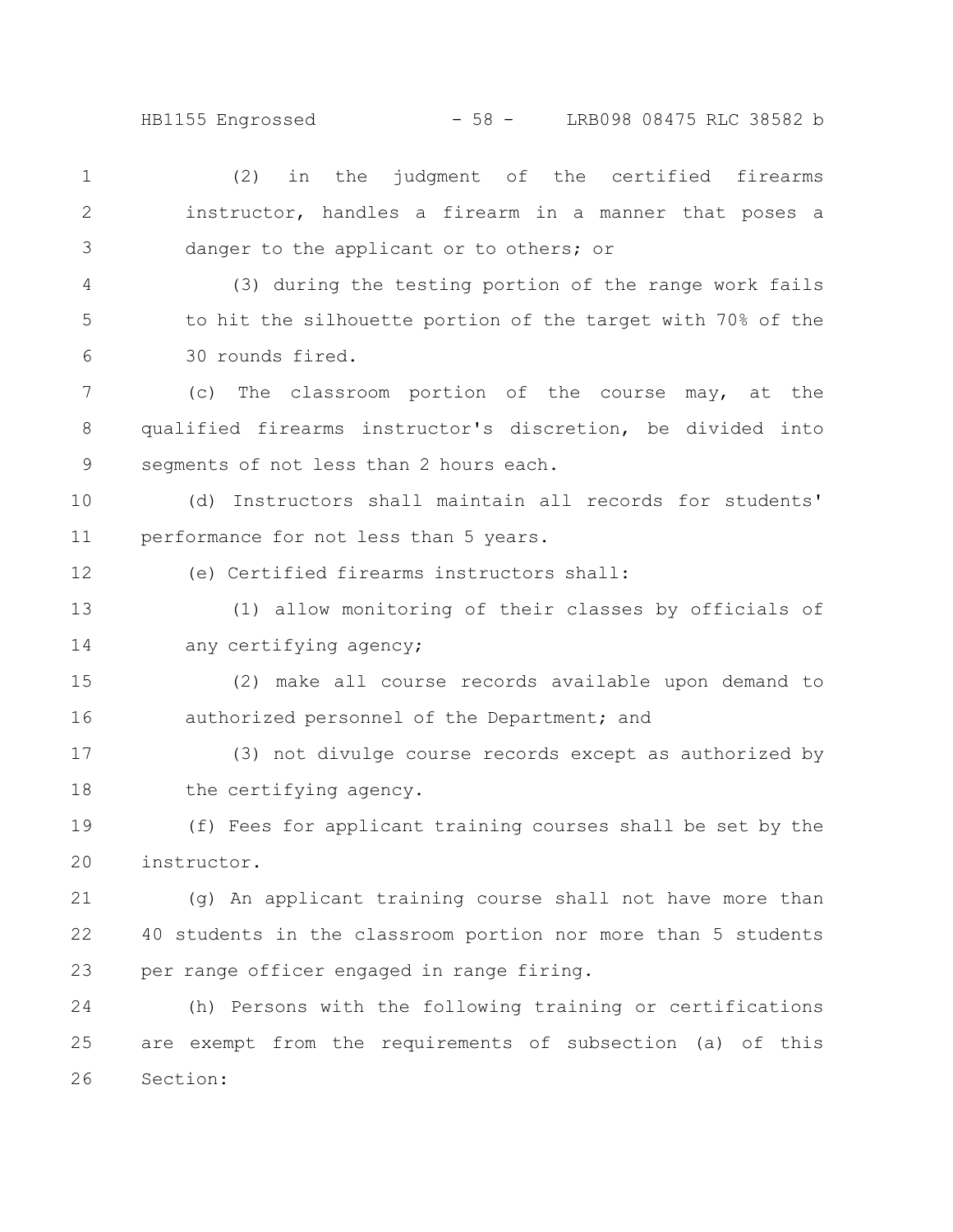HB1155 Engrossed - 58 - LRB098 08475 RLC 38582 b

(2) in the judgment of the certified firearms instructor, handles a firearm in a manner that poses a danger to the applicant or to others; or (3) during the testing portion of the range work fails to hit the silhouette portion of the target with 70% of the 30 rounds fired. (c) The classroom portion of the course may, at the qualified firearms instructor's discretion, be divided into segments of not less than 2 hours each. (d) Instructors shall maintain all records for students' performance for not less than 5 years. (e) Certified firearms instructors shall: (1) allow monitoring of their classes by officials of any certifying agency; (2) make all course records available upon demand to authorized personnel of the Department; and (3) not divulge course records except as authorized by the certifying agency. (f) Fees for applicant training courses shall be set by the instructor. (g) An applicant training course shall not have more than 40 students in the classroom portion nor more than 5 students per range officer engaged in range firing. (h) Persons with the following training or certifications are exempt from the requirements of subsection (a) of this Section: 1 2 3 4 5 6 7 8 9 10 11 12 13 14 15 16 17 18 19 20 21 22 23 24 25 26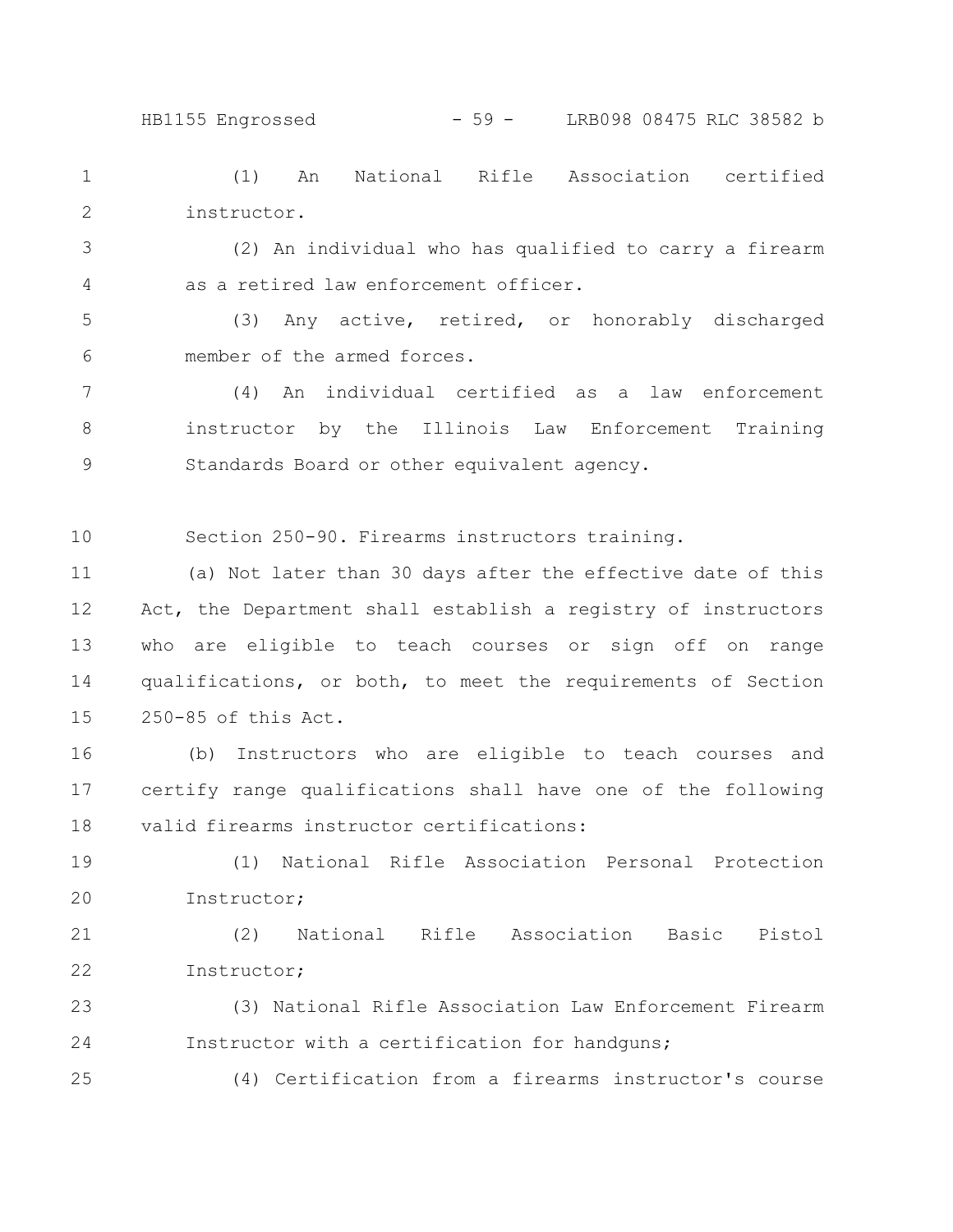(1) An National Rifle Association certified instructor. 1 2

(2) An individual who has qualified to carry a firearm as a retired law enforcement officer. 3 4

(3) Any active, retired, or honorably discharged member of the armed forces. 5 6

(4) An individual certified as a law enforcement instructor by the Illinois Law Enforcement Training Standards Board or other equivalent agency. 7 8 9

Section 250-90. Firearms instructors training. 10

(a) Not later than 30 days after the effective date of this Act, the Department shall establish a registry of instructors who are eligible to teach courses or sign off on range qualifications, or both, to meet the requirements of Section 250-85 of this Act. 11 12 13 14 15

(b) Instructors who are eligible to teach courses and certify range qualifications shall have one of the following valid firearms instructor certifications: 16 17 18

(1) National Rifle Association Personal Protection Instructor; 19 20

(2) National Rifle Association Basic Pistol Instructor; 21 22

(3) National Rifle Association Law Enforcement Firearm Instructor with a certification for handguns; 23 24

25

(4) Certification from a firearms instructor's course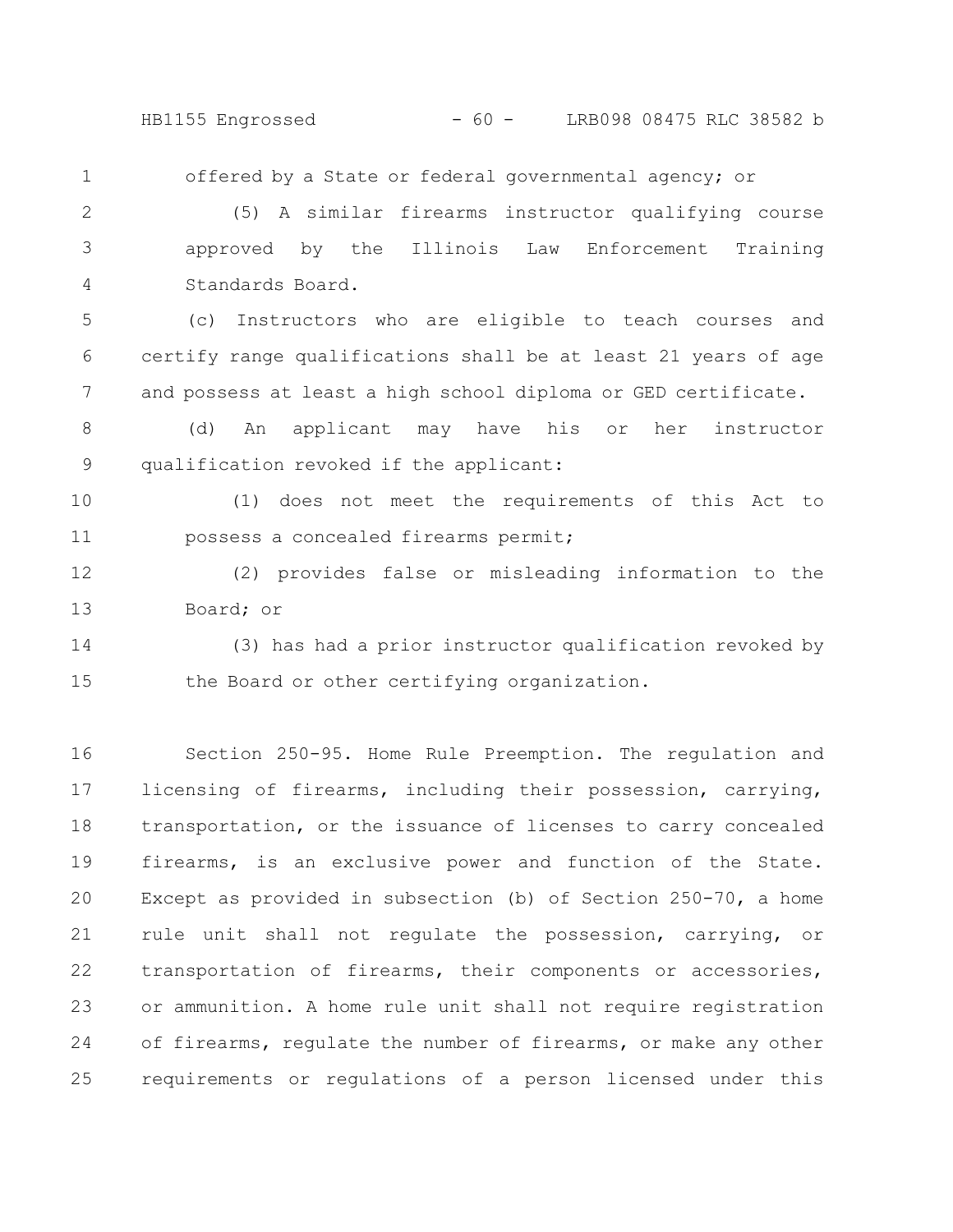HB1155 Engrossed - 60 - LRB098 08475 RLC 38582 b

offered by a State or federal governmental agency; or (5) A similar firearms instructor qualifying course approved by the Illinois Law Enforcement Training Standards Board. (c) Instructors who are eligible to teach courses and certify range qualifications shall be at least 21 years of age and possess at least a high school diploma or GED certificate. (d) An applicant may have his or her instructor qualification revoked if the applicant: (1) does not meet the requirements of this Act to possess a concealed firearms permit; (2) provides false or misleading information to the Board; or (3) has had a prior instructor qualification revoked by the Board or other certifying organization. 1 2 3 4 5 6 7 8 9 10 11 12 13 14 15

Section 250-95. Home Rule Preemption. The regulation and licensing of firearms, including their possession, carrying, transportation, or the issuance of licenses to carry concealed firearms, is an exclusive power and function of the State. Except as provided in subsection (b) of Section 250-70, a home rule unit shall not regulate the possession, carrying, or transportation of firearms, their components or accessories, or ammunition. A home rule unit shall not require registration of firearms, regulate the number of firearms, or make any other requirements or regulations of a person licensed under this 16 17 18 19 20 21 22 23 24 25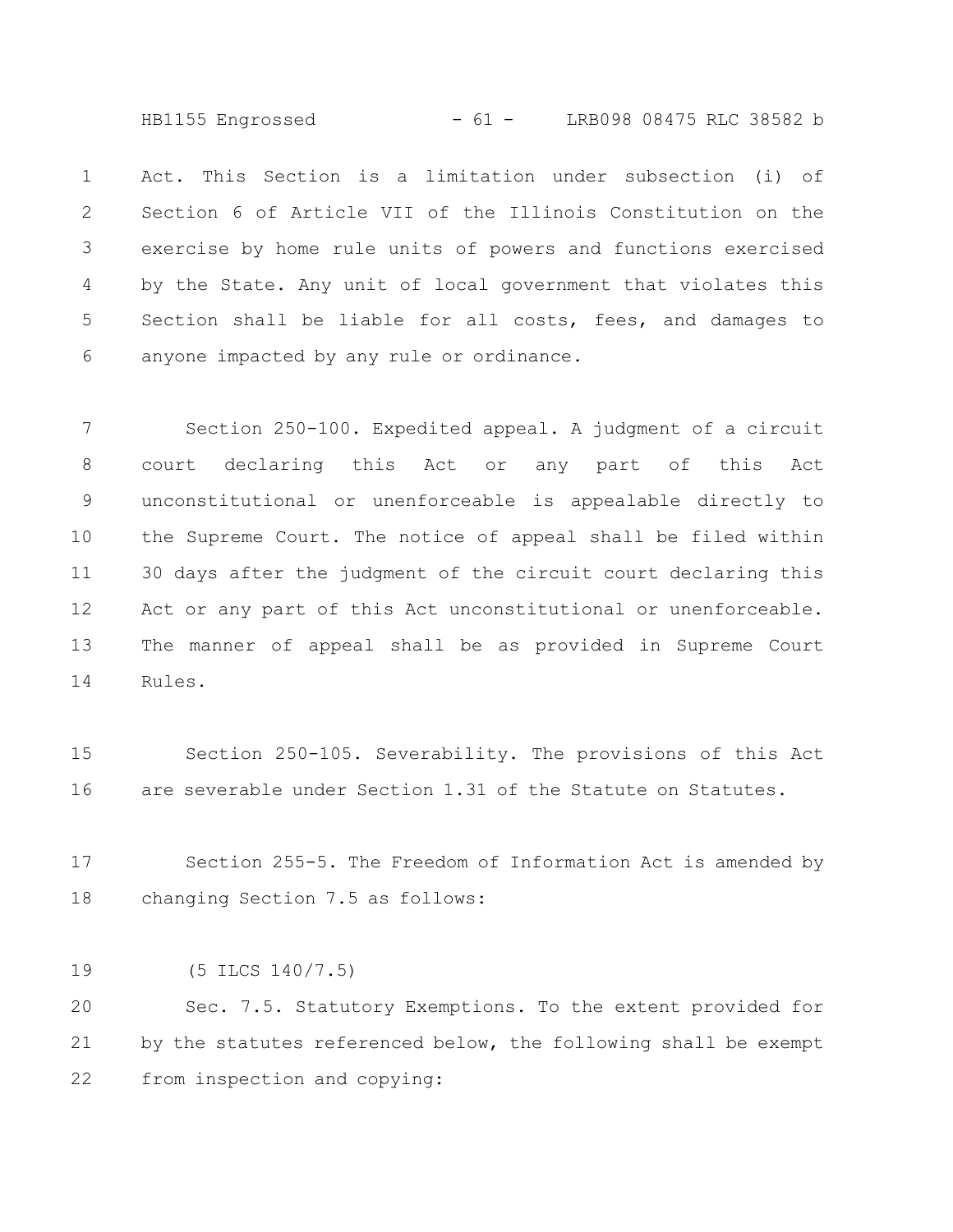HB1155 Engrossed - 61 - LRB098 08475 RLC 38582 b

Act. This Section is a limitation under subsection (i) of Section 6 of Article VII of the Illinois Constitution on the exercise by home rule units of powers and functions exercised by the State. Any unit of local government that violates this Section shall be liable for all costs, fees, and damages to anyone impacted by any rule or ordinance. 1 2 3 4 5 6

Section 250-100. Expedited appeal. A judgment of a circuit court declaring this Act or any part of this Act unconstitutional or unenforceable is appealable directly to the Supreme Court. The notice of appeal shall be filed within 30 days after the judgment of the circuit court declaring this Act or any part of this Act unconstitutional or unenforceable. The manner of appeal shall be as provided in Supreme Court Rules. 7 8 9 10 11 12 13 14

Section 250-105. Severability. The provisions of this Act are severable under Section 1.31 of the Statute on Statutes. 15 16

Section 255-5. The Freedom of Information Act is amended by changing Section 7.5 as follows: 17 18

(5 ILCS 140/7.5) 19

Sec. 7.5. Statutory Exemptions. To the extent provided for by the statutes referenced below, the following shall be exempt from inspection and copying: 20 21 22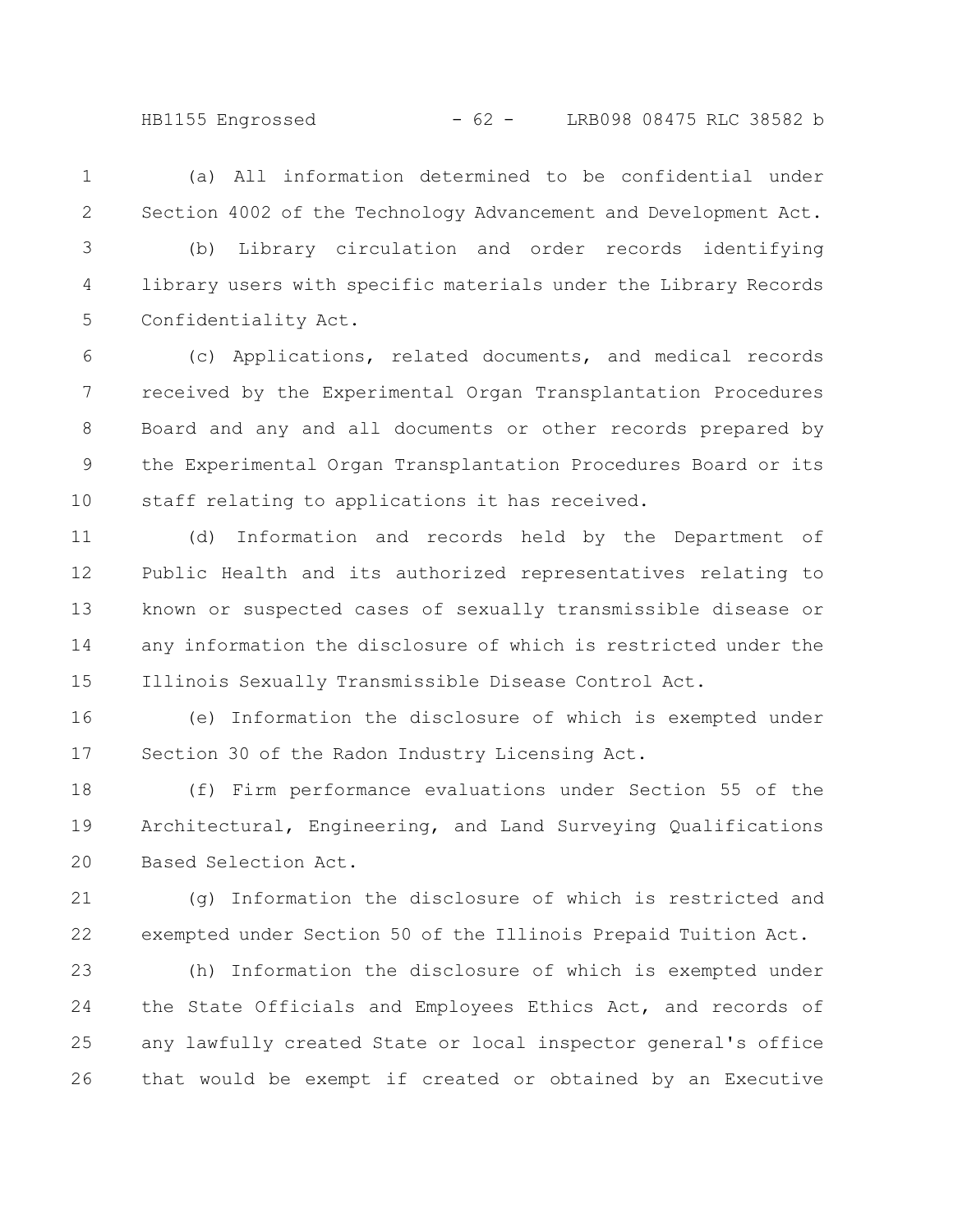- (a) All information determined to be confidential under Section 4002 of the Technology Advancement and Development Act. 1 2
- (b) Library circulation and order records identifying library users with specific materials under the Library Records Confidentiality Act. 3 4 5

(c) Applications, related documents, and medical records received by the Experimental Organ Transplantation Procedures Board and any and all documents or other records prepared by the Experimental Organ Transplantation Procedures Board or its staff relating to applications it has received. 6 7 8 9 10

(d) Information and records held by the Department of Public Health and its authorized representatives relating to known or suspected cases of sexually transmissible disease or any information the disclosure of which is restricted under the Illinois Sexually Transmissible Disease Control Act. 11 12 13 14 15

(e) Information the disclosure of which is exempted under Section 30 of the Radon Industry Licensing Act. 16 17

(f) Firm performance evaluations under Section 55 of the Architectural, Engineering, and Land Surveying Qualifications Based Selection Act. 18 19 20

(g) Information the disclosure of which is restricted and exempted under Section 50 of the Illinois Prepaid Tuition Act. 21 22

(h) Information the disclosure of which is exempted under the State Officials and Employees Ethics Act, and records of any lawfully created State or local inspector general's office that would be exempt if created or obtained by an Executive 23 24 25 26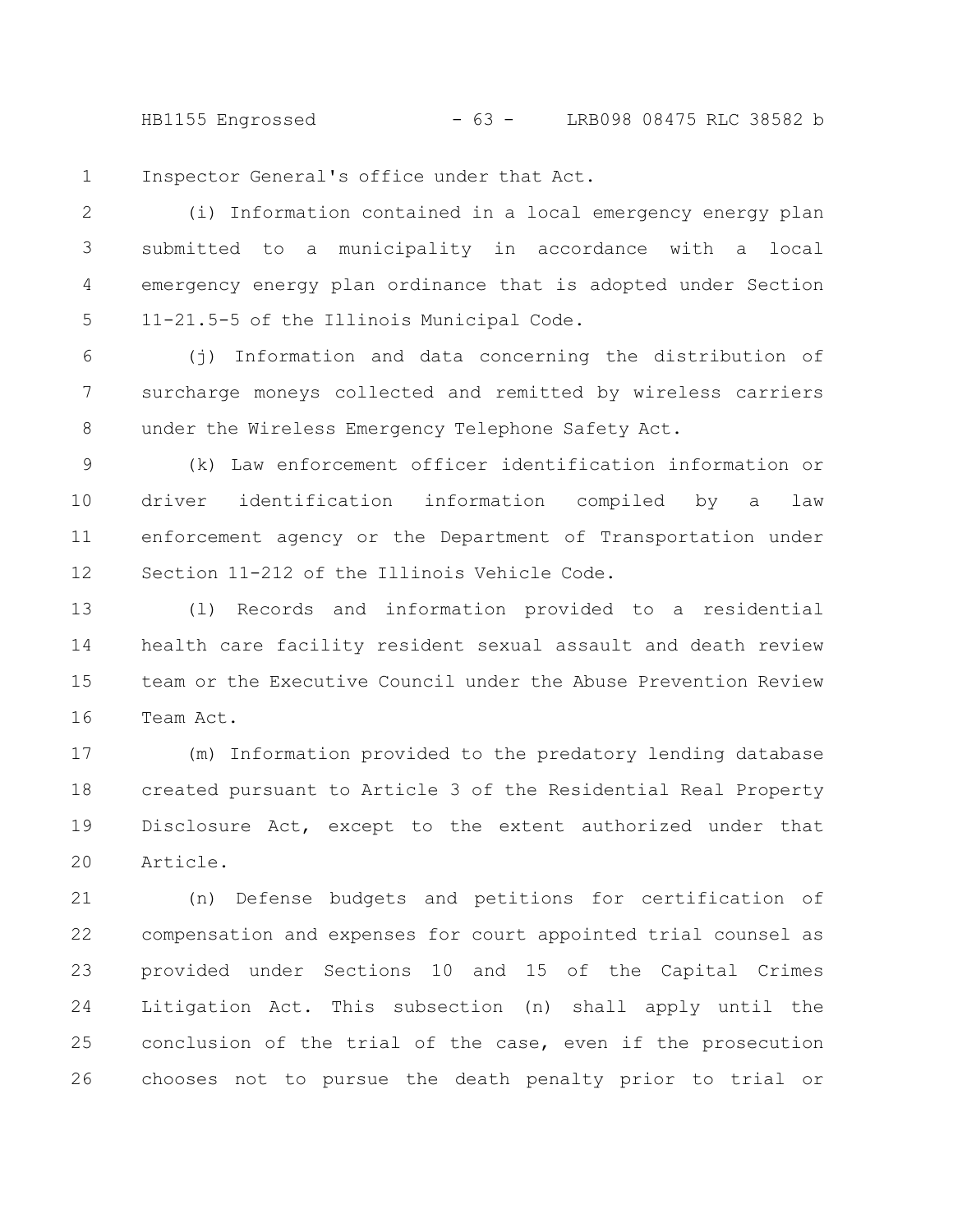HB1155 Engrossed - 63 - LRB098 08475 RLC 38582 b

Inspector General's office under that Act. 1

(i) Information contained in a local emergency energy plan submitted to a municipality in accordance with a local emergency energy plan ordinance that is adopted under Section 11-21.5-5 of the Illinois Municipal Code. 2 3 4 5

(j) Information and data concerning the distribution of surcharge moneys collected and remitted by wireless carriers under the Wireless Emergency Telephone Safety Act. 6 7 8

(k) Law enforcement officer identification information or driver identification information compiled by a law enforcement agency or the Department of Transportation under Section 11-212 of the Illinois Vehicle Code. 9 10 11 12

(l) Records and information provided to a residential health care facility resident sexual assault and death review team or the Executive Council under the Abuse Prevention Review Team Act. 13 14 15 16

(m) Information provided to the predatory lending database created pursuant to Article 3 of the Residential Real Property Disclosure Act, except to the extent authorized under that Article. 17 18 19 20

(n) Defense budgets and petitions for certification of compensation and expenses for court appointed trial counsel as provided under Sections 10 and 15 of the Capital Crimes Litigation Act. This subsection (n) shall apply until the conclusion of the trial of the case, even if the prosecution chooses not to pursue the death penalty prior to trial or 21 22 23 24 25 26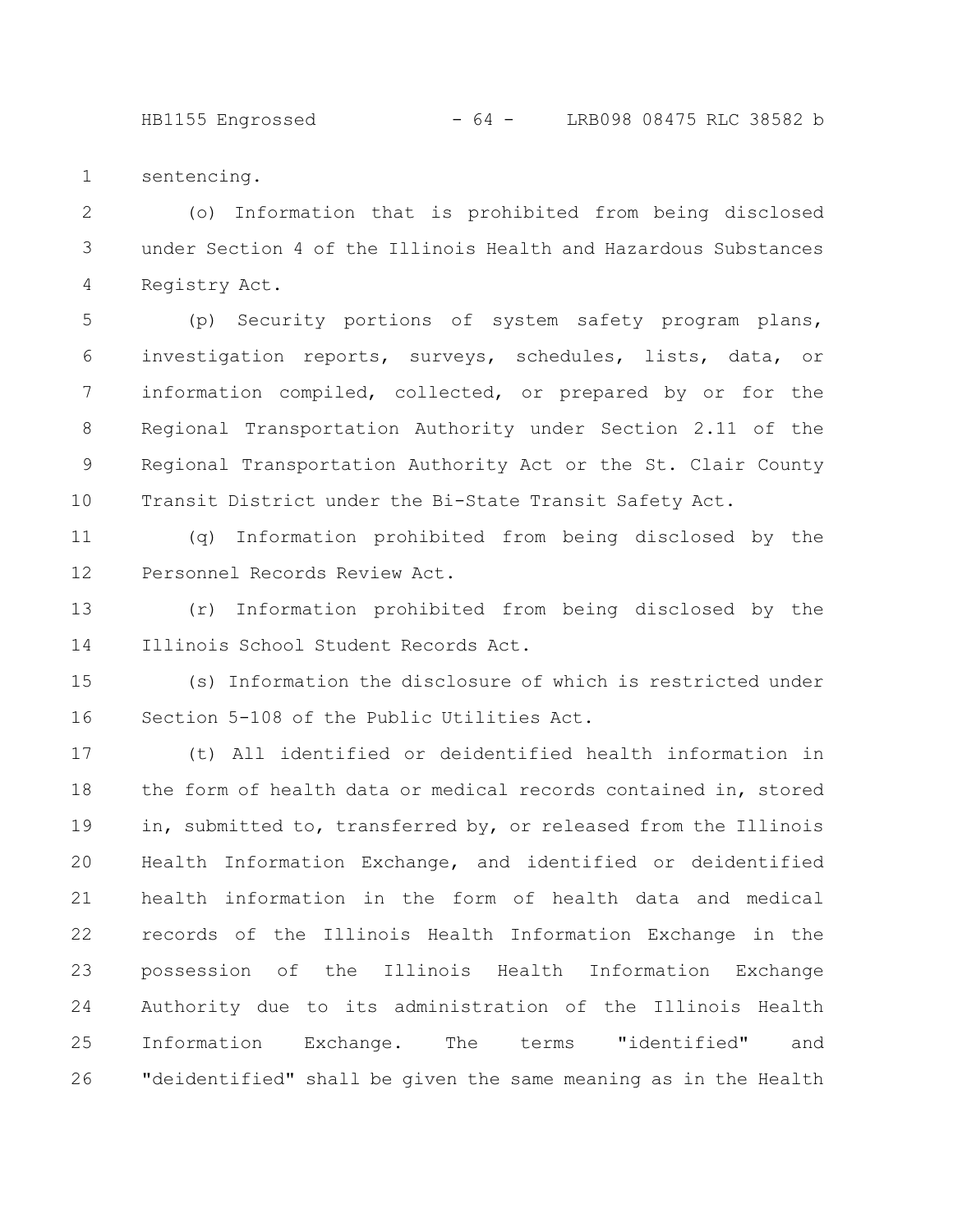HB1155 Engrossed - 64 - LRB098 08475 RLC 38582 b

sentencing. 1

(o) Information that is prohibited from being disclosed under Section 4 of the Illinois Health and Hazardous Substances Registry Act. 2 3 4

(p) Security portions of system safety program plans, investigation reports, surveys, schedules, lists, data, or information compiled, collected, or prepared by or for the Regional Transportation Authority under Section 2.11 of the Regional Transportation Authority Act or the St. Clair County Transit District under the Bi-State Transit Safety Act. 5 6 7 8 9 10

(q) Information prohibited from being disclosed by the Personnel Records Review Act. 11 12

(r) Information prohibited from being disclosed by the Illinois School Student Records Act. 13 14

(s) Information the disclosure of which is restricted under Section 5-108 of the Public Utilities Act. 15 16

(t) All identified or deidentified health information in the form of health data or medical records contained in, stored in, submitted to, transferred by, or released from the Illinois Health Information Exchange, and identified or deidentified health information in the form of health data and medical records of the Illinois Health Information Exchange in the possession of the Illinois Health Information Exchange Authority due to its administration of the Illinois Health Information Exchange. The terms "identified" and "deidentified" shall be given the same meaning as in the Health 17 18 19 20 21 22 23 24 25 26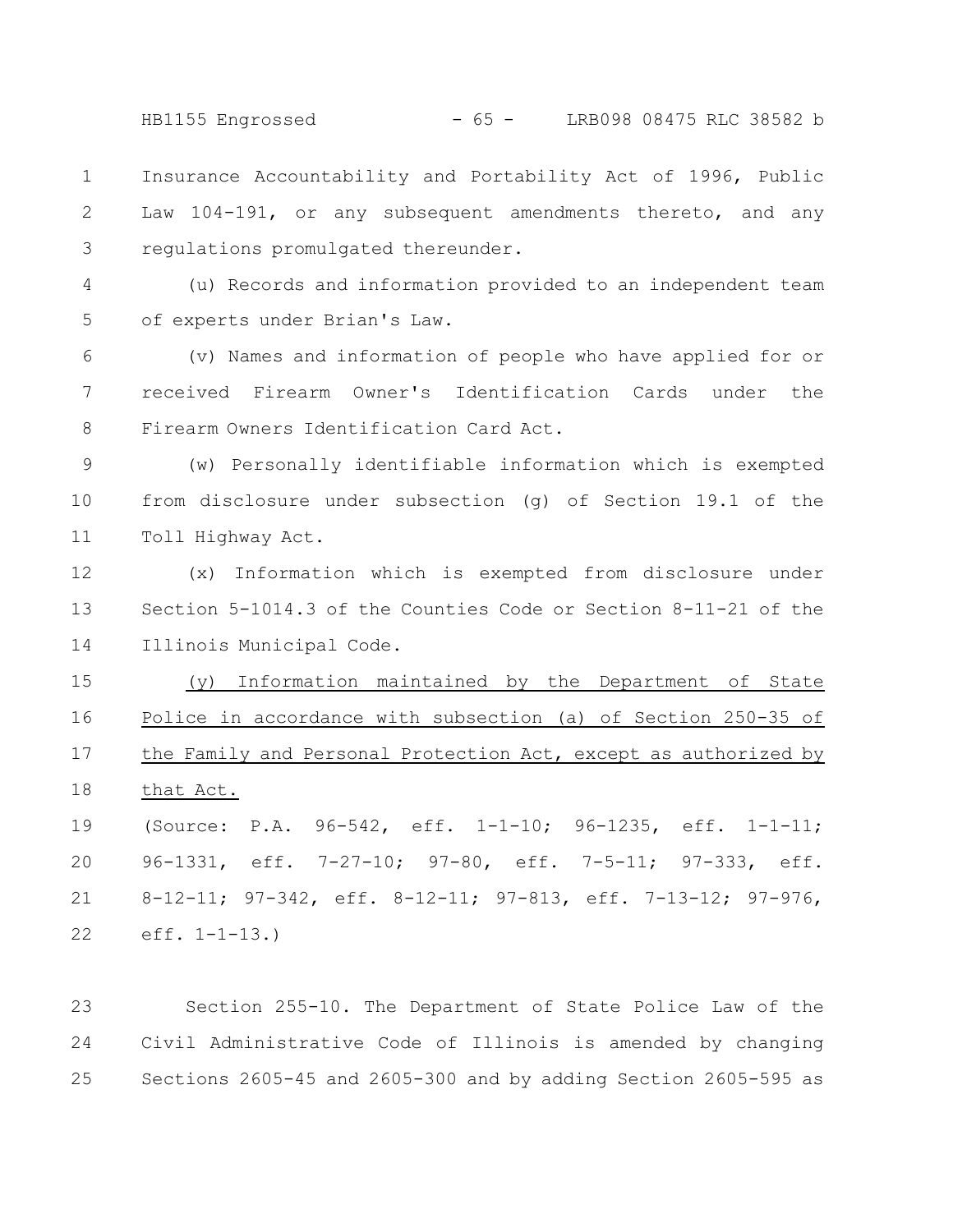HB1155 Engrossed - 65 - LRB098 08475 RLC 38582 b

Insurance Accountability and Portability Act of 1996, Public Law 104-191, or any subsequent amendments thereto, and any regulations promulgated thereunder. 1 2 3

(u) Records and information provided to an independent team of experts under Brian's Law. 4 5

(v) Names and information of people who have applied for or received Firearm Owner's Identification Cards under the Firearm Owners Identification Card Act. 6 7 8

(w) Personally identifiable information which is exempted from disclosure under subsection (g) of Section 19.1 of the Toll Highway Act. 9 10 11

(x) Information which is exempted from disclosure under Section 5-1014.3 of the Counties Code or Section 8-11-21 of the Illinois Municipal Code. 12 13 14

(y) Information maintained by the Department of State Police in accordance with subsection (a) of Section 250-35 of the Family and Personal Protection Act, except as authorized by that Act. 15 16 17 18

(Source: P.A. 96-542, eff. 1-1-10; 96-1235, eff. 1-1-11; 96-1331, eff. 7-27-10; 97-80, eff. 7-5-11; 97-333, eff. 8-12-11; 97-342, eff. 8-12-11; 97-813, eff. 7-13-12; 97-976, eff. 1-1-13.) 19 20 21 22

Section 255-10. The Department of State Police Law of the Civil Administrative Code of Illinois is amended by changing Sections 2605-45 and 2605-300 and by adding Section 2605-595 as 23 24 25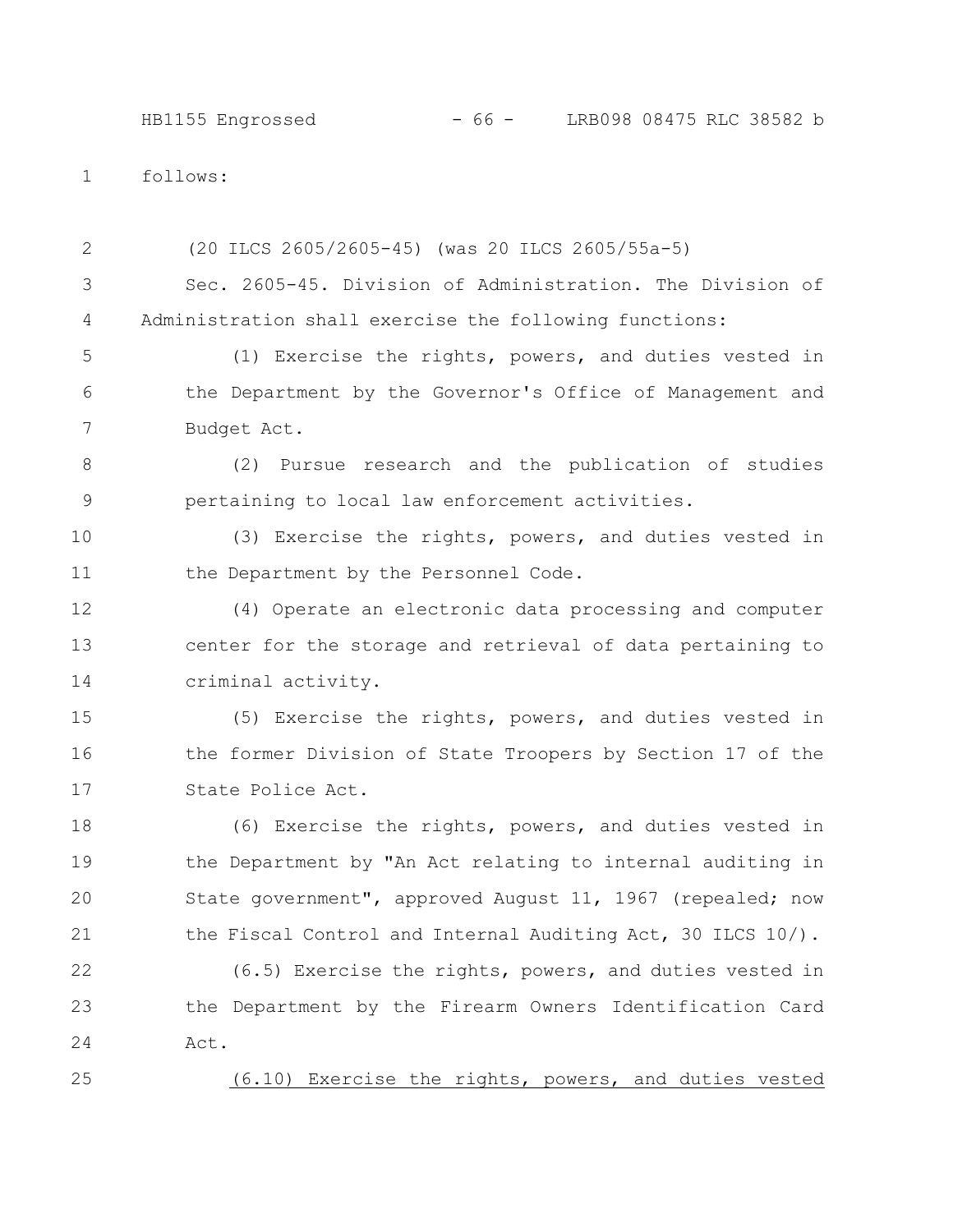## HB1155 Engrossed - 66 - LRB098 08475 RLC 38582 b

follows: 1

(20 ILCS 2605/2605-45) (was 20 ILCS 2605/55a-5) Sec. 2605-45. Division of Administration. The Division of Administration shall exercise the following functions: (1) Exercise the rights, powers, and duties vested in the Department by the Governor's Office of Management and Budget Act. (2) Pursue research and the publication of studies pertaining to local law enforcement activities. (3) Exercise the rights, powers, and duties vested in the Department by the Personnel Code. (4) Operate an electronic data processing and computer center for the storage and retrieval of data pertaining to criminal activity. (5) Exercise the rights, powers, and duties vested in the former Division of State Troopers by Section 17 of the State Police Act. (6) Exercise the rights, powers, and duties vested in the Department by "An Act relating to internal auditing in State government", approved August 11, 1967 (repealed; now the Fiscal Control and Internal Auditing Act, 30 ILCS 10/). (6.5) Exercise the rights, powers, and duties vested in the Department by the Firearm Owners Identification Card Act. 2 3 4 5 6 7 8 9 10 11 12 13 14 15 16 17 18 19 20 21 22 23 24

(6.10) Exercise the rights, powers, and duties vested

25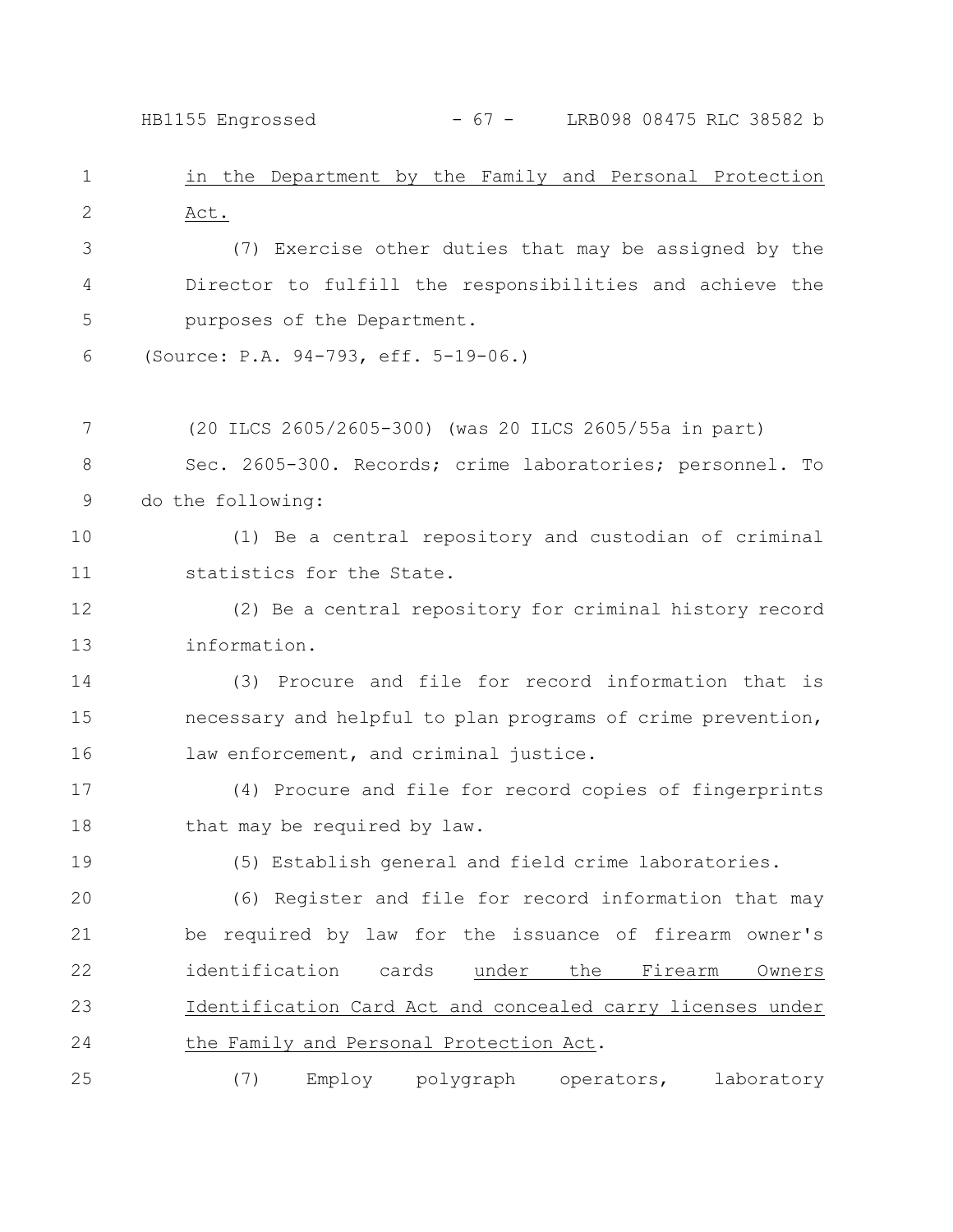in the Department by the Family and Personal Protection Act. HB1155 Engrossed - 67 - LRB098 08475 RLC 38582 b

(7) Exercise other duties that may be assigned by the Director to fulfill the responsibilities and achieve the purposes of the Department. 3 4 5

(Source: P.A. 94-793, eff. 5-19-06.) 6

(20 ILCS 2605/2605-300) (was 20 ILCS 2605/55a in part) 7

Sec. 2605-300. Records; crime laboratories; personnel. To do the following: 8 9

(1) Be a central repository and custodian of criminal statistics for the State. 10 11

(2) Be a central repository for criminal history record information. 12 13

(3) Procure and file for record information that is necessary and helpful to plan programs of crime prevention, law enforcement, and criminal justice. 14 15 16

(4) Procure and file for record copies of fingerprints that may be required by law. 17 18

19

1

2

(5) Establish general and field crime laboratories.

(6) Register and file for record information that may be required by law for the issuance of firearm owner's identification cards under the Firearm Owners Identification Card Act and concealed carry licenses under the Family and Personal Protection Act. 20 21 22 23 24

(7) Employ polygraph operators, laboratory 25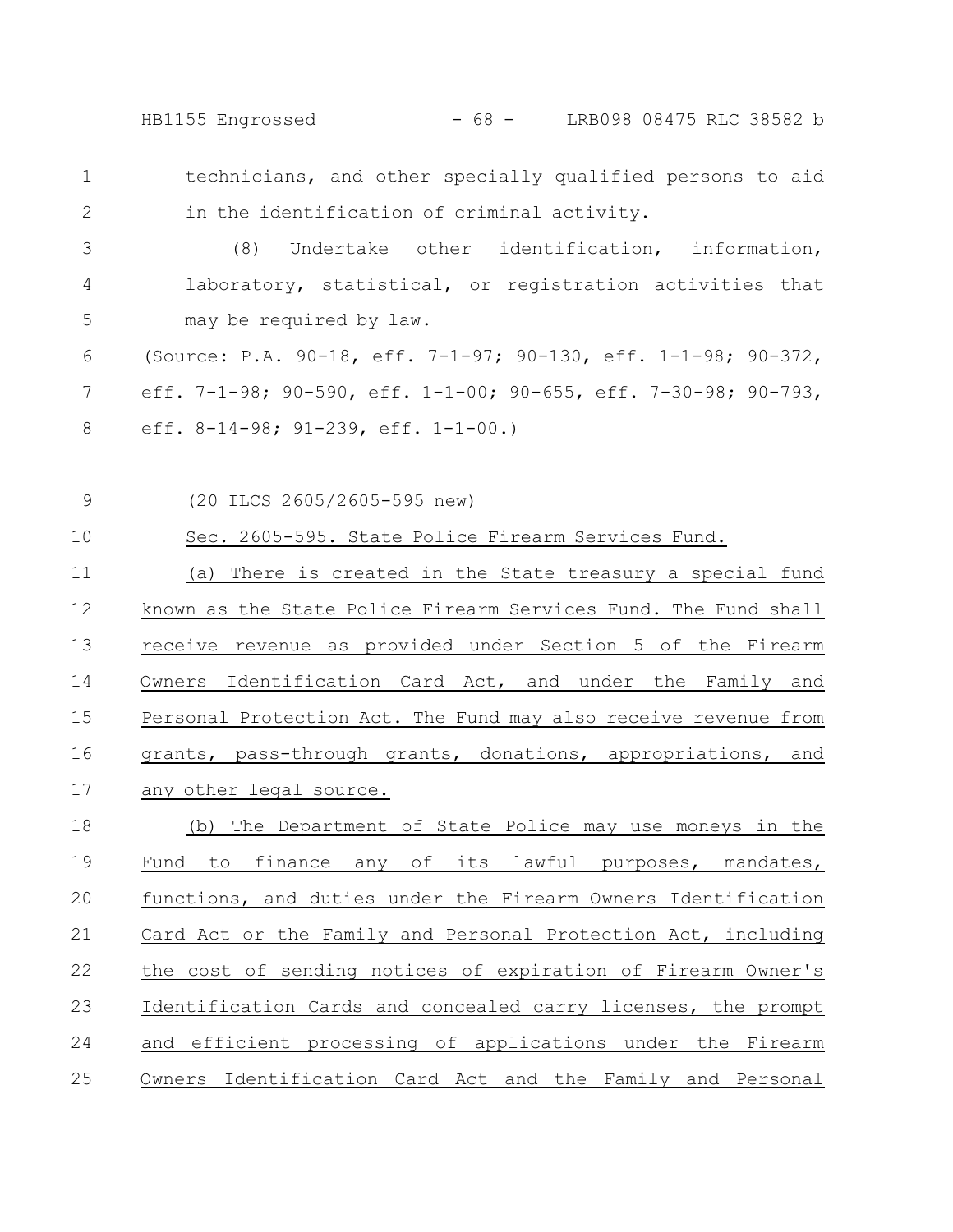HB1155 Engrossed - 68 - LRB098 08475 RLC 38582 b

- technicians, and other specially qualified persons to aid in the identification of criminal activity. 1 2
- (8) Undertake other identification, information, laboratory, statistical, or registration activities that may be required by law. 3 4 5
- (Source: P.A. 90-18, eff. 7-1-97; 90-130, eff. 1-1-98; 90-372, eff. 7-1-98; 90-590, eff. 1-1-00; 90-655, eff. 7-30-98; 90-793, eff. 8-14-98; 91-239, eff. 1-1-00.) 6 7 8
- (20 ILCS 2605/2605-595 new) 9

Sec. 2605-595. State Police Firearm Services Fund. 10

(a) There is created in the State treasury a special fund known as the State Police Firearm Services Fund. The Fund shall receive revenue as provided under Section 5 of the Firearm Owners Identification Card Act, and under the Family and Personal Protection Act. The Fund may also receive revenue from grants, pass-through grants, donations, appropriations, and any other legal source. 11 12 13 14 15 16 17

(b) The Department of State Police may use moneys in the Fund to finance any of its lawful purposes, mandates, functions, and duties under the Firearm Owners Identification Card Act or the Family and Personal Protection Act, including the cost of sending notices of expiration of Firearm Owner's Identification Cards and concealed carry licenses, the prompt and efficient processing of applications under the Firearm Owners Identification Card Act and the Family and Personal 18 19 20 21 22 23 24 25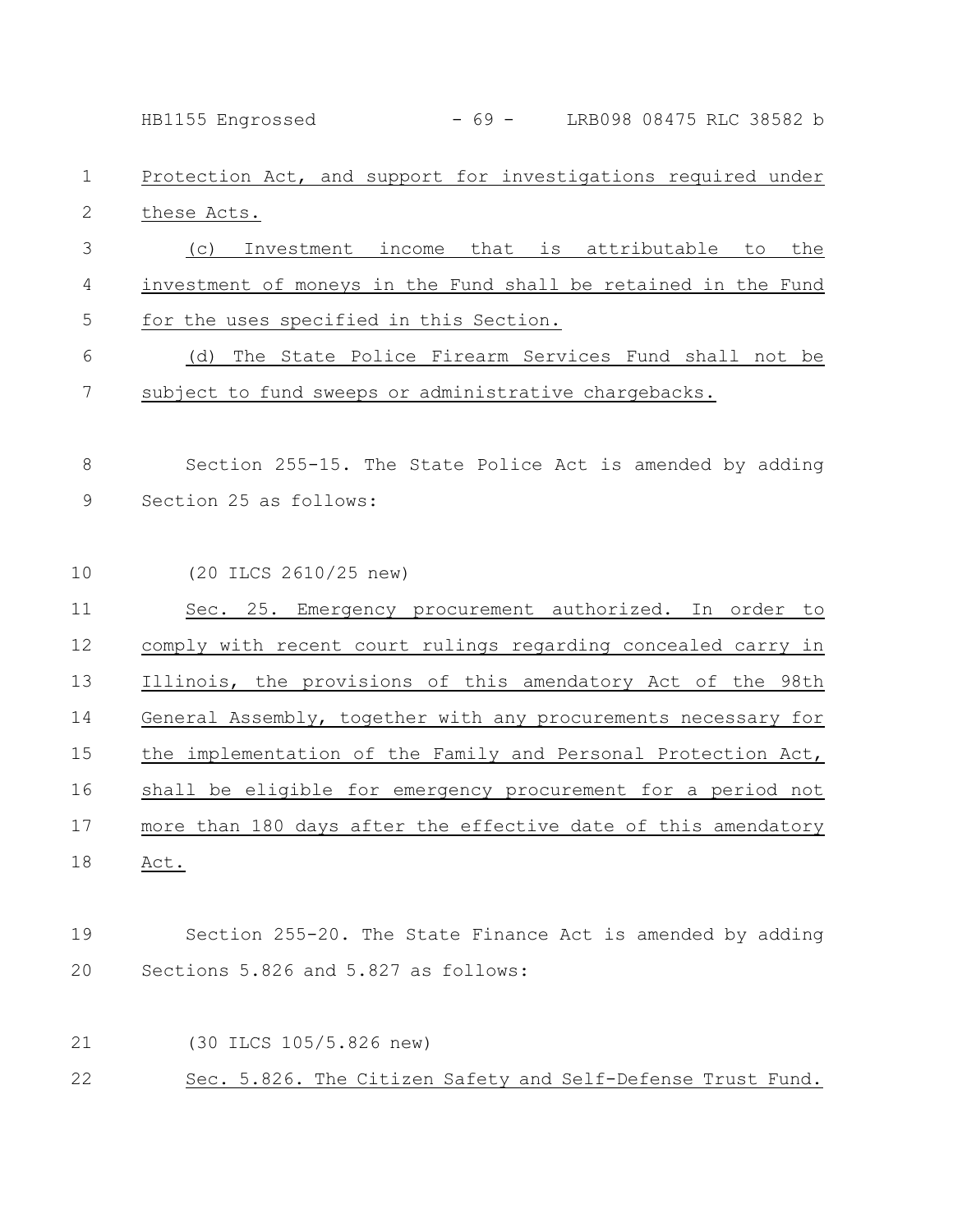HB1155 Engrossed - 69 - LRB098 08475 RLC 38582 b

## Protection Act, and support for investigations required under these Acts. 1 2

(c) Investment income that is attributable to the investment of moneys in the Fund shall be retained in the Fund for the uses specified in this Section. 3 4 5

(d) The State Police Firearm Services Fund shall not be subject to fund sweeps or administrative chargebacks. 6 7

Section 255-15. The State Police Act is amended by adding Section 25 as follows: 8 9

(20 ILCS 2610/25 new) Sec. 25. Emergency procurement authorized. In order to comply with recent court rulings regarding concealed carry in Illinois, the provisions of this amendatory Act of the 98th General Assembly, together with any procurements necessary for the implementation of the Family and Personal Protection Act, shall be eligible for emergency procurement for a period not more than 180 days after the effective date of this amendatory Act. 10 11 12 13 14 15 16 17 18

## Section 255-20. The State Finance Act is amended by adding Sections 5.826 and 5.827 as follows: 19 20

- (30 ILCS 105/5.826 new) 21
- Sec. 5.826. The Citizen Safety and Self-Defense Trust Fund. 22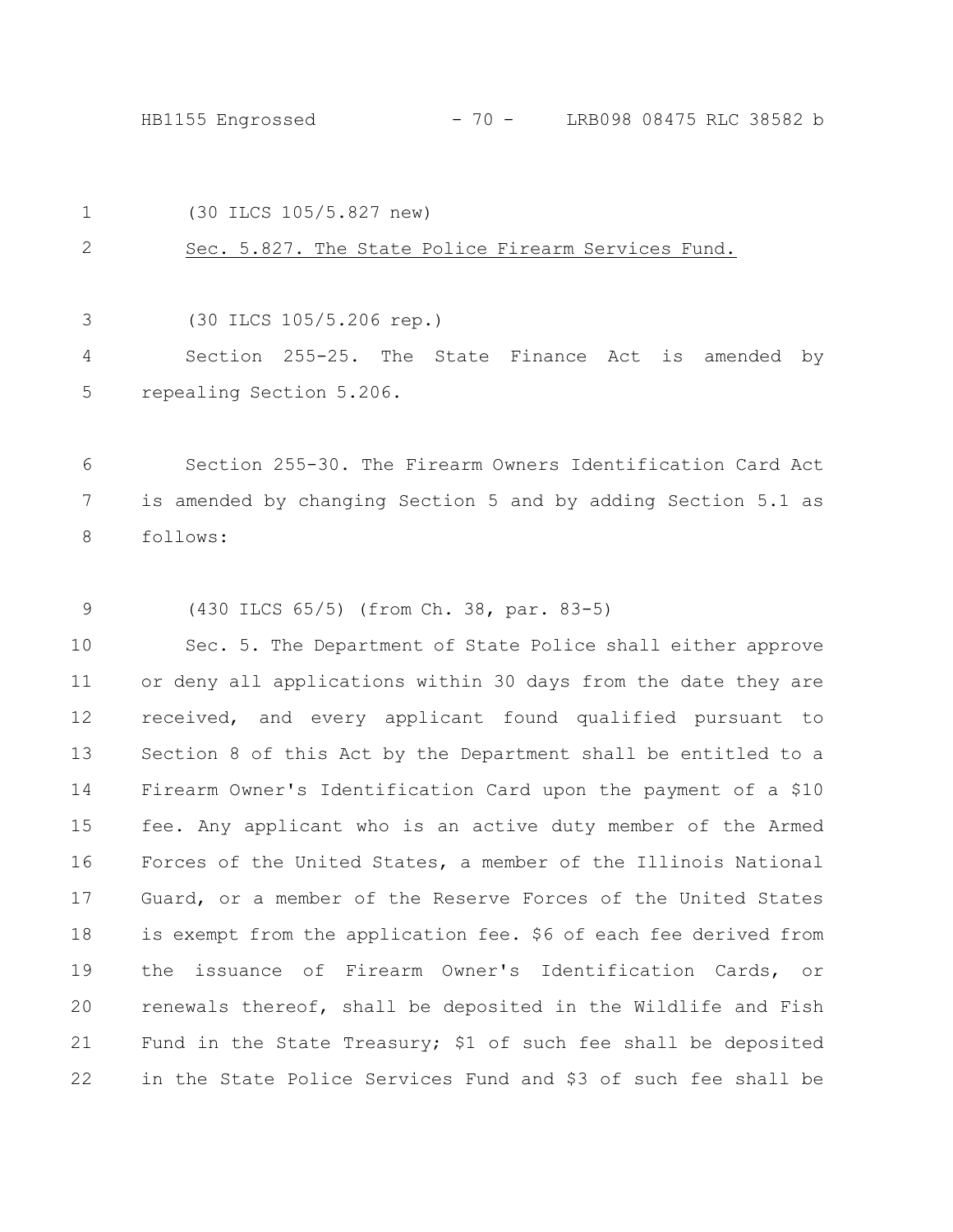HB1155 Engrossed - 70 - LRB098 08475 RLC 38582 b

(30 ILCS 105/5.827 new) 1

Sec. 5.827. The State Police Firearm Services Fund. 2

(30 ILCS 105/5.206 rep.) 3

Section 255-25. The State Finance Act is amended by repealing Section 5.206. 4 5

Section 255-30. The Firearm Owners Identification Card Act is amended by changing Section 5 and by adding Section 5.1 as follows: 6 7 8

(430 ILCS 65/5) (from Ch. 38, par. 83-5) 9

Sec. 5. The Department of State Police shall either approve or deny all applications within 30 days from the date they are received, and every applicant found qualified pursuant to Section 8 of this Act by the Department shall be entitled to a Firearm Owner's Identification Card upon the payment of a \$10 fee. Any applicant who is an active duty member of the Armed Forces of the United States, a member of the Illinois National Guard, or a member of the Reserve Forces of the United States is exempt from the application fee. \$6 of each fee derived from the issuance of Firearm Owner's Identification Cards, or renewals thereof, shall be deposited in the Wildlife and Fish Fund in the State Treasury; \$1 of such fee shall be deposited in the State Police Services Fund and \$3 of such fee shall be 10 11 12 13 14 15 16 17 18 19 20 21 22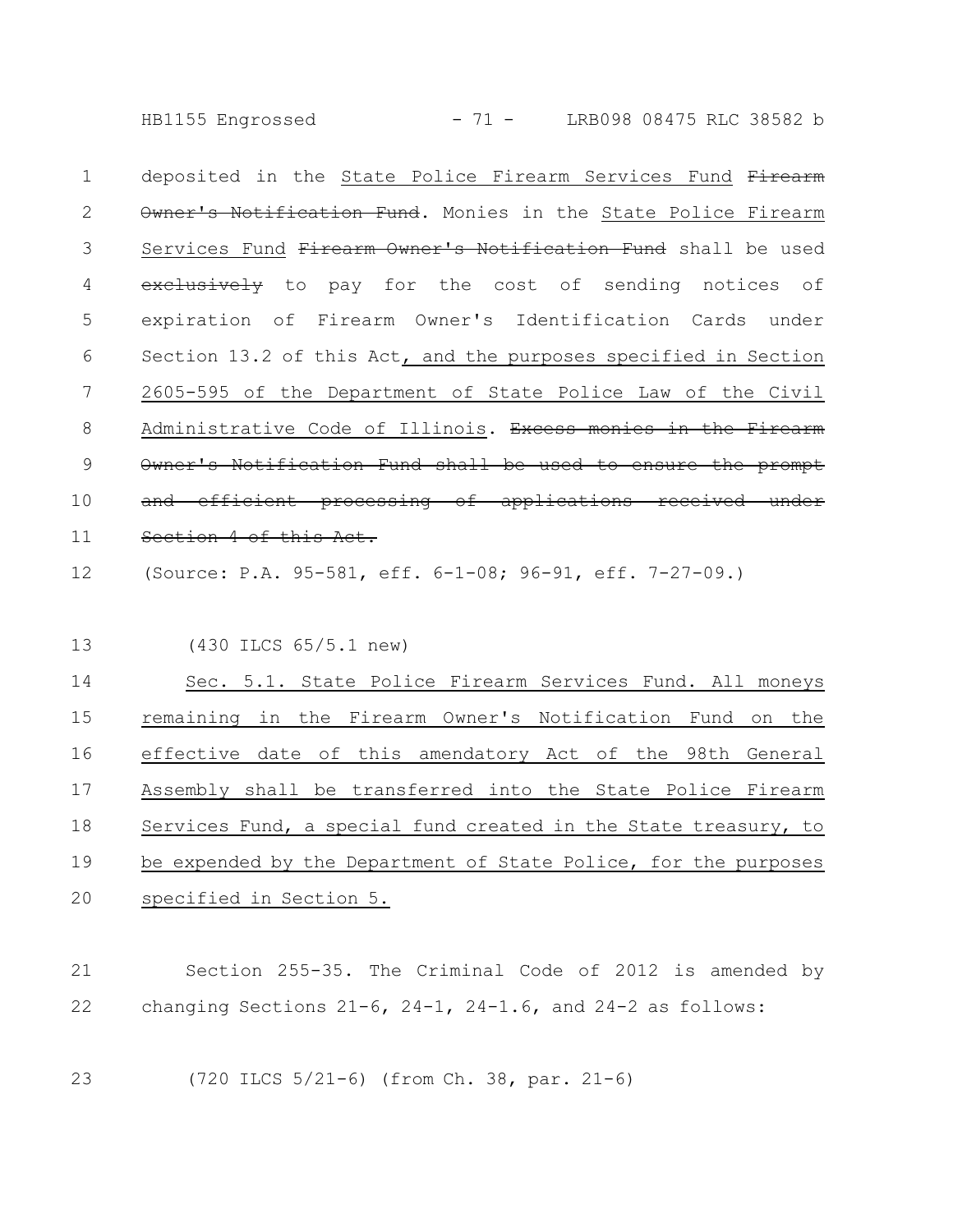HB1155 Engrossed - 71 - LRB098 08475 RLC 38582 b

deposited in the State Police Firearm Services Fund Firearm Owner's Notification Fund. Monies in the State Police Firearm Services Fund Firearm Owner's Notification Fund shall be used exclusively to pay for the cost of sending notices of expiration of Firearm Owner's Identification Cards under Section 13.2 of this Act, and the purposes specified in Section 2605-595 of the Department of State Police Law of the Civil Administrative Code of Illinois. Excess monies in the Owner's Notification Fund shall be used to ensure and efficient processing of applications received Section 4 of this Act. 1 2 3 4 5 6 7 8 9 10 11

(Source: P.A. 95-581, eff. 6-1-08; 96-91, eff. 7-27-09.) 12

(430 ILCS 65/5.1 new) 13

Sec. 5.1. State Police Firearm Services Fund. All moneys remaining in the Firearm Owner's Notification Fund on the effective date of this amendatory Act of the 98th General Assembly shall be transferred into the State Police Firearm Services Fund, a special fund created in the State treasury, to be expended by the Department of State Police, for the purposes specified in Section 5. 14 15 16 17 18 19 20

Section 255-35. The Criminal Code of 2012 is amended by changing Sections 21-6, 24-1, 24-1.6, and 24-2 as follows: 21 22

(720 ILCS 5/21-6) (from Ch. 38, par. 21-6) 23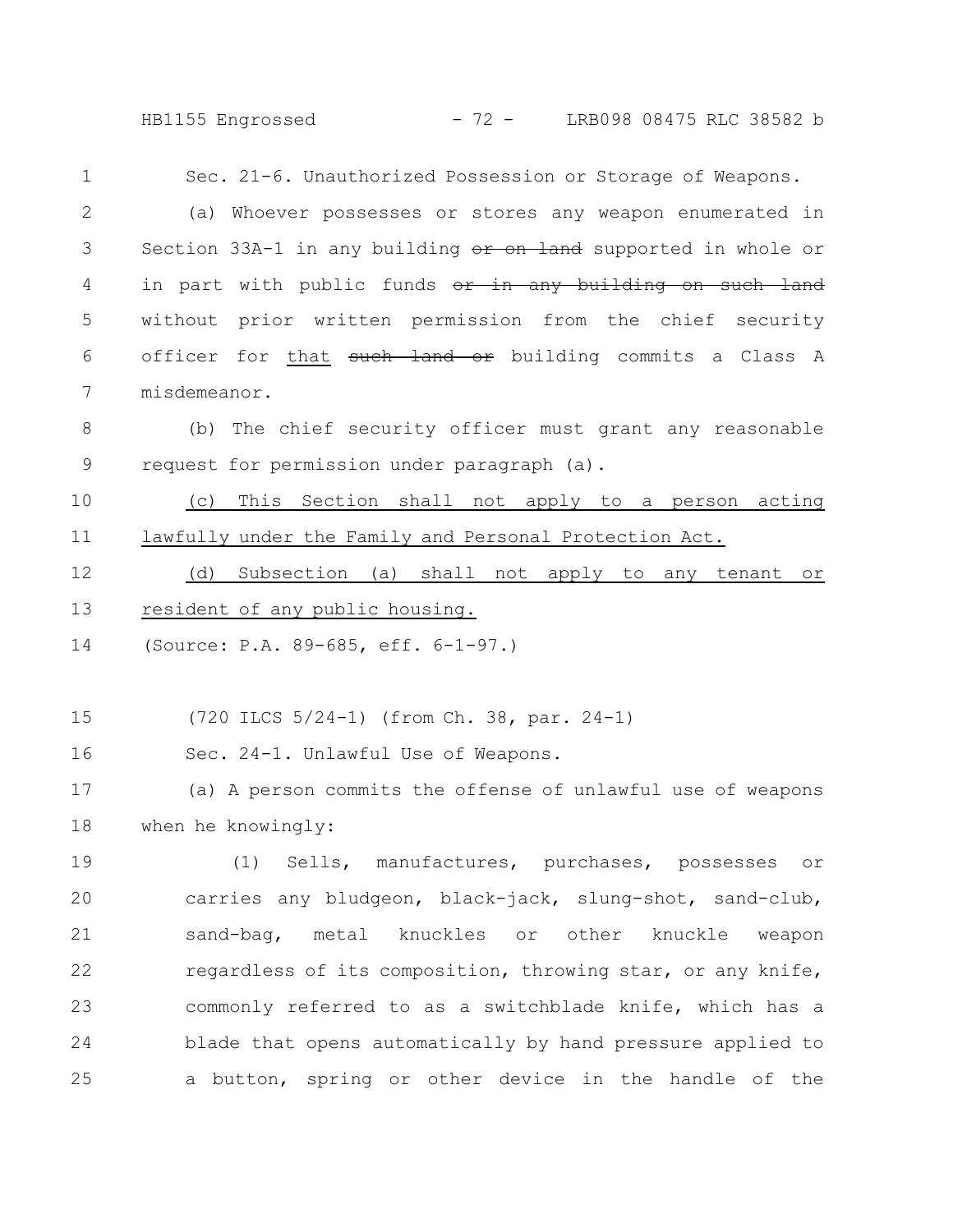HB1155 Engrossed - 72 - LRB098 08475 RLC 38582 b

Sec. 21-6. Unauthorized Possession or Storage of Weapons. (a) Whoever possesses or stores any weapon enumerated in Section 33A-1 in any building or on land supported in whole or in part with public funds or in any building on such land without prior written permission from the chief security officer for that such land or building commits a Class A misdemeanor. (b) The chief security officer must grant any reasonable request for permission under paragraph (a). (c) This Section shall not apply to a person acting lawfully under the Family and Personal Protection Act. (d) Subsection (a) shall not apply to any tenant or resident of any public housing. (Source: P.A. 89-685, eff. 6-1-97.) (720 ILCS 5/24-1) (from Ch. 38, par. 24-1) Sec. 24-1. Unlawful Use of Weapons. (a) A person commits the offense of unlawful use of weapons when he knowingly: (1) Sells, manufactures, purchases, possesses or carries any bludgeon, black-jack, slung-shot, sand-club, sand-bag, metal knuckles or other knuckle weapon regardless of its composition, throwing star, or any knife, commonly referred to as a switchblade knife, which has a blade that opens automatically by hand pressure applied to a button, spring or other device in the handle of the 1 2 3 4 5 6 7 8 9 10 11 12 13 14 15 16 17 18 19 20 21 22 23 24 25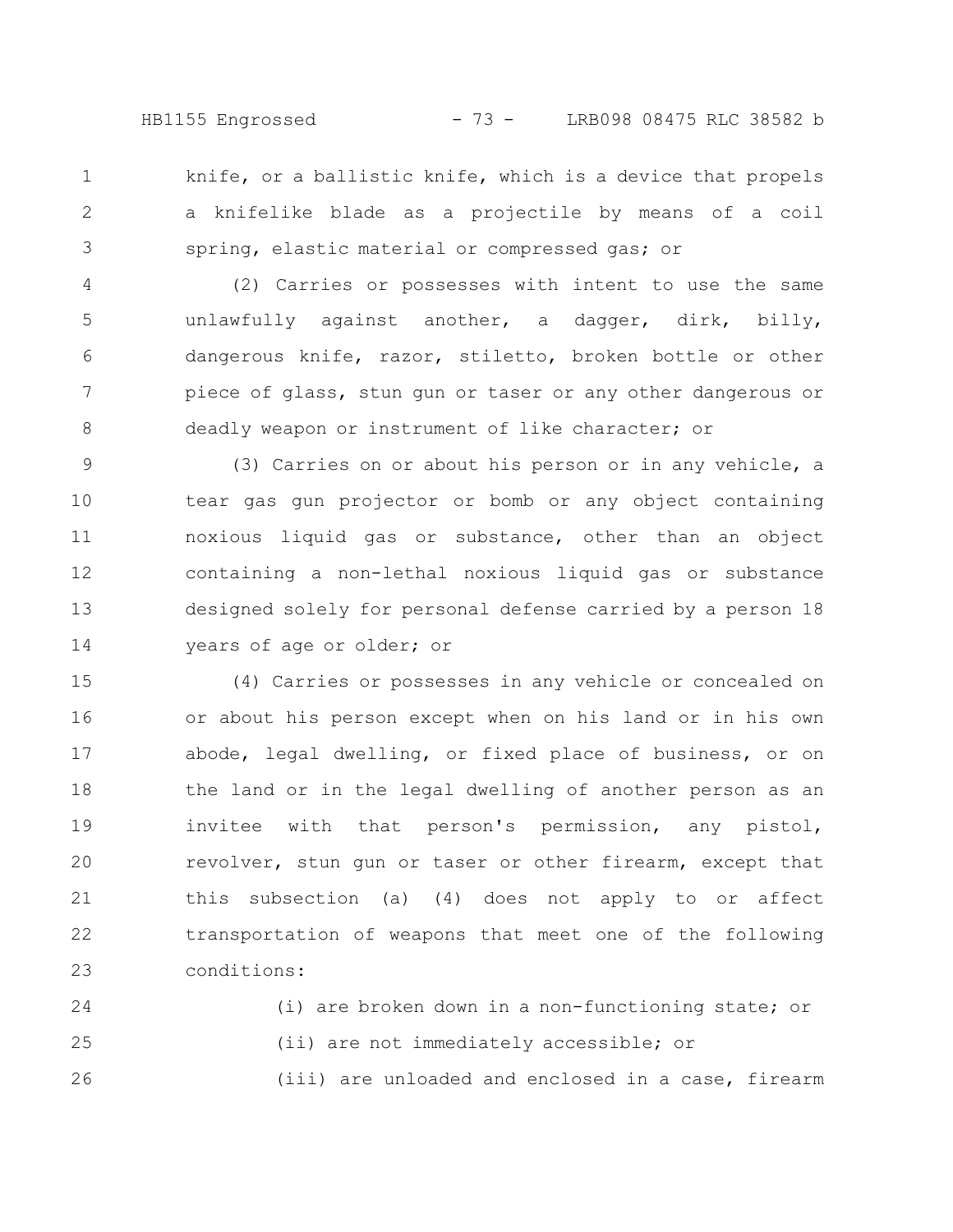HB1155 Engrossed - 73 - LRB098 08475 RLC 38582 b

knife, or a ballistic knife, which is a device that propels a knifelike blade as a projectile by means of a coil spring, elastic material or compressed gas; or 1 2 3

(2) Carries or possesses with intent to use the same unlawfully against another, a dagger, dirk, billy, dangerous knife, razor, stiletto, broken bottle or other piece of glass, stun gun or taser or any other dangerous or deadly weapon or instrument of like character; or 4 5 6 7 8

(3) Carries on or about his person or in any vehicle, a tear gas gun projector or bomb or any object containing noxious liquid gas or substance, other than an object containing a non-lethal noxious liquid gas or substance designed solely for personal defense carried by a person 18 years of age or older; or 9 10 11 12 13 14

(4) Carries or possesses in any vehicle or concealed on or about his person except when on his land or in his own abode, legal dwelling, or fixed place of business, or on the land or in the legal dwelling of another person as an invitee with that person's permission, any pistol, revolver, stun gun or taser or other firearm, except that this subsection (a) (4) does not apply to or affect transportation of weapons that meet one of the following conditions: 15 16 17 18 19 20 21 22 23

(i) are broken down in a non-functioning state; or (ii) are not immediately accessible; or (iii) are unloaded and enclosed in a case, firearm 24 25 26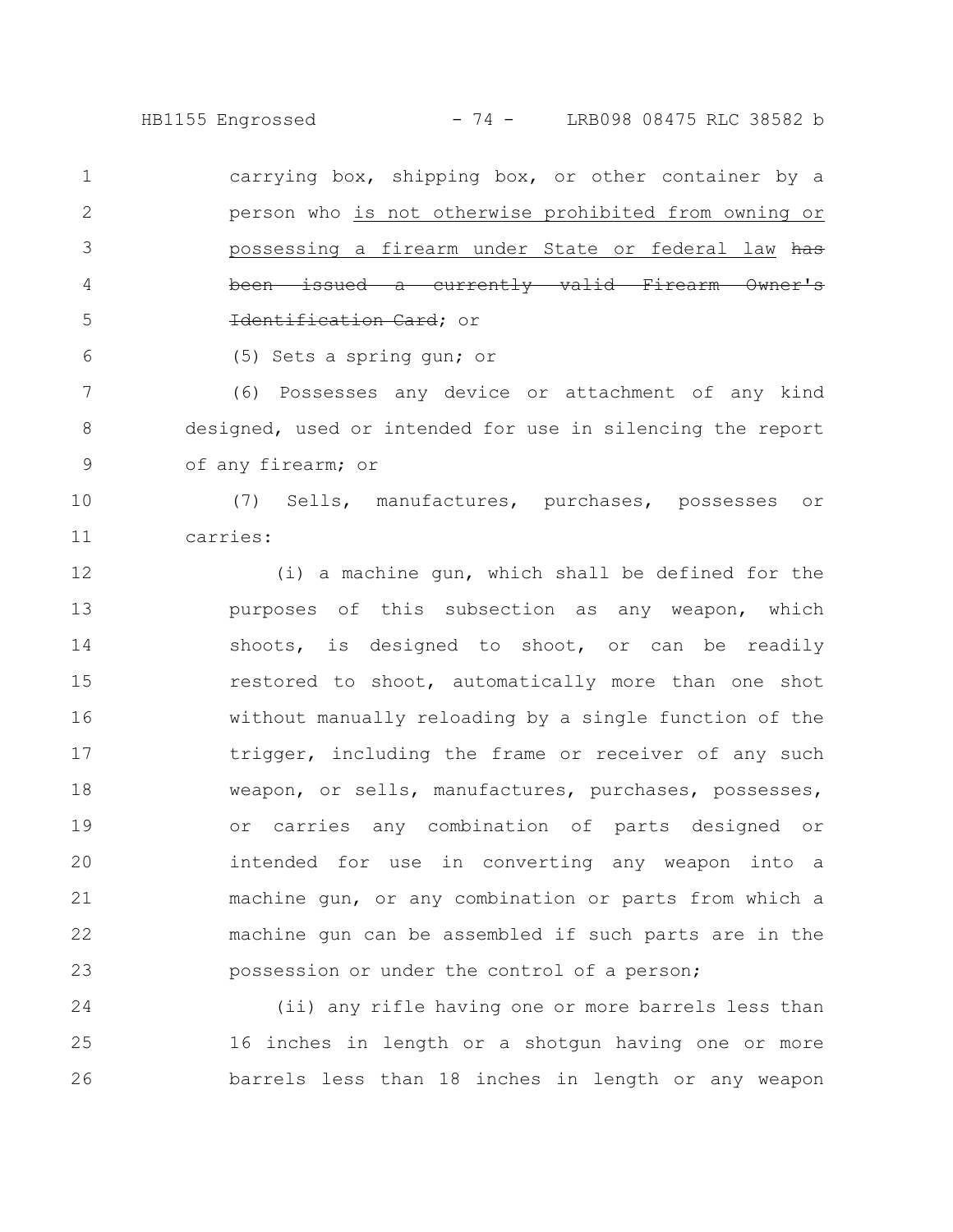HB1155 Engrossed - 74 - LRB098 08475 RLC 38582 b

carrying box, shipping box, or other container by a person who is not otherwise prohibited from owning or possessing a firearm under State or federal law has issued a currently valid Firearm Identification Card; or 1 2 3 4 5

(5) Sets a spring gun; or

6

(6) Possesses any device or attachment of any kind designed, used or intended for use in silencing the report of any firearm; or 7 8 9

(7) Sells, manufactures, purchases, possesses or carries: 10 11

(i) a machine gun, which shall be defined for the purposes of this subsection as any weapon, which shoots, is designed to shoot, or can be readily restored to shoot, automatically more than one shot without manually reloading by a single function of the trigger, including the frame or receiver of any such weapon, or sells, manufactures, purchases, possesses, or carries any combination of parts designed or intended for use in converting any weapon into a machine gun, or any combination or parts from which a machine gun can be assembled if such parts are in the possession or under the control of a person; 12 13 14 15 16 17 18 19 20 21 22 23

(ii) any rifle having one or more barrels less than 16 inches in length or a shotgun having one or more barrels less than 18 inches in length or any weapon 24 25 26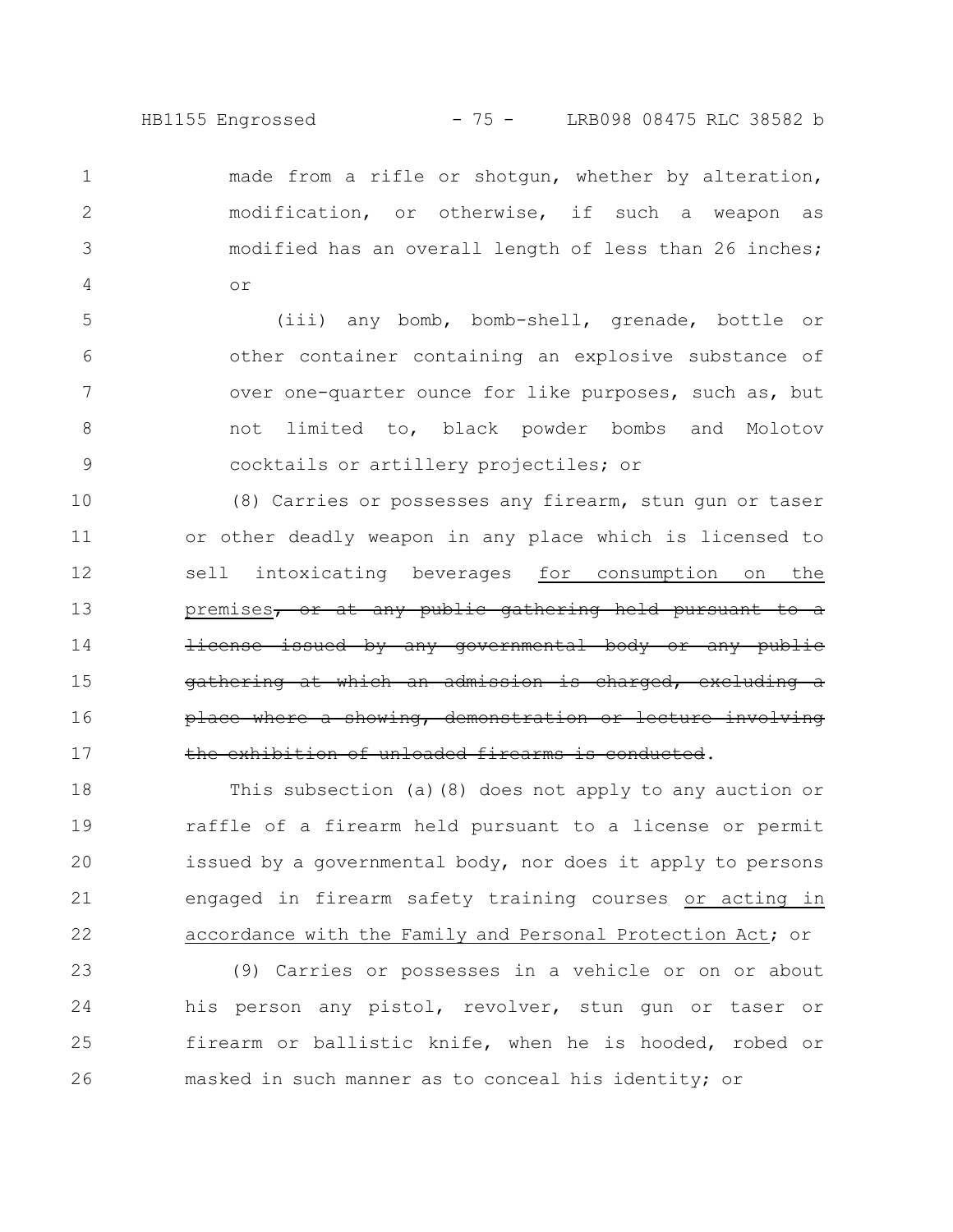made from a rifle or shotgun, whether by alteration, modification, or otherwise, if such a weapon as modified has an overall length of less than 26 inches; or

1

2

3

4

(iii) any bomb, bomb-shell, grenade, bottle or other container containing an explosive substance of over one-quarter ounce for like purposes, such as, but not limited to, black powder bombs and Molotov cocktails or artillery projectiles; or 5 6 7 8 9

(8) Carries or possesses any firearm, stun gun or taser or other deadly weapon in any place which is licensed to sell intoxicating beverages for consumption on the premises, or at any public gathering held pursuant license issued by any governmental body or any public gathering at which an admission is charged, place where a showing, demonstration the exhibition of unloaded firearms is conducted. 10 11 12 13 14 15 16 17

This subsection (a)(8) does not apply to any auction or raffle of a firearm held pursuant to a license or permit issued by a governmental body, nor does it apply to persons engaged in firearm safety training courses or acting in accordance with the Family and Personal Protection Act; or 18 19 20 21 22

(9) Carries or possesses in a vehicle or on or about his person any pistol, revolver, stun gun or taser or firearm or ballistic knife, when he is hooded, robed or masked in such manner as to conceal his identity; or 23 24 25 26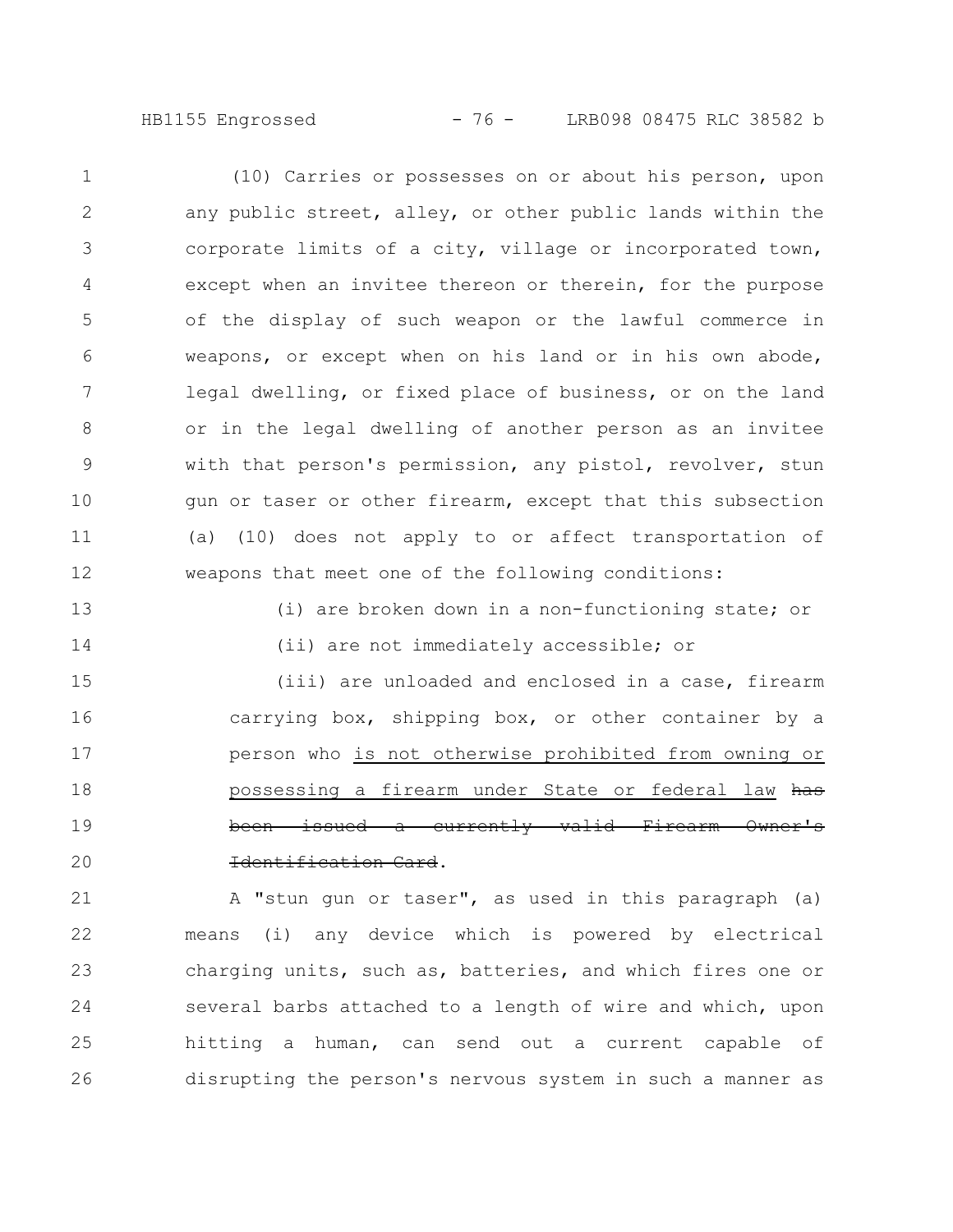HB1155 Engrossed - 76 - LRB098 08475 RLC 38582 b

(10) Carries or possesses on or about his person, upon any public street, alley, or other public lands within the corporate limits of a city, village or incorporated town, except when an invitee thereon or therein, for the purpose of the display of such weapon or the lawful commerce in weapons, or except when on his land or in his own abode, legal dwelling, or fixed place of business, or on the land or in the legal dwelling of another person as an invitee with that person's permission, any pistol, revolver, stun gun or taser or other firearm, except that this subsection (a) (10) does not apply to or affect transportation of weapons that meet one of the following conditions: 1 2 3 4 5 6 7 8 9 10 11 12

13

14

(i) are broken down in a non-functioning state; or (ii) are not immediately accessible; or

(iii) are unloaded and enclosed in a case, firearm carrying box, shipping box, or other container by a person who is not otherwise prohibited from owning or possessing a firearm under State or federal law has been issued a currently valid Firearm Owner's Identification Card. 15 16 17 18 19 20

A "stun gun or taser", as used in this paragraph (a) means (i) any device which is powered by electrical charging units, such as, batteries, and which fires one or several barbs attached to a length of wire and which, upon hitting a human, can send out a current capable of disrupting the person's nervous system in such a manner as 21 22 23 24 25 26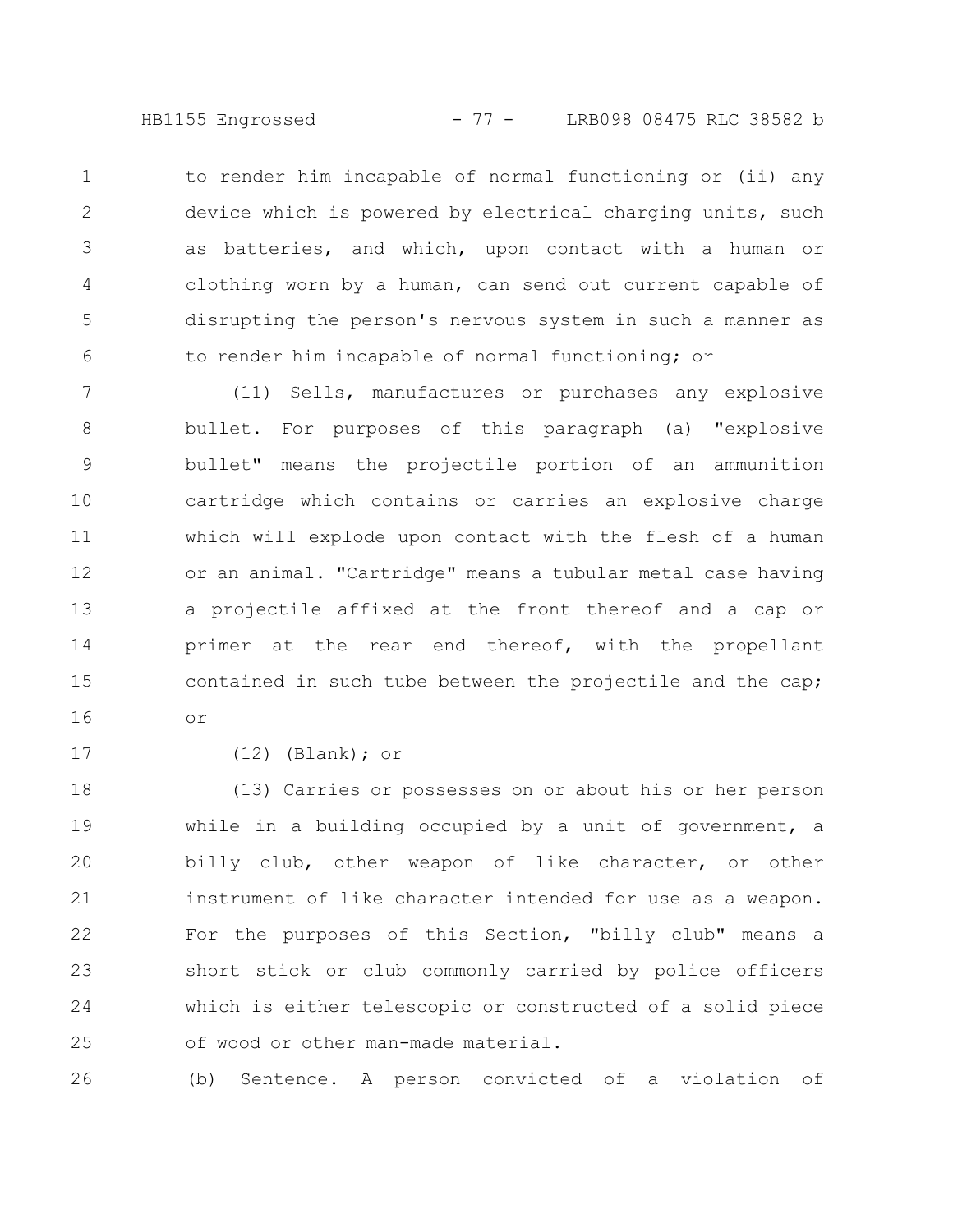HB1155 Engrossed - 77 - LRB098 08475 RLC 38582 b

to render him incapable of normal functioning or (ii) any device which is powered by electrical charging units, such as batteries, and which, upon contact with a human or clothing worn by a human, can send out current capable of disrupting the person's nervous system in such a manner as to render him incapable of normal functioning; or 1 2 3 4 5 6

(11) Sells, manufactures or purchases any explosive bullet. For purposes of this paragraph (a) "explosive bullet" means the projectile portion of an ammunition cartridge which contains or carries an explosive charge which will explode upon contact with the flesh of a human or an animal. "Cartridge" means a tubular metal case having a projectile affixed at the front thereof and a cap or primer at the rear end thereof, with the propellant contained in such tube between the projectile and the cap; or 7 8 9 10 11 12 13 14 15 16

17

(12) (Blank); or

(13) Carries or possesses on or about his or her person while in a building occupied by a unit of government, a billy club, other weapon of like character, or other instrument of like character intended for use as a weapon. For the purposes of this Section, "billy club" means a short stick or club commonly carried by police officers which is either telescopic or constructed of a solid piece of wood or other man-made material. 18 19 20 21 22 23 24 25

(b) Sentence. A person convicted of a violation of 26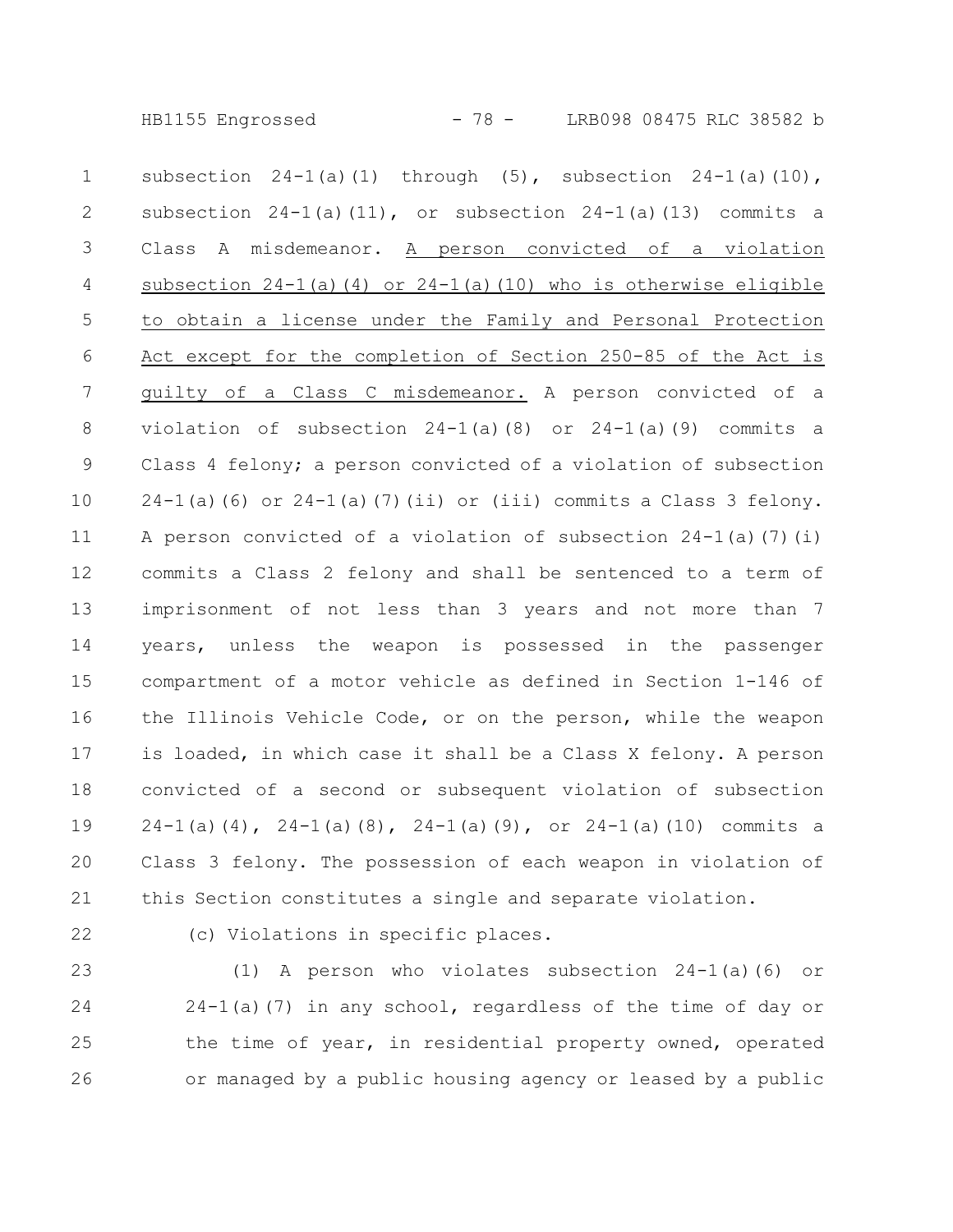HB1155 Engrossed - 78 - LRB098 08475 RLC 38582 b

subsection  $24-1$ (a)(1) through (5), subsection  $24-1$ (a)(10), subsection  $24-1$ (a)(11), or subsection  $24-1$ (a)(13) commits a Class A misdemeanor. A person convicted of a violation subsection  $24-1$ (a)(4) or  $24-1$ (a)(10) who is otherwise eligible to obtain a license under the Family and Personal Protection Act except for the completion of Section 250-85 of the Act is guilty of a Class C misdemeanor. A person convicted of a violation of subsection 24-1(a)(8) or 24-1(a)(9) commits a Class 4 felony; a person convicted of a violation of subsection  $24-1$ (a)(6) or  $24-1$ (a)(7)(ii) or (iii) commits a Class 3 felony. A person convicted of a violation of subsection  $24-1$  (a)(7)(i) commits a Class 2 felony and shall be sentenced to a term of imprisonment of not less than 3 years and not more than 7 years, unless the weapon is possessed in the passenger compartment of a motor vehicle as defined in Section 1-146 of the Illinois Vehicle Code, or on the person, while the weapon is loaded, in which case it shall be a Class X felony. A person convicted of a second or subsequent violation of subsection  $24-1$ (a)(4),  $24-1$ (a)(8),  $24-1$ (a)(9), or  $24-1$ (a)(10) commits a Class 3 felony. The possession of each weapon in violation of this Section constitutes a single and separate violation. 1 2 3 4 5 6 7 8 9 10 11 12 13 14 15 16 17 18 19 20 21

22

(c) Violations in specific places.

(1) A person who violates subsection 24-1(a)(6) or  $24-1$ (a)(7) in any school, regardless of the time of day or the time of year, in residential property owned, operated or managed by a public housing agency or leased by a public 23 24 25 26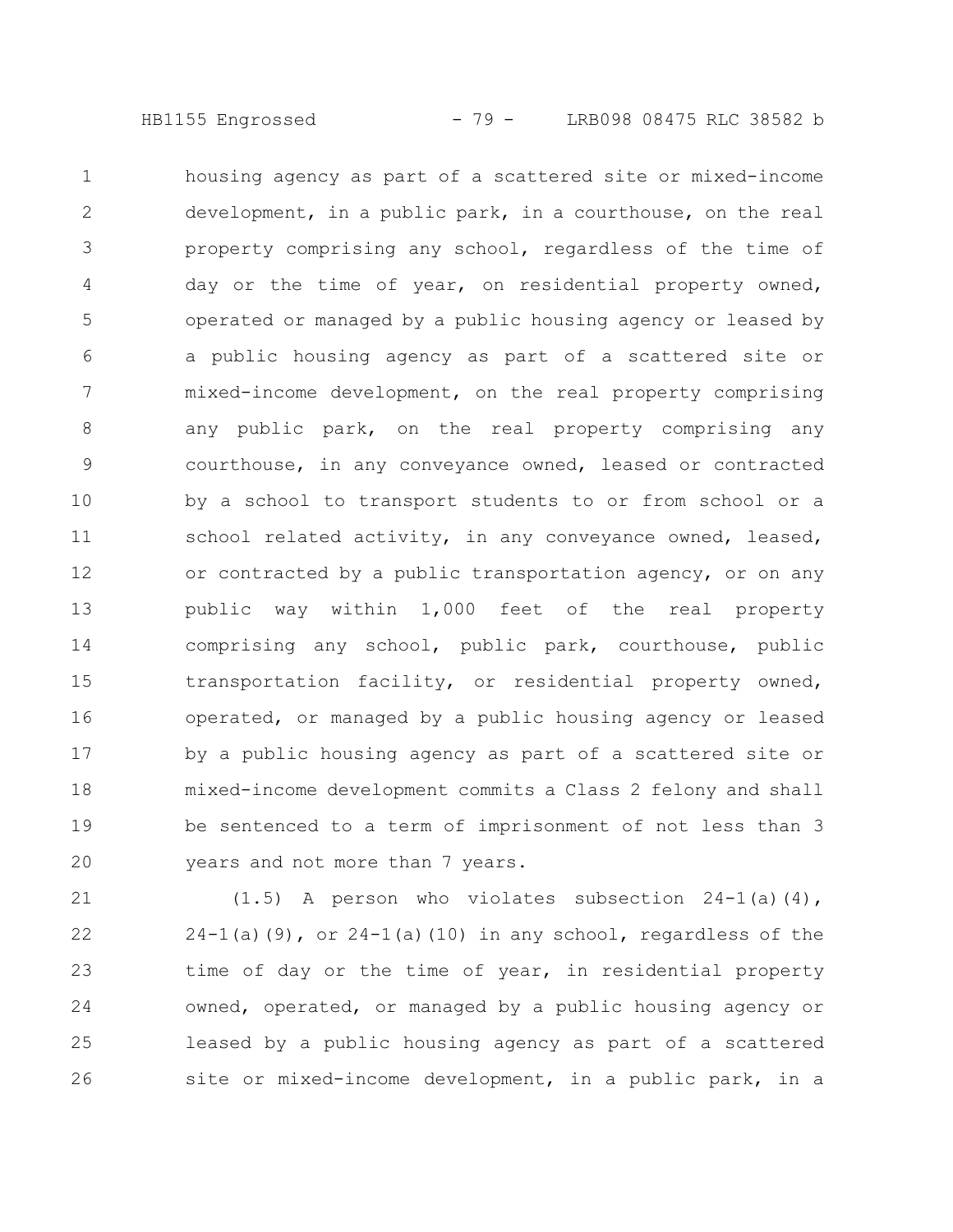housing agency as part of a scattered site or mixed-income development, in a public park, in a courthouse, on the real property comprising any school, regardless of the time of day or the time of year, on residential property owned, operated or managed by a public housing agency or leased by a public housing agency as part of a scattered site or mixed-income development, on the real property comprising any public park, on the real property comprising any courthouse, in any conveyance owned, leased or contracted by a school to transport students to or from school or a school related activity, in any conveyance owned, leased, or contracted by a public transportation agency, or on any public way within 1,000 feet of the real property comprising any school, public park, courthouse, public transportation facility, or residential property owned, operated, or managed by a public housing agency or leased by a public housing agency as part of a scattered site or mixed-income development commits a Class 2 felony and shall be sentenced to a term of imprisonment of not less than 3 years and not more than 7 years. 1 2 3 4 5 6 7 8 9 10 11 12 13 14 15 16 17 18 19 20

 $(1.5)$  A person who violates subsection  $24-1$ (a)(4),  $24-1$ (a)(9), or  $24-1$ (a)(10) in any school, regardless of the time of day or the time of year, in residential property owned, operated, or managed by a public housing agency or leased by a public housing agency as part of a scattered site or mixed-income development, in a public park, in a 21 22 23 24 25 26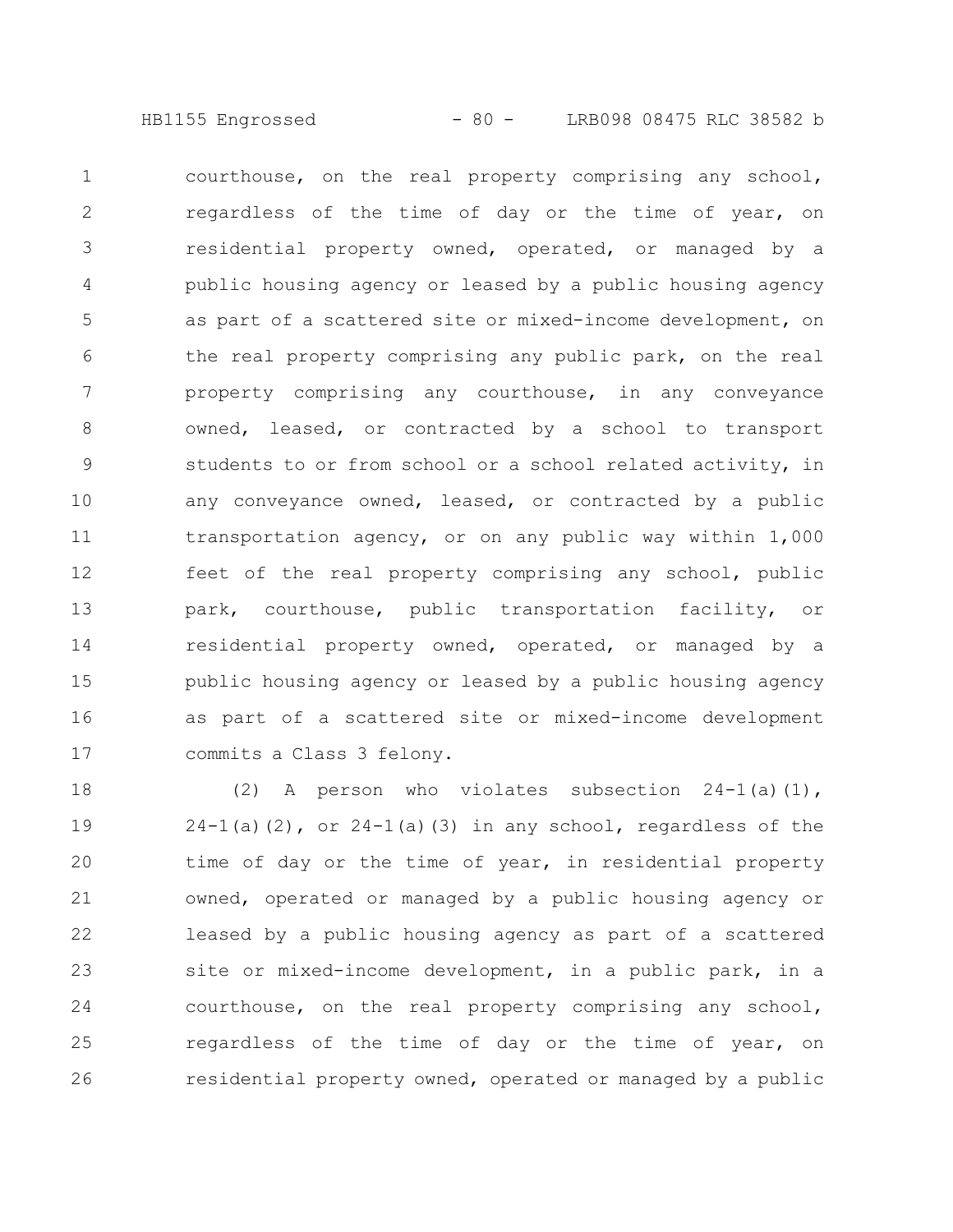HB1155 Engrossed - 80 - LRB098 08475 RLC 38582 b

courthouse, on the real property comprising any school, regardless of the time of day or the time of year, on residential property owned, operated, or managed by a public housing agency or leased by a public housing agency as part of a scattered site or mixed-income development, on the real property comprising any public park, on the real property comprising any courthouse, in any conveyance owned, leased, or contracted by a school to transport students to or from school or a school related activity, in any conveyance owned, leased, or contracted by a public transportation agency, or on any public way within 1,000 feet of the real property comprising any school, public park, courthouse, public transportation facility, or residential property owned, operated, or managed by a public housing agency or leased by a public housing agency as part of a scattered site or mixed-income development commits a Class 3 felony. 1 2 3 4 5 6 7 8 9 10 11 12 13 14 15 16 17

(2) A person who violates subsection  $24-1$ (a)(1),  $24-1$ (a)(2), or  $24-1$ (a)(3) in any school, regardless of the time of day or the time of year, in residential property owned, operated or managed by a public housing agency or leased by a public housing agency as part of a scattered site or mixed-income development, in a public park, in a courthouse, on the real property comprising any school, regardless of the time of day or the time of year, on residential property owned, operated or managed by a public 18 19 20 21 22 23 24 25 26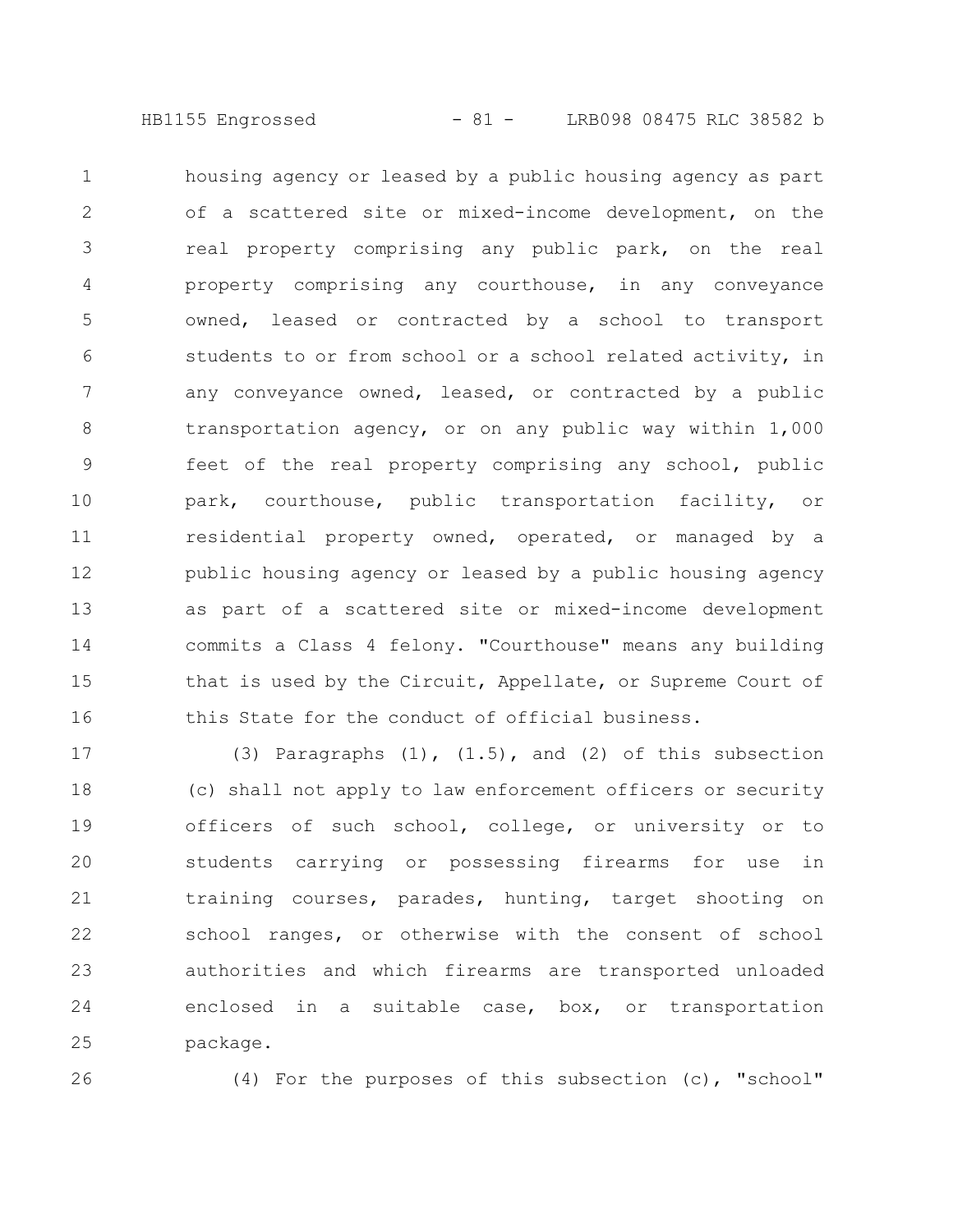housing agency or leased by a public housing agency as part of a scattered site or mixed-income development, on the real property comprising any public park, on the real property comprising any courthouse, in any conveyance owned, leased or contracted by a school to transport students to or from school or a school related activity, in any conveyance owned, leased, or contracted by a public transportation agency, or on any public way within 1,000 feet of the real property comprising any school, public park, courthouse, public transportation facility, or residential property owned, operated, or managed by a public housing agency or leased by a public housing agency as part of a scattered site or mixed-income development commits a Class 4 felony. "Courthouse" means any building that is used by the Circuit, Appellate, or Supreme Court of this State for the conduct of official business. 1 2 3 4 5 6 7 8 9 10 11 12 13 14 15 16

(3) Paragraphs  $(1)$ ,  $(1.5)$ , and  $(2)$  of this subsection (c) shall not apply to law enforcement officers or security officers of such school, college, or university or to students carrying or possessing firearms for use in training courses, parades, hunting, target shooting on school ranges, or otherwise with the consent of school authorities and which firearms are transported unloaded enclosed in a suitable case, box, or transportation package. 17 18 19 20 21 22 23 24 25

26

(4) For the purposes of this subsection (c), "school"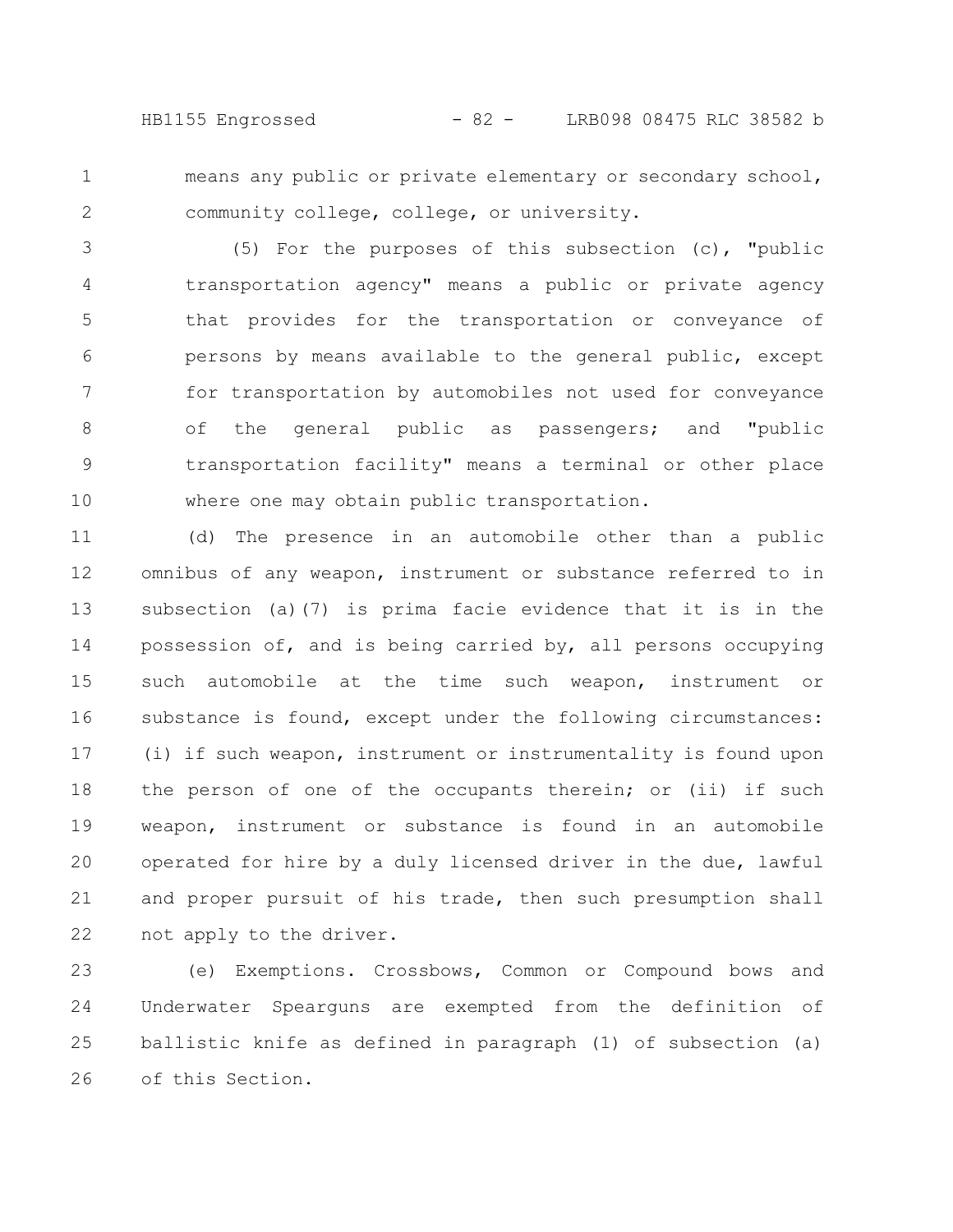HB1155 Engrossed - 82 - LRB098 08475 RLC 38582 b

1 2 means any public or private elementary or secondary school, community college, college, or university.

(5) For the purposes of this subsection (c), "public transportation agency" means a public or private agency that provides for the transportation or conveyance of persons by means available to the general public, except for transportation by automobiles not used for conveyance of the general public as passengers; and "public transportation facility" means a terminal or other place where one may obtain public transportation. 3 4 5 6 7 8 9 10

(d) The presence in an automobile other than a public omnibus of any weapon, instrument or substance referred to in subsection (a)(7) is prima facie evidence that it is in the possession of, and is being carried by, all persons occupying such automobile at the time such weapon, instrument or substance is found, except under the following circumstances: (i) if such weapon, instrument or instrumentality is found upon the person of one of the occupants therein; or (ii) if such weapon, instrument or substance is found in an automobile operated for hire by a duly licensed driver in the due, lawful and proper pursuit of his trade, then such presumption shall not apply to the driver. 11 12 13 14 15 16 17 18 19 20 21 22

(e) Exemptions. Crossbows, Common or Compound bows and Underwater Spearguns are exempted from the definition of ballistic knife as defined in paragraph (1) of subsection (a) of this Section. 23 24 25 26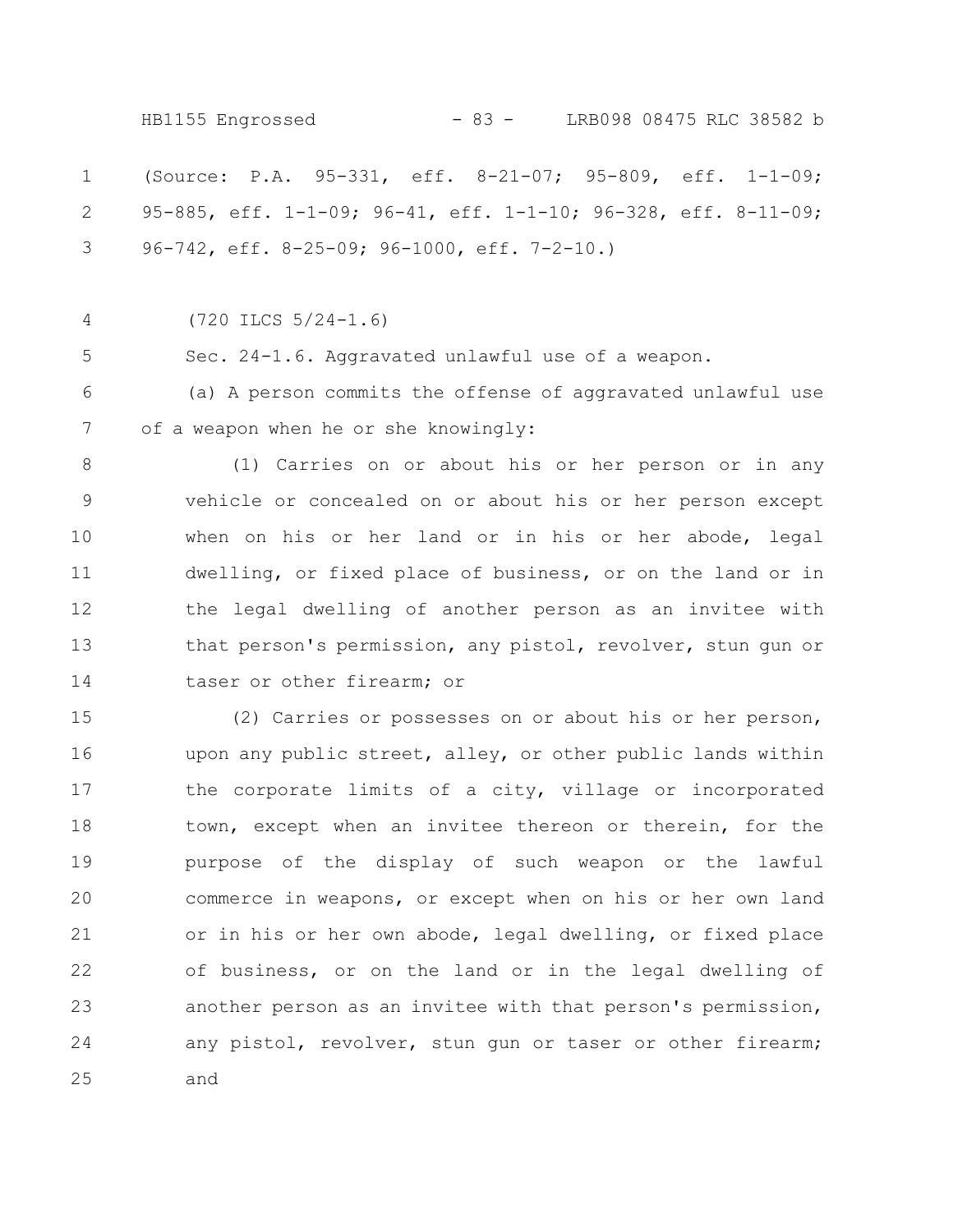(Source: P.A. 95-331, eff. 8-21-07; 95-809, eff. 1-1-09; 95-885, eff. 1-1-09; 96-41, eff. 1-1-10; 96-328, eff. 8-11-09; 96-742, eff. 8-25-09; 96-1000, eff. 7-2-10.) (720 ILCS 5/24-1.6) Sec. 24-1.6. Aggravated unlawful use of a weapon. (a) A person commits the offense of aggravated unlawful use of a weapon when he or she knowingly: (1) Carries on or about his or her person or in any vehicle or concealed on or about his or her person except when on his or her land or in his or her abode, legal dwelling, or fixed place of business, or on the land or in the legal dwelling of another person as an invitee with that person's permission, any pistol, revolver, stun gun or taser or other firearm; or (2) Carries or possesses on or about his or her person, upon any public street, alley, or other public lands within the corporate limits of a city, village or incorporated town, except when an invitee thereon or therein, for the purpose of the display of such weapon or the lawful commerce in weapons, or except when on his or her own land or in his or her own abode, legal dwelling, or fixed place 1 2 3 4 5 6 7 8 9 10 11 12 13 14 15 16 17 18 19 20 21 HB1155 Engrossed - 83 - LRB098 08475 RLC 38582 b

of business, or on the land or in the legal dwelling of another person as an invitee with that person's permission, any pistol, revolver, stun gun or taser or other firearm; and 22 23 24 25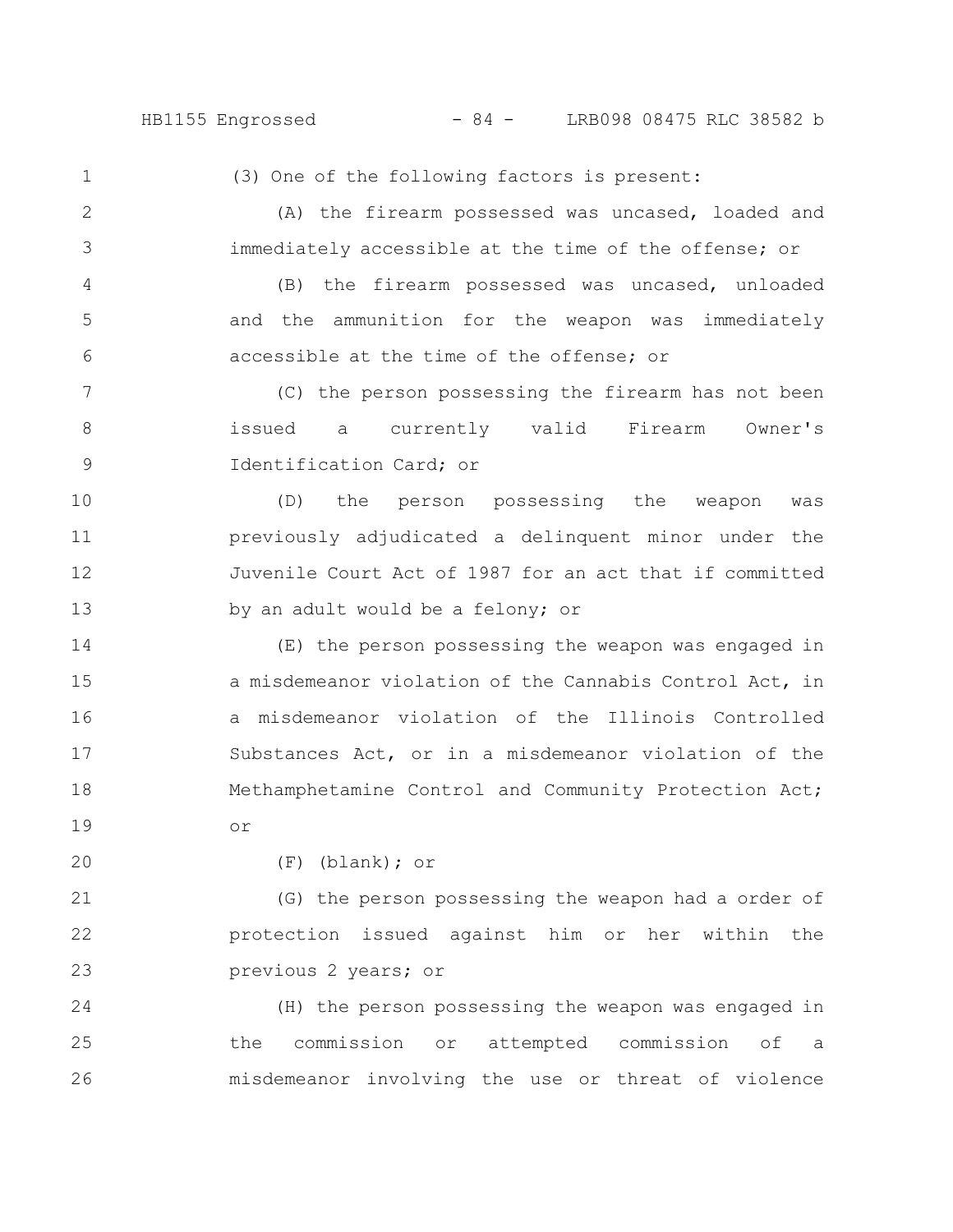## HB1155 Engrossed - 84 - LRB098 08475 RLC 38582 b

1 2

3

4

5

6

(3) One of the following factors is present:

(A) the firearm possessed was uncased, loaded and immediately accessible at the time of the offense; or

(B) the firearm possessed was uncased, unloaded and the ammunition for the weapon was immediately accessible at the time of the offense; or

(C) the person possessing the firearm has not been issued a currently valid Firearm Owner's Identification Card; or 7 8 9

(D) the person possessing the weapon was previously adjudicated a delinquent minor under the Juvenile Court Act of 1987 for an act that if committed by an adult would be a felony; or 10 11 12 13

(E) the person possessing the weapon was engaged in a misdemeanor violation of the Cannabis Control Act, in a misdemeanor violation of the Illinois Controlled Substances Act, or in a misdemeanor violation of the Methamphetamine Control and Community Protection Act; or 14 15 16 17 18 19

20

(F) (blank); or

(G) the person possessing the weapon had a order of protection issued against him or her within the previous 2 years; or 21 22 23

(H) the person possessing the weapon was engaged in the commission or attempted commission of a misdemeanor involving the use or threat of violence 24 25 26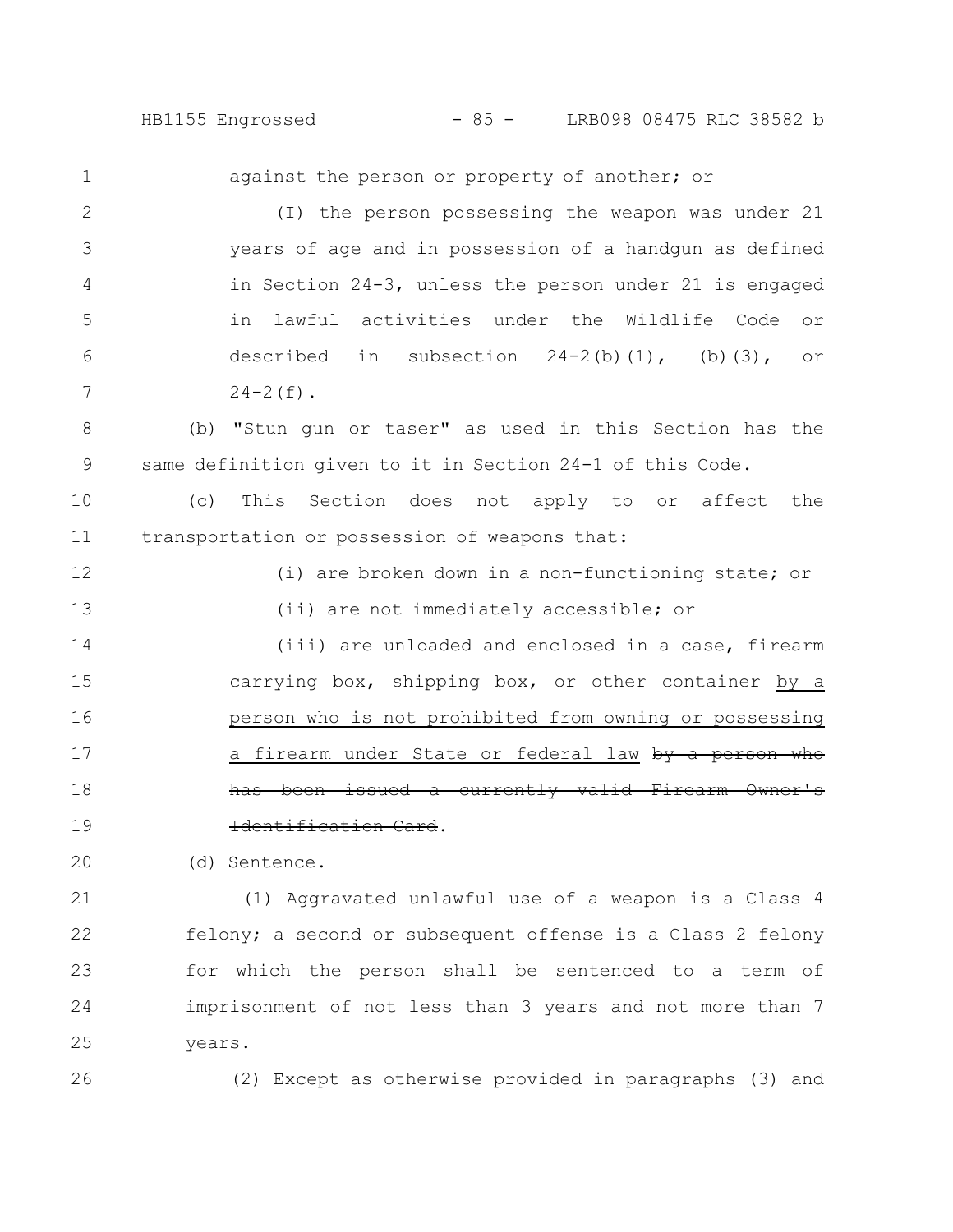HB1155 Engrossed - 85 - LRB098 08475 RLC 38582 b

against the person or property of another; or (I) the person possessing the weapon was under 21 years of age and in possession of a handgun as defined in Section 24-3, unless the person under 21 is engaged in lawful activities under the Wildlife Code or described in subsection  $24-2(b)(1)$ , (b)(3), or  $24-2(f)$ . (b) "Stun gun or taser" as used in this Section has the same definition given to it in Section 24-1 of this Code. (c) This Section does not apply to or affect the transportation or possession of weapons that: (i) are broken down in a non-functioning state; or (ii) are not immediately accessible; or (iii) are unloaded and enclosed in a case, firearm carrying box, shipping box, or other container by a person who is not prohibited from owning or possessing a firearm under State or federal law by a person issued a currently valid Identification Card. 1 2 3 4 5 6 7 8 9 10 11 12 13 14 15 16 17 18 19

(d) Sentence. 20

(1) Aggravated unlawful use of a weapon is a Class 4 felony; a second or subsequent offense is a Class 2 felony for which the person shall be sentenced to a term of imprisonment of not less than 3 years and not more than 7 years. 21 22 23 24 25

26

(2) Except as otherwise provided in paragraphs (3) and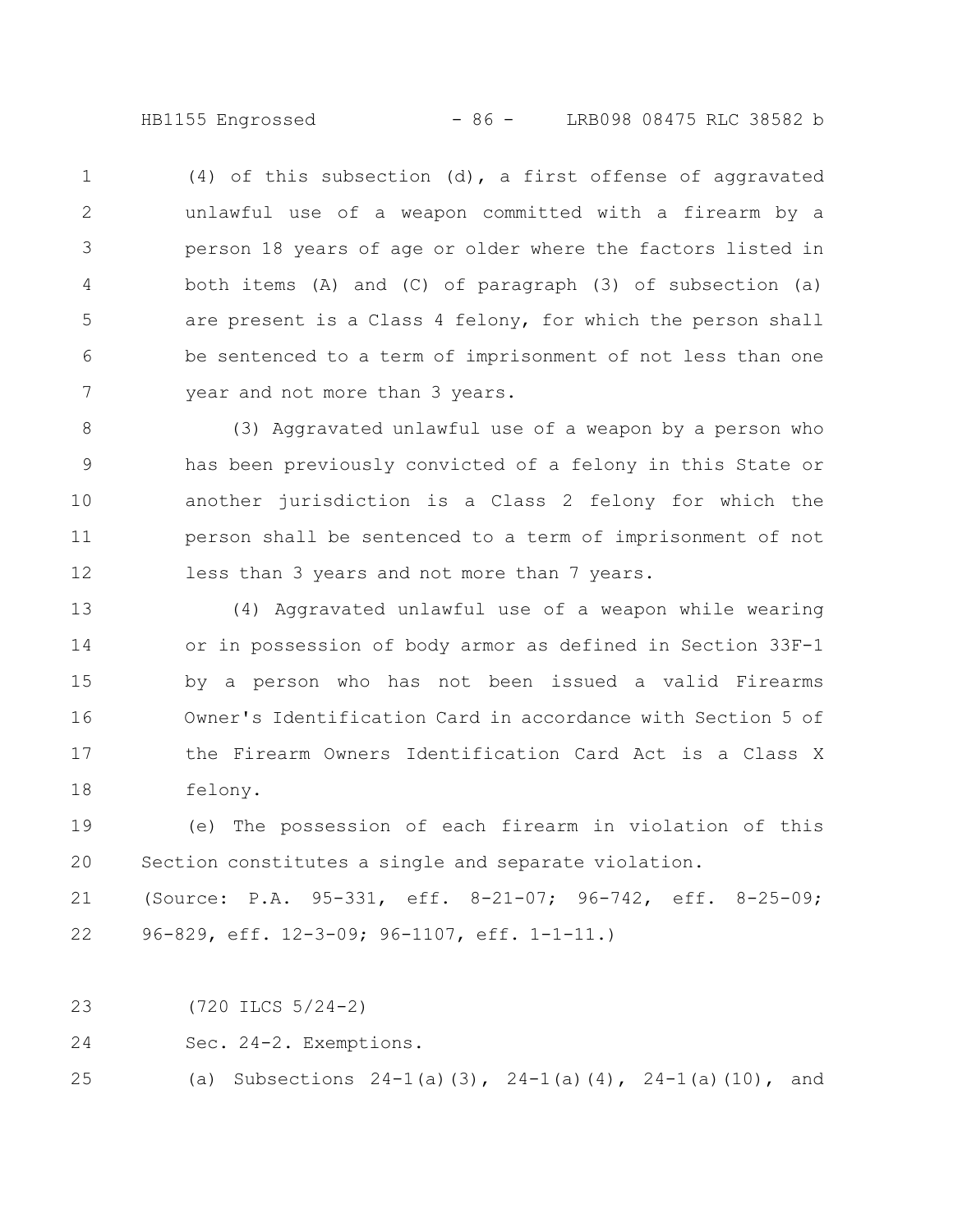- 86 -HB1155 Engrossed LRB098 08475 RLC 38582 b

(4) of this subsection (d), a first offense of aggravated unlawful use of a weapon committed with a firearm by a person 18 years of age or older where the factors listed in both items (A) and (C) of paragraph (3) of subsection (a) are present is a Class 4 felony, for which the person shall be sentenced to a term of imprisonment of not less than one year and not more than 3 years. 1 2 3 4 5 6 7

(3) Aggravated unlawful use of a weapon by a person who has been previously convicted of a felony in this State or another jurisdiction is a Class 2 felony for which the person shall be sentenced to a term of imprisonment of not less than 3 years and not more than 7 years. 8 9 10 11 12

(4) Aggravated unlawful use of a weapon while wearing or in possession of body armor as defined in Section 33F-1 by a person who has not been issued a valid Firearms Owner's Identification Card in accordance with Section 5 of the Firearm Owners Identification Card Act is a Class X felony. 13 14 15 16 17 18

(e) The possession of each firearm in violation of this Section constitutes a single and separate violation. 19 20

(Source: P.A. 95-331, eff. 8-21-07; 96-742, eff. 8-25-09; 96-829, eff. 12-3-09; 96-1107, eff. 1-1-11.) 21 22

(720 ILCS 5/24-2) 23

Sec. 24-2. Exemptions. 24

(a) Subsections  $24-1$  (a)(3),  $24-1$  (a)(4),  $24-1$  (a)(10), and 25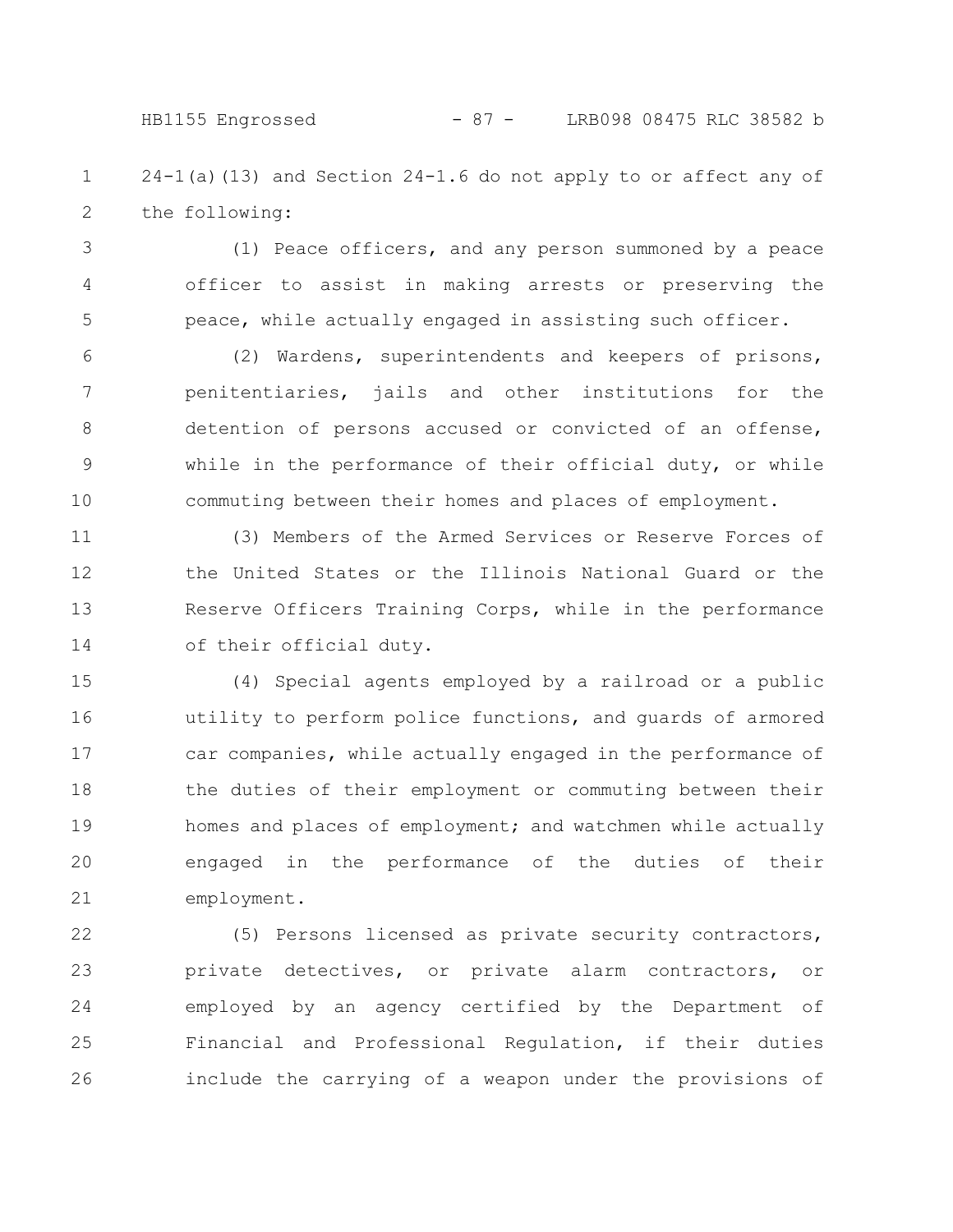## HB1155 Engrossed - 87 - LRB098 08475 RLC 38582 b

 $24-1$ (a)(13) and Section  $24-1.6$  do not apply to or affect any of the following: 1 2

(1) Peace officers, and any person summoned by a peace officer to assist in making arrests or preserving the peace, while actually engaged in assisting such officer. 3 4 5

(2) Wardens, superintendents and keepers of prisons, penitentiaries, jails and other institutions for the detention of persons accused or convicted of an offense, while in the performance of their official duty, or while commuting between their homes and places of employment. 6 7 8 9 10

(3) Members of the Armed Services or Reserve Forces of the United States or the Illinois National Guard or the Reserve Officers Training Corps, while in the performance of their official duty. 11 12 13 14

(4) Special agents employed by a railroad or a public utility to perform police functions, and guards of armored car companies, while actually engaged in the performance of the duties of their employment or commuting between their homes and places of employment; and watchmen while actually engaged in the performance of the duties of their employment. 15 16 17 18 19 20 21

(5) Persons licensed as private security contractors, private detectives, or private alarm contractors, or employed by an agency certified by the Department of Financial and Professional Regulation, if their duties include the carrying of a weapon under the provisions of 22 23 24 25 26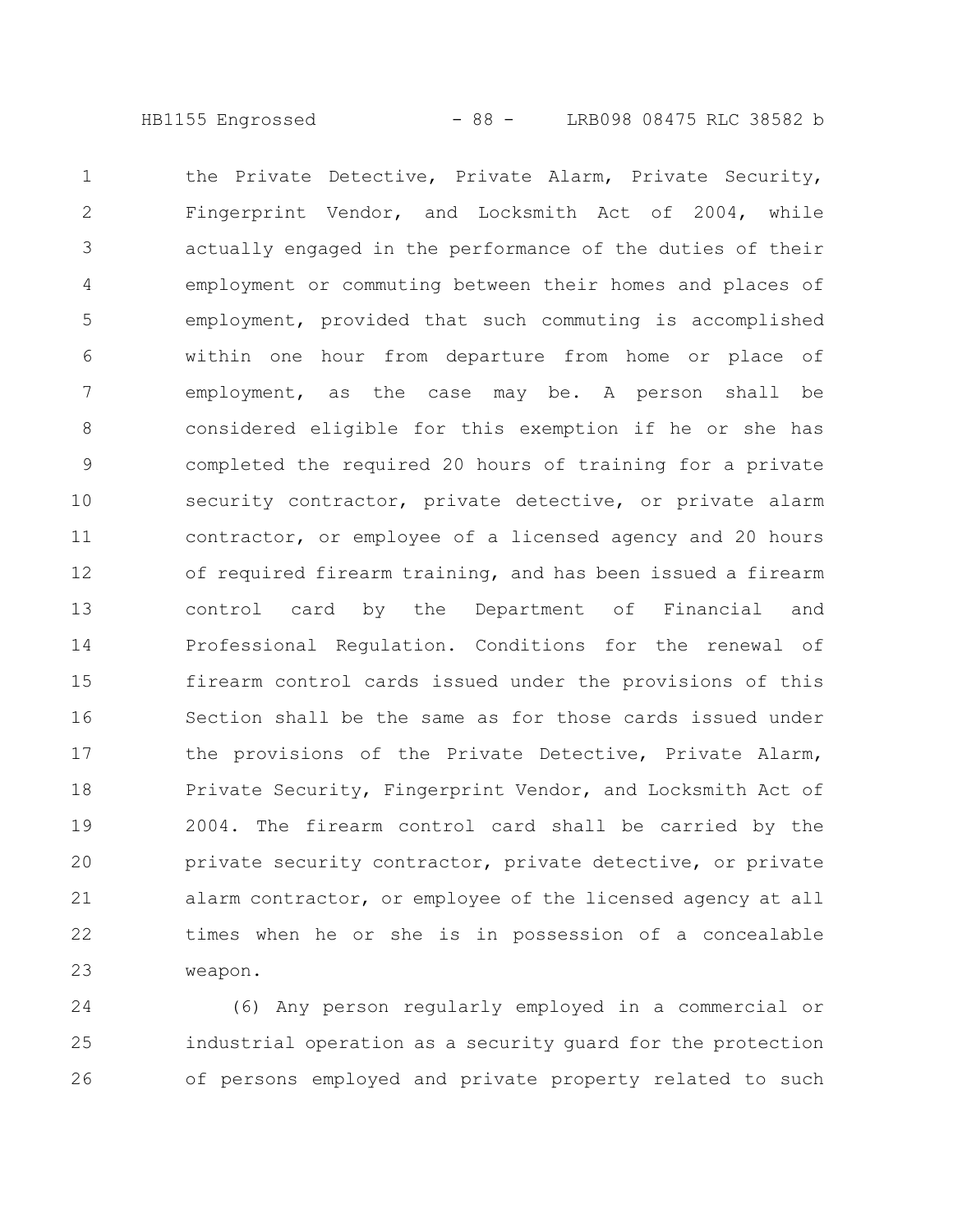HB1155 Engrossed - 88 - LRB098 08475 RLC 38582 b

the Private Detective, Private Alarm, Private Security, Fingerprint Vendor, and Locksmith Act of 2004, while actually engaged in the performance of the duties of their employment or commuting between their homes and places of employment, provided that such commuting is accomplished within one hour from departure from home or place of employment, as the case may be. A person shall be considered eligible for this exemption if he or she has completed the required 20 hours of training for a private security contractor, private detective, or private alarm contractor, or employee of a licensed agency and 20 hours of required firearm training, and has been issued a firearm control card by the Department of Financial and Professional Regulation. Conditions for the renewal of firearm control cards issued under the provisions of this Section shall be the same as for those cards issued under the provisions of the Private Detective, Private Alarm, Private Security, Fingerprint Vendor, and Locksmith Act of 2004. The firearm control card shall be carried by the private security contractor, private detective, or private alarm contractor, or employee of the licensed agency at all times when he or she is in possession of a concealable weapon. 1 2 3 4 5 6 7 8 9 10 11 12 13 14 15 16 17 18 19 20 21 22 23

(6) Any person regularly employed in a commercial or industrial operation as a security guard for the protection of persons employed and private property related to such 24 25 26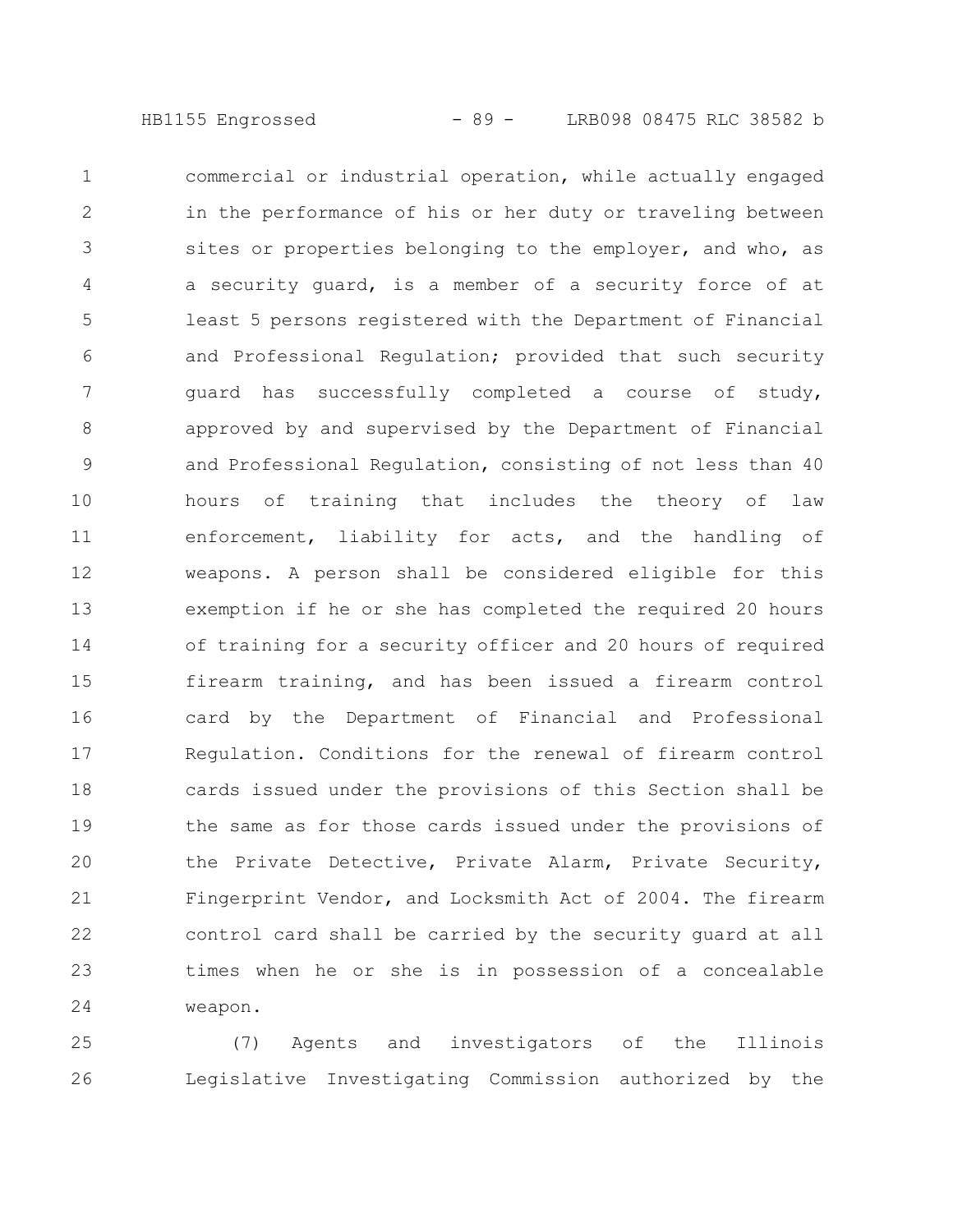commercial or industrial operation, while actually engaged in the performance of his or her duty or traveling between sites or properties belonging to the employer, and who, as a security guard, is a member of a security force of at least 5 persons registered with the Department of Financial and Professional Regulation; provided that such security guard has successfully completed a course of study, approved by and supervised by the Department of Financial and Professional Regulation, consisting of not less than 40 hours of training that includes the theory of law enforcement, liability for acts, and the handling of weapons. A person shall be considered eligible for this exemption if he or she has completed the required 20 hours of training for a security officer and 20 hours of required firearm training, and has been issued a firearm control card by the Department of Financial and Professional Regulation. Conditions for the renewal of firearm control cards issued under the provisions of this Section shall be the same as for those cards issued under the provisions of the Private Detective, Private Alarm, Private Security, Fingerprint Vendor, and Locksmith Act of 2004. The firearm control card shall be carried by the security guard at all times when he or she is in possession of a concealable weapon. 1 2 3 4 5 6 7 8 9 10 11 12 13 14 15 16 17 18 19 20 21 22 23 24

(7) Agents and investigators of the Illinois Legislative Investigating Commission authorized by the 25 26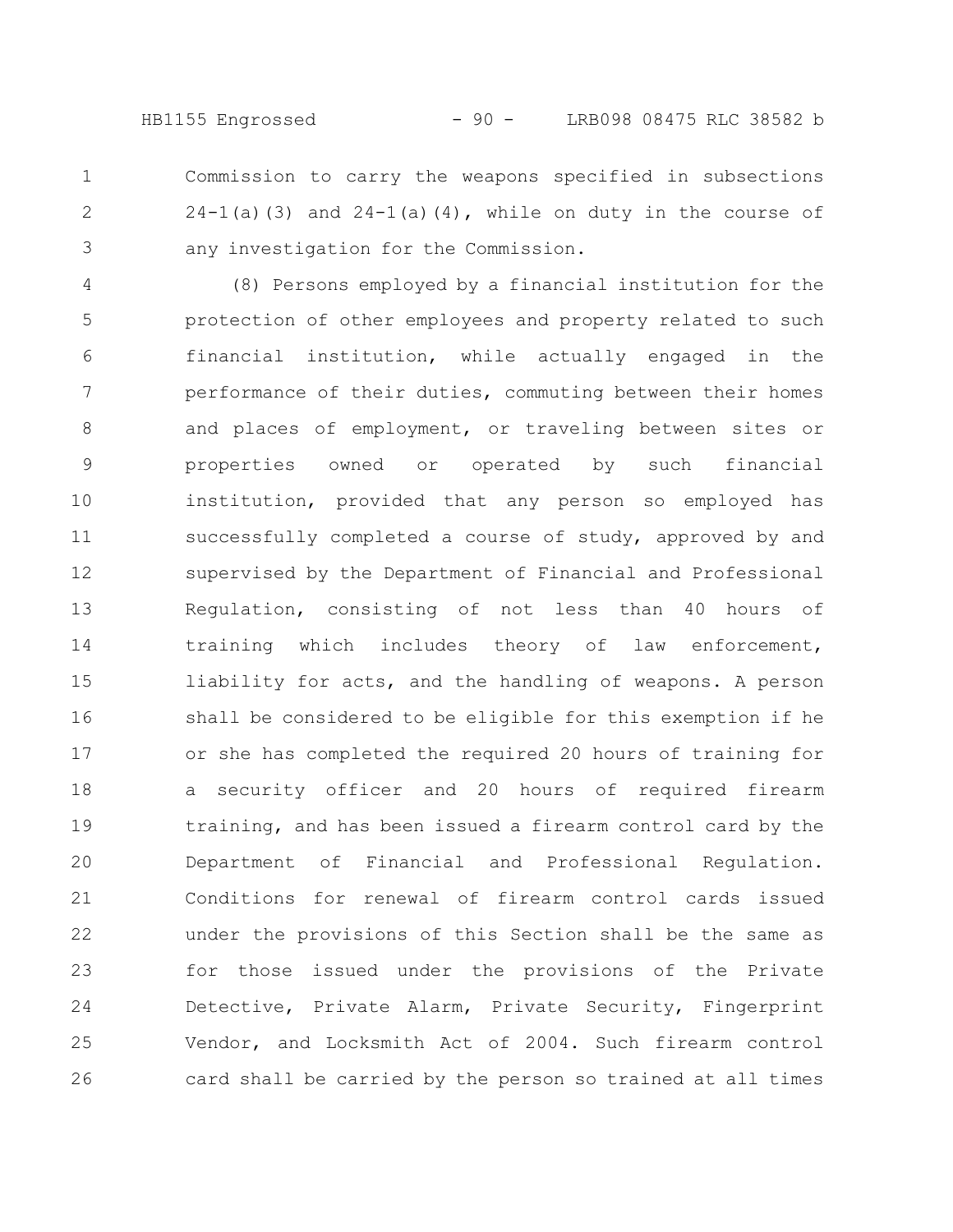Commission to carry the weapons specified in subsections  $24-1$ (a)(3) and  $24-1$ (a)(4), while on duty in the course of any investigation for the Commission. 1 2 3

(8) Persons employed by a financial institution for the protection of other employees and property related to such financial institution, while actually engaged in the performance of their duties, commuting between their homes and places of employment, or traveling between sites or properties owned or operated by such financial institution, provided that any person so employed has successfully completed a course of study, approved by and supervised by the Department of Financial and Professional Regulation, consisting of not less than 40 hours of training which includes theory of law enforcement, liability for acts, and the handling of weapons. A person shall be considered to be eligible for this exemption if he or she has completed the required 20 hours of training for a security officer and 20 hours of required firearm training, and has been issued a firearm control card by the Department of Financial and Professional Regulation. Conditions for renewal of firearm control cards issued under the provisions of this Section shall be the same as for those issued under the provisions of the Private Detective, Private Alarm, Private Security, Fingerprint Vendor, and Locksmith Act of 2004. Such firearm control card shall be carried by the person so trained at all times 4 5 6 7 8 9 10 11 12 13 14 15 16 17 18 19 20 21 22 23 24 25 26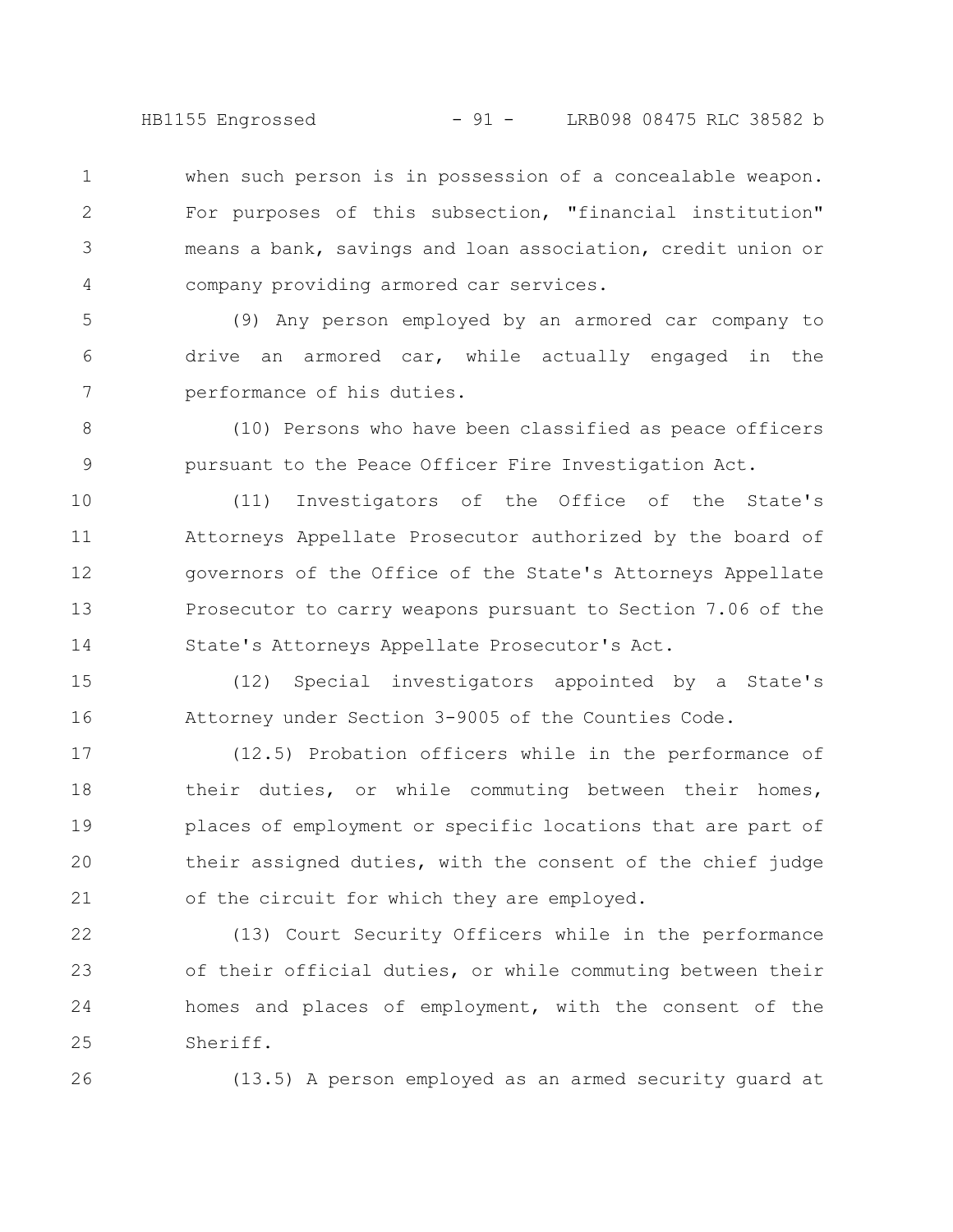HB1155 Engrossed - 91 - LRB098 08475 RLC 38582 b

when such person is in possession of a concealable weapon. For purposes of this subsection, "financial institution" means a bank, savings and loan association, credit union or company providing armored car services. 1 2 3 4

(9) Any person employed by an armored car company to drive an armored car, while actually engaged in the performance of his duties. 5 6 7

(10) Persons who have been classified as peace officers pursuant to the Peace Officer Fire Investigation Act. 8 9

(11) Investigators of the Office of the State's Attorneys Appellate Prosecutor authorized by the board of governors of the Office of the State's Attorneys Appellate Prosecutor to carry weapons pursuant to Section 7.06 of the State's Attorneys Appellate Prosecutor's Act. 10 11 12 13 14

(12) Special investigators appointed by a State's Attorney under Section 3-9005 of the Counties Code. 15 16

(12.5) Probation officers while in the performance of their duties, or while commuting between their homes, places of employment or specific locations that are part of their assigned duties, with the consent of the chief judge of the circuit for which they are employed. 17 18 19 20 21

(13) Court Security Officers while in the performance of their official duties, or while commuting between their homes and places of employment, with the consent of the Sheriff. 22 23 24 25

26

(13.5) A person employed as an armed security guard at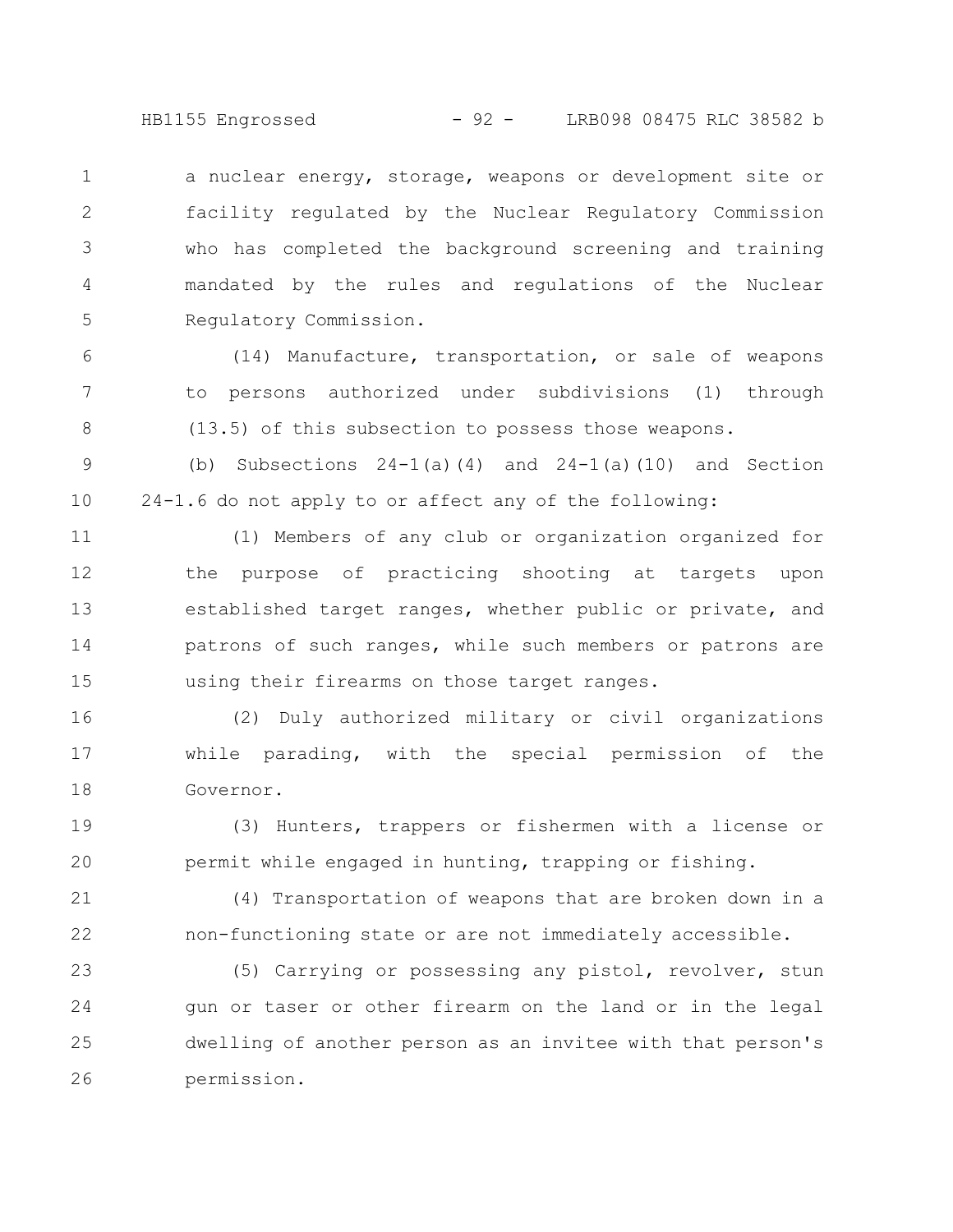HB1155 Engrossed - 92 - LRB098 08475 RLC 38582 b

a nuclear energy, storage, weapons or development site or facility regulated by the Nuclear Regulatory Commission who has completed the background screening and training mandated by the rules and regulations of the Nuclear Regulatory Commission. 1 2 3 4 5

(14) Manufacture, transportation, or sale of weapons to persons authorized under subdivisions (1) through (13.5) of this subsection to possess those weapons. 6 7 8

(b) Subsections  $24-1(a)(4)$  and  $24-1(a)(10)$  and Section 24-1.6 do not apply to or affect any of the following: 9 10

(1) Members of any club or organization organized for the purpose of practicing shooting at targets upon established target ranges, whether public or private, and patrons of such ranges, while such members or patrons are using their firearms on those target ranges. 11 12 13 14 15

(2) Duly authorized military or civil organizations while parading, with the special permission of the Governor. 16 17 18

(3) Hunters, trappers or fishermen with a license or permit while engaged in hunting, trapping or fishing. 19 20

(4) Transportation of weapons that are broken down in a non-functioning state or are not immediately accessible. 21 22

(5) Carrying or possessing any pistol, revolver, stun gun or taser or other firearm on the land or in the legal dwelling of another person as an invitee with that person's permission. 23 24 25 26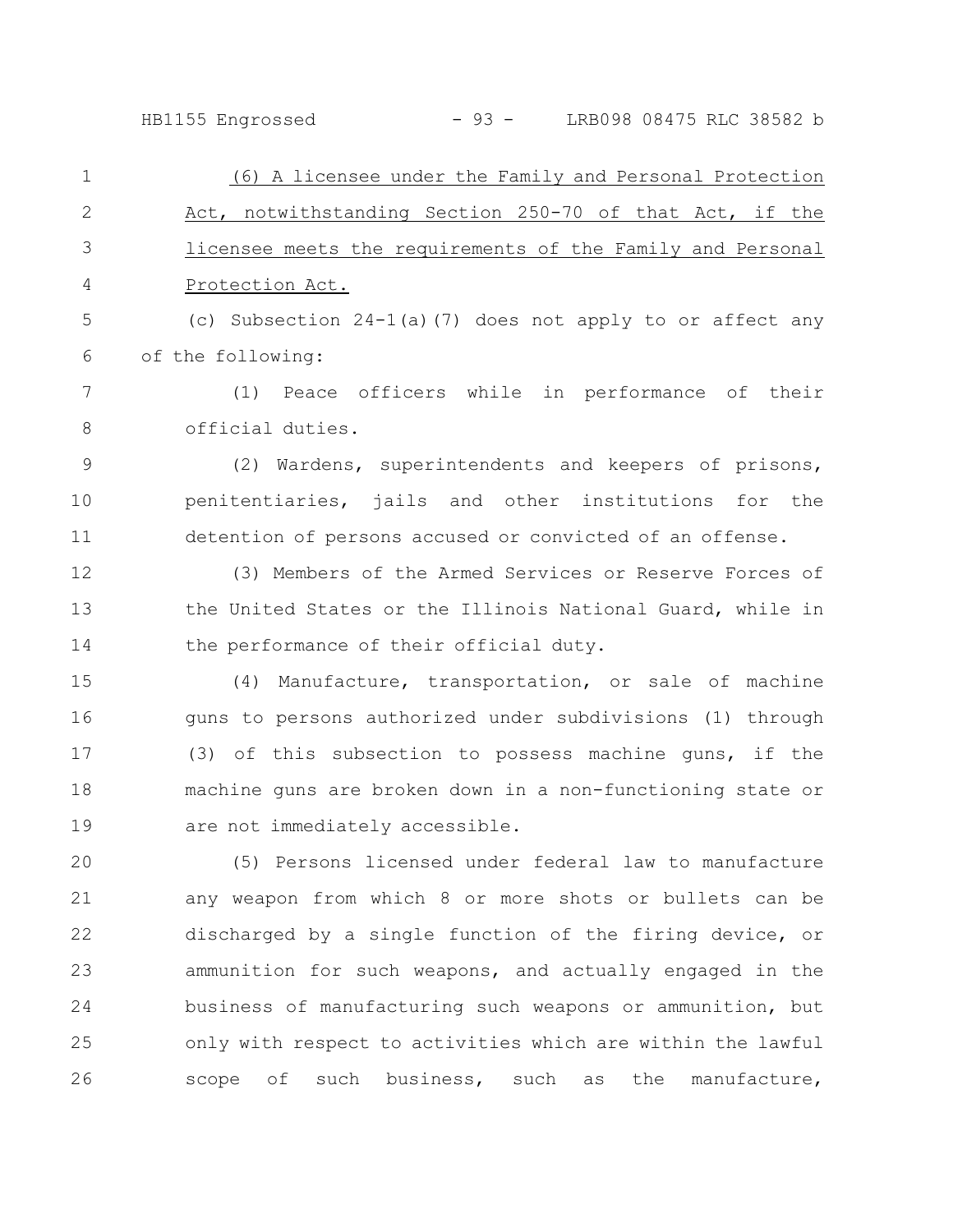## HB1155 Engrossed - 93 - LRB098 08475 RLC 38582 b

(6) A licensee under the Family and Personal Protection Act, notwithstanding Section 250-70 of that Act, if the licensee meets the requirements of the Family and Personal Protection Act. (c) Subsection 24-1(a)(7) does not apply to or affect any of the following: (1) Peace officers while in performance of their official duties. (2) Wardens, superintendents and keepers of prisons, penitentiaries, jails and other institutions for the detention of persons accused or convicted of an offense. (3) Members of the Armed Services or Reserve Forces of the United States or the Illinois National Guard, while in the performance of their official duty. (4) Manufacture, transportation, or sale of machine guns to persons authorized under subdivisions (1) through (3) of this subsection to possess machine guns, if the machine guns are broken down in a non-functioning state or are not immediately accessible. (5) Persons licensed under federal law to manufacture any weapon from which 8 or more shots or bullets can be discharged by a single function of the firing device, or ammunition for such weapons, and actually engaged in the business of manufacturing such weapons or ammunition, but only with respect to activities which are within the lawful scope of such business, such as the manufacture, 1 2 3 4 5 6 7 8 9 10 11 12 13 14 15 16 17 18 19 20 21 22 23 24 25 26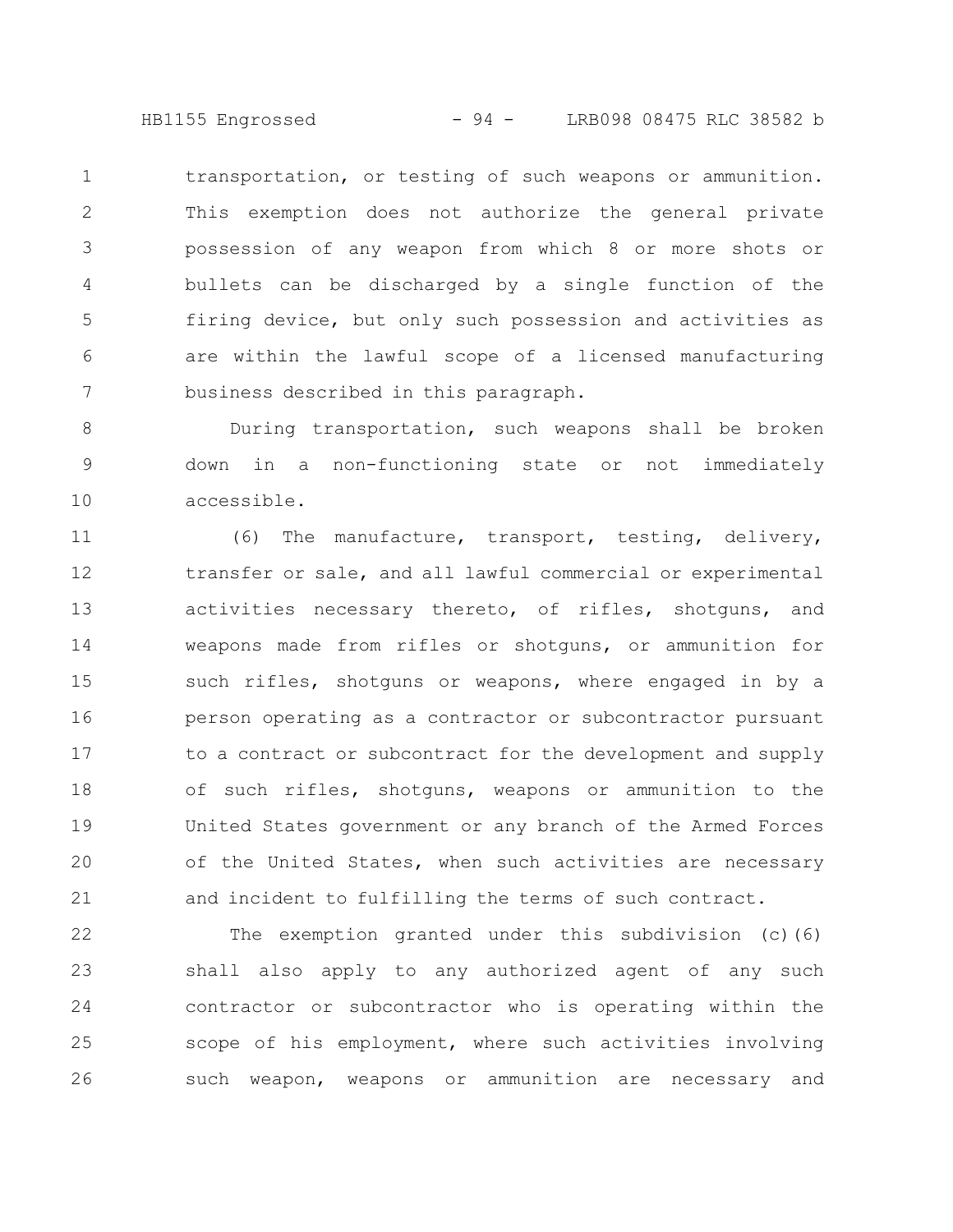HB1155 Engrossed - 94 - LRB098 08475 RLC 38582 b

transportation, or testing of such weapons or ammunition. This exemption does not authorize the general private possession of any weapon from which 8 or more shots or bullets can be discharged by a single function of the firing device, but only such possession and activities as are within the lawful scope of a licensed manufacturing business described in this paragraph. 1 2 3 4 5 6 7

During transportation, such weapons shall be broken down in a non-functioning state or not immediately accessible. 8 9 10

(6) The manufacture, transport, testing, delivery, transfer or sale, and all lawful commercial or experimental activities necessary thereto, of rifles, shotguns, and weapons made from rifles or shotguns, or ammunition for such rifles, shotguns or weapons, where engaged in by a person operating as a contractor or subcontractor pursuant to a contract or subcontract for the development and supply of such rifles, shotguns, weapons or ammunition to the United States government or any branch of the Armed Forces of the United States, when such activities are necessary and incident to fulfilling the terms of such contract. 11 12 13 14 15 16 17 18 19 20 21

The exemption granted under this subdivision (c)(6) shall also apply to any authorized agent of any such contractor or subcontractor who is operating within the scope of his employment, where such activities involving such weapon, weapons or ammunition are necessary and 22 23 24 25 26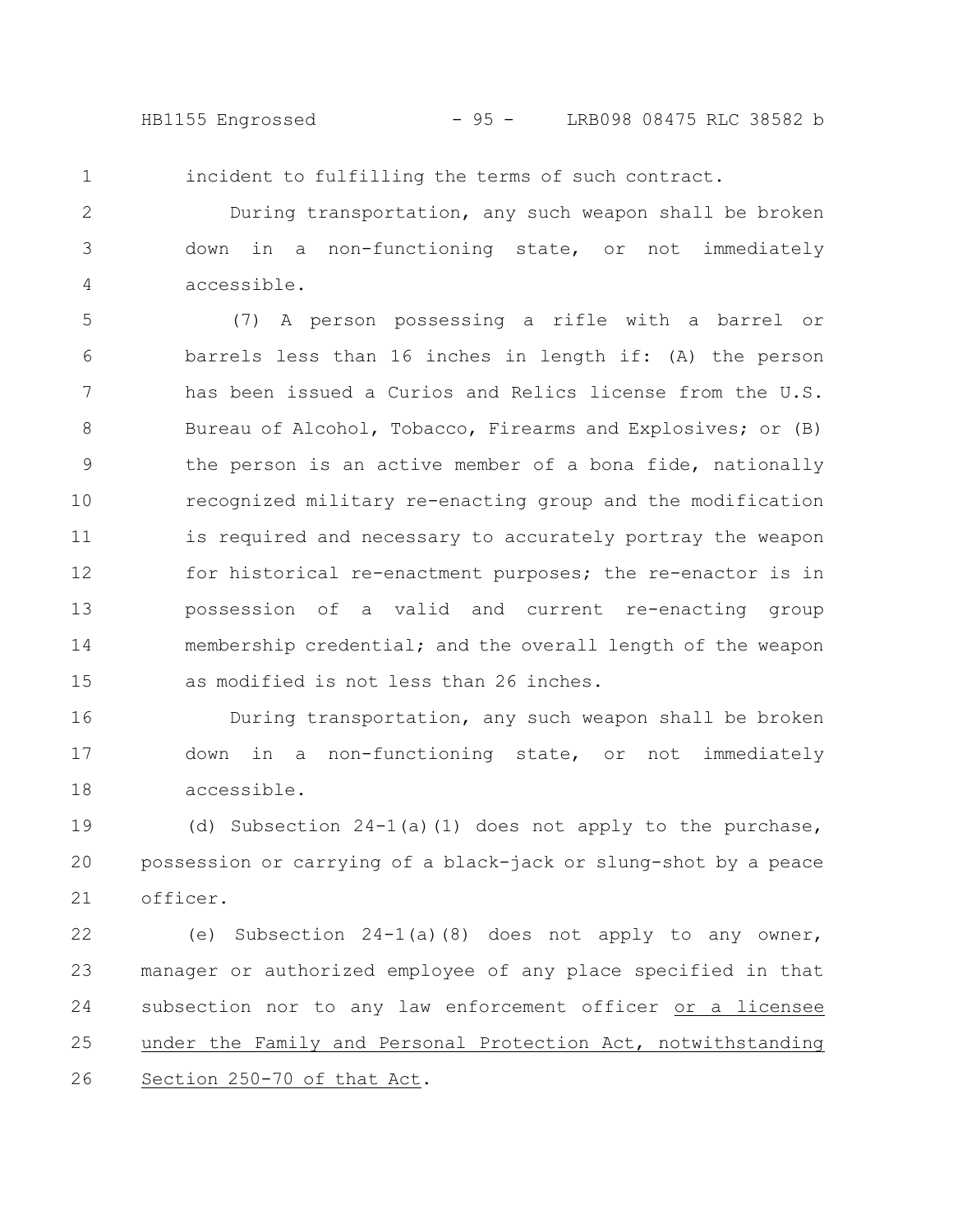HB1155 Engrossed - 95 - LRB098 08475 RLC 38582 b

1

incident to fulfilling the terms of such contract.

During transportation, any such weapon shall be broken down in a non-functioning state, or not immediately accessible. 2 3 4

(7) A person possessing a rifle with a barrel or barrels less than 16 inches in length if: (A) the person has been issued a Curios and Relics license from the U.S. Bureau of Alcohol, Tobacco, Firearms and Explosives; or (B) the person is an active member of a bona fide, nationally recognized military re-enacting group and the modification is required and necessary to accurately portray the weapon for historical re-enactment purposes; the re-enactor is in possession of a valid and current re-enacting group membership credential; and the overall length of the weapon as modified is not less than 26 inches. 5 6 7 8 9 10 11 12 13 14 15

During transportation, any such weapon shall be broken down in a non-functioning state, or not immediately accessible. 16 17 18

(d) Subsection  $24-1$ (a)(1) does not apply to the purchase, possession or carrying of a black-jack or slung-shot by a peace officer. 19 20 21

(e) Subsection 24-1(a)(8) does not apply to any owner, manager or authorized employee of any place specified in that subsection nor to any law enforcement officer or a licensee under the Family and Personal Protection Act, notwithstanding Section 250-70 of that Act. 22 23 24 25 26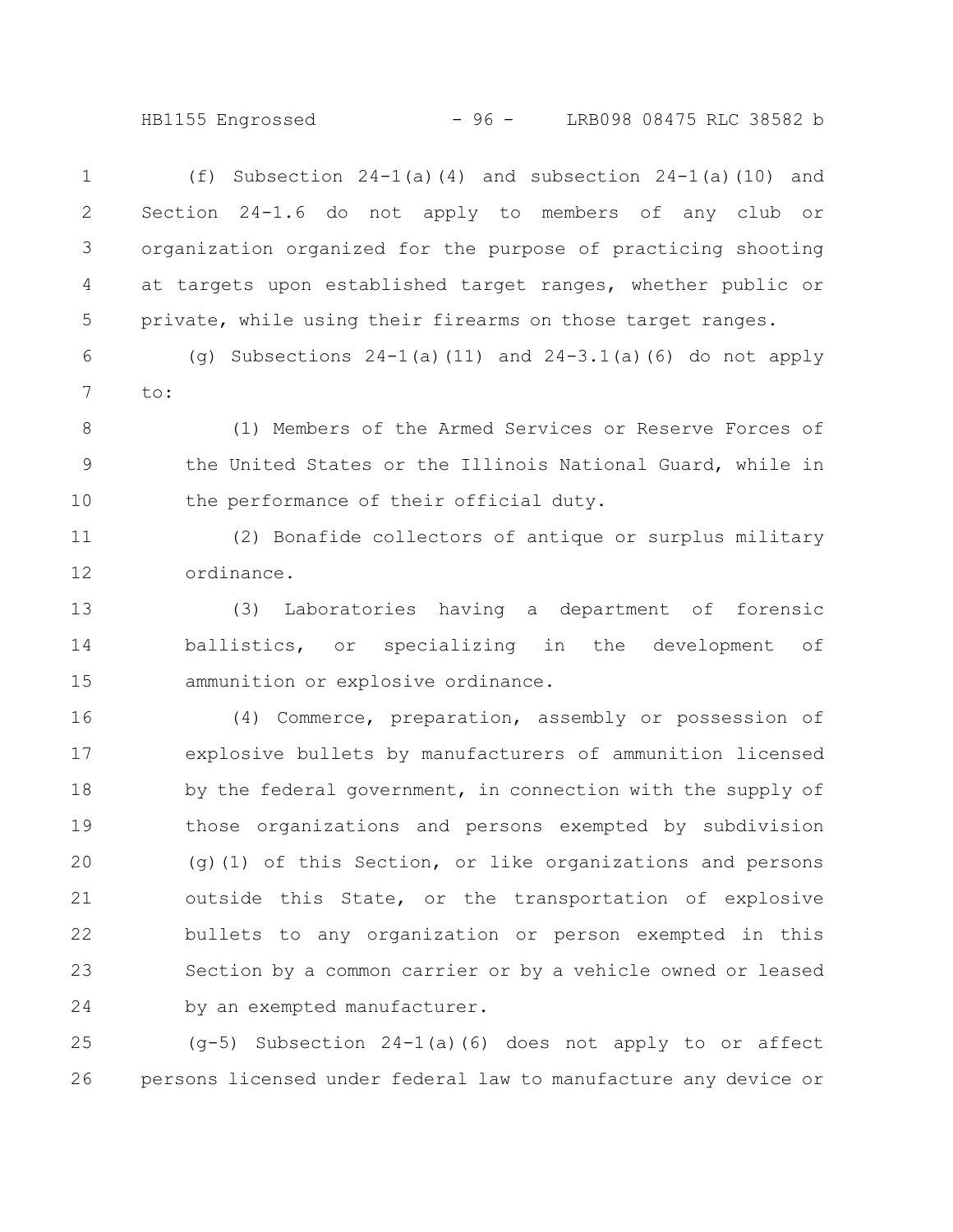HB1155 Engrossed - 96 - LRB098 08475 RLC 38582 b

| 1            | (f) Subsection $24-1$ (a) (4) and subsection $24-1$ (a) (10) and |
|--------------|------------------------------------------------------------------|
| $\mathbf{2}$ | Section 24-1.6 do not apply to members of any club or            |
|              | 3 organization organized for the purpose of practicing shooting  |
| 4            | at targets upon established target ranges, whether public or     |
| 5            | private, while using their firearms on those target ranges.      |

(q) Subsections  $24-1$  (a)(11) and  $24-3.1$  (a)(6) do not apply to: 6 7

(1) Members of the Armed Services or Reserve Forces of the United States or the Illinois National Guard, while in the performance of their official duty. 8 9 10

(2) Bonafide collectors of antique or surplus military ordinance. 11 12

(3) Laboratories having a department of forensic ballistics, or specializing in the development of ammunition or explosive ordinance. 13 14 15

(4) Commerce, preparation, assembly or possession of explosive bullets by manufacturers of ammunition licensed by the federal government, in connection with the supply of those organizations and persons exempted by subdivision (g)(1) of this Section, or like organizations and persons outside this State, or the transportation of explosive bullets to any organization or person exempted in this Section by a common carrier or by a vehicle owned or leased by an exempted manufacturer. 16 17 18 19 20 21 22 23 24

(g-5) Subsection 24-1(a)(6) does not apply to or affect persons licensed under federal law to manufacture any device or 25 26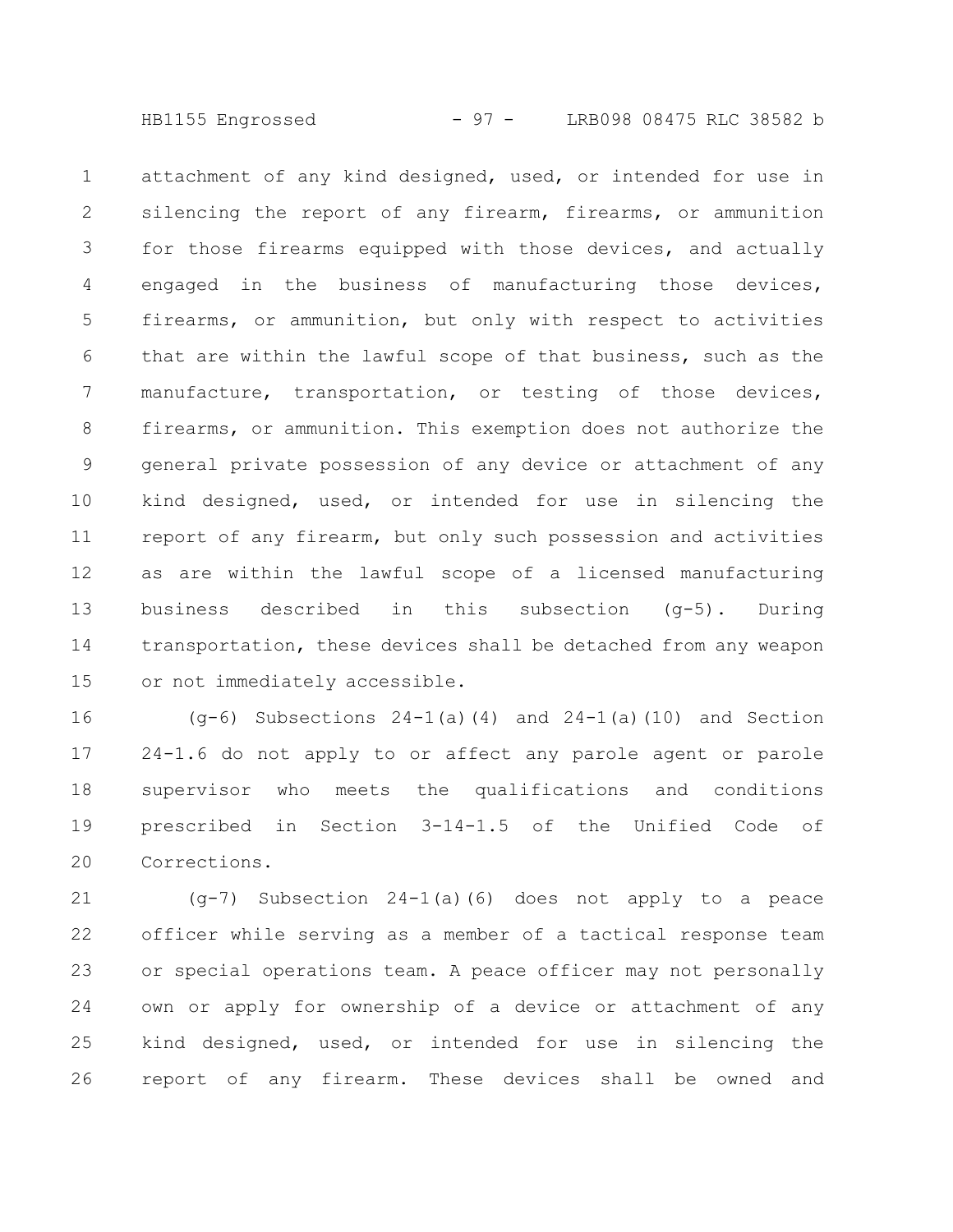HB1155 Engrossed - 97 - LRB098 08475 RLC 38582 b

attachment of any kind designed, used, or intended for use in silencing the report of any firearm, firearms, or ammunition for those firearms equipped with those devices, and actually engaged in the business of manufacturing those devices, firearms, or ammunition, but only with respect to activities that are within the lawful scope of that business, such as the manufacture, transportation, or testing of those devices, firearms, or ammunition. This exemption does not authorize the general private possession of any device or attachment of any kind designed, used, or intended for use in silencing the report of any firearm, but only such possession and activities as are within the lawful scope of a licensed manufacturing business described in this subsection (g-5). During transportation, these devices shall be detached from any weapon or not immediately accessible. 1 2 3 4 5 6 7 8 9 10 11 12 13 14 15

(g-6) Subsections 24-1(a)(4) and 24-1(a)(10) and Section 24-1.6 do not apply to or affect any parole agent or parole supervisor who meets the qualifications and conditions prescribed in Section 3-14-1.5 of the Unified Code of Corrections. 16 17 18 19 20

(g-7) Subsection 24-1(a)(6) does not apply to a peace officer while serving as a member of a tactical response team or special operations team. A peace officer may not personally own or apply for ownership of a device or attachment of any kind designed, used, or intended for use in silencing the report of any firearm. These devices shall be owned and 21 22 23 24 25 26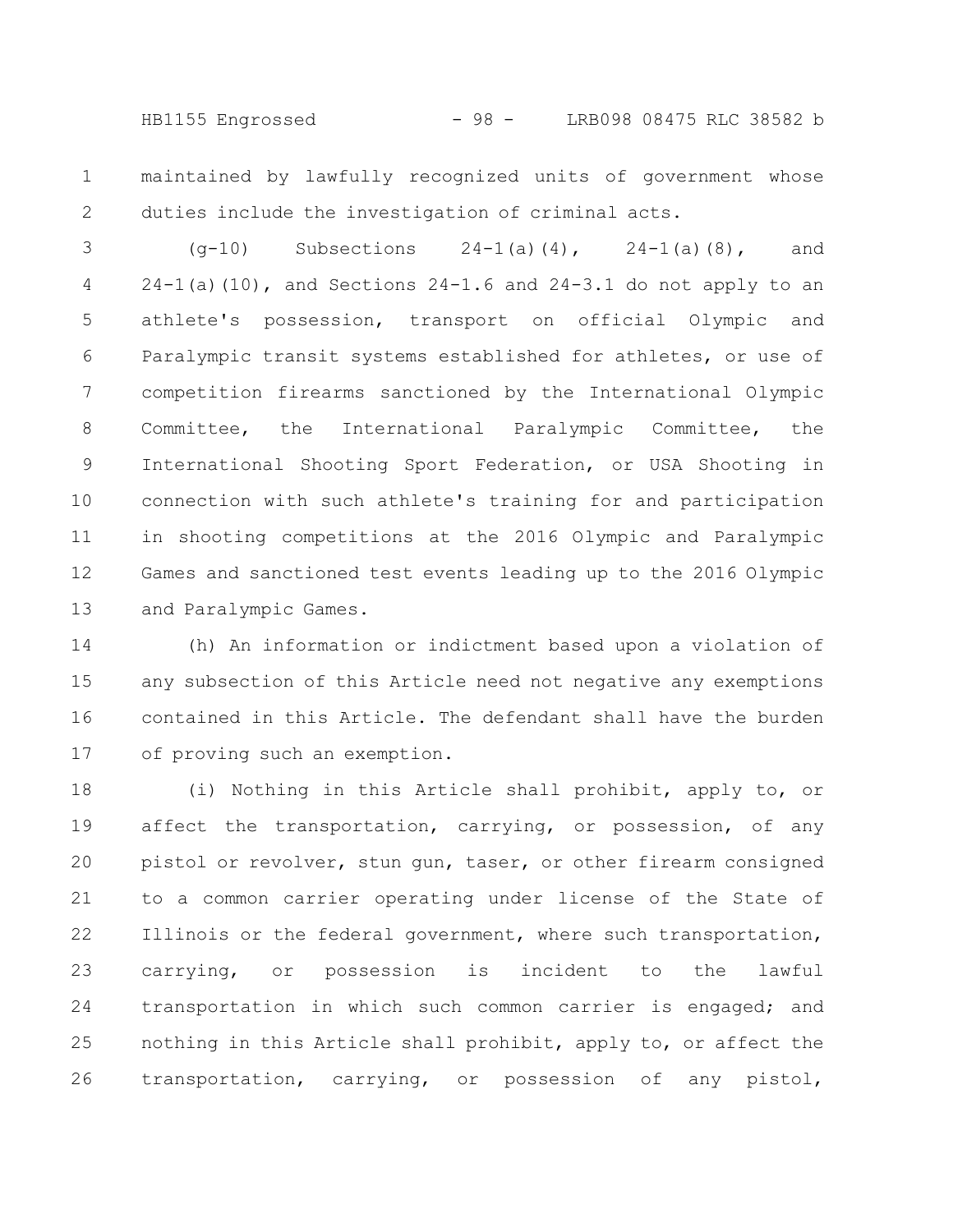HB1155 Engrossed - 98 - LRB098 08475 RLC 38582 b

maintained by lawfully recognized units of government whose duties include the investigation of criminal acts. 1 2

(g-10) Subsections 24-1(a)(4), 24-1(a)(8), and  $24-1$ (a)(10), and Sections  $24-1.6$  and  $24-3.1$  do not apply to an athlete's possession, transport on official Olympic and Paralympic transit systems established for athletes, or use of competition firearms sanctioned by the International Olympic Committee, the International Paralympic Committee, the International Shooting Sport Federation, or USA Shooting in connection with such athlete's training for and participation in shooting competitions at the 2016 Olympic and Paralympic Games and sanctioned test events leading up to the 2016 Olympic and Paralympic Games. 3 4 5 6 7 8 9 10 11 12 13

(h) An information or indictment based upon a violation of any subsection of this Article need not negative any exemptions contained in this Article. The defendant shall have the burden of proving such an exemption. 14 15 16 17

(i) Nothing in this Article shall prohibit, apply to, or affect the transportation, carrying, or possession, of any pistol or revolver, stun gun, taser, or other firearm consigned to a common carrier operating under license of the State of Illinois or the federal government, where such transportation, carrying, or possession is incident to the lawful transportation in which such common carrier is engaged; and nothing in this Article shall prohibit, apply to, or affect the transportation, carrying, or possession of any pistol, 18 19 20 21 22 23 24 25 26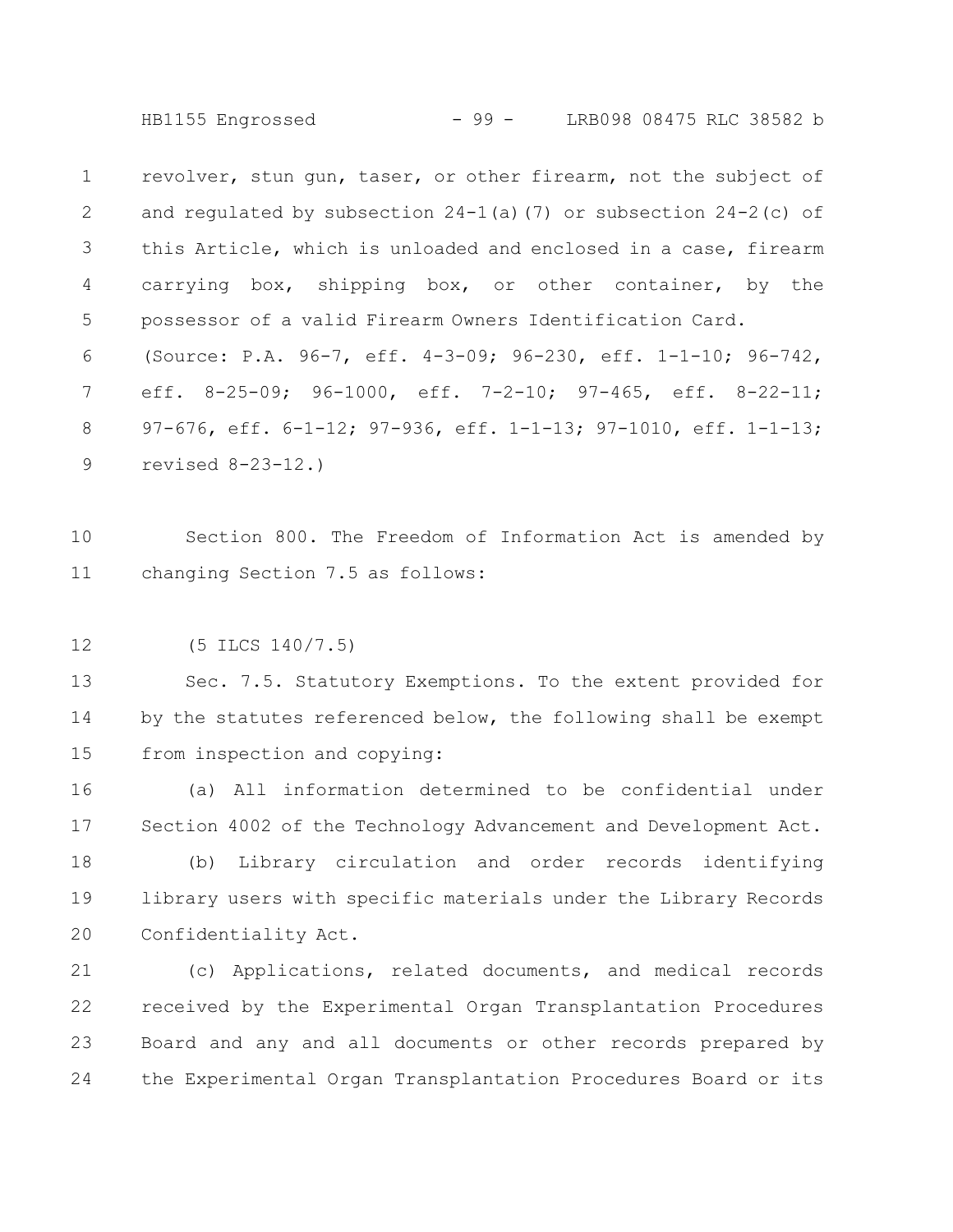HB1155 Engrossed - 99 - LRB098 08475 RLC 38582 b

revolver, stun gun, taser, or other firearm, not the subject of and regulated by subsection  $24-1$  (a) (7) or subsection  $24-2$  (c) of this Article, which is unloaded and enclosed in a case, firearm carrying box, shipping box, or other container, by the possessor of a valid Firearm Owners Identification Card. (Source: P.A. 96-7, eff. 4-3-09; 96-230, eff. 1-1-10; 96-742, eff. 8-25-09; 96-1000, eff. 7-2-10; 97-465, eff. 8-22-11; 97-676, eff. 6-1-12; 97-936, eff. 1-1-13; 97-1010, eff. 1-1-13; revised 8-23-12.) 1 2 3 4 5 6 7 8 9

Section 800. The Freedom of Information Act is amended by changing Section 7.5 as follows: 10 11

(5 ILCS 140/7.5) 12

Sec. 7.5. Statutory Exemptions. To the extent provided for by the statutes referenced below, the following shall be exempt from inspection and copying: 13 14 15

(a) All information determined to be confidential under Section 4002 of the Technology Advancement and Development Act. 16 17

(b) Library circulation and order records identifying library users with specific materials under the Library Records Confidentiality Act. 18 19 20

(c) Applications, related documents, and medical records received by the Experimental Organ Transplantation Procedures Board and any and all documents or other records prepared by the Experimental Organ Transplantation Procedures Board or its 21 22 23 24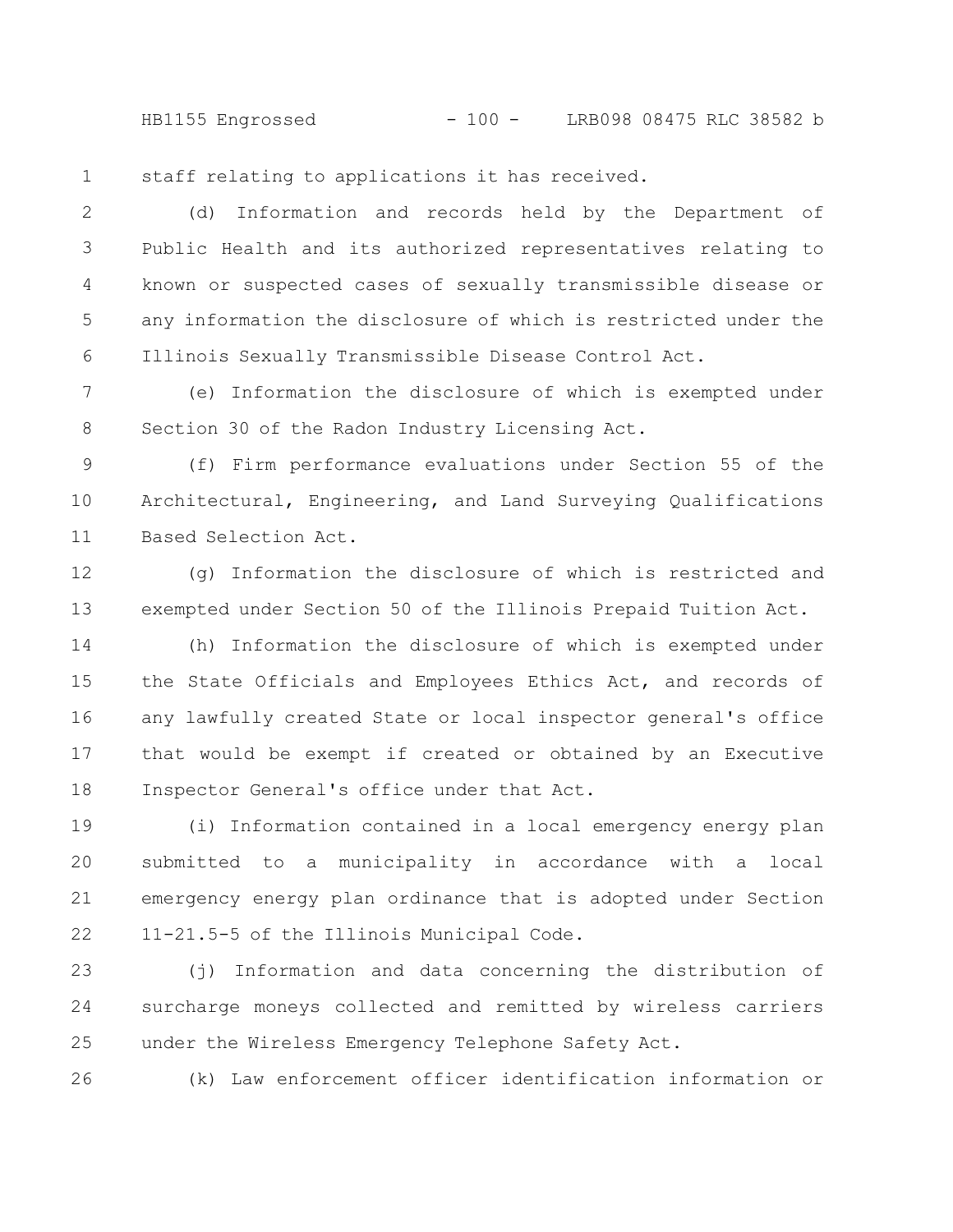HB1155 Engrossed - 100 - LRB098 08475 RLC 38582 b

staff relating to applications it has received. 1

(d) Information and records held by the Department of Public Health and its authorized representatives relating to known or suspected cases of sexually transmissible disease or any information the disclosure of which is restricted under the Illinois Sexually Transmissible Disease Control Act. 2 3 4 5 6

(e) Information the disclosure of which is exempted under Section 30 of the Radon Industry Licensing Act. 7 8

(f) Firm performance evaluations under Section 55 of the Architectural, Engineering, and Land Surveying Qualifications Based Selection Act. 9 10 11

(g) Information the disclosure of which is restricted and exempted under Section 50 of the Illinois Prepaid Tuition Act. 12 13

(h) Information the disclosure of which is exempted under the State Officials and Employees Ethics Act, and records of any lawfully created State or local inspector general's office that would be exempt if created or obtained by an Executive Inspector General's office under that Act. 14 15 16 17 18

(i) Information contained in a local emergency energy plan submitted to a municipality in accordance with a local emergency energy plan ordinance that is adopted under Section 11-21.5-5 of the Illinois Municipal Code. 19 20 21 22

(j) Information and data concerning the distribution of surcharge moneys collected and remitted by wireless carriers under the Wireless Emergency Telephone Safety Act. 23 24 25

26

(k) Law enforcement officer identification information or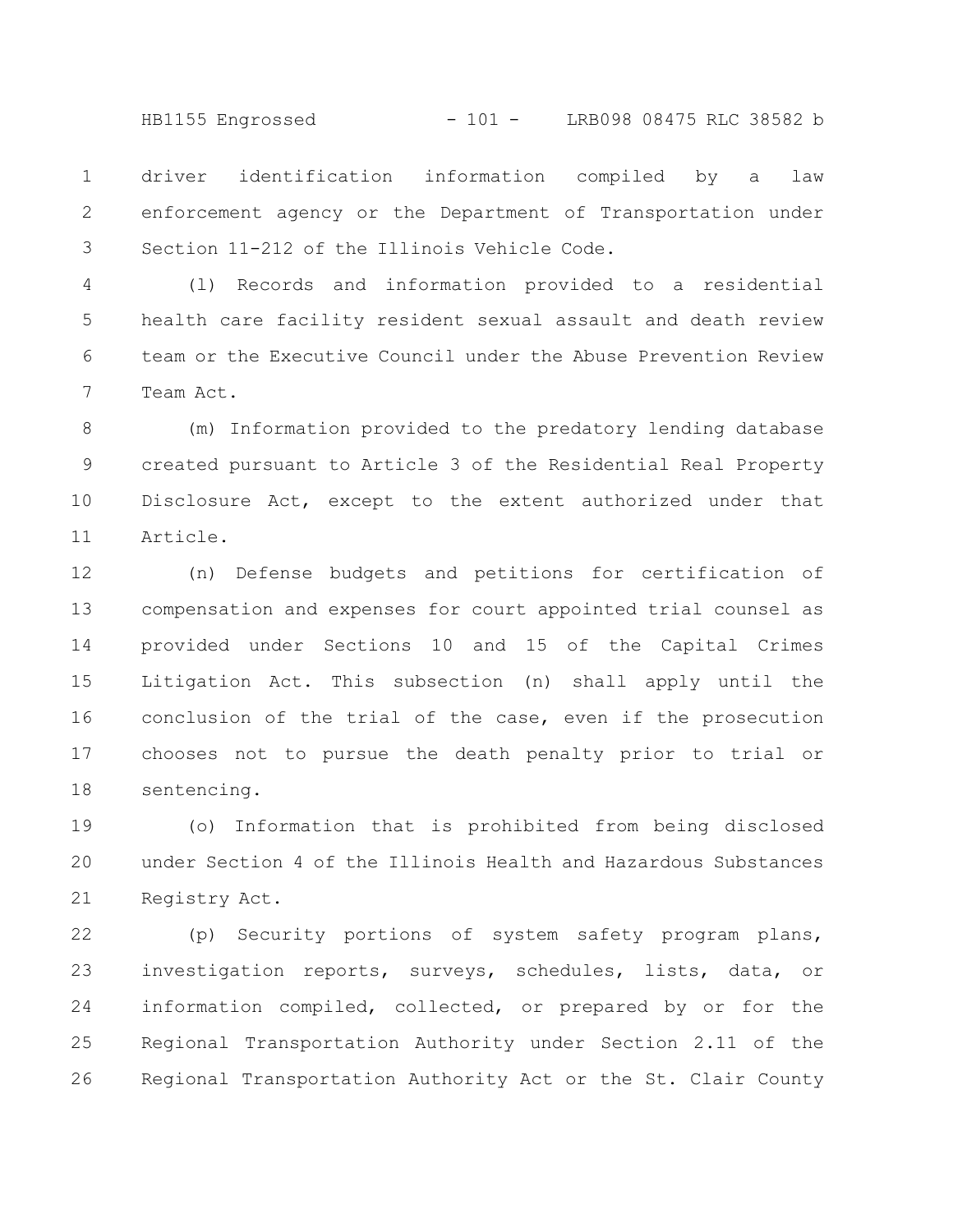HB1155 Engrossed - 101 - LRB098 08475 RLC 38582 b

driver identification information compiled by a law enforcement agency or the Department of Transportation under Section 11-212 of the Illinois Vehicle Code. 1 2 3

(l) Records and information provided to a residential health care facility resident sexual assault and death review team or the Executive Council under the Abuse Prevention Review Team Act. 4 5 6 7

(m) Information provided to the predatory lending database created pursuant to Article 3 of the Residential Real Property Disclosure Act, except to the extent authorized under that Article. 8 9 10 11

(n) Defense budgets and petitions for certification of compensation and expenses for court appointed trial counsel as provided under Sections 10 and 15 of the Capital Crimes Litigation Act. This subsection (n) shall apply until the conclusion of the trial of the case, even if the prosecution chooses not to pursue the death penalty prior to trial or sentencing. 12 13 14 15 16 17 18

(o) Information that is prohibited from being disclosed under Section 4 of the Illinois Health and Hazardous Substances Registry Act. 19 20 21

(p) Security portions of system safety program plans, investigation reports, surveys, schedules, lists, data, or information compiled, collected, or prepared by or for the Regional Transportation Authority under Section 2.11 of the Regional Transportation Authority Act or the St. Clair County 22 23 24 25 26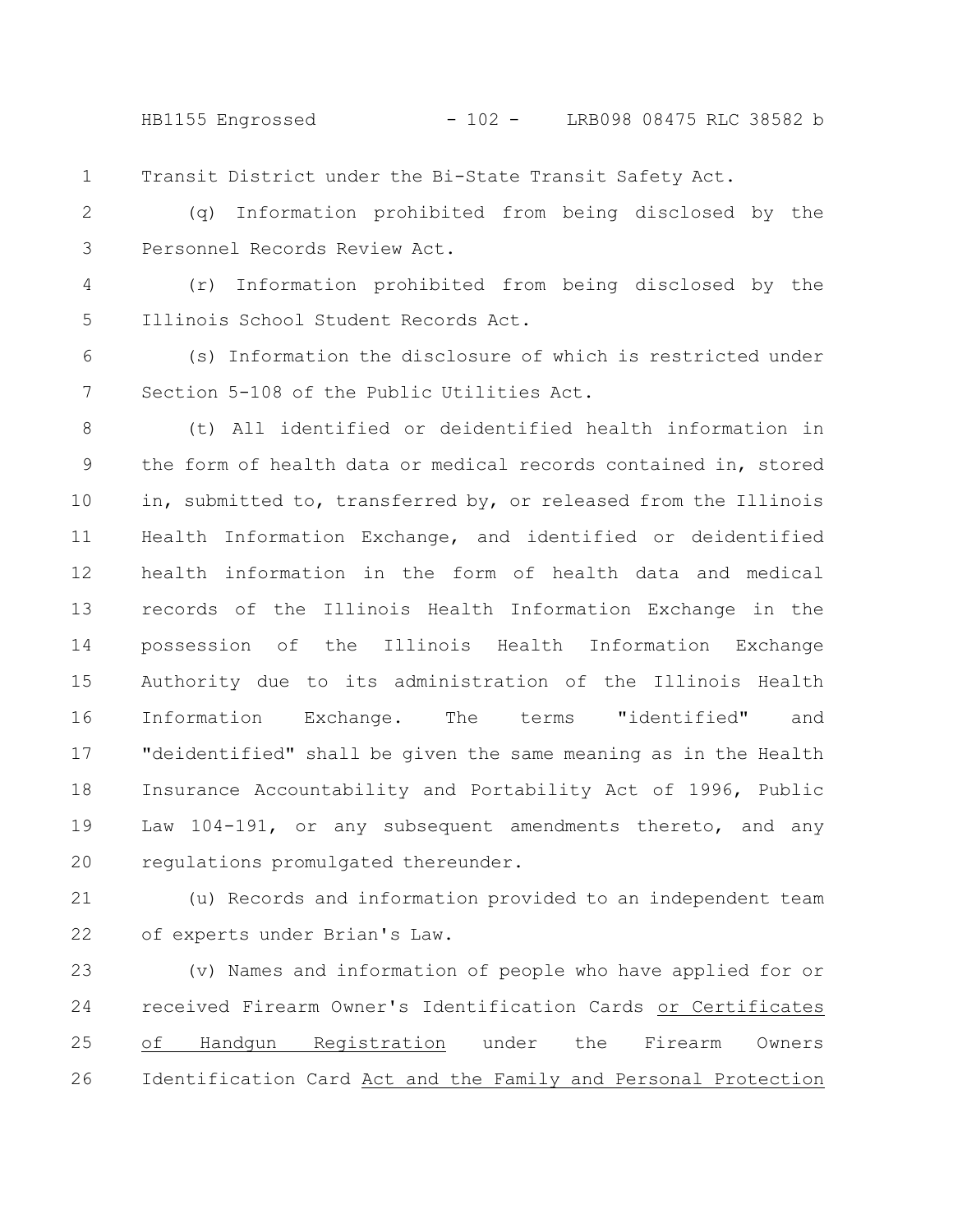HB1155 Engrossed - 102 - LRB098 08475 RLC 38582 b

Transit District under the Bi-State Transit Safety Act. 1

(q) Information prohibited from being disclosed by the Personnel Records Review Act. 2 3

(r) Information prohibited from being disclosed by the Illinois School Student Records Act. 4 5

(s) Information the disclosure of which is restricted under Section 5-108 of the Public Utilities Act. 6 7

(t) All identified or deidentified health information in the form of health data or medical records contained in, stored in, submitted to, transferred by, or released from the Illinois Health Information Exchange, and identified or deidentified health information in the form of health data and medical records of the Illinois Health Information Exchange in the possession of the Illinois Health Information Exchange Authority due to its administration of the Illinois Health Information Exchange. The terms "identified" and "deidentified" shall be given the same meaning as in the Health Insurance Accountability and Portability Act of 1996, Public Law 104-191, or any subsequent amendments thereto, and any regulations promulgated thereunder. 8 9 10 11 12 13 14 15 16 17 18 19 20

(u) Records and information provided to an independent team of experts under Brian's Law. 21 22

(v) Names and information of people who have applied for or received Firearm Owner's Identification Cards or Certificates of Handgun Registration under the Firearm Owners Identification Card Act and the Family and Personal Protection 23 24 25 26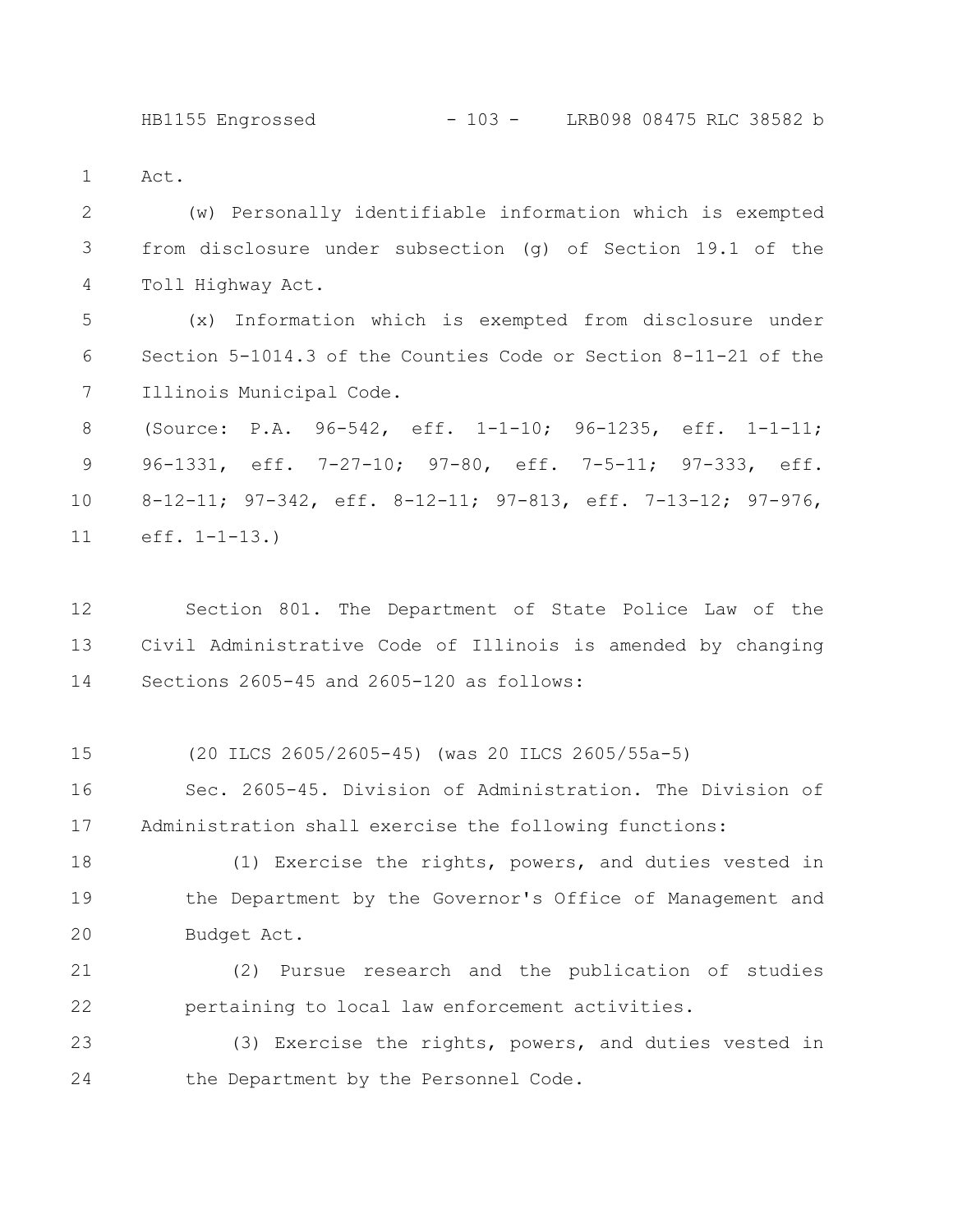## HB1155 Engrossed - 103 - LRB098 08475 RLC 38582 b

Act. 1

(w) Personally identifiable information which is exempted from disclosure under subsection (g) of Section 19.1 of the Toll Highway Act. 2 3 4

(x) Information which is exempted from disclosure under Section 5-1014.3 of the Counties Code or Section 8-11-21 of the Illinois Municipal Code. 5 6 7

(Source: P.A. 96-542, eff. 1-1-10; 96-1235, eff. 1-1-11; 96-1331, eff. 7-27-10; 97-80, eff. 7-5-11; 97-333, eff. 8-12-11; 97-342, eff. 8-12-11; 97-813, eff. 7-13-12; 97-976, eff. 1-1-13.) 8 9 10 11

Section 801. The Department of State Police Law of the Civil Administrative Code of Illinois is amended by changing Sections 2605-45 and 2605-120 as follows: 12 13 14

(20 ILCS 2605/2605-45) (was 20 ILCS 2605/55a-5) 15

Sec. 2605-45. Division of Administration. The Division of Administration shall exercise the following functions: 16 17

(1) Exercise the rights, powers, and duties vested in the Department by the Governor's Office of Management and Budget Act. 18 19 20

(2) Pursue research and the publication of studies pertaining to local law enforcement activities. 21 22

(3) Exercise the rights, powers, and duties vested in the Department by the Personnel Code. 23 24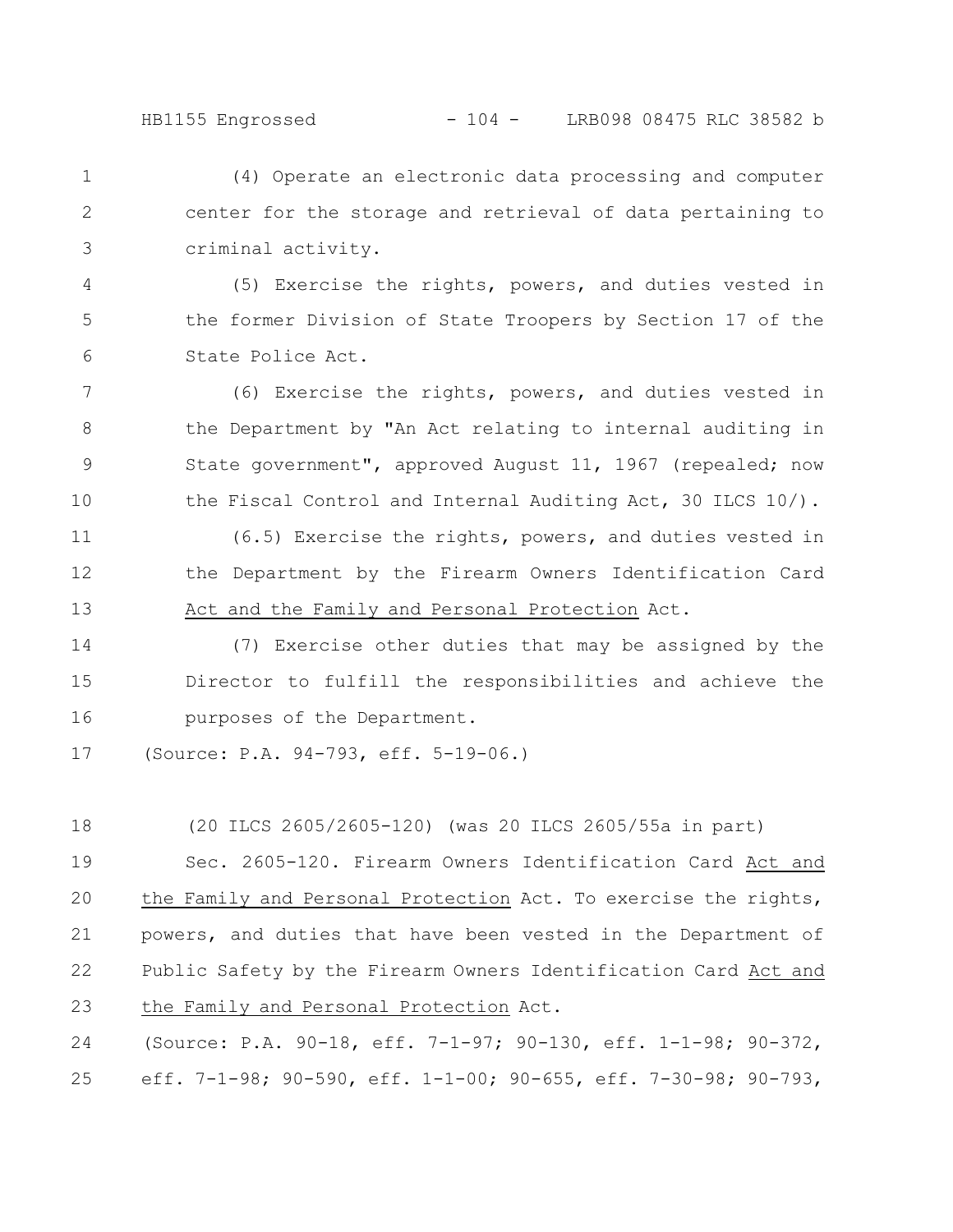(4) Operate an electronic data processing and computer center for the storage and retrieval of data pertaining to criminal activity. 1 2 3

(5) Exercise the rights, powers, and duties vested in the former Division of State Troopers by Section 17 of the State Police Act. 4 5 6

(6) Exercise the rights, powers, and duties vested in the Department by "An Act relating to internal auditing in State government", approved August 11, 1967 (repealed; now the Fiscal Control and Internal Auditing Act, 30 ILCS 10/). 7 8 9 10

(6.5) Exercise the rights, powers, and duties vested in the Department by the Firearm Owners Identification Card Act and the Family and Personal Protection Act. 11 12 13

(7) Exercise other duties that may be assigned by the Director to fulfill the responsibilities and achieve the purposes of the Department. 14 15 16

(Source: P.A. 94-793, eff. 5-19-06.) 17

(20 ILCS 2605/2605-120) (was 20 ILCS 2605/55a in part) Sec. 2605-120. Firearm Owners Identification Card Act and the Family and Personal Protection Act. To exercise the rights, powers, and duties that have been vested in the Department of Public Safety by the Firearm Owners Identification Card Act and the Family and Personal Protection Act. (Source: P.A. 90-18, eff. 7-1-97; 90-130, eff. 1-1-98; 90-372, 18 19 20 21 22 23 24

eff. 7-1-98; 90-590, eff. 1-1-00; 90-655, eff. 7-30-98; 90-793, 25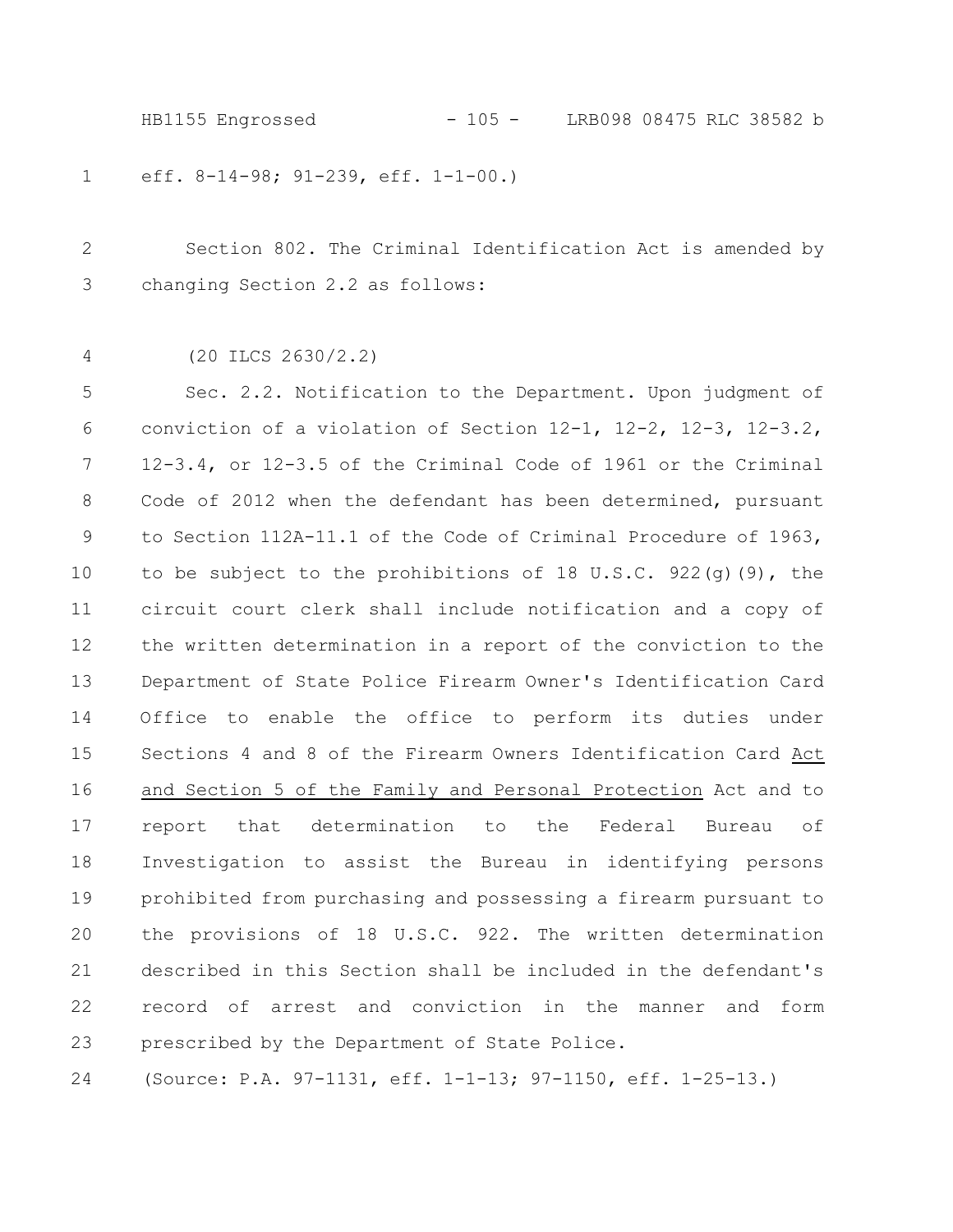HB1155 Engrossed - 105 - LRB098 08475 RLC 38582 b

eff. 8-14-98; 91-239, eff. 1-1-00.) 1

Section 802. The Criminal Identification Act is amended by changing Section 2.2 as follows: 2 3

(20 ILCS 2630/2.2) 4

Sec. 2.2. Notification to the Department. Upon judgment of conviction of a violation of Section 12-1, 12-2, 12-3, 12-3.2, 12-3.4, or 12-3.5 of the Criminal Code of 1961 or the Criminal Code of 2012 when the defendant has been determined, pursuant to Section 112A-11.1 of the Code of Criminal Procedure of 1963, to be subject to the prohibitions of 18 U.S.C. 922(g)(9), the circuit court clerk shall include notification and a copy of the written determination in a report of the conviction to the Department of State Police Firearm Owner's Identification Card Office to enable the office to perform its duties under Sections 4 and 8 of the Firearm Owners Identification Card Act and Section 5 of the Family and Personal Protection Act and to report that determination to the Federal Bureau of Investigation to assist the Bureau in identifying persons prohibited from purchasing and possessing a firearm pursuant to the provisions of 18 U.S.C. 922. The written determination described in this Section shall be included in the defendant's record of arrest and conviction in the manner and form prescribed by the Department of State Police. 5 6 7 8 9 10 11 12 13 14 15 16 17 18 19 20 21 22 23

(Source: P.A. 97-1131, eff. 1-1-13; 97-1150, eff. 1-25-13.) 24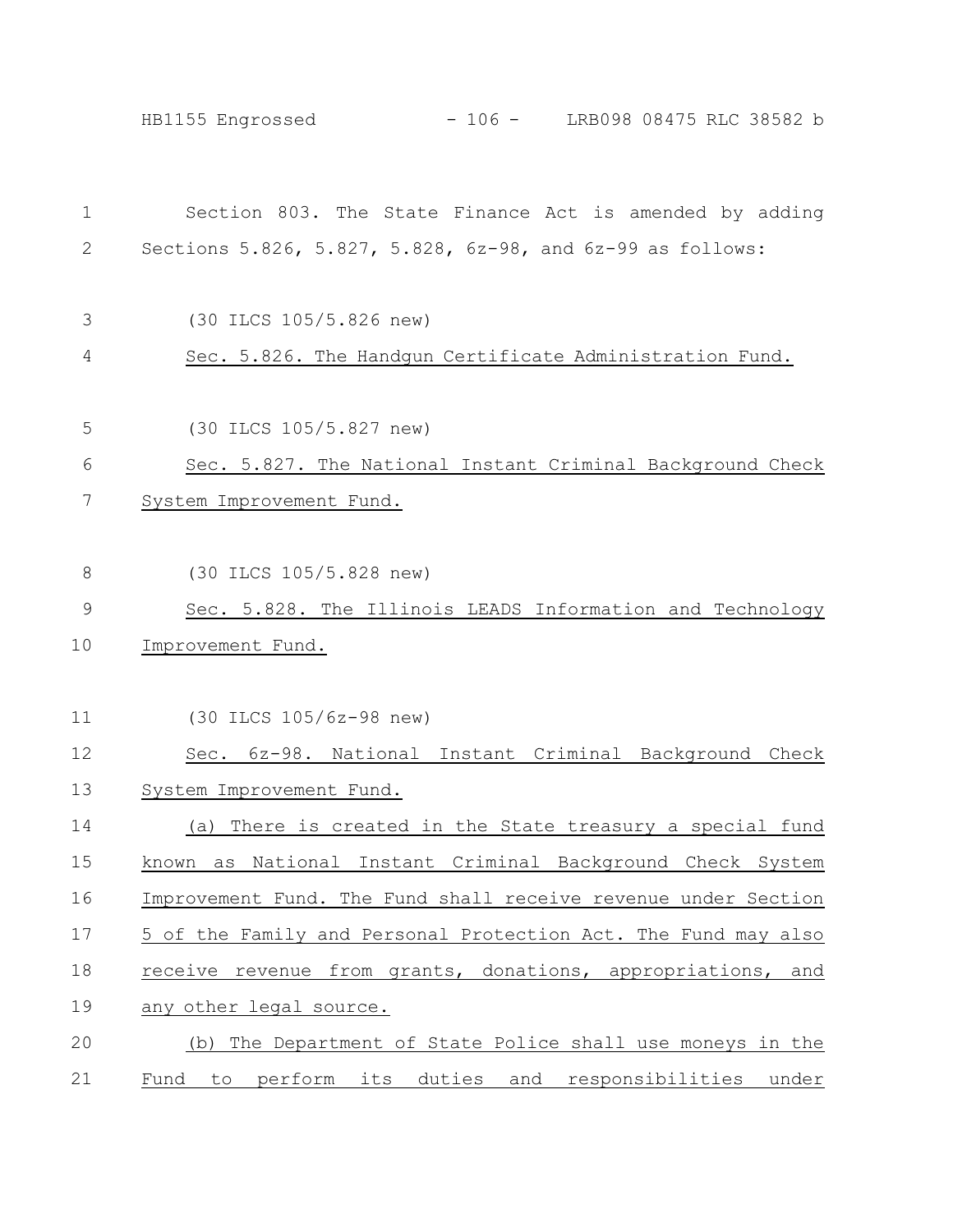HB1155 Engrossed - 106 - LRB098 08475 RLC 38582 b

| $\mathbf 1$   | Section 803. The State Finance Act is amended by adding        |
|---------------|----------------------------------------------------------------|
| 2             | Sections 5.826, 5.827, 5.828, 6z-98, and 6z-99 as follows:     |
| 3             | (30 ILCS 105/5.826 new)                                        |
| 4             | Sec. 5.826. The Handgun Certificate Administration Fund.       |
| 5             | (30 ILCS 105/5.827 new)                                        |
| 6             | Sec. 5.827. The National Instant Criminal Background Check     |
| 7             | System Improvement Fund.                                       |
|               |                                                                |
| $8\,$         | (30 ILCS 105/5.828 new)                                        |
| $\mathcal{G}$ | Sec. 5.828. The Illinois LEADS Information and Technology      |
| 10            | Improvement Fund.                                              |
|               |                                                                |
| 11            | (30 ILCS 105/6z-98 new)                                        |
| 12            | Sec. 6z-98. National Instant Criminal Background Check         |
| 13            | System Improvement Fund.                                       |
| 14            | There is created in the State treasury a special fund<br>(a)   |
| 15            | known as National Instant Criminal Background Check System     |
| 16            | Improvement Fund. The Fund shall receive revenue under Section |
| 17            | 5 of the Family and Personal Protection Act. The Fund may also |
| 18            | receive revenue from grants, donations, appropriations, and    |
| 19            | any other legal source.                                        |
| 20            | (b) The Department of State Police shall use moneys in the     |
| 21            | Fund to perform its duties and responsibilities under          |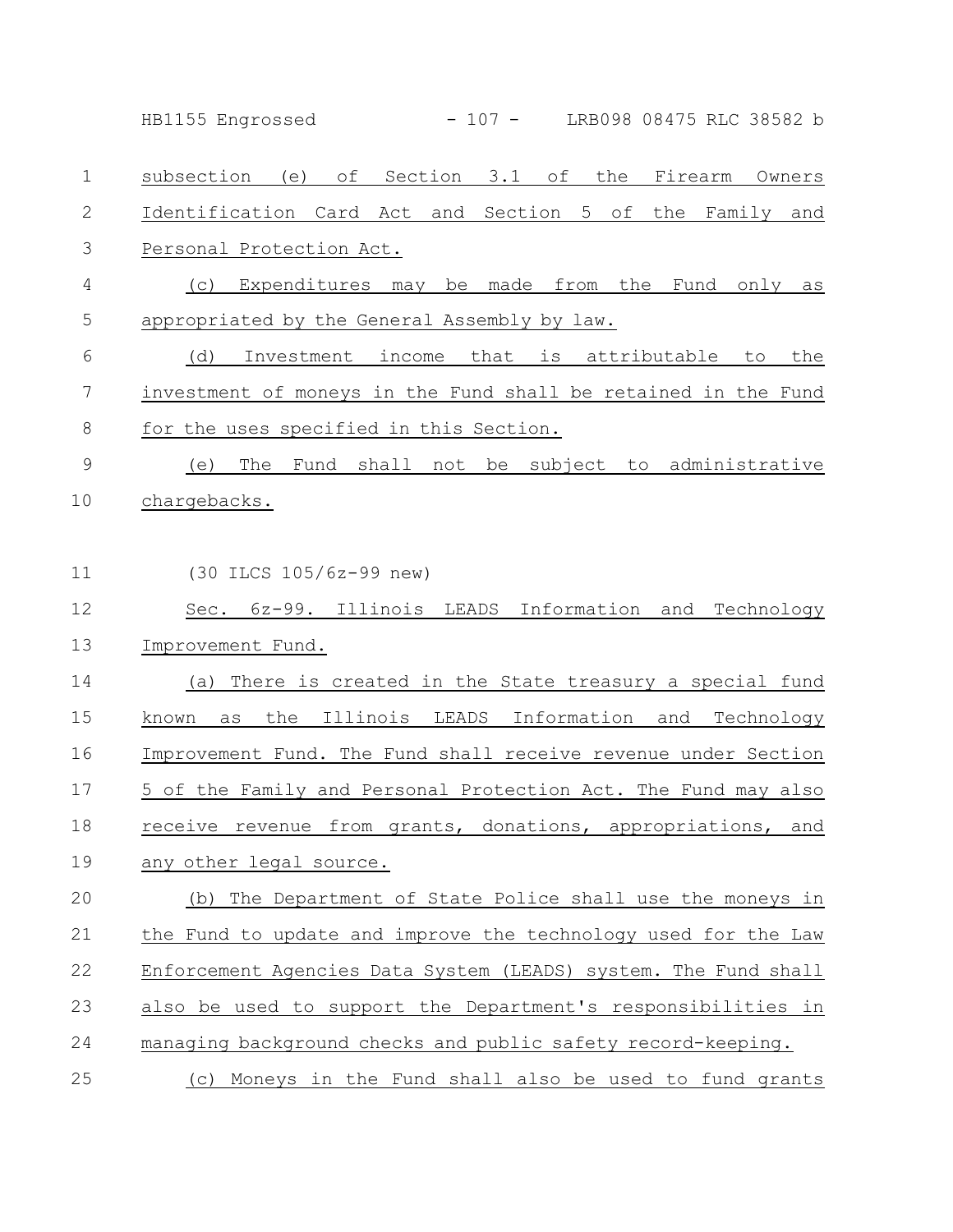|               | $-107 -$<br>LRB098 08475 RLC 38582 b<br>HB1155 Engrossed             |
|---------------|----------------------------------------------------------------------|
| $\mathbf 1$   | subsection (e) of Section 3.1 of the Firearm Owners                  |
| 2             | Identification Card Act and Section 5 of<br>the<br>Family<br>and     |
| 3             | Personal Protection Act.                                             |
| 4             | Expenditures may be<br>made from<br>the<br>Fund<br>only<br>(C)<br>as |
| 5             | appropriated by the General Assembly by law.                         |
| 6             | Investment income<br>that is attributable<br>the<br>(d)<br>to        |
| 7             | investment of moneys in the Fund shall be retained in the Fund       |
| 8             | for the uses specified in this Section.                              |
| $\mathcal{G}$ | Fund shall not be subject to administrative<br>The<br>(e)            |
| 10            | chargebacks.                                                         |
|               |                                                                      |
| 11            | (30 ILCS 105/6z-99 new)                                              |
| 12            | Sec. 6z-99. Illinois LEADS Information and<br>Technology             |
| 13            | Improvement Fund.                                                    |
| 14            | There is created in the State treasury a special fund<br>(a)         |
| 15            | Illinois LEADS Information and Technology<br>the<br>known<br>as      |
| 16            | Improvement Fund. The Fund shall receive revenue under Section       |
| 17            | 5 of the Family and Personal Protection Act. The Fund may also       |
| 18            | receive revenue from grants, donations, appropriations, and          |
| 19            | any other legal source.                                              |
| 20            | (b) The Department of State Police shall use the moneys in           |
| 21            | the Fund to update and improve the technology used for the Law       |
| 22            | Enforcement Agencies Data System (LEADS) system. The Fund shall      |
| 23            | also be used to support the Department's responsibilities in         |
| 24            | managing background checks and public safety record-keeping.         |
| 25            | (c) Moneys in the Fund shall also be used to fund grants             |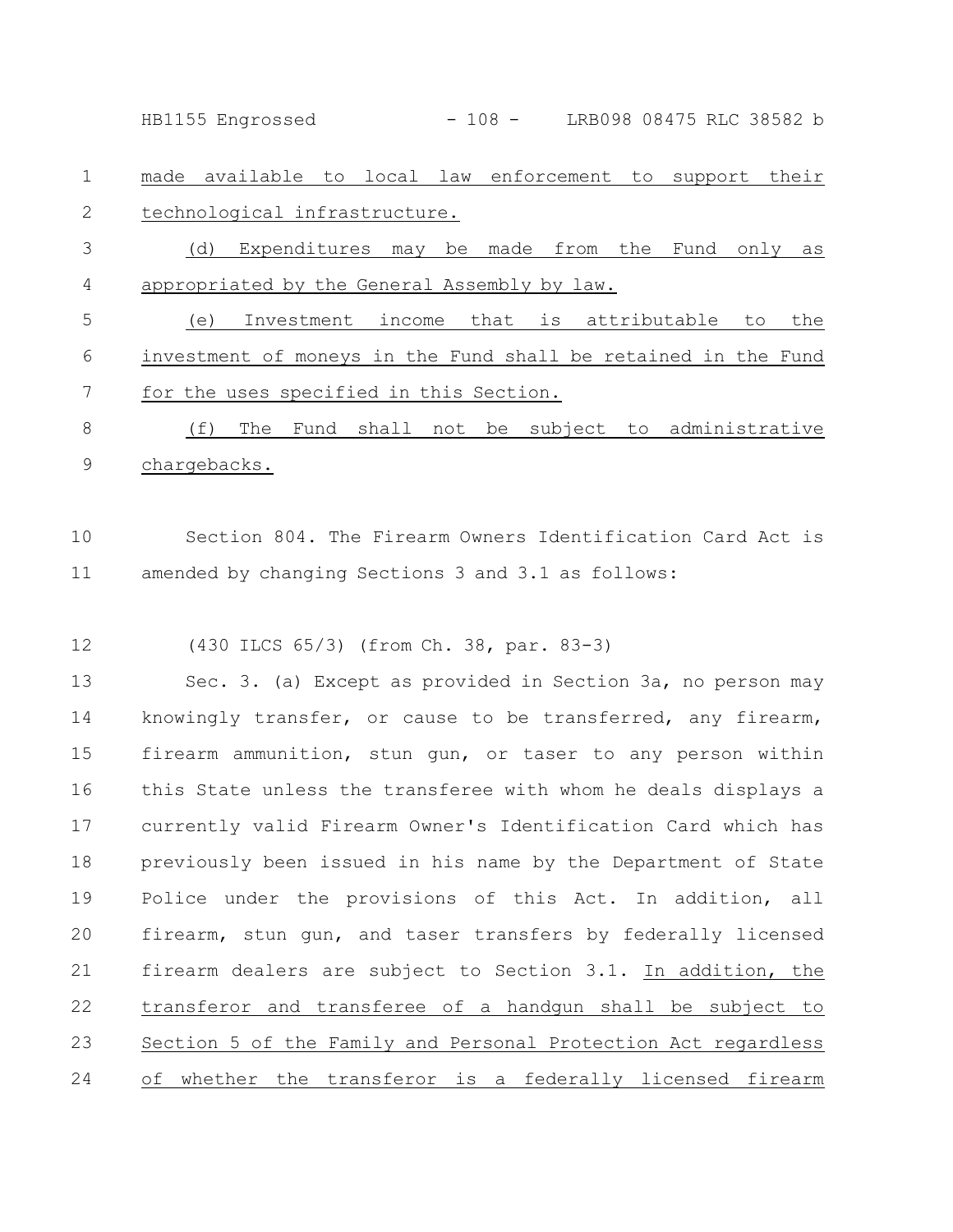HB1155 Engrossed - 108 - LRB098 08475 RLC 38582 b

made available to local law enforcement to support their technological infrastructure. 1 2

(d) Expenditures may be made from the Fund only as appropriated by the General Assembly by law. 3 4

(e) Investment income that is attributable to the investment of moneys in the Fund shall be retained in the Fund for the uses specified in this Section. 5 6 7

(f) The Fund shall not be subject to administrative chargebacks. 8 9

Section 804. The Firearm Owners Identification Card Act is amended by changing Sections 3 and 3.1 as follows: 10 11

(430 ILCS 65/3) (from Ch. 38, par. 83-3) 12

Sec. 3. (a) Except as provided in Section 3a, no person may knowingly transfer, or cause to be transferred, any firearm, firearm ammunition, stun gun, or taser to any person within this State unless the transferee with whom he deals displays a currently valid Firearm Owner's Identification Card which has previously been issued in his name by the Department of State Police under the provisions of this Act. In addition, all firearm, stun gun, and taser transfers by federally licensed firearm dealers are subject to Section 3.1. In addition, the transferor and transferee of a handgun shall be subject to Section 5 of the Family and Personal Protection Act regardless of whether the transferor is a federally licensed firearm 13 14 15 16 17 18 19 20 21 22 23 24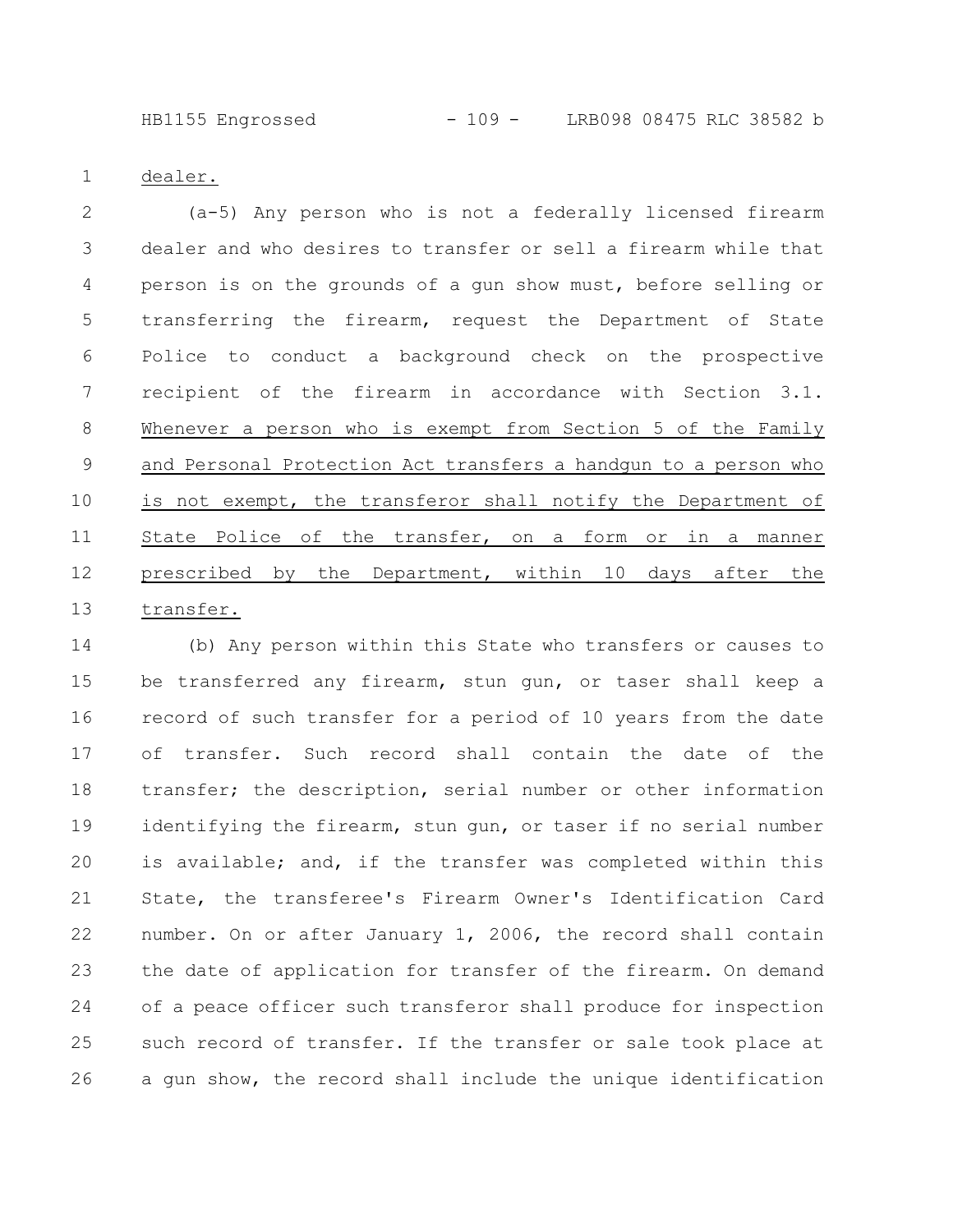HB1155 Engrossed - 109 - LRB098 08475 RLC 38582 b

dealer. 1

(a-5) Any person who is not a federally licensed firearm dealer and who desires to transfer or sell a firearm while that person is on the grounds of a gun show must, before selling or transferring the firearm, request the Department of State Police to conduct a background check on the prospective recipient of the firearm in accordance with Section 3.1. Whenever a person who is exempt from Section 5 of the Family and Personal Protection Act transfers a handgun to a person who is not exempt, the transferor shall notify the Department of State Police of the transfer, on a form or in a manner prescribed by the Department, within 10 days after the transfer. 2 3 4 5 6 7 8 9 10 11 12 13

(b) Any person within this State who transfers or causes to be transferred any firearm, stun gun, or taser shall keep a record of such transfer for a period of 10 years from the date of transfer. Such record shall contain the date of the transfer; the description, serial number or other information identifying the firearm, stun gun, or taser if no serial number is available; and, if the transfer was completed within this State, the transferee's Firearm Owner's Identification Card number. On or after January 1, 2006, the record shall contain the date of application for transfer of the firearm. On demand of a peace officer such transferor shall produce for inspection such record of transfer. If the transfer or sale took place at a gun show, the record shall include the unique identification 14 15 16 17 18 19 20 21 22 23 24 25 26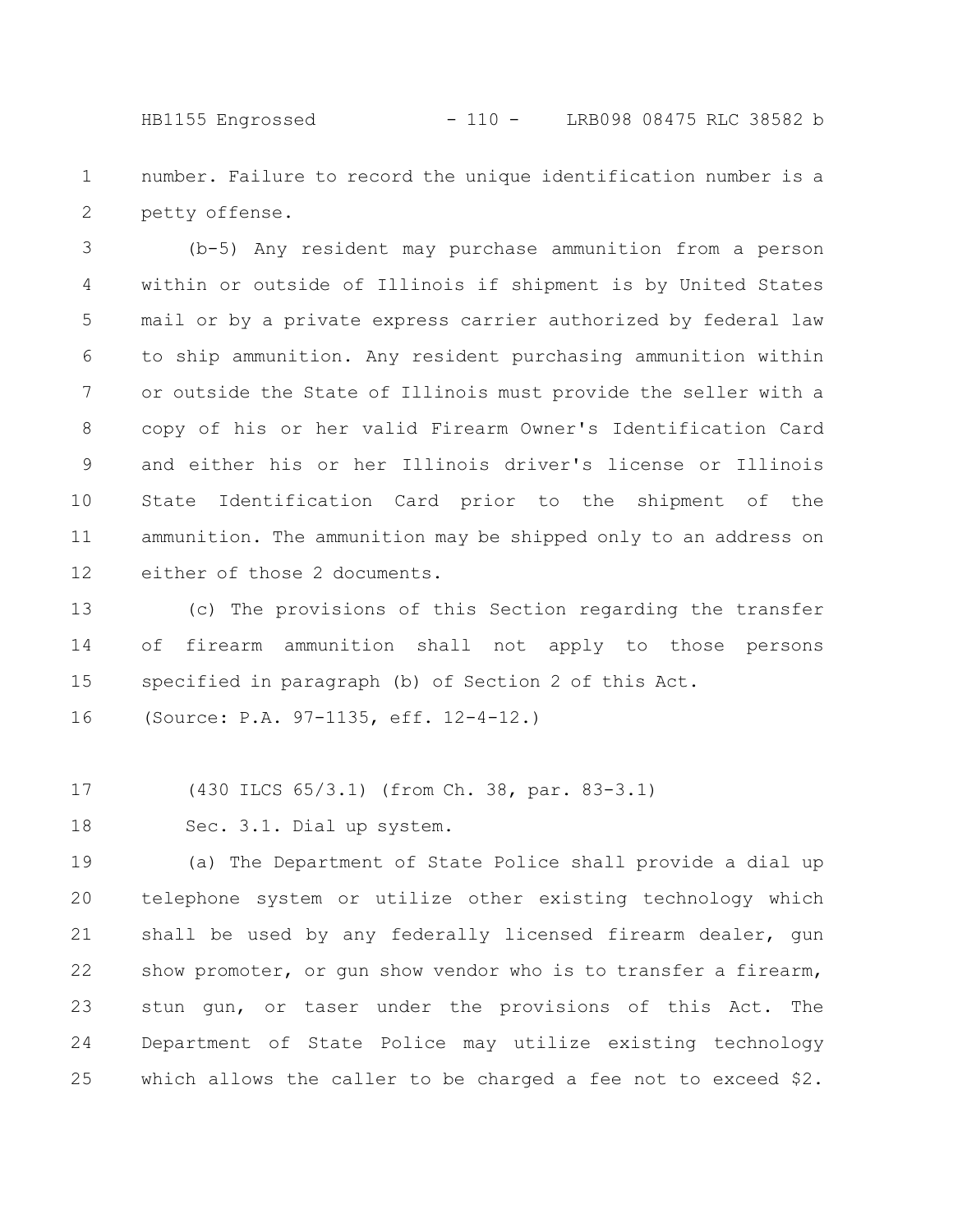HB1155 Engrossed - 110 - LRB098 08475 RLC 38582 b

number. Failure to record the unique identification number is a petty offense. 1 2

(b-5) Any resident may purchase ammunition from a person within or outside of Illinois if shipment is by United States mail or by a private express carrier authorized by federal law to ship ammunition. Any resident purchasing ammunition within or outside the State of Illinois must provide the seller with a copy of his or her valid Firearm Owner's Identification Card and either his or her Illinois driver's license or Illinois State Identification Card prior to the shipment of the ammunition. The ammunition may be shipped only to an address on either of those 2 documents. 3 4 5 6 7 8 9 10 11 12

(c) The provisions of this Section regarding the transfer of firearm ammunition shall not apply to those persons specified in paragraph (b) of Section 2 of this Act. 13 14 15

(Source: P.A. 97-1135, eff. 12-4-12.) 16

(430 ILCS 65/3.1) (from Ch. 38, par. 83-3.1) 17

Sec. 3.1. Dial up system. 18

(a) The Department of State Police shall provide a dial up telephone system or utilize other existing technology which shall be used by any federally licensed firearm dealer, gun show promoter, or gun show vendor who is to transfer a firearm, stun gun, or taser under the provisions of this Act. The Department of State Police may utilize existing technology which allows the caller to be charged a fee not to exceed \$2. 19 20 21 22 23 24 25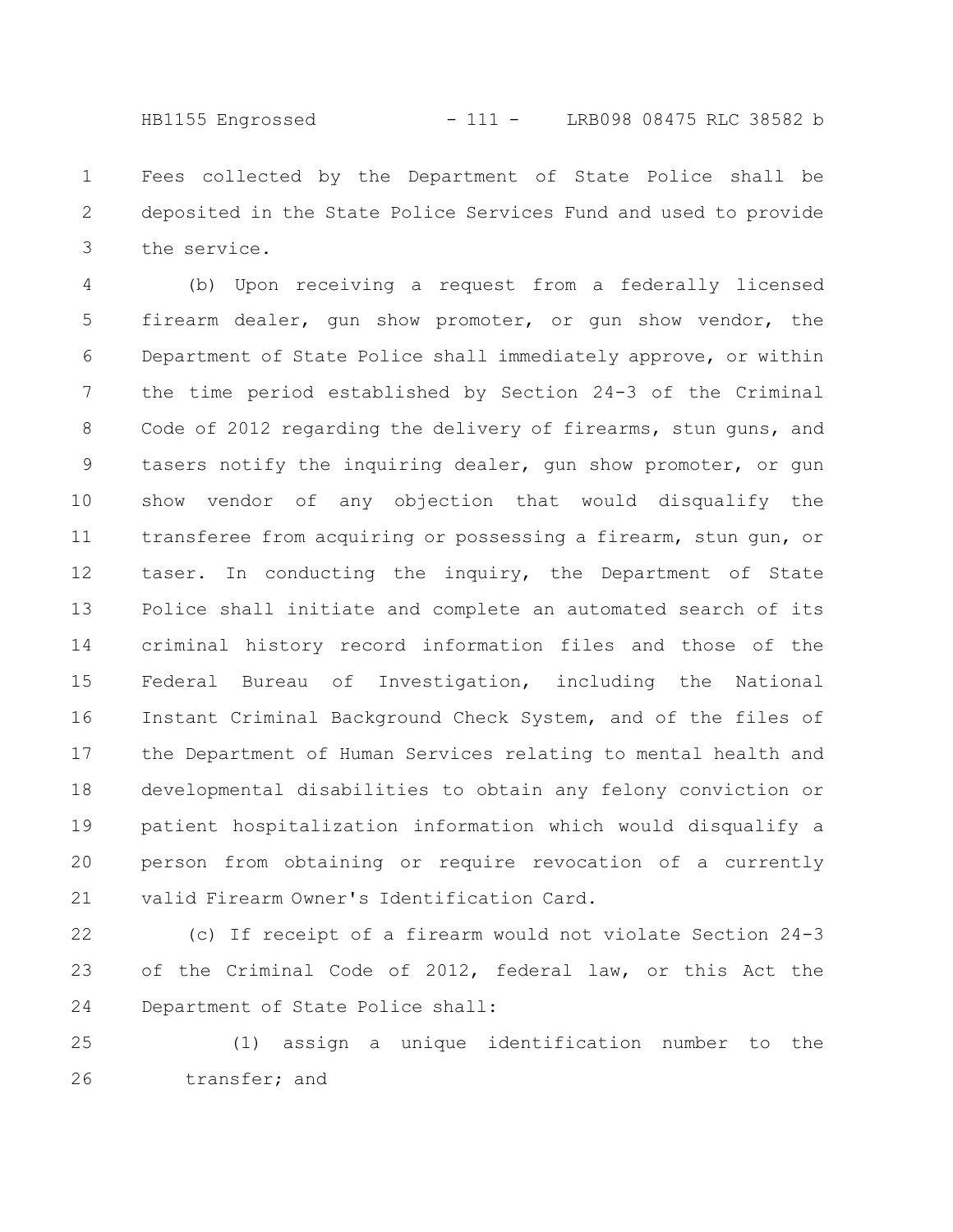HB1155 Engrossed - 111 - LRB098 08475 RLC 38582 b

Fees collected by the Department of State Police shall be deposited in the State Police Services Fund and used to provide the service. 1 2 3

(b) Upon receiving a request from a federally licensed firearm dealer, gun show promoter, or gun show vendor, the Department of State Police shall immediately approve, or within the time period established by Section 24-3 of the Criminal Code of 2012 regarding the delivery of firearms, stun guns, and tasers notify the inquiring dealer, gun show promoter, or gun show vendor of any objection that would disqualify the transferee from acquiring or possessing a firearm, stun gun, or taser. In conducting the inquiry, the Department of State Police shall initiate and complete an automated search of its criminal history record information files and those of the Federal Bureau of Investigation, including the National Instant Criminal Background Check System, and of the files of the Department of Human Services relating to mental health and developmental disabilities to obtain any felony conviction or patient hospitalization information which would disqualify a person from obtaining or require revocation of a currently valid Firearm Owner's Identification Card. 4 5 6 7 8 9 10 11 12 13 14 15 16 17 18 19 20 21

(c) If receipt of a firearm would not violate Section 24-3 of the Criminal Code of 2012, federal law, or this Act the Department of State Police shall: 22 23 24

(1) assign a unique identification number to the transfer; and 25 26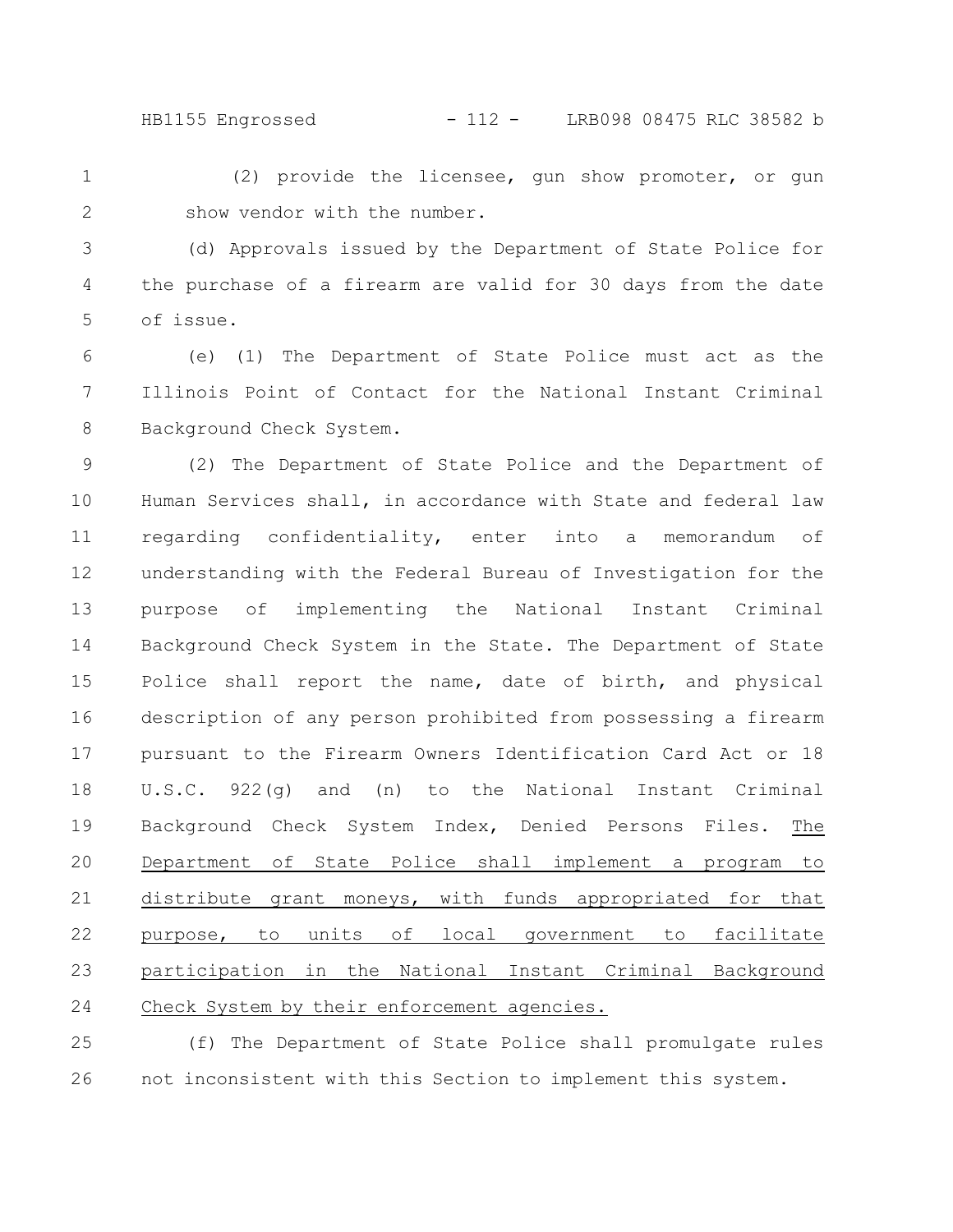HB1155 Engrossed - 112 - LRB098 08475 RLC 38582 b

(2) provide the licensee, gun show promoter, or gun show vendor with the number. 1 2

(d) Approvals issued by the Department of State Police for the purchase of a firearm are valid for 30 days from the date of issue. 3 4 5

(e) (1) The Department of State Police must act as the Illinois Point of Contact for the National Instant Criminal Background Check System. 6 7 8

(2) The Department of State Police and the Department of Human Services shall, in accordance with State and federal law regarding confidentiality, enter into a memorandum of understanding with the Federal Bureau of Investigation for the purpose of implementing the National Instant Criminal Background Check System in the State. The Department of State Police shall report the name, date of birth, and physical description of any person prohibited from possessing a firearm pursuant to the Firearm Owners Identification Card Act or 18 U.S.C. 922(g) and (n) to the National Instant Criminal Background Check System Index, Denied Persons Files. The Department of State Police shall implement a program to distribute grant moneys, with funds appropriated for that purpose, to units of local government to facilitate participation in the National Instant Criminal Background Check System by their enforcement agencies. 9 10 11 12 13 14 15 16 17 18 19 20 21 22 23 24

(f) The Department of State Police shall promulgate rules not inconsistent with this Section to implement this system. 25 26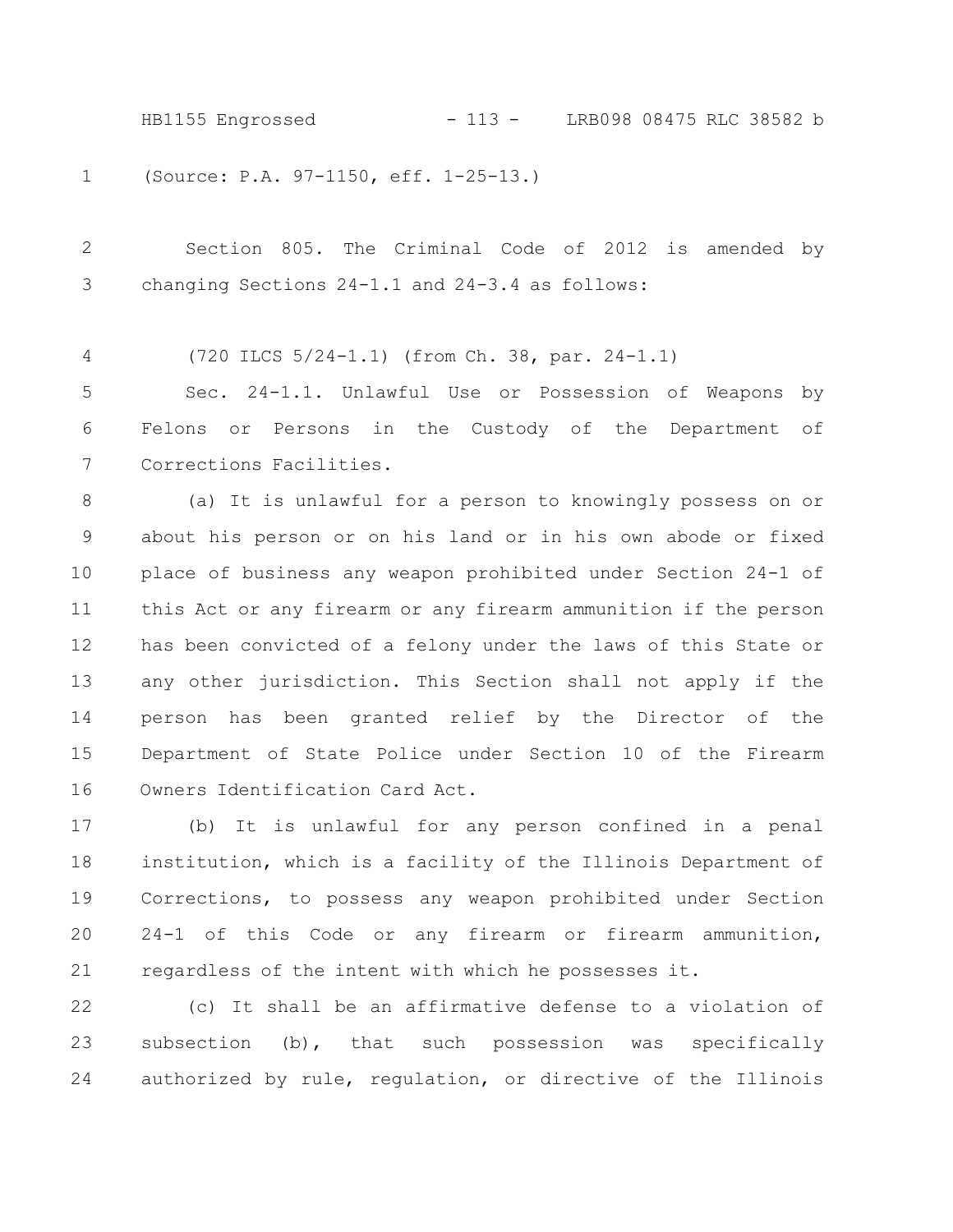HB1155 Engrossed - 113 - LRB098 08475 RLC 38582 b

(Source: P.A. 97-1150, eff. 1-25-13.) 1

Section 805. The Criminal Code of 2012 is amended by changing Sections 24-1.1 and 24-3.4 as follows: 2 3

(720 ILCS 5/24-1.1) (from Ch. 38, par. 24-1.1) 4

Sec. 24-1.1. Unlawful Use or Possession of Weapons by Felons or Persons in the Custody of the Department of Corrections Facilities. 5 6 7

(a) It is unlawful for a person to knowingly possess on or about his person or on his land or in his own abode or fixed place of business any weapon prohibited under Section 24-1 of this Act or any firearm or any firearm ammunition if the person has been convicted of a felony under the laws of this State or any other jurisdiction. This Section shall not apply if the person has been granted relief by the Director of the Department of State Police under Section 10 of the Firearm Owners Identification Card Act. 8 9 10 11 12 13 14 15 16

(b) It is unlawful for any person confined in a penal institution, which is a facility of the Illinois Department of Corrections, to possess any weapon prohibited under Section 24-1 of this Code or any firearm or firearm ammunition, regardless of the intent with which he possesses it. 17 18 19 20 21

(c) It shall be an affirmative defense to a violation of subsection (b), that such possession was specifically authorized by rule, regulation, or directive of the Illinois 22 23 24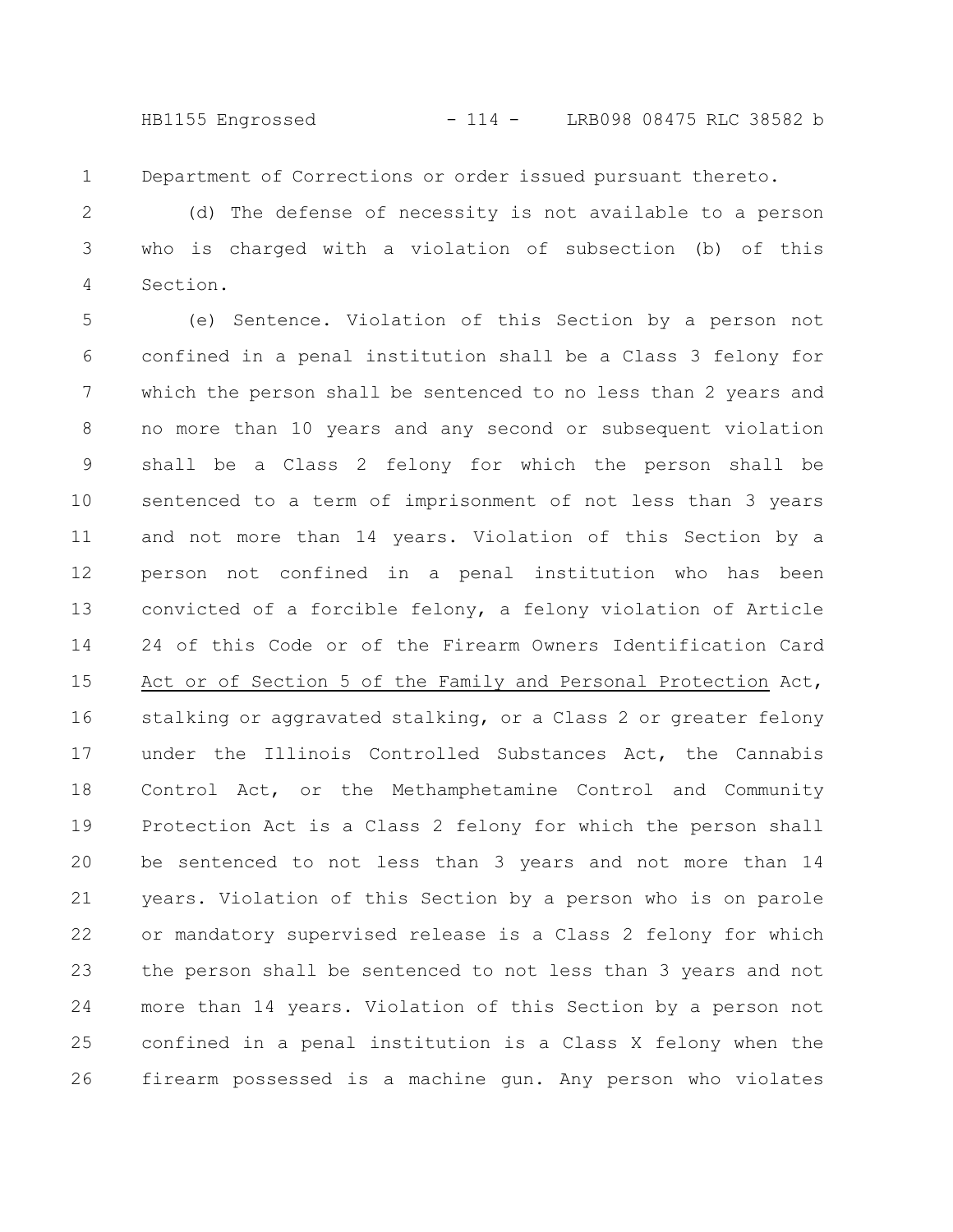HB1155 Engrossed - 114 - LRB098 08475 RLC 38582 b

Department of Corrections or order issued pursuant thereto. 1

(d) The defense of necessity is not available to a person who is charged with a violation of subsection (b) of this Section. 2 3 4

(e) Sentence. Violation of this Section by a person not confined in a penal institution shall be a Class 3 felony for which the person shall be sentenced to no less than 2 years and no more than 10 years and any second or subsequent violation shall be a Class 2 felony for which the person shall be sentenced to a term of imprisonment of not less than 3 years and not more than 14 years. Violation of this Section by a person not confined in a penal institution who has been convicted of a forcible felony, a felony violation of Article 24 of this Code or of the Firearm Owners Identification Card Act or of Section 5 of the Family and Personal Protection Act, stalking or aggravated stalking, or a Class 2 or greater felony under the Illinois Controlled Substances Act, the Cannabis Control Act, or the Methamphetamine Control and Community Protection Act is a Class 2 felony for which the person shall be sentenced to not less than 3 years and not more than 14 years. Violation of this Section by a person who is on parole or mandatory supervised release is a Class 2 felony for which the person shall be sentenced to not less than 3 years and not more than 14 years. Violation of this Section by a person not confined in a penal institution is a Class X felony when the firearm possessed is a machine gun. Any person who violates 5 6 7 8 9 10 11 12 13 14 15 16 17 18 19 20 21 22 23 24 25 26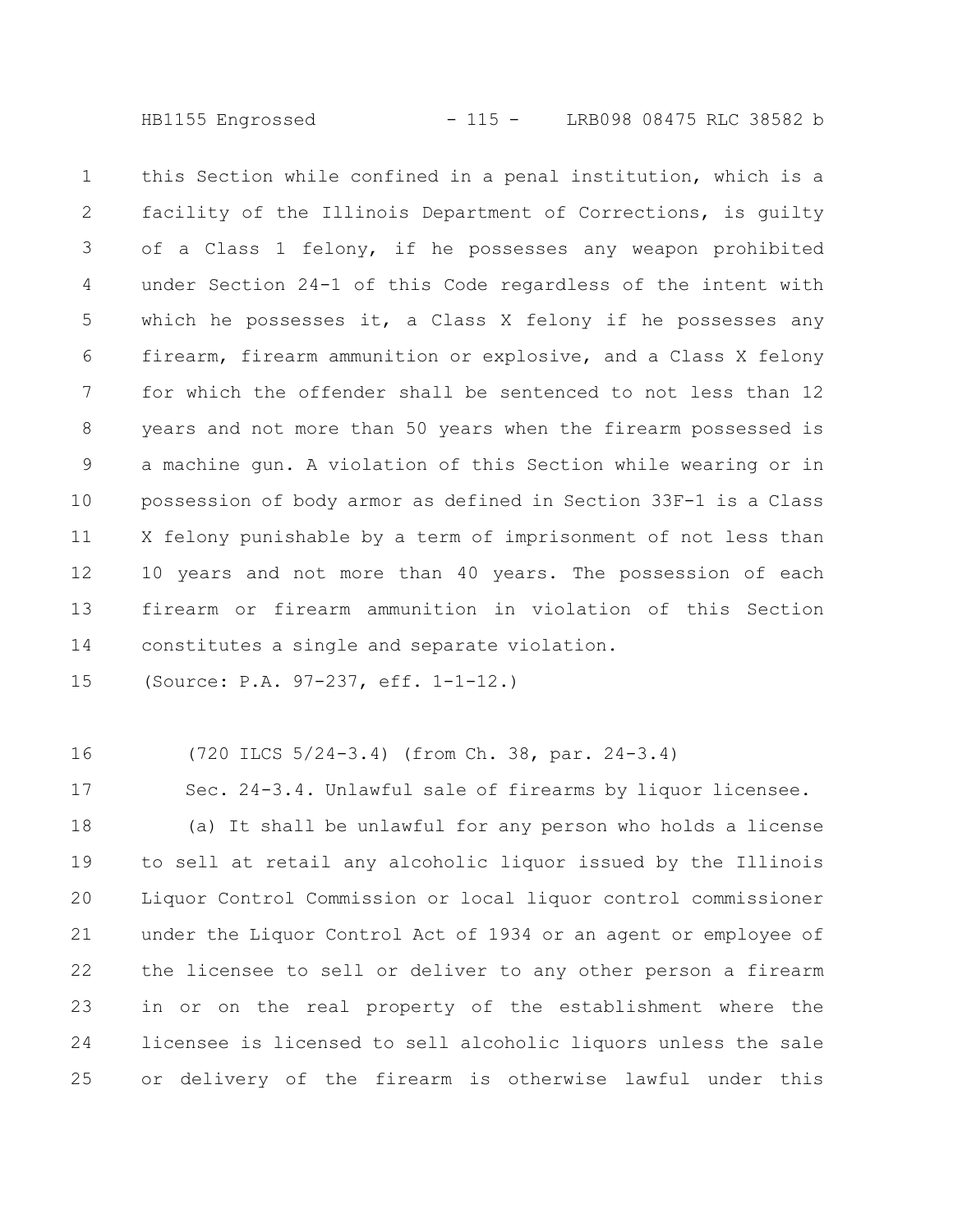HB1155 Engrossed - 115 - LRB098 08475 RLC 38582 b

this Section while confined in a penal institution, which is a facility of the Illinois Department of Corrections, is guilty of a Class 1 felony, if he possesses any weapon prohibited under Section 24-1 of this Code regardless of the intent with which he possesses it, a Class X felony if he possesses any firearm, firearm ammunition or explosive, and a Class X felony for which the offender shall be sentenced to not less than 12 years and not more than 50 years when the firearm possessed is a machine gun. A violation of this Section while wearing or in possession of body armor as defined in Section 33F-1 is a Class X felony punishable by a term of imprisonment of not less than 10 years and not more than 40 years. The possession of each firearm or firearm ammunition in violation of this Section constitutes a single and separate violation. 1 2 3 4 5 6 7 8 9 10 11 12 13 14

(Source: P.A. 97-237, eff. 1-1-12.) 15

16

(720 ILCS 5/24-3.4) (from Ch. 38, par. 24-3.4)

Sec. 24-3.4. Unlawful sale of firearms by liquor licensee. 17

(a) It shall be unlawful for any person who holds a license to sell at retail any alcoholic liquor issued by the Illinois Liquor Control Commission or local liquor control commissioner under the Liquor Control Act of 1934 or an agent or employee of the licensee to sell or deliver to any other person a firearm in or on the real property of the establishment where the licensee is licensed to sell alcoholic liquors unless the sale or delivery of the firearm is otherwise lawful under this 18 19 20 21 22 23 24 25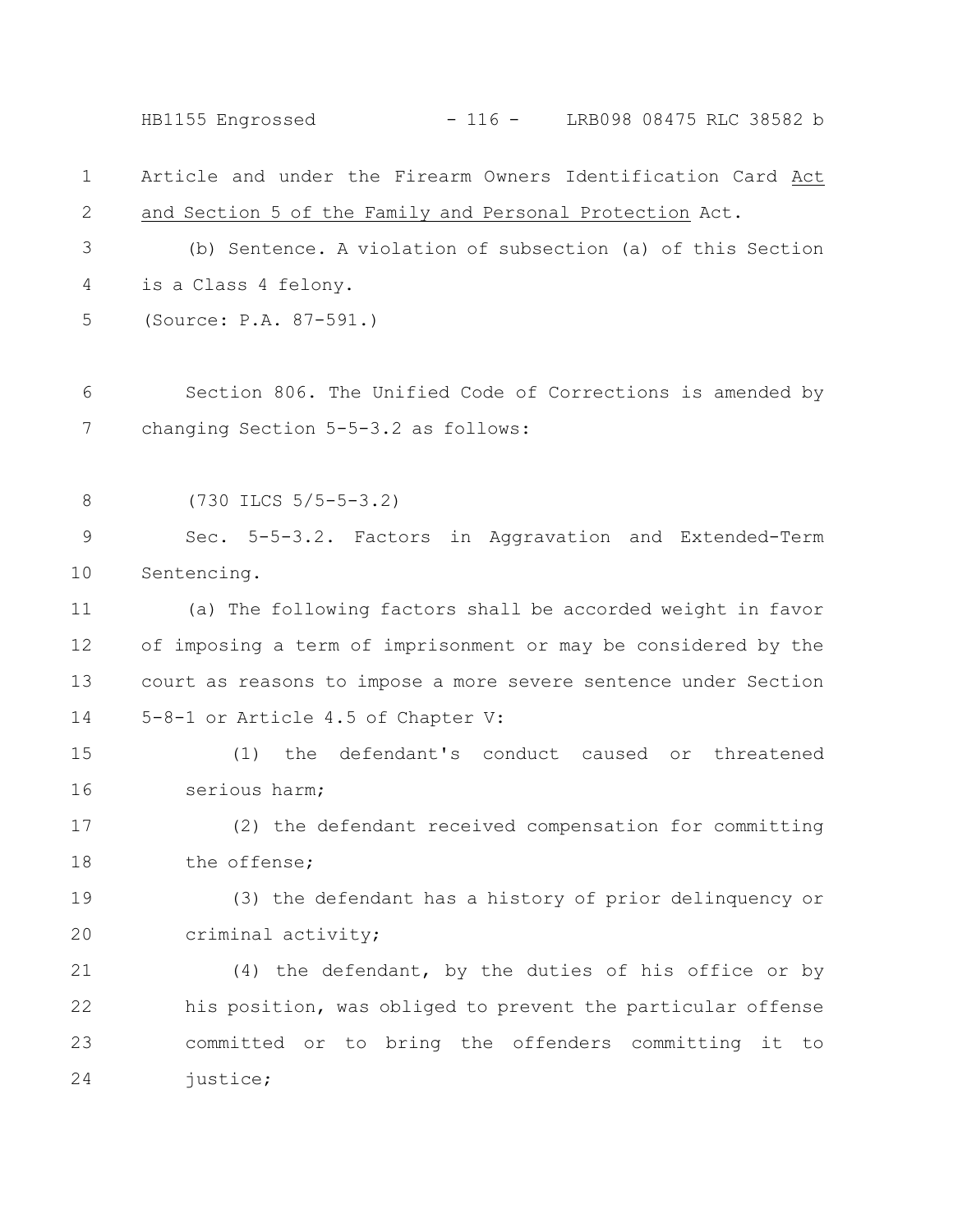Article and under the Firearm Owners Identification Card Act and Section 5 of the Family and Personal Protection Act. (b) Sentence. A violation of subsection (a) of this Section is a Class 4 felony. (Source: P.A. 87-591.) Section 806. The Unified Code of Corrections is amended by changing Section 5-5-3.2 as follows: (730 ILCS 5/5-5-3.2) Sec. 5-5-3.2. Factors in Aggravation and Extended-Term Sentencing. (a) The following factors shall be accorded weight in favor of imposing a term of imprisonment or may be considered by the court as reasons to impose a more severe sentence under Section 5-8-1 or Article 4.5 of Chapter V: (1) the defendant's conduct caused or threatened serious harm; (2) the defendant received compensation for committing the offense; (3) the defendant has a history of prior delinquency or criminal activity; (4) the defendant, by the duties of his office or by his position, was obliged to prevent the particular offense committed or to bring the offenders committing it to justice; 1 2 3 4 5 6 7 8 9 10 11 12 13 14 15 16 17 18 19 20 21 22 23 24 HB1155 Engrossed - 116 - LRB098 08475 RLC 38582 b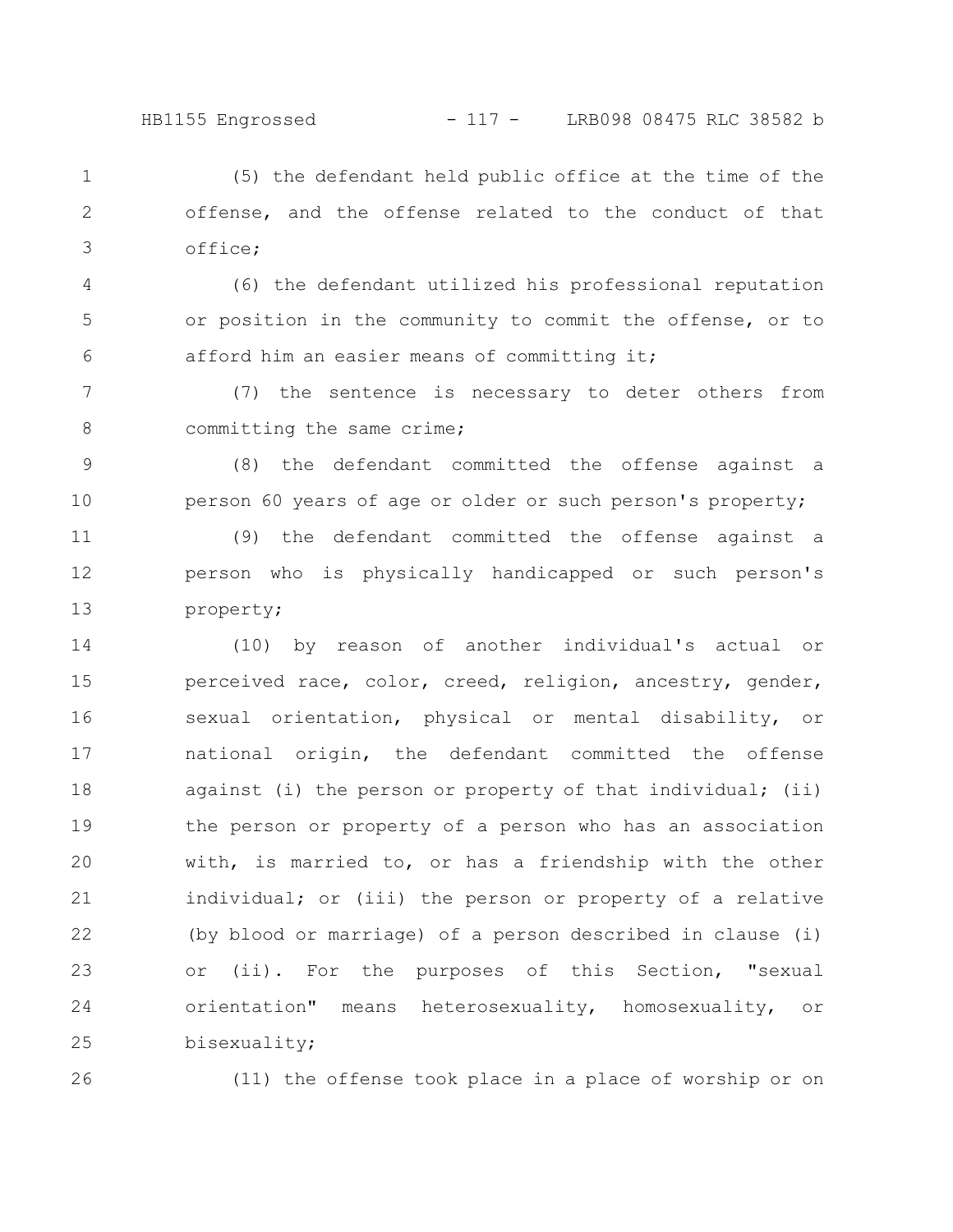(5) the defendant held public office at the time of the offense, and the offense related to the conduct of that office; 1 2 3

(6) the defendant utilized his professional reputation or position in the community to commit the offense, or to afford him an easier means of committing it; 4 5 6

(7) the sentence is necessary to deter others from committing the same crime; 7 8

(8) the defendant committed the offense against a person 60 years of age or older or such person's property; 9 10

(9) the defendant committed the offense against a person who is physically handicapped or such person's property; 11 12 13

(10) by reason of another individual's actual or perceived race, color, creed, religion, ancestry, gender, sexual orientation, physical or mental disability, or national origin, the defendant committed the offense against (i) the person or property of that individual; (ii) the person or property of a person who has an association with, is married to, or has a friendship with the other individual; or (iii) the person or property of a relative (by blood or marriage) of a person described in clause (i) or (ii). For the purposes of this Section, "sexual orientation" means heterosexuality, homosexuality, or bisexuality; 14 15 16 17 18 19 20 21 22 23 24 25

26

(11) the offense took place in a place of worship or on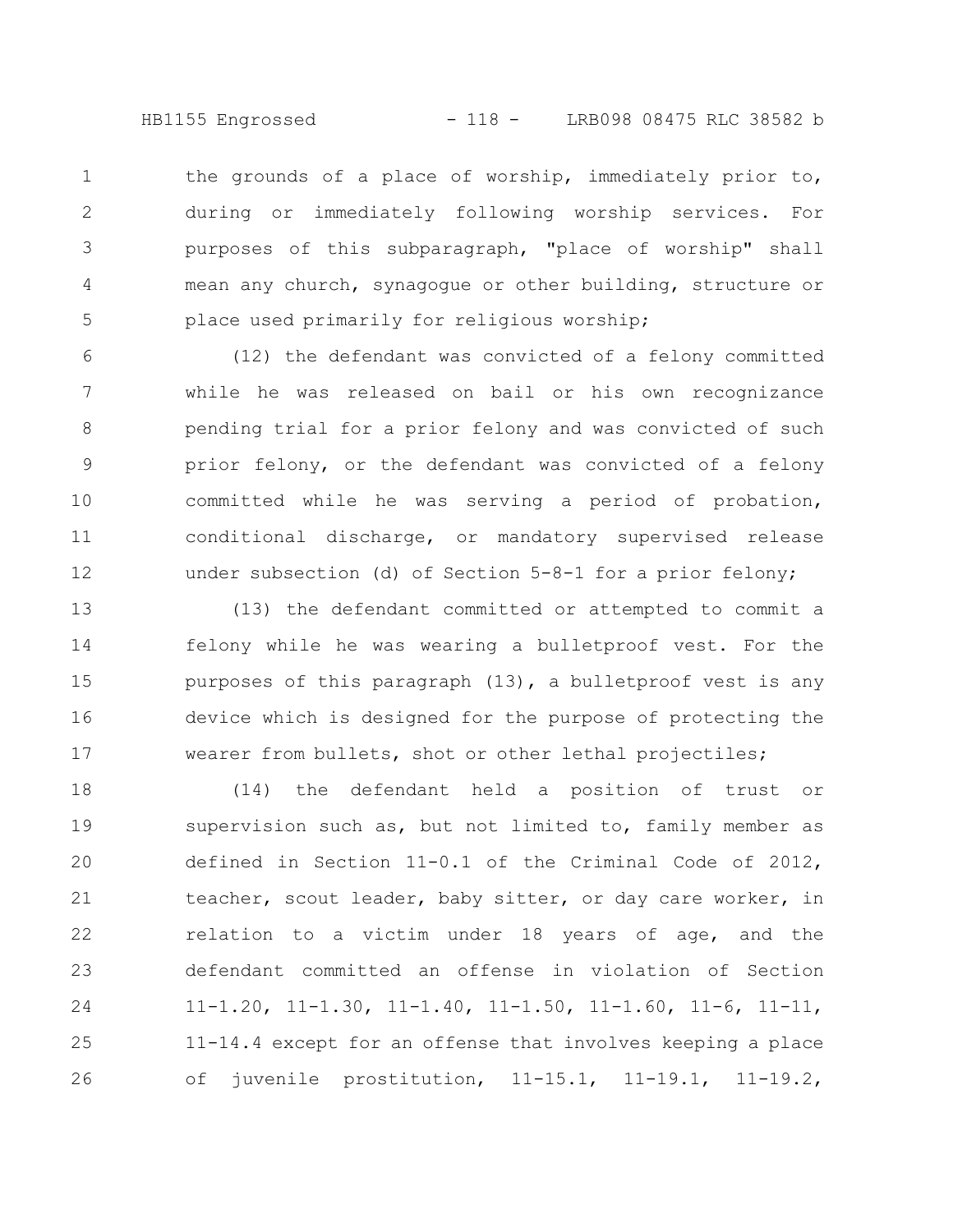HB1155 Engrossed - 118 - LRB098 08475 RLC 38582 b

the grounds of a place of worship, immediately prior to, during or immediately following worship services. For purposes of this subparagraph, "place of worship" shall mean any church, synagogue or other building, structure or place used primarily for religious worship; 1 2 3 4 5

(12) the defendant was convicted of a felony committed while he was released on bail or his own recognizance pending trial for a prior felony and was convicted of such prior felony, or the defendant was convicted of a felony committed while he was serving a period of probation, conditional discharge, or mandatory supervised release under subsection (d) of Section 5-8-1 for a prior felony; 6 7 8 9 10 11 12

(13) the defendant committed or attempted to commit a felony while he was wearing a bulletproof vest. For the purposes of this paragraph (13), a bulletproof vest is any device which is designed for the purpose of protecting the wearer from bullets, shot or other lethal projectiles; 13 14 15 16 17

(14) the defendant held a position of trust or supervision such as, but not limited to, family member as defined in Section 11-0.1 of the Criminal Code of 2012, teacher, scout leader, baby sitter, or day care worker, in relation to a victim under 18 years of age, and the defendant committed an offense in violation of Section 11-1.20, 11-1.30, 11-1.40, 11-1.50, 11-1.60, 11-6, 11-11, 11-14.4 except for an offense that involves keeping a place of juvenile prostitution, 11-15.1, 11-19.1, 11-19.2, 18 19 20 21 22 23 24 25 26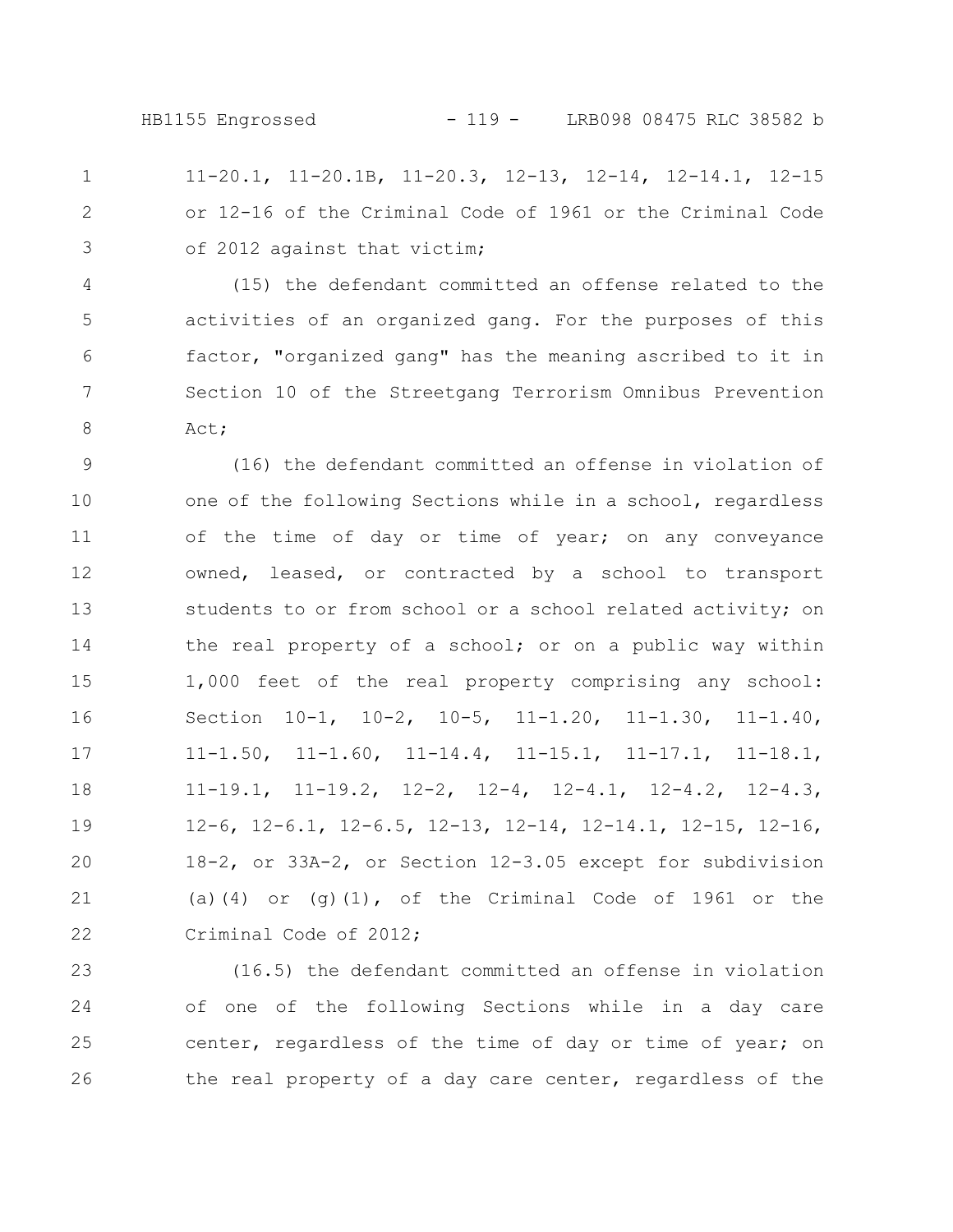11-20.1, 11-20.1B, 11-20.3, 12-13, 12-14, 12-14.1, 12-15 or 12-16 of the Criminal Code of 1961 or the Criminal Code of 2012 against that victim; 1 2 3

(15) the defendant committed an offense related to the activities of an organized gang. For the purposes of this factor, "organized gang" has the meaning ascribed to it in Section 10 of the Streetgang Terrorism Omnibus Prevention Act; 4 5 6 7 8

(16) the defendant committed an offense in violation of one of the following Sections while in a school, regardless of the time of day or time of year; on any conveyance owned, leased, or contracted by a school to transport students to or from school or a school related activity; on the real property of a school; or on a public way within 1,000 feet of the real property comprising any school: Section 10-1, 10-2, 10-5, 11-1.20, 11-1.30, 11-1.40, 11-1.50, 11-1.60, 11-14.4, 11-15.1, 11-17.1, 11-18.1, 11-19.1, 11-19.2, 12-2, 12-4, 12-4.1, 12-4.2, 12-4.3, 12-6, 12-6.1, 12-6.5, 12-13, 12-14, 12-14.1, 12-15, 12-16, 18-2, or 33A-2, or Section 12-3.05 except for subdivision (a)(4) or (g) $(1)$ , of the Criminal Code of 1961 or the Criminal Code of 2012; 9 10 11 12 13 14 15 16 17 18 19 20 21 22

(16.5) the defendant committed an offense in violation of one of the following Sections while in a day care center, regardless of the time of day or time of year; on the real property of a day care center, regardless of the 23 24 25 26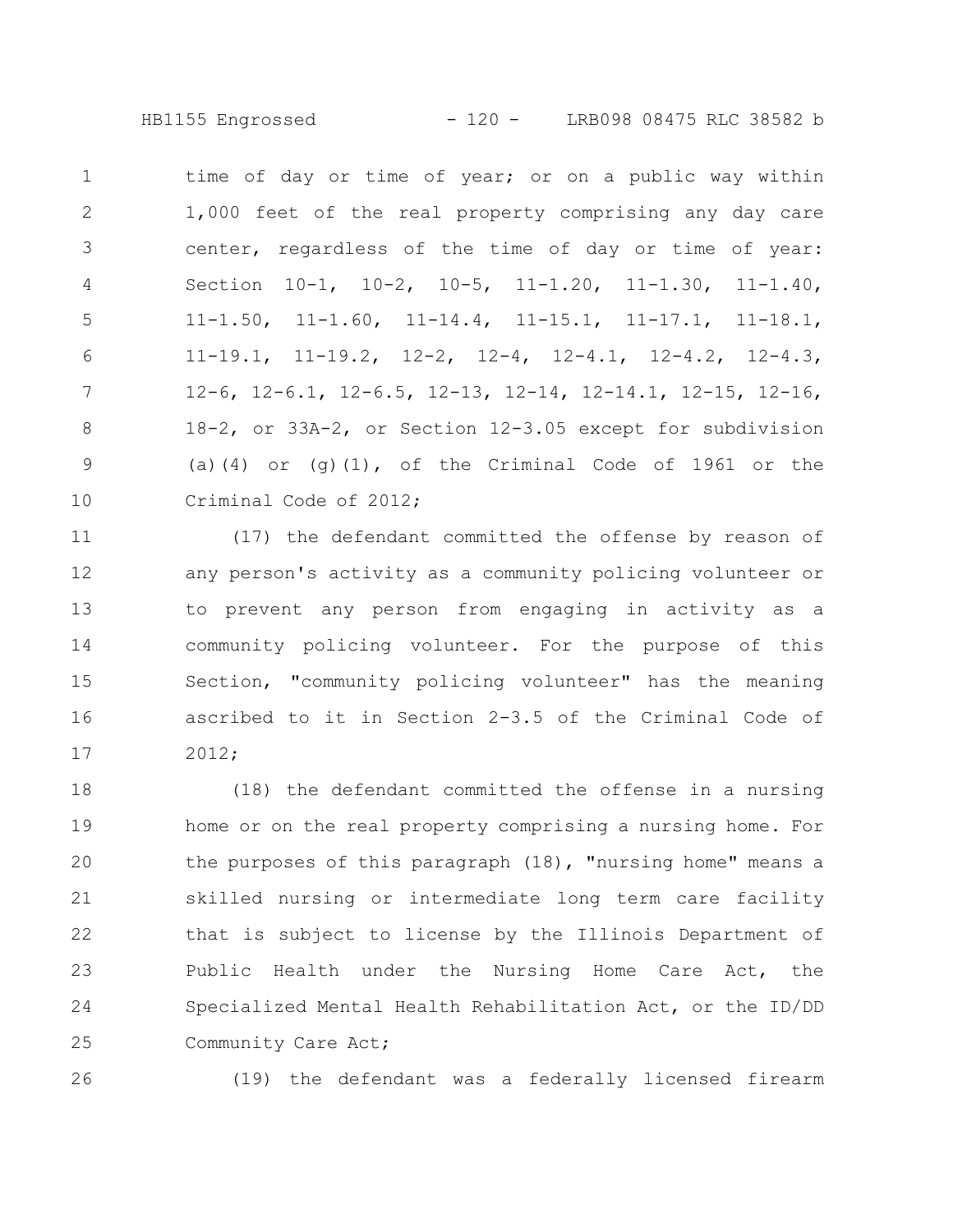HB1155 Engrossed - 120 - LRB098 08475 RLC 38582 b

time of day or time of year; or on a public way within 1,000 feet of the real property comprising any day care center, regardless of the time of day or time of year: Section 10-1, 10-2, 10-5, 11-1.20, 11-1.30, 11-1.40, 11-1.50, 11-1.60, 11-14.4, 11-15.1, 11-17.1, 11-18.1, 11-19.1, 11-19.2, 12-2, 12-4, 12-4.1, 12-4.2, 12-4.3, 12-6, 12-6.1, 12-6.5, 12-13, 12-14, 12-14.1, 12-15, 12-16, 18-2, or 33A-2, or Section 12-3.05 except for subdivision (a)(4) or (g)(1), of the Criminal Code of 1961 or the Criminal Code of 2012; 1 2 3 4 5 6 7 8 9 10

(17) the defendant committed the offense by reason of any person's activity as a community policing volunteer or to prevent any person from engaging in activity as a community policing volunteer. For the purpose of this Section, "community policing volunteer" has the meaning ascribed to it in Section 2-3.5 of the Criminal Code of 2012; 11 12 13 14 15 16 17

(18) the defendant committed the offense in a nursing home or on the real property comprising a nursing home. For the purposes of this paragraph (18), "nursing home" means a skilled nursing or intermediate long term care facility that is subject to license by the Illinois Department of Public Health under the Nursing Home Care Act, the Specialized Mental Health Rehabilitation Act, or the ID/DD Community Care Act; 18 19 20 21 22 23 24 25

26

(19) the defendant was a federally licensed firearm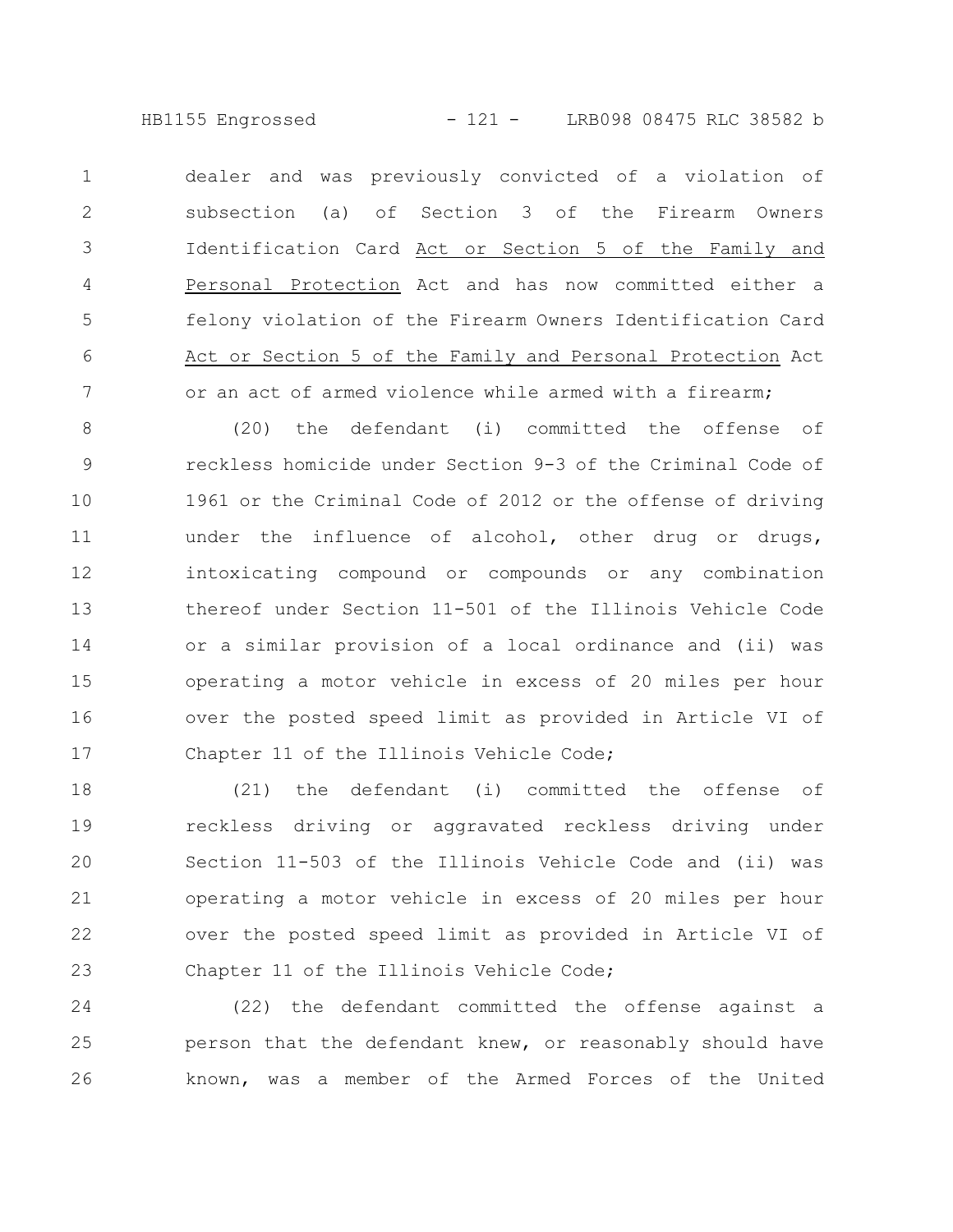HB1155 Engrossed - 121 - LRB098 08475 RLC 38582 b

dealer and was previously convicted of a violation of subsection (a) of Section 3 of the Firearm Owners Identification Card Act or Section 5 of the Family and Personal Protection Act and has now committed either a felony violation of the Firearm Owners Identification Card Act or Section 5 of the Family and Personal Protection Act or an act of armed violence while armed with a firearm; 1 2 3 4 5 6 7

(20) the defendant (i) committed the offense of reckless homicide under Section 9-3 of the Criminal Code of 1961 or the Criminal Code of 2012 or the offense of driving under the influence of alcohol, other drug or drugs, intoxicating compound or compounds or any combination thereof under Section 11-501 of the Illinois Vehicle Code or a similar provision of a local ordinance and (ii) was operating a motor vehicle in excess of 20 miles per hour over the posted speed limit as provided in Article VI of Chapter 11 of the Illinois Vehicle Code; 8 9 10 11 12 13 14 15 16 17

(21) the defendant (i) committed the offense of reckless driving or aggravated reckless driving under Section 11-503 of the Illinois Vehicle Code and (ii) was operating a motor vehicle in excess of 20 miles per hour over the posted speed limit as provided in Article VI of Chapter 11 of the Illinois Vehicle Code; 18 19 20 21 22 23

(22) the defendant committed the offense against a person that the defendant knew, or reasonably should have known, was a member of the Armed Forces of the United 24 25 26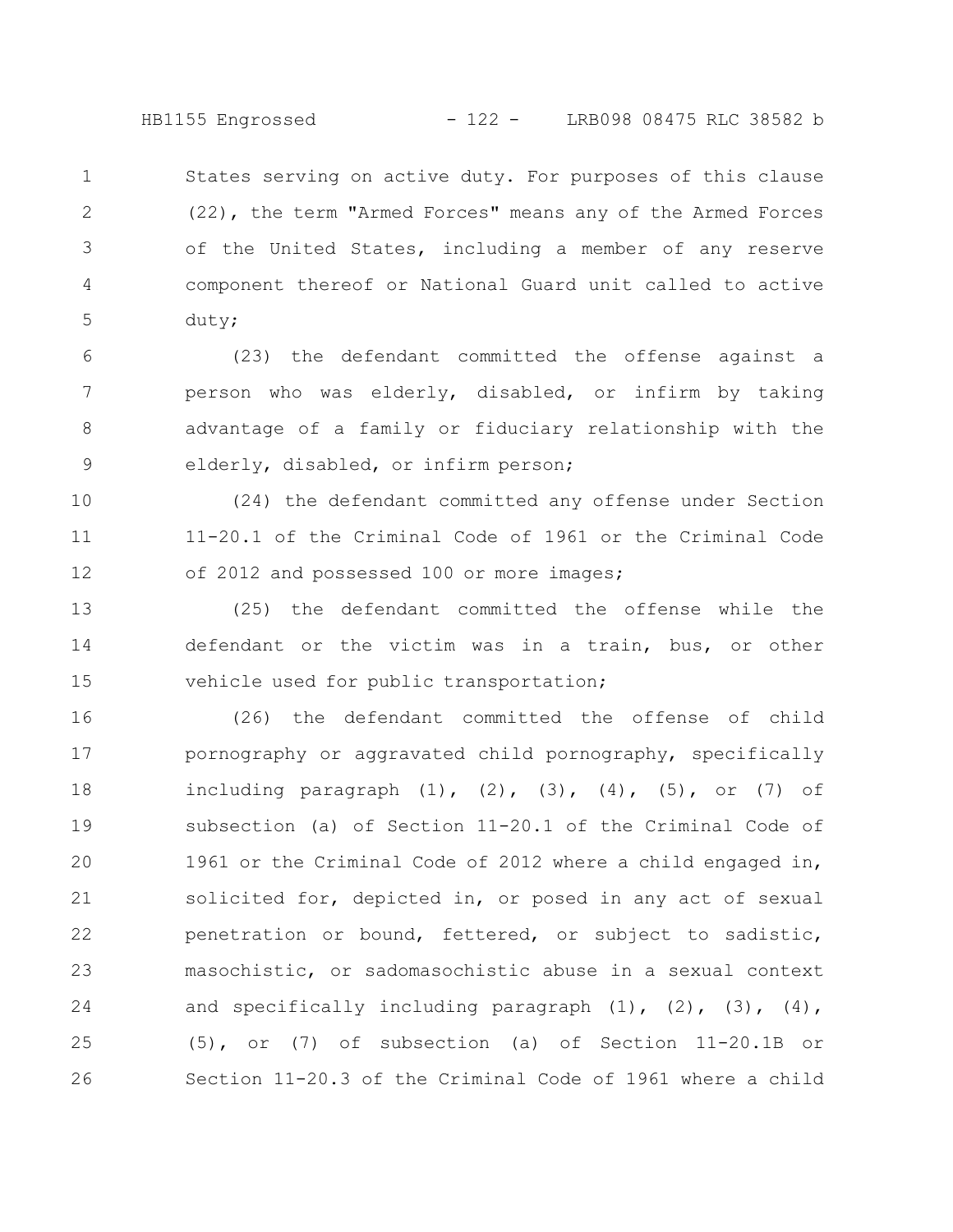States serving on active duty. For purposes of this clause (22), the term "Armed Forces" means any of the Armed Forces of the United States, including a member of any reserve component thereof or National Guard unit called to active duty; 1 2 3 4 5

(23) the defendant committed the offense against a person who was elderly, disabled, or infirm by taking advantage of a family or fiduciary relationship with the elderly, disabled, or infirm person; 6 7 8 9

(24) the defendant committed any offense under Section 11-20.1 of the Criminal Code of 1961 or the Criminal Code of 2012 and possessed 100 or more images; 10 11 12

(25) the defendant committed the offense while the defendant or the victim was in a train, bus, or other vehicle used for public transportation; 13 14 15

(26) the defendant committed the offense of child pornography or aggravated child pornography, specifically including paragraph  $(1)$ ,  $(2)$ ,  $(3)$ ,  $(4)$ ,  $(5)$ , or  $(7)$  of subsection (a) of Section 11-20.1 of the Criminal Code of 1961 or the Criminal Code of 2012 where a child engaged in, solicited for, depicted in, or posed in any act of sexual penetration or bound, fettered, or subject to sadistic, masochistic, or sadomasochistic abuse in a sexual context and specifically including paragraph  $(1)$ ,  $(2)$ ,  $(3)$ ,  $(4)$ , (5), or (7) of subsection (a) of Section 11-20.1B or Section 11-20.3 of the Criminal Code of 1961 where a child 16 17 18 19 20 21 22 23 24 25 26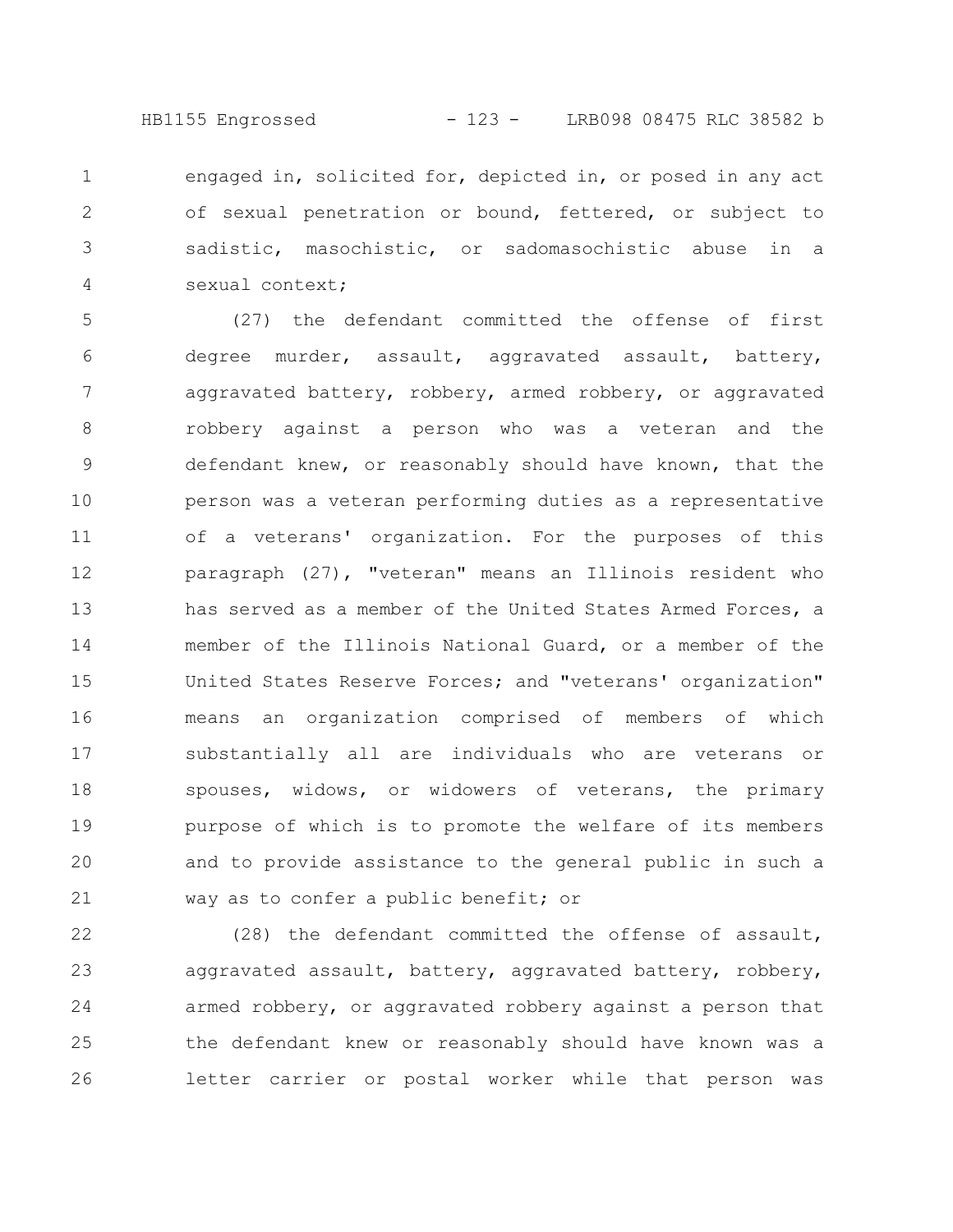HB1155 Engrossed - 123 - LRB098 08475 RLC 38582 b

engaged in, solicited for, depicted in, or posed in any act of sexual penetration or bound, fettered, or subject to sadistic, masochistic, or sadomasochistic abuse in a sexual context; 1 2 3 4

(27) the defendant committed the offense of first degree murder, assault, aggravated assault, battery, aggravated battery, robbery, armed robbery, or aggravated robbery against a person who was a veteran and the defendant knew, or reasonably should have known, that the person was a veteran performing duties as a representative of a veterans' organization. For the purposes of this paragraph (27), "veteran" means an Illinois resident who has served as a member of the United States Armed Forces, a member of the Illinois National Guard, or a member of the United States Reserve Forces; and "veterans' organization" means an organization comprised of members of which substantially all are individuals who are veterans or spouses, widows, or widowers of veterans, the primary purpose of which is to promote the welfare of its members and to provide assistance to the general public in such a way as to confer a public benefit; or 5 6 7 8 9 10 11 12 13 14 15 16 17 18 19 20 21

(28) the defendant committed the offense of assault, aggravated assault, battery, aggravated battery, robbery, armed robbery, or aggravated robbery against a person that the defendant knew or reasonably should have known was a letter carrier or postal worker while that person was 22 23 24 25 26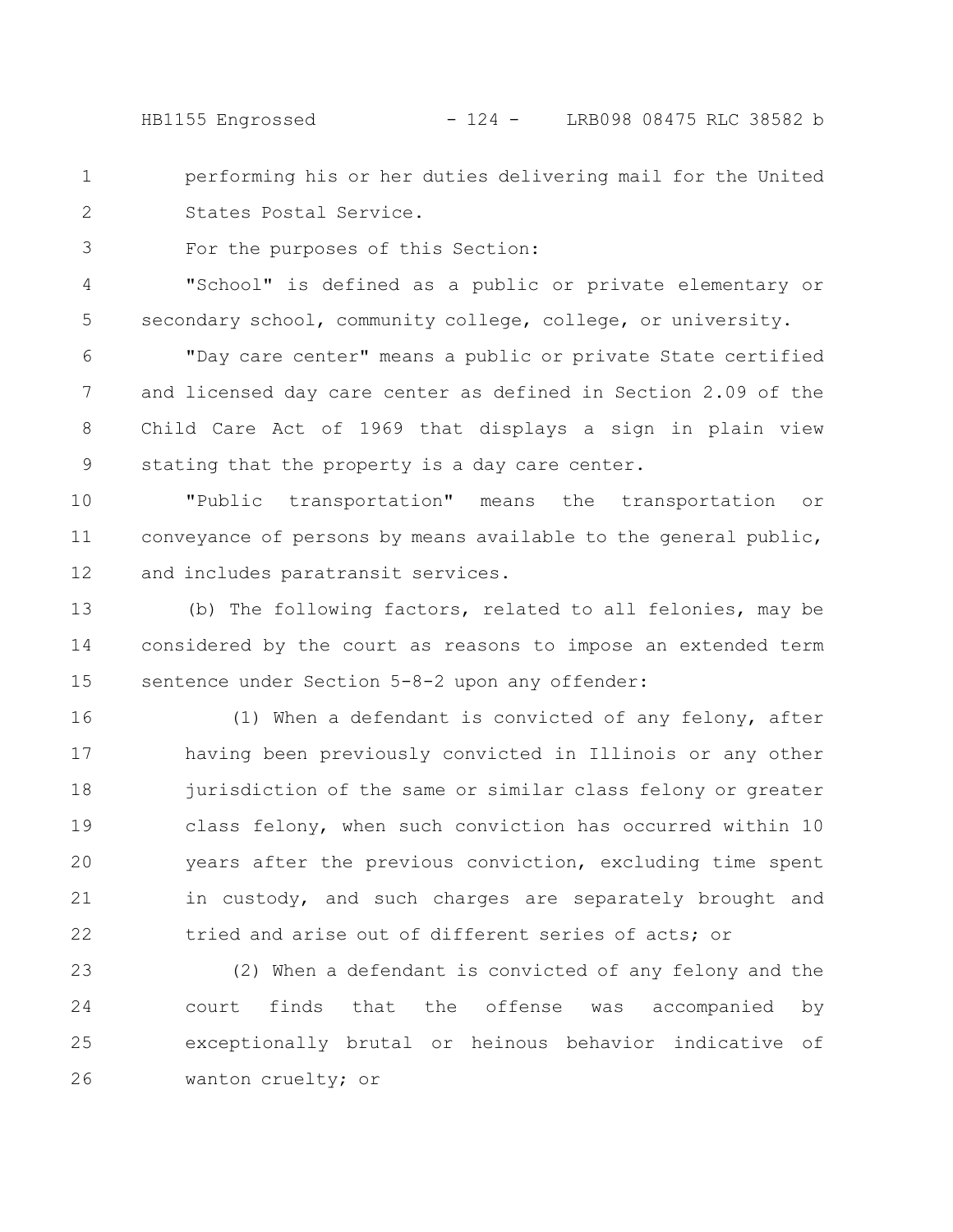HB1155 Engrossed - 124 - LRB098 08475 RLC 38582 b

performing his or her duties delivering mail for the United States Postal Service. 1 2

For the purposes of this Section: 3

"School" is defined as a public or private elementary or secondary school, community college, college, or university. 4 5

"Day care center" means a public or private State certified and licensed day care center as defined in Section 2.09 of the Child Care Act of 1969 that displays a sign in plain view stating that the property is a day care center. 6 7 8 9

"Public transportation" means the transportation or conveyance of persons by means available to the general public, and includes paratransit services. 10 11 12

(b) The following factors, related to all felonies, may be considered by the court as reasons to impose an extended term sentence under Section 5-8-2 upon any offender: 13 14 15

(1) When a defendant is convicted of any felony, after having been previously convicted in Illinois or any other jurisdiction of the same or similar class felony or greater class felony, when such conviction has occurred within 10 years after the previous conviction, excluding time spent in custody, and such charges are separately brought and tried and arise out of different series of acts; or 16 17 18 19 20 21 22

(2) When a defendant is convicted of any felony and the court finds that the offense was accompanied by exceptionally brutal or heinous behavior indicative of wanton cruelty; or 23 24 25 26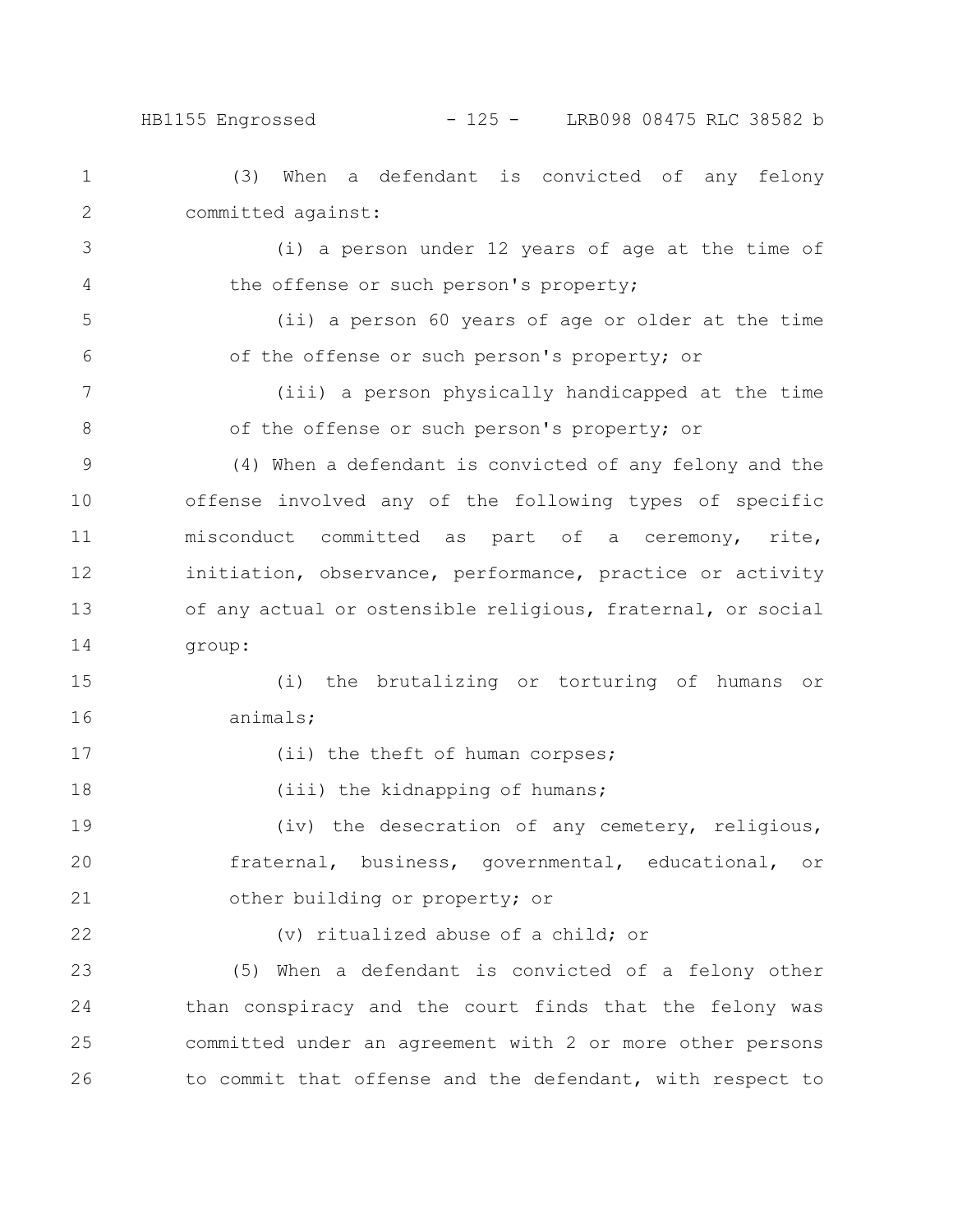## HB1155 Engrossed - 125 - LRB098 08475 RLC 38582 b

(3) When a defendant is convicted of any felony committed against: (i) a person under 12 years of age at the time of the offense or such person's property; (ii) a person 60 years of age or older at the time of the offense or such person's property; or (iii) a person physically handicapped at the time of the offense or such person's property; or (4) When a defendant is convicted of any felony and the offense involved any of the following types of specific misconduct committed as part of a ceremony, rite, initiation, observance, performance, practice or activity of any actual or ostensible religious, fraternal, or social group: (i) the brutalizing or torturing of humans or animals; (ii) the theft of human corpses; (iii) the kidnapping of humans; (iv) the desecration of any cemetery, religious, fraternal, business, governmental, educational, or other building or property; or (v) ritualized abuse of a child; or (5) When a defendant is convicted of a felony other than conspiracy and the court finds that the felony was committed under an agreement with 2 or more other persons to commit that offense and the defendant, with respect to 1 2 3 4 5 6 7 8 9 10 11 12 13 14 15 16 17 18 19 20 21 22 23 24 25 26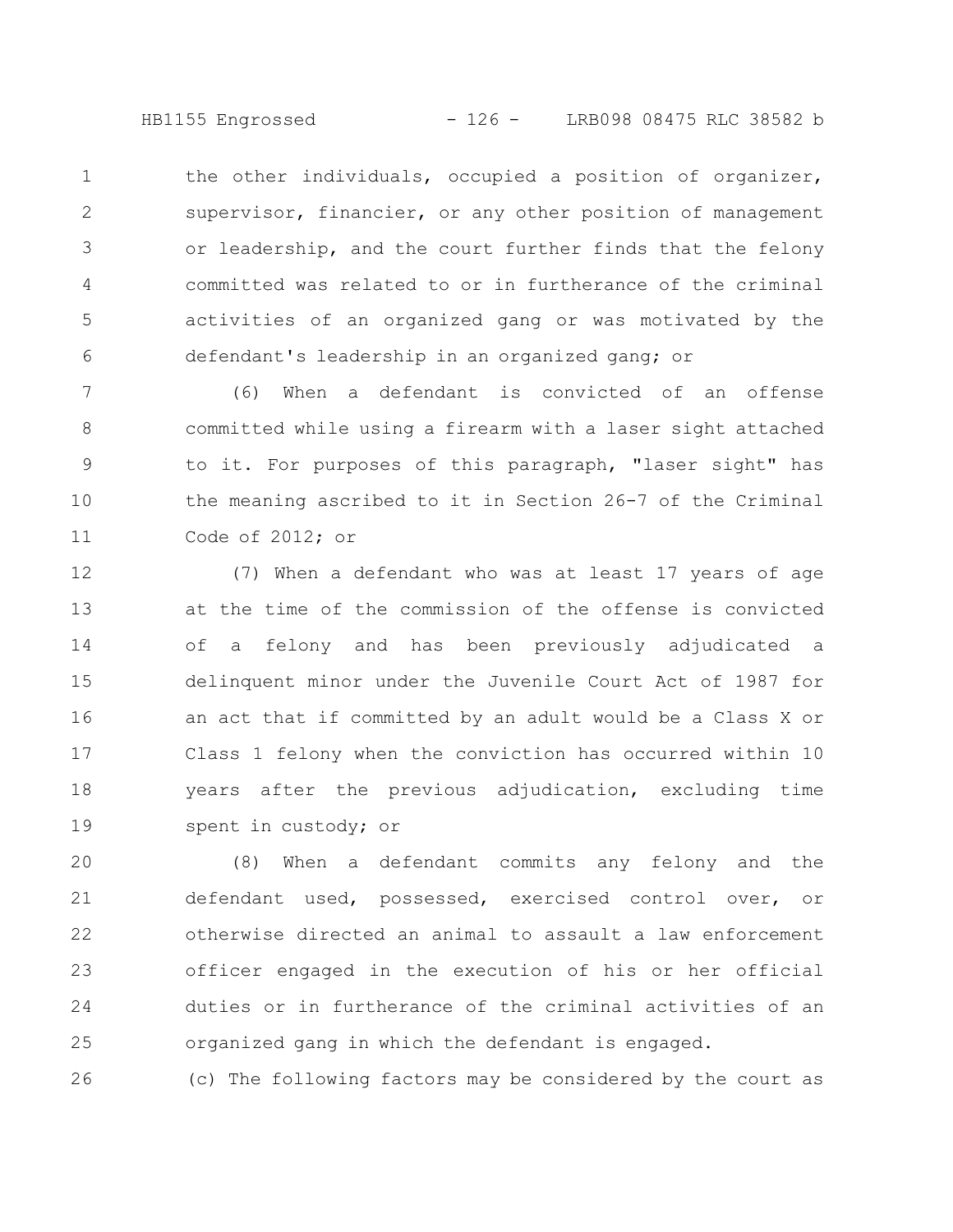HB1155 Engrossed - 126 - LRB098 08475 RLC 38582 b

the other individuals, occupied a position of organizer, supervisor, financier, or any other position of management or leadership, and the court further finds that the felony committed was related to or in furtherance of the criminal activities of an organized gang or was motivated by the defendant's leadership in an organized gang; or 1 2 3 4 5 6

(6) When a defendant is convicted of an offense committed while using a firearm with a laser sight attached to it. For purposes of this paragraph, "laser sight" has the meaning ascribed to it in Section 26-7 of the Criminal Code of 2012; or 7 8 9 10 11

(7) When a defendant who was at least 17 years of age at the time of the commission of the offense is convicted of a felony and has been previously adjudicated a delinquent minor under the Juvenile Court Act of 1987 for an act that if committed by an adult would be a Class X or Class 1 felony when the conviction has occurred within 10 years after the previous adjudication, excluding time spent in custody; or 12 13 14 15 16 17 18 19

(8) When a defendant commits any felony and the defendant used, possessed, exercised control over, or otherwise directed an animal to assault a law enforcement officer engaged in the execution of his or her official duties or in furtherance of the criminal activities of an organized gang in which the defendant is engaged. 20 21 22 23 24 25

(c) The following factors may be considered by the court as 26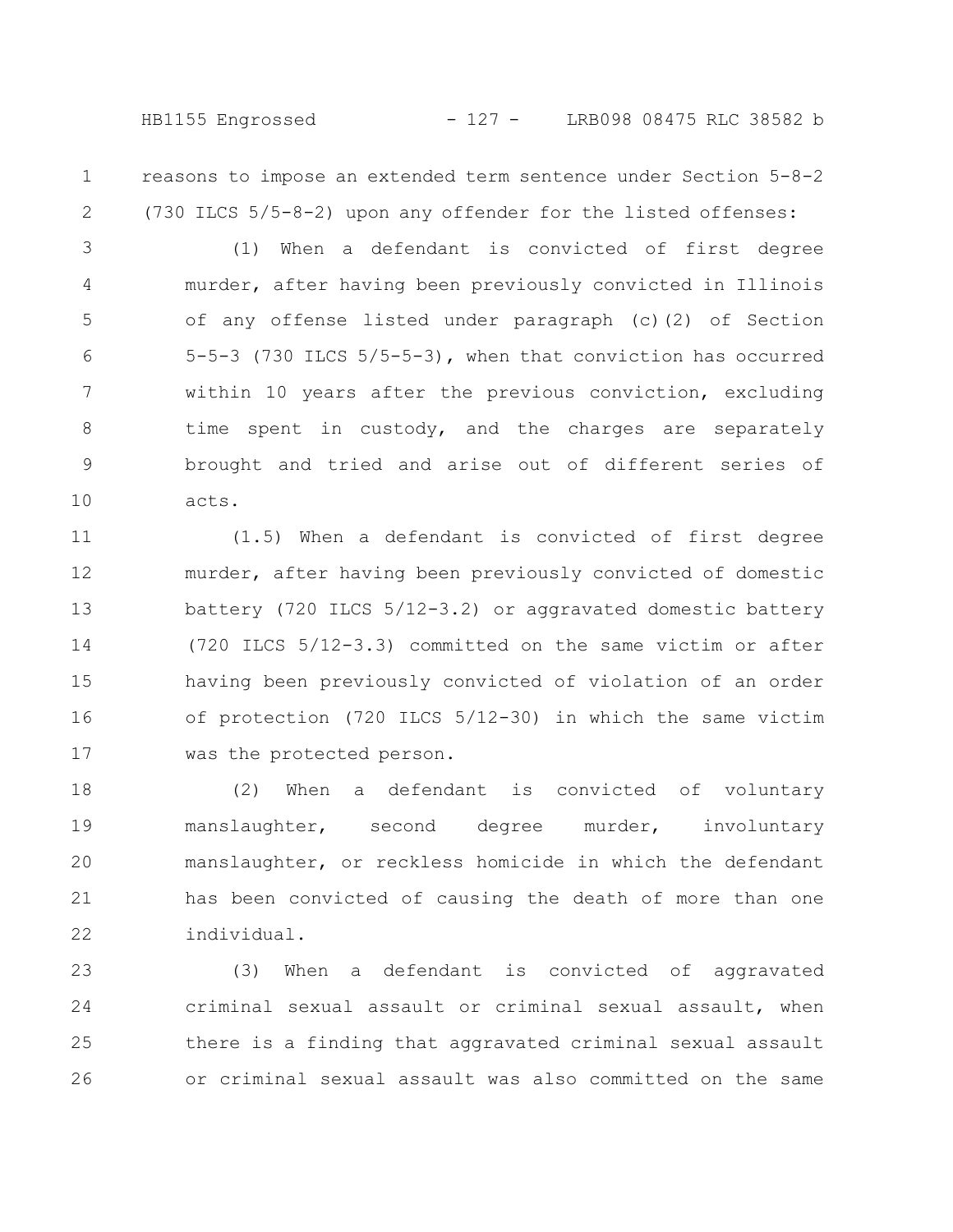HB1155 Engrossed - 127 - LRB098 08475 RLC 38582 b

reasons to impose an extended term sentence under Section 5-8-2 (730 ILCS 5/5-8-2) upon any offender for the listed offenses: 1 2

(1) When a defendant is convicted of first degree murder, after having been previously convicted in Illinois of any offense listed under paragraph (c)(2) of Section 5-5-3 (730 ILCS 5/5-5-3), when that conviction has occurred within 10 years after the previous conviction, excluding time spent in custody, and the charges are separately brought and tried and arise out of different series of acts. 3 4 5 6 7 8 9 10

(1.5) When a defendant is convicted of first degree murder, after having been previously convicted of domestic battery (720 ILCS 5/12-3.2) or aggravated domestic battery (720 ILCS 5/12-3.3) committed on the same victim or after having been previously convicted of violation of an order of protection (720 ILCS 5/12-30) in which the same victim was the protected person. 11 12 13 14 15 16 17

(2) When a defendant is convicted of voluntary manslaughter, second degree murder, involuntary manslaughter, or reckless homicide in which the defendant has been convicted of causing the death of more than one individual. 18 19 20 21 22

(3) When a defendant is convicted of aggravated criminal sexual assault or criminal sexual assault, when there is a finding that aggravated criminal sexual assault or criminal sexual assault was also committed on the same 23 24 25 26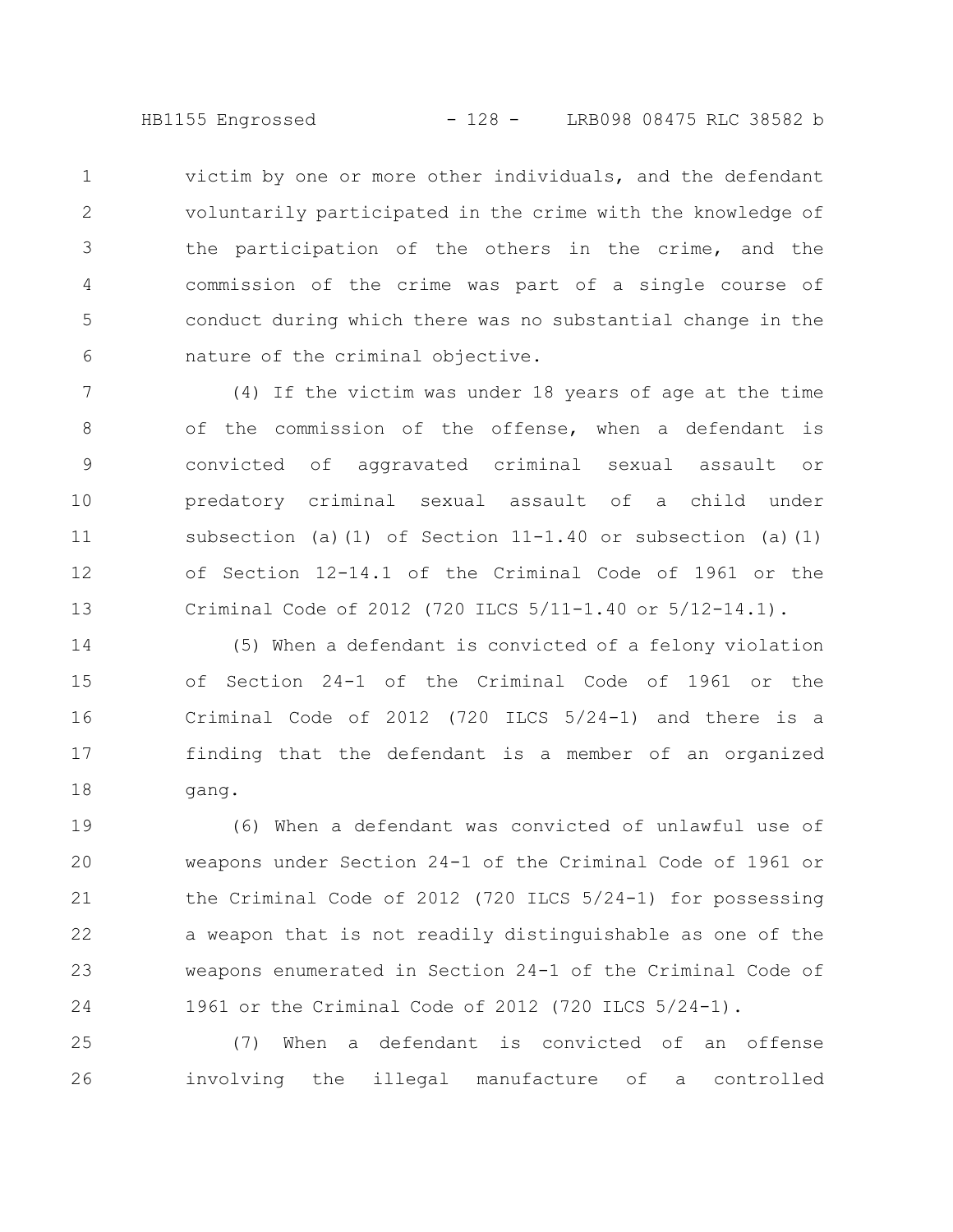HB1155 Engrossed - 128 - LRB098 08475 RLC 38582 b

victim by one or more other individuals, and the defendant voluntarily participated in the crime with the knowledge of the participation of the others in the crime, and the commission of the crime was part of a single course of conduct during which there was no substantial change in the nature of the criminal objective. 1 2 3 4 5 6

(4) If the victim was under 18 years of age at the time of the commission of the offense, when a defendant is convicted of aggravated criminal sexual assault or predatory criminal sexual assault of a child under subsection (a)(1) of Section  $11-1.40$  or subsection (a)(1) of Section 12-14.1 of the Criminal Code of 1961 or the Criminal Code of 2012 (720 ILCS 5/11-1.40 or 5/12-14.1). 7 8 9 10 11 12 13

(5) When a defendant is convicted of a felony violation of Section 24-1 of the Criminal Code of 1961 or the Criminal Code of 2012 (720 ILCS 5/24-1) and there is a finding that the defendant is a member of an organized gang. 14 15 16 17 18

(6) When a defendant was convicted of unlawful use of weapons under Section 24-1 of the Criminal Code of 1961 or the Criminal Code of 2012 (720 ILCS 5/24-1) for possessing a weapon that is not readily distinguishable as one of the weapons enumerated in Section 24-1 of the Criminal Code of 1961 or the Criminal Code of 2012 (720 ILCS 5/24-1). 19 20 21 22 23 24

(7) When a defendant is convicted of an offense involving the illegal manufacture of a controlled 25 26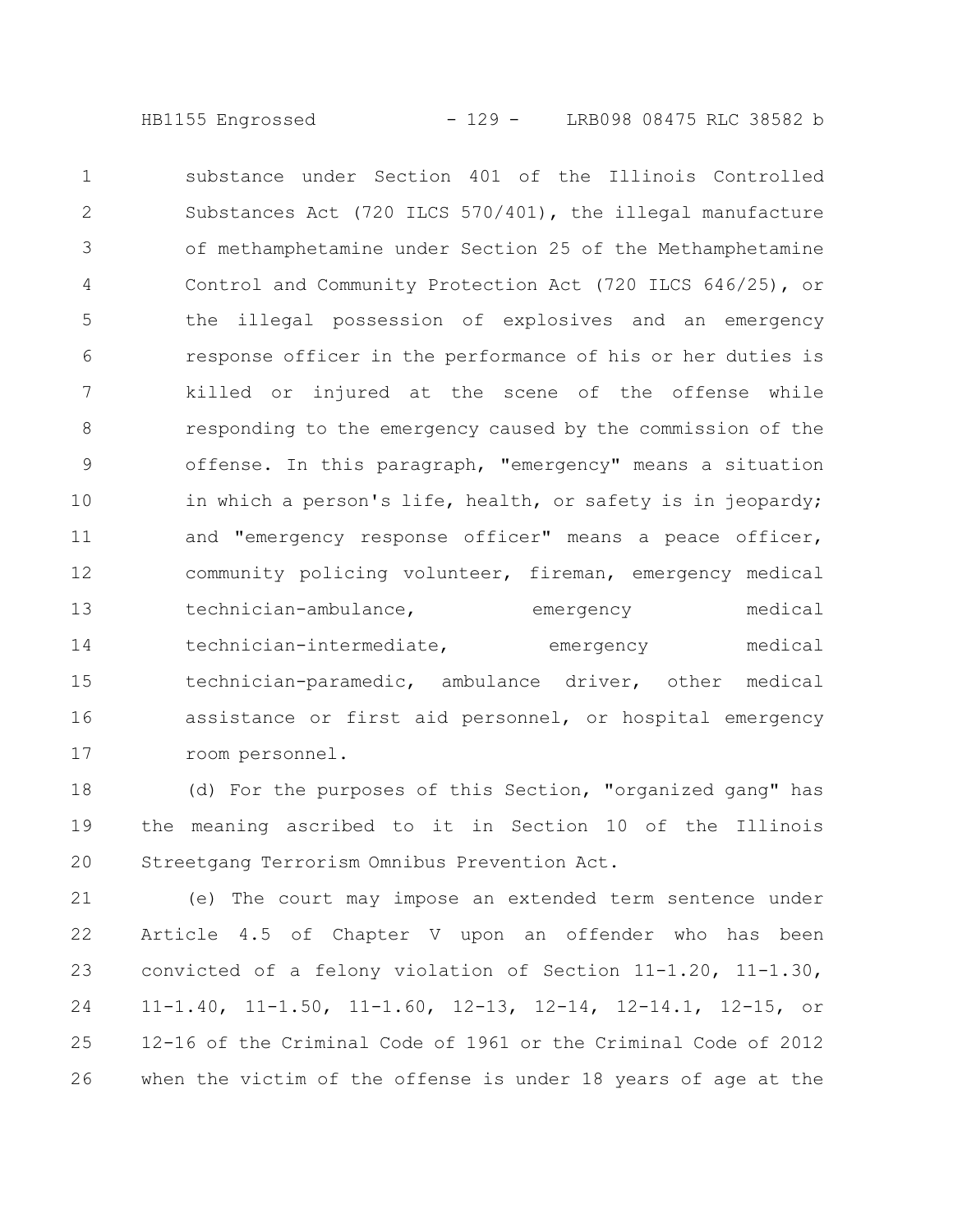HB1155 Engrossed - 129 - LRB098 08475 RLC 38582 b

substance under Section 401 of the Illinois Controlled Substances Act (720 ILCS 570/401), the illegal manufacture of methamphetamine under Section 25 of the Methamphetamine Control and Community Protection Act (720 ILCS 646/25), or the illegal possession of explosives and an emergency response officer in the performance of his or her duties is killed or injured at the scene of the offense while responding to the emergency caused by the commission of the offense. In this paragraph, "emergency" means a situation in which a person's life, health, or safety is in jeopardy; and "emergency response officer" means a peace officer, community policing volunteer, fireman, emergency medical technician-ambulance, emergency medical technician-intermediate, emergency medical technician-paramedic, ambulance driver, other medical assistance or first aid personnel, or hospital emergency room personnel. 1 2 3 4 5 6 7 8 9 10 11 12 13 14 15 16 17

(d) For the purposes of this Section, "organized gang" has the meaning ascribed to it in Section 10 of the Illinois Streetgang Terrorism Omnibus Prevention Act. 18 19 20

(e) The court may impose an extended term sentence under Article 4.5 of Chapter V upon an offender who has been convicted of a felony violation of Section 11-1.20, 11-1.30, 11-1.40, 11-1.50, 11-1.60, 12-13, 12-14, 12-14.1, 12-15, or 12-16 of the Criminal Code of 1961 or the Criminal Code of 2012 when the victim of the offense is under 18 years of age at the 21 22 23 24 25 26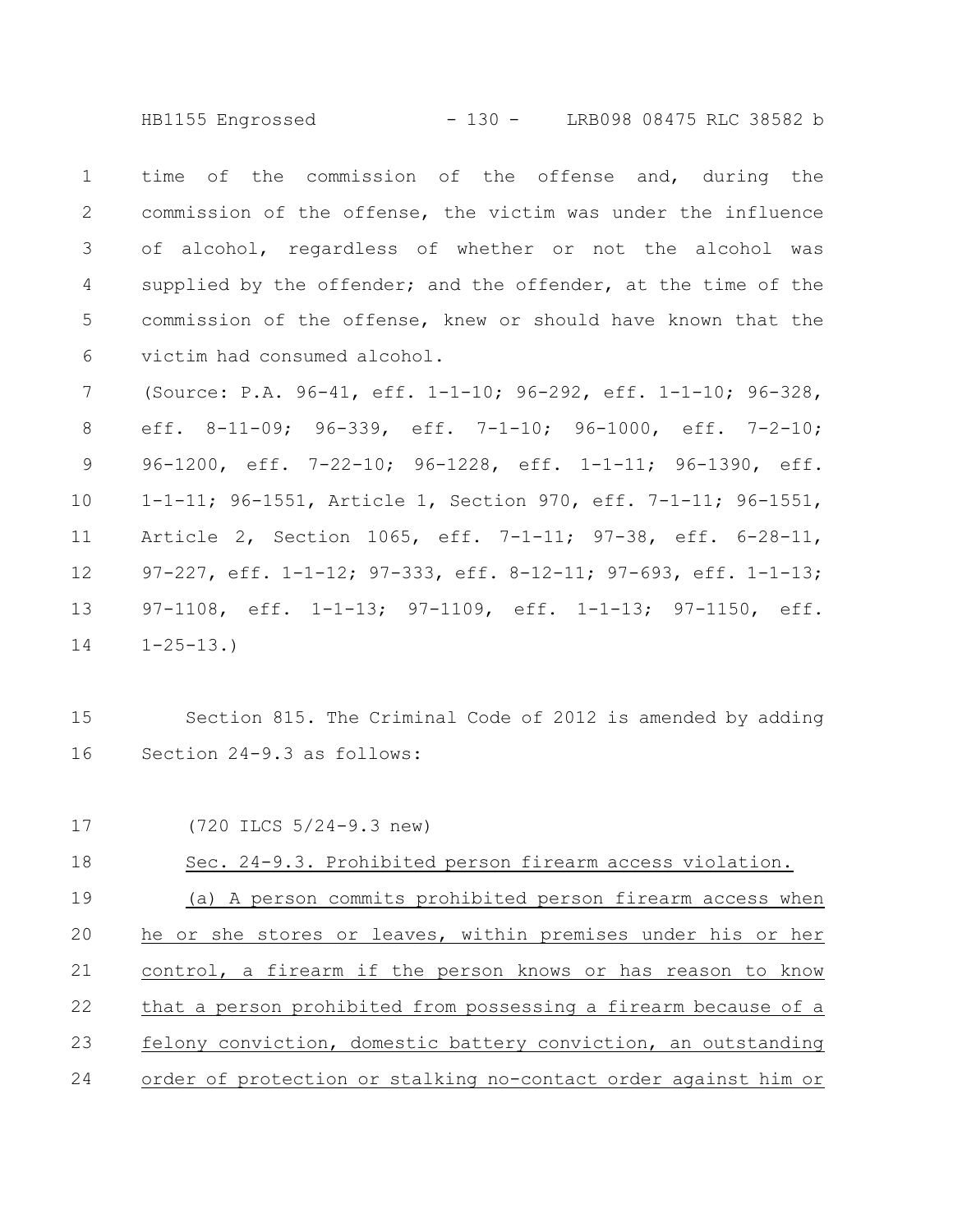HB1155 Engrossed - 130 - LRB098 08475 RLC 38582 b

time of the commission of the offense and, during the commission of the offense, the victim was under the influence of alcohol, regardless of whether or not the alcohol was supplied by the offender; and the offender, at the time of the commission of the offense, knew or should have known that the victim had consumed alcohol. 1 2 3 4 5 6

(Source: P.A. 96-41, eff. 1-1-10; 96-292, eff. 1-1-10; 96-328, eff. 8-11-09; 96-339, eff. 7-1-10; 96-1000, eff. 7-2-10; 96-1200, eff. 7-22-10; 96-1228, eff. 1-1-11; 96-1390, eff. 1-1-11; 96-1551, Article 1, Section 970, eff. 7-1-11; 96-1551, Article 2, Section 1065, eff. 7-1-11; 97-38, eff. 6-28-11, 97-227, eff. 1-1-12; 97-333, eff. 8-12-11; 97-693, eff. 1-1-13; 97-1108, eff. 1-1-13; 97-1109, eff. 1-1-13; 97-1150, eff.  $1 - 25 - 13.$ 7 8 9 10 11 12 13 14

Section 815. The Criminal Code of 2012 is amended by adding Section 24-9.3 as follows: 15 16

(720 ILCS 5/24-9.3 new) Sec. 24-9.3. Prohibited person firearm access violation. (a) A person commits prohibited person firearm access when he or she stores or leaves, within premises under his or her control, a firearm if the person knows or has reason to know that a person prohibited from possessing a firearm because of a felony conviction, domestic battery conviction, an outstanding order of protection or stalking no-contact order against him or 17 18 19 20 21 22 23 24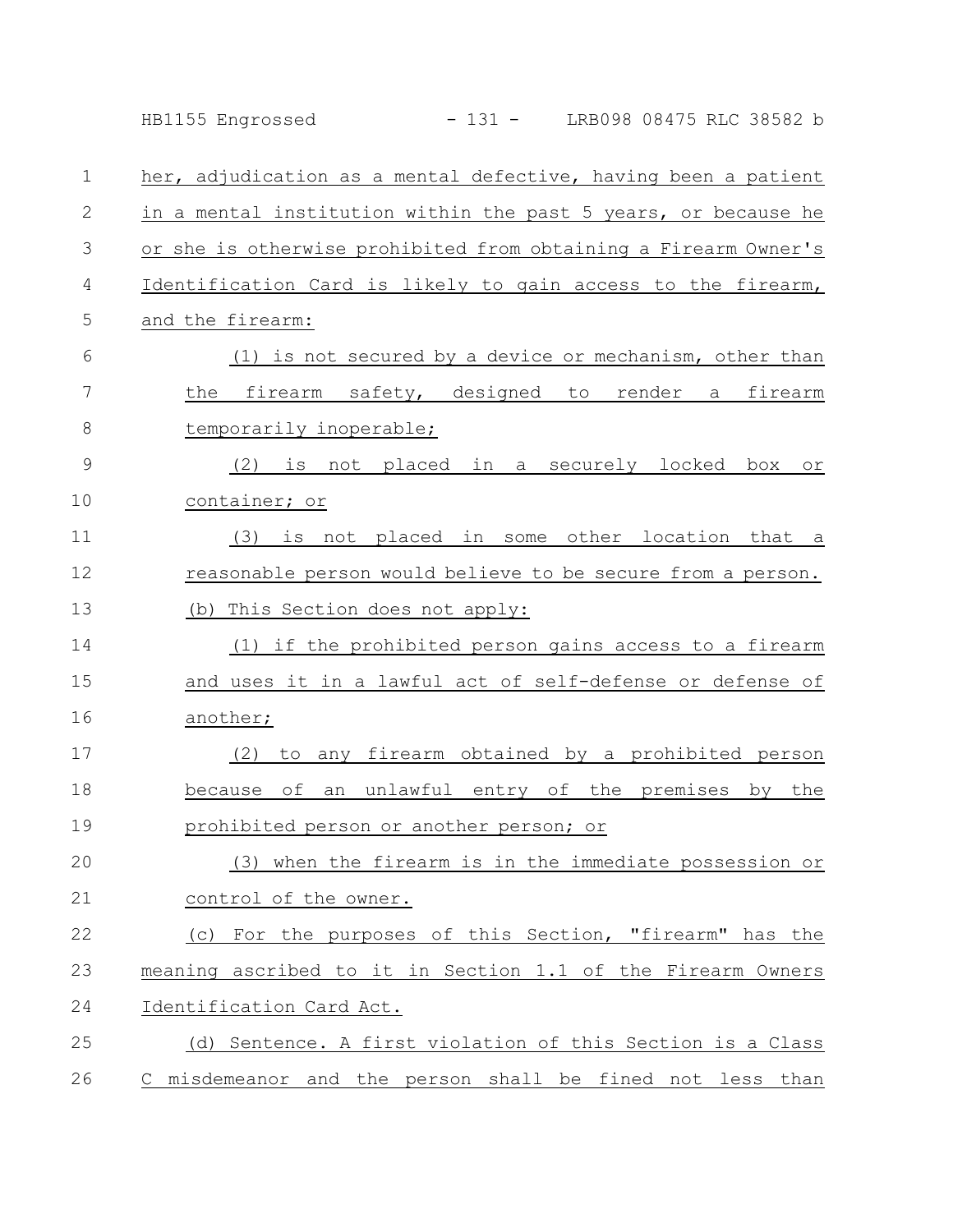|    | LRB098 08475 RLC 38582 b<br>HB1155 Engrossed<br>$-131 -$         |
|----|------------------------------------------------------------------|
| 1  | her, adjudication as a mental defective, having been a patient   |
| 2  | in a mental institution within the past 5 years, or because he   |
| 3  | or she is otherwise prohibited from obtaining a Firearm Owner's  |
| 4  | Identification Card is likely to gain access to the firearm,     |
| 5  | and the firearm:                                                 |
| 6  | (1) is not secured by a device or mechanism, other than          |
| 7  | firearm safety, designed to render a firearm<br>the              |
| 8  | temporarily inoperable;                                          |
| 9  | (2) is not placed in a securely locked<br>box<br>Оr              |
| 10 | container; or                                                    |
| 11 | some other location<br>(3)<br>not placed in<br>that<br>is<br>a a |
| 12 | reasonable person would believe to be secure from a person.      |
| 13 | (b) This Section does not apply:                                 |
| 14 | (1) if the prohibited person gains access to a firearm           |
| 15 | and uses it in a lawful act of self-defense or defense of        |
| 16 | another;                                                         |
| 17 | firearm obtained by a prohibited person<br>(2)<br>to any         |
| 18 | of<br>an unlawful entry of the premises by the<br>because        |
| 19 | prohibited person or another person; or                          |
| 20 | (3) when the firearm is in the immediate possession or           |
| 21 | control of the owner.                                            |
| 22 | (c) For the purposes of this Section, "firearm" has the          |
| 23 | meaning ascribed to it in Section 1.1 of the Firearm Owners      |
| 24 | Identification Card Act.                                         |
| 25 | (d) Sentence. A first violation of this Section is a Class       |
| 26 | C misdemeanor and the person shall be fined not less than        |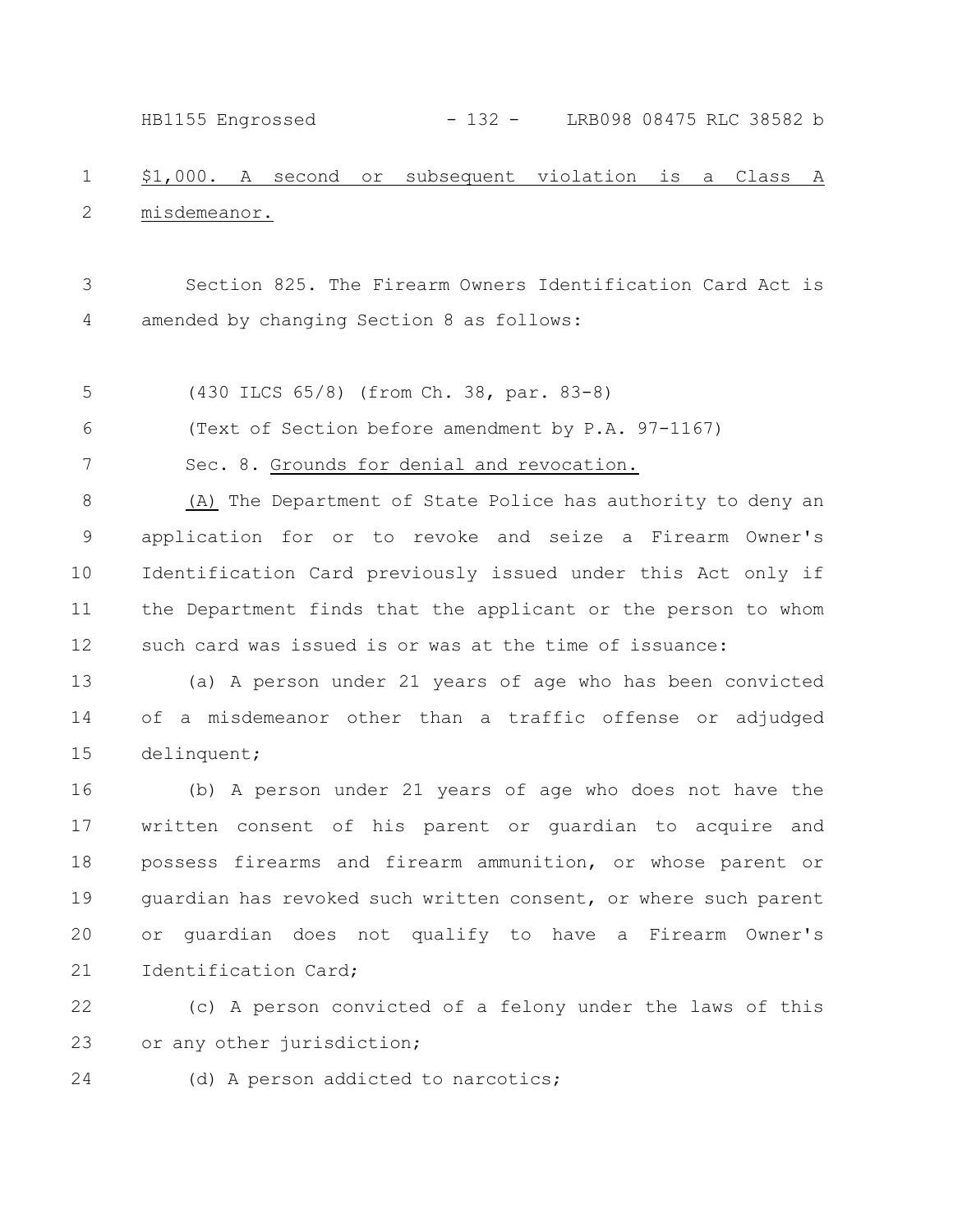HB1155 Engrossed - 132 - LRB098 08475 RLC 38582 b

## \$1,000. A second or subsequent violation is a Class A misdemeanor. 1 2

Section 825. The Firearm Owners Identification Card Act is amended by changing Section 8 as follows: 3 4

(430 ILCS 65/8) (from Ch. 38, par. 83-8) 5

(Text of Section before amendment by P.A. 97-1167) 6

7

Sec. 8. Grounds for denial and revocation.

(A) The Department of State Police has authority to deny an application for or to revoke and seize a Firearm Owner's Identification Card previously issued under this Act only if the Department finds that the applicant or the person to whom such card was issued is or was at the time of issuance: 8 9 10 11 12

(a) A person under 21 years of age who has been convicted of a misdemeanor other than a traffic offense or adjudged delinquent; 13 14 15

(b) A person under 21 years of age who does not have the written consent of his parent or guardian to acquire and possess firearms and firearm ammunition, or whose parent or guardian has revoked such written consent, or where such parent or guardian does not qualify to have a Firearm Owner's Identification Card; 16 17 18 19 20 21

(c) A person convicted of a felony under the laws of this or any other jurisdiction; 22 23

24

(d) A person addicted to narcotics;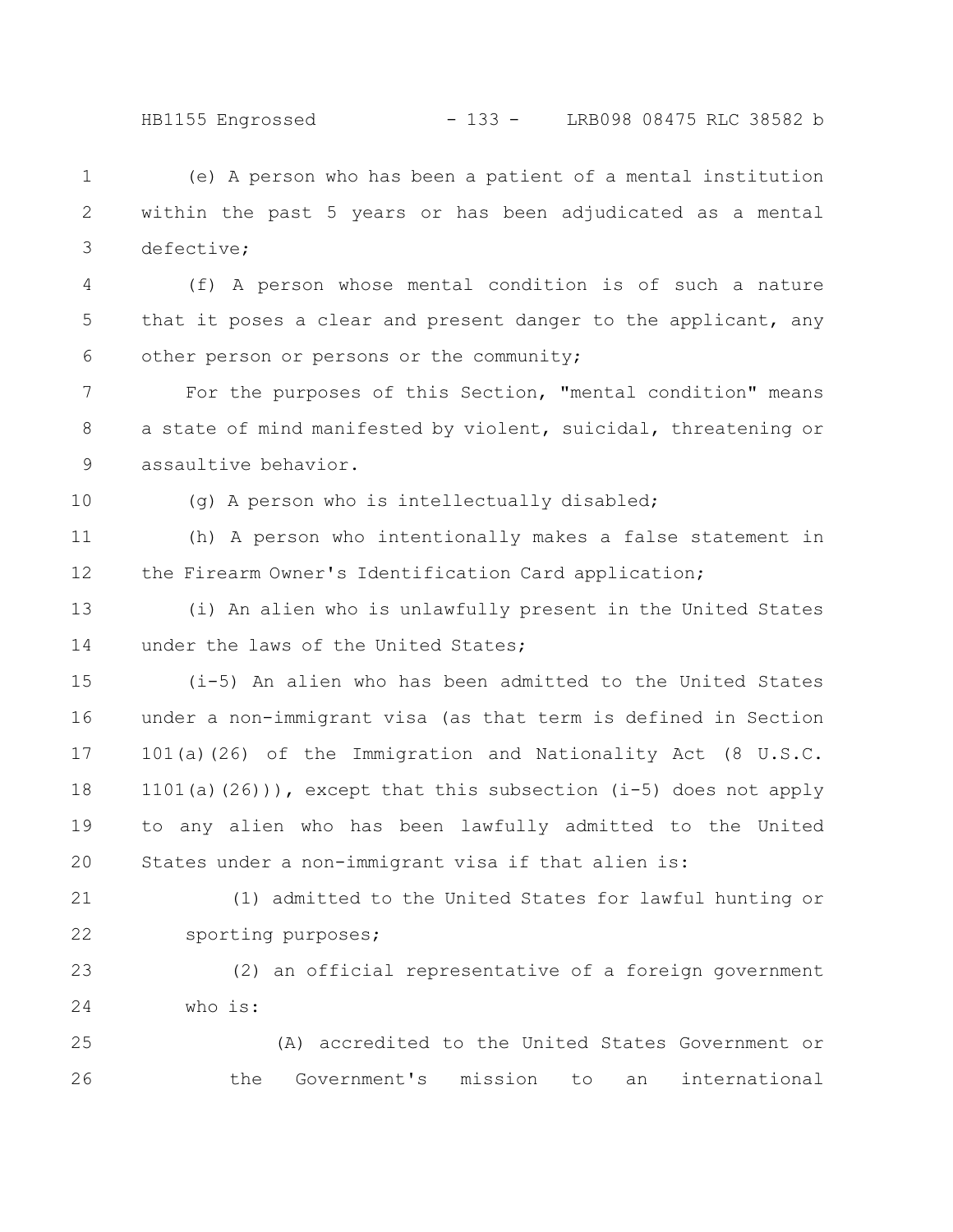HB1155 Engrossed - 133 - LRB098 08475 RLC 38582 b

(e) A person who has been a patient of a mental institution within the past 5 years or has been adjudicated as a mental defective; 1 2 3

(f) A person whose mental condition is of such a nature that it poses a clear and present danger to the applicant, any other person or persons or the community; 4 5 6

For the purposes of this Section, "mental condition" means a state of mind manifested by violent, suicidal, threatening or assaultive behavior. 7 8 9

10

(g) A person who is intellectually disabled;

(h) A person who intentionally makes a false statement in the Firearm Owner's Identification Card application; 11 12

(i) An alien who is unlawfully present in the United States under the laws of the United States; 13 14

(i-5) An alien who has been admitted to the United States under a non-immigrant visa (as that term is defined in Section 101(a)(26) of the Immigration and Nationality Act (8 U.S.C. 1101(a)(26))), except that this subsection (i-5) does not apply to any alien who has been lawfully admitted to the United States under a non-immigrant visa if that alien is: 15 16 17 18 19 20

(1) admitted to the United States for lawful hunting or sporting purposes; 21 22

(2) an official representative of a foreign government who is: 23 24

(A) accredited to the United States Government or the Government's mission to an international 25 26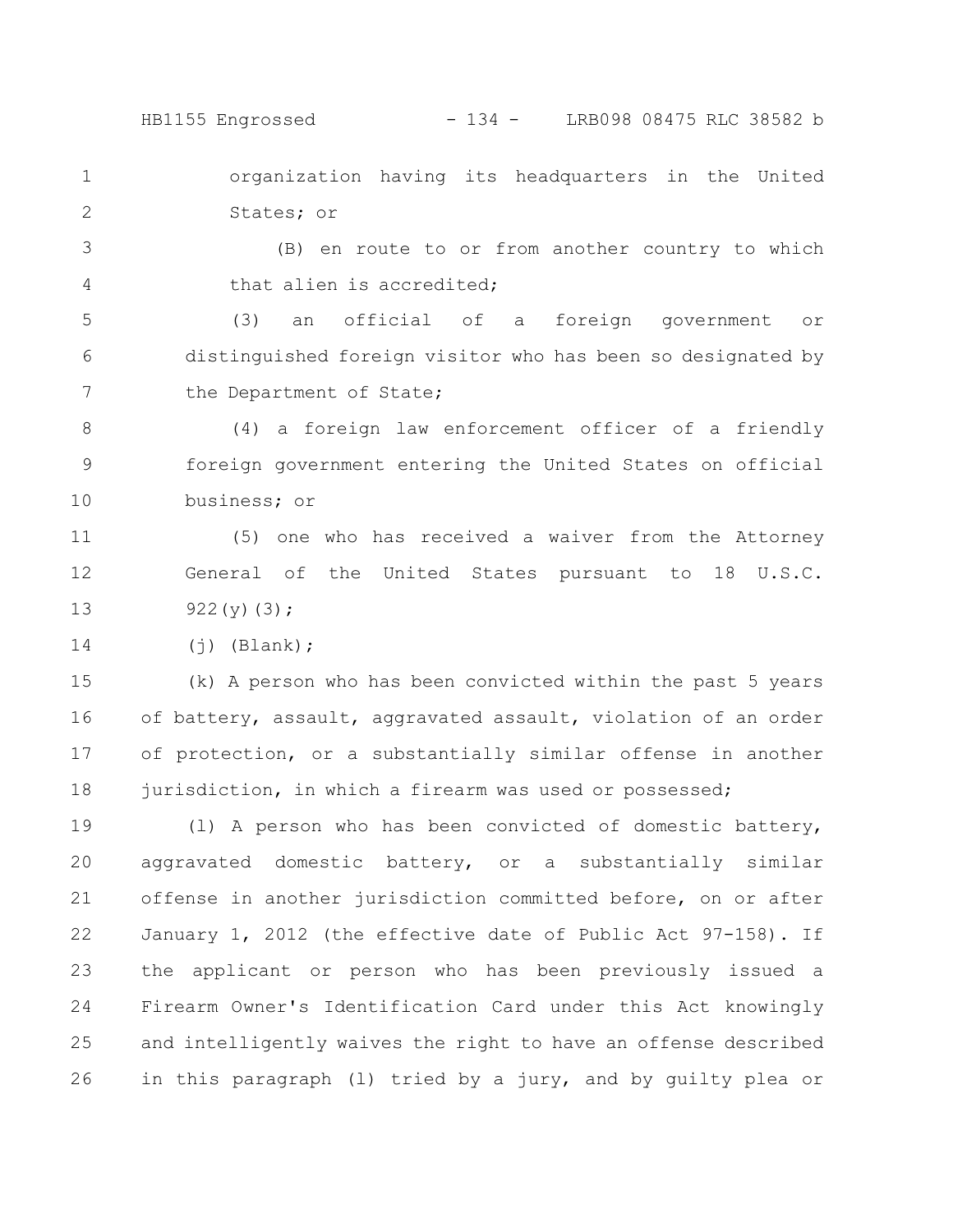HB1155 Engrossed - 134 - LRB098 08475 RLC 38582 b

organization having its headquarters in the United States; or 1 2

(B) en route to or from another country to which that alien is accredited; 3 4

(3) an official of a foreign government or distinguished foreign visitor who has been so designated by the Department of State; 5 6 7

(4) a foreign law enforcement officer of a friendly foreign government entering the United States on official business; or 8 9 10

(5) one who has received a waiver from the Attorney General of the United States pursuant to 18 U.S.C. 922(y)(3); 11 12 13

 $(i)$  (Blank); 14

(k) A person who has been convicted within the past 5 years of battery, assault, aggravated assault, violation of an order of protection, or a substantially similar offense in another jurisdiction, in which a firearm was used or possessed; 15 16 17 18

(l) A person who has been convicted of domestic battery, aggravated domestic battery, or a substantially similar offense in another jurisdiction committed before, on or after January 1, 2012 (the effective date of Public Act 97-158). If the applicant or person who has been previously issued a Firearm Owner's Identification Card under this Act knowingly and intelligently waives the right to have an offense described in this paragraph (l) tried by a jury, and by guilty plea or 19 20 21 22 23 24 25 26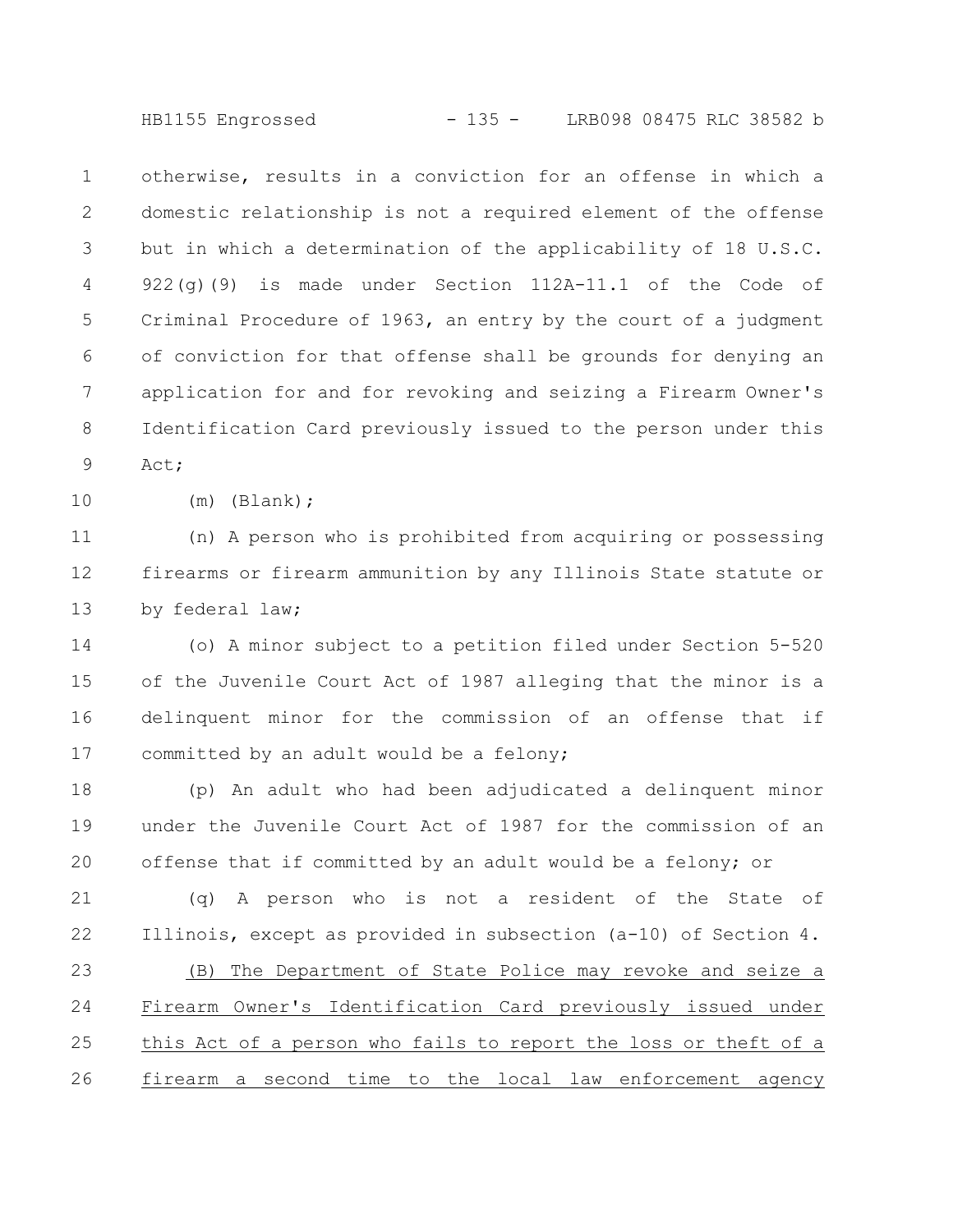HB1155 Engrossed - 135 - LRB098 08475 RLC 38582 b

otherwise, results in a conviction for an offense in which a domestic relationship is not a required element of the offense but in which a determination of the applicability of 18 U.S.C.  $922(q)$ (9) is made under Section  $112A-11.1$  of the Code of Criminal Procedure of 1963, an entry by the court of a judgment of conviction for that offense shall be grounds for denying an application for and for revoking and seizing a Firearm Owner's Identification Card previously issued to the person under this Act; 1 2 3 4 5 6 7 8 9

10

(m) (Blank);

(n) A person who is prohibited from acquiring or possessing firearms or firearm ammunition by any Illinois State statute or by federal law; 11 12 13

(o) A minor subject to a petition filed under Section 5-520 of the Juvenile Court Act of 1987 alleging that the minor is a delinquent minor for the commission of an offense that if committed by an adult would be a felony; 14 15 16 17

(p) An adult who had been adjudicated a delinquent minor under the Juvenile Court Act of 1987 for the commission of an offense that if committed by an adult would be a felony; or 18 19 20

(q) A person who is not a resident of the State of Illinois, except as provided in subsection (a-10) of Section 4. (B) The Department of State Police may revoke and seize a Firearm Owner's Identification Card previously issued under this Act of a person who fails to report the loss or theft of a firearm a second time to the local law enforcement agency 21 22 23 24 25 26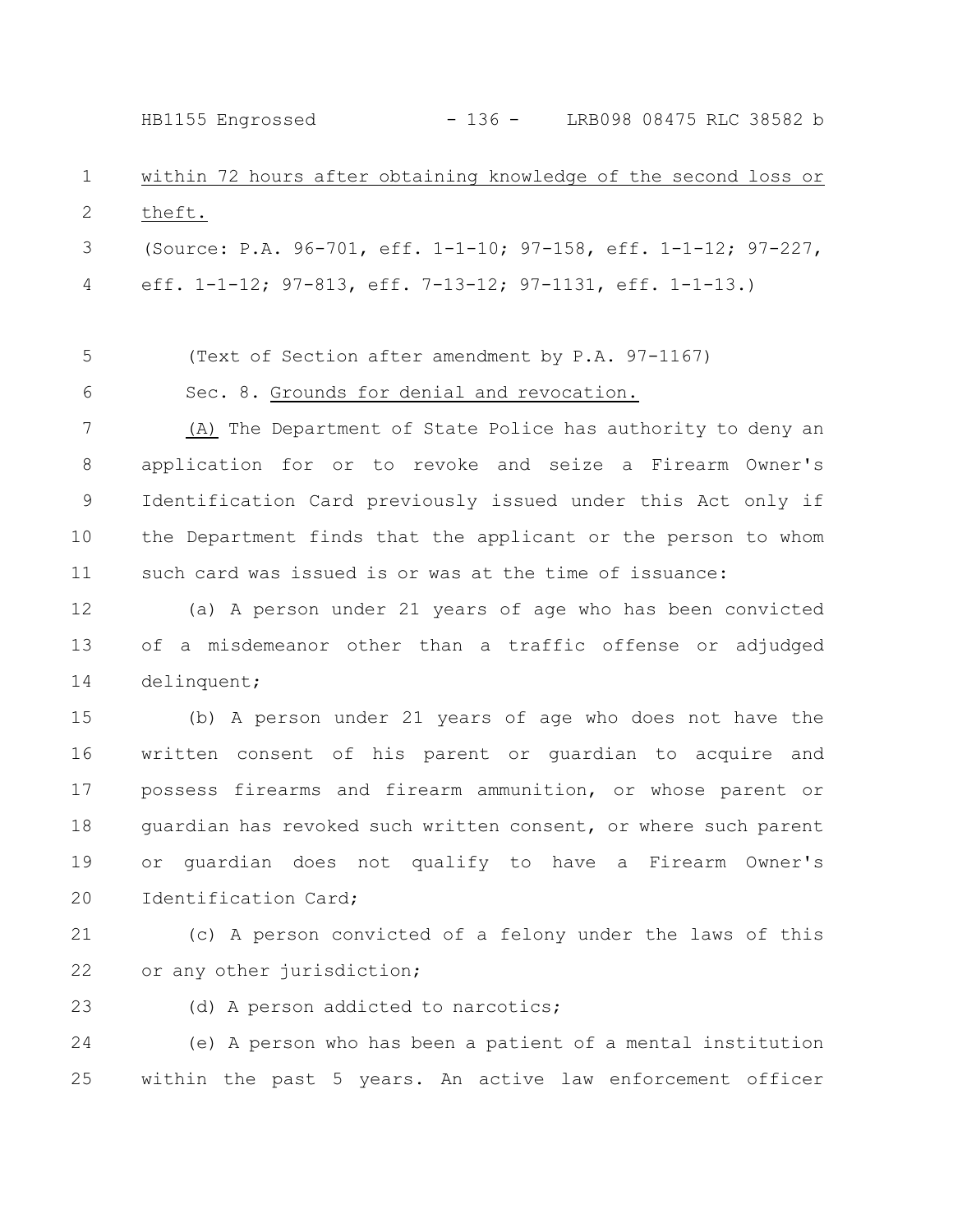HB1155 Engrossed - 136 - LRB098 08475 RLC 38582 b

## within 72 hours after obtaining knowledge of the second loss or theft. 1 2

(Source: P.A. 96-701, eff. 1-1-10; 97-158, eff. 1-1-12; 97-227, eff. 1-1-12; 97-813, eff. 7-13-12; 97-1131, eff. 1-1-13.) 3 4

(Text of Section after amendment by P.A. 97-1167) 5

Sec. 8. Grounds for denial and revocation.

6

(A) The Department of State Police has authority to deny an application for or to revoke and seize a Firearm Owner's Identification Card previously issued under this Act only if the Department finds that the applicant or the person to whom such card was issued is or was at the time of issuance: 7 8 9 10 11

(a) A person under 21 years of age who has been convicted of a misdemeanor other than a traffic offense or adjudged delinquent; 12 13 14

(b) A person under 21 years of age who does not have the written consent of his parent or guardian to acquire and possess firearms and firearm ammunition, or whose parent or guardian has revoked such written consent, or where such parent or guardian does not qualify to have a Firearm Owner's Identification Card; 15 16 17 18 19 20

(c) A person convicted of a felony under the laws of this or any other jurisdiction; 21 22

(d) A person addicted to narcotics; 23

(e) A person who has been a patient of a mental institution within the past 5 years. An active law enforcement officer 24 25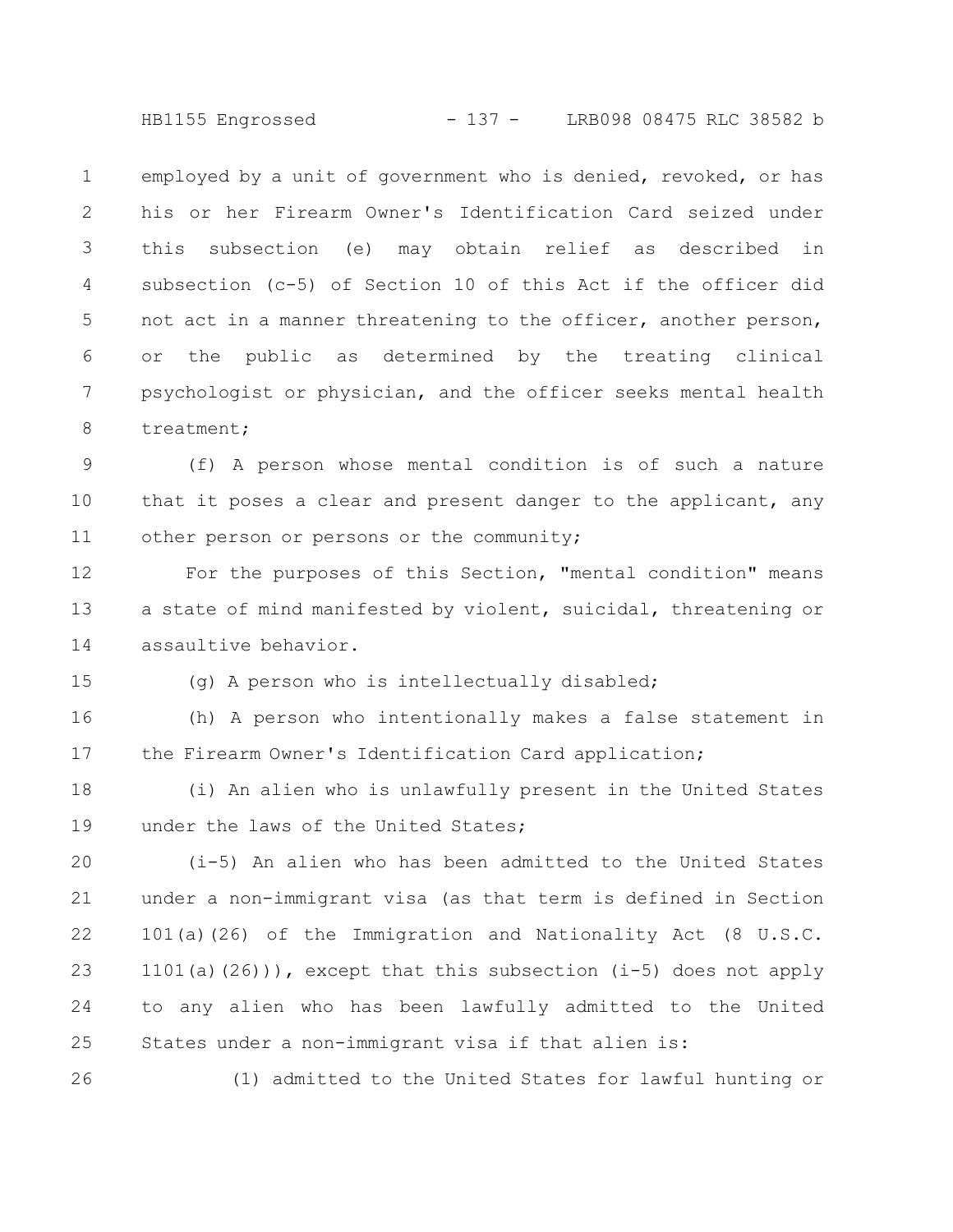HB1155 Engrossed - 137 - LRB098 08475 RLC 38582 b

employed by a unit of government who is denied, revoked, or has his or her Firearm Owner's Identification Card seized under this subsection (e) may obtain relief as described in subsection (c-5) of Section 10 of this Act if the officer did not act in a manner threatening to the officer, another person, or the public as determined by the treating clinical psychologist or physician, and the officer seeks mental health treatment; 1 2 3 4 5 6 7 8

(f) A person whose mental condition is of such a nature that it poses a clear and present danger to the applicant, any other person or persons or the community; 9 10 11

For the purposes of this Section, "mental condition" means a state of mind manifested by violent, suicidal, threatening or assaultive behavior. 12 13 14

(g) A person who is intellectually disabled;

15

26

(h) A person who intentionally makes a false statement in the Firearm Owner's Identification Card application; 16 17

(i) An alien who is unlawfully present in the United States under the laws of the United States; 18 19

(i-5) An alien who has been admitted to the United States under a non-immigrant visa (as that term is defined in Section 101(a)(26) of the Immigration and Nationality Act (8 U.S.C. 1101(a)(26))), except that this subsection (i-5) does not apply to any alien who has been lawfully admitted to the United States under a non-immigrant visa if that alien is: 20 21 22 23 24 25

(1) admitted to the United States for lawful hunting or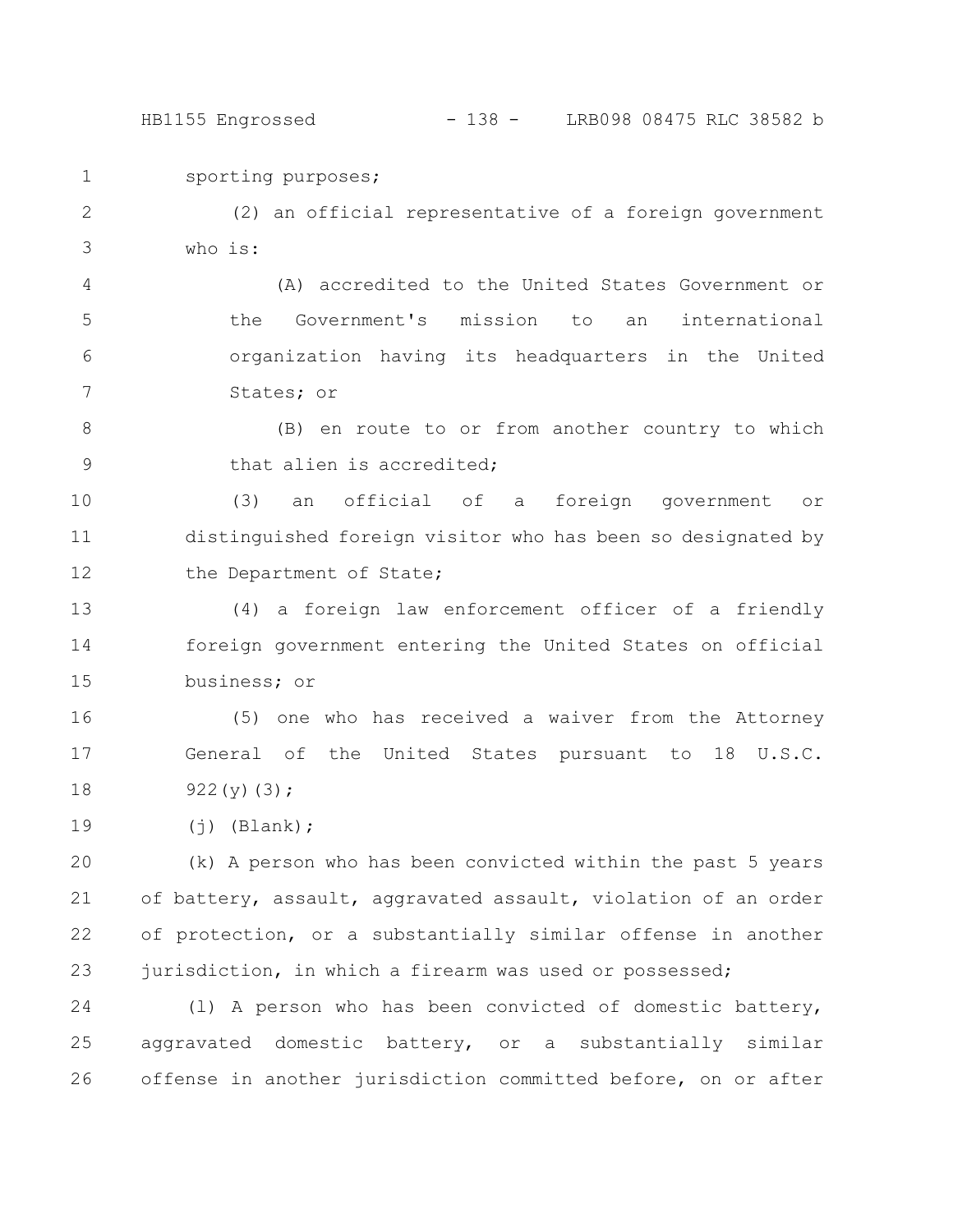HB1155 Engrossed - 138 - LRB098 08475 RLC 38582 b

sporting purposes; 1

(2) an official representative of a foreign government who is: 2 3

(A) accredited to the United States Government or the Government's mission to an international organization having its headquarters in the United States; or 4 5 6 7

(B) en route to or from another country to which that alien is accredited; 8 9

(3) an official of a foreign government or distinguished foreign visitor who has been so designated by the Department of State; 10 11 12

(4) a foreign law enforcement officer of a friendly foreign government entering the United States on official business; or 13 14 15

(5) one who has received a waiver from the Attorney General of the United States pursuant to 18 U.S.C. 922(y)(3); 16 17 18

 $(j)$  (Blank); 19

(k) A person who has been convicted within the past 5 years of battery, assault, aggravated assault, violation of an order of protection, or a substantially similar offense in another jurisdiction, in which a firearm was used or possessed; 20 21 22 23

(l) A person who has been convicted of domestic battery, aggravated domestic battery, or a substantially similar offense in another jurisdiction committed before, on or after 24 25 26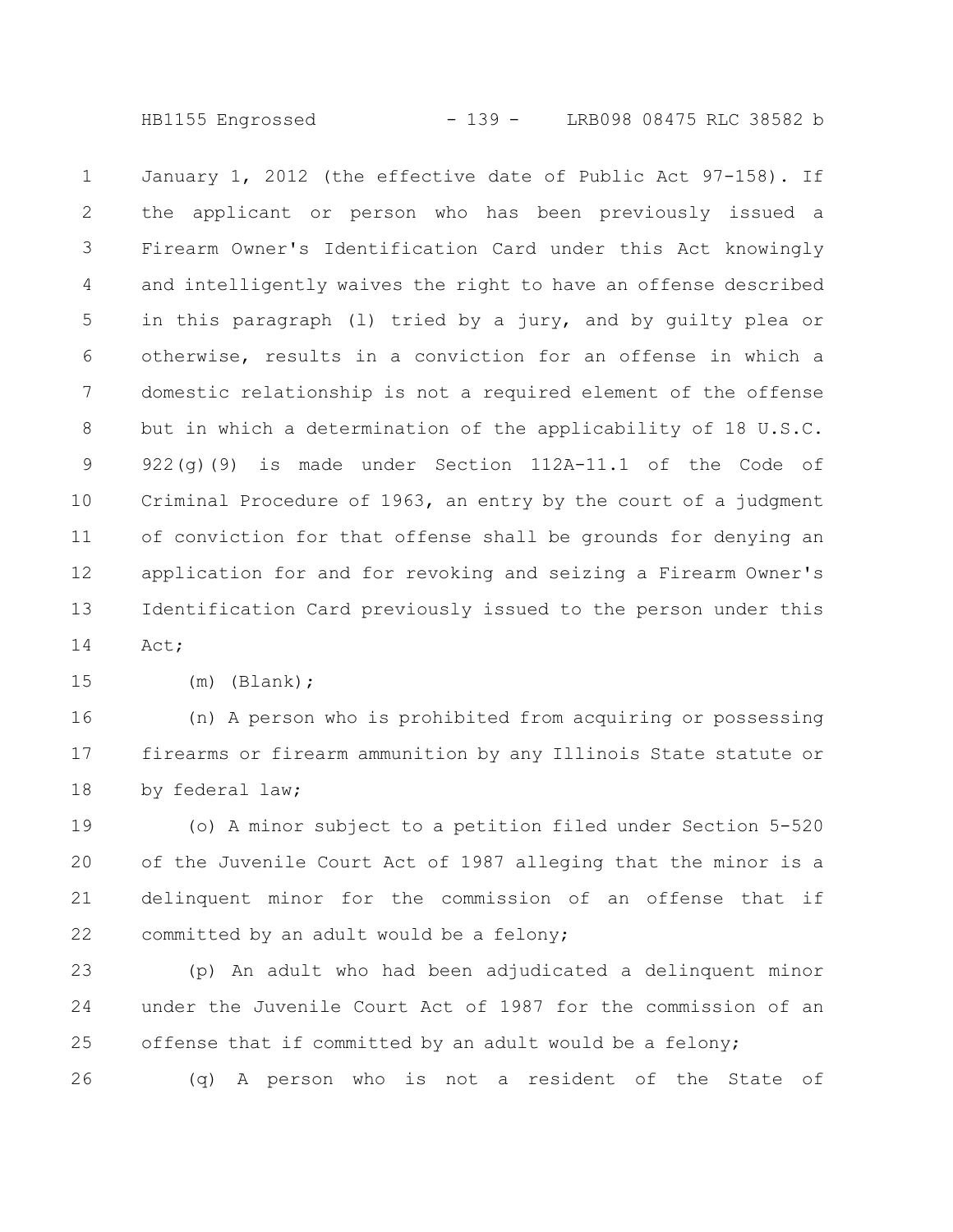HB1155 Engrossed - 139 - LRB098 08475 RLC 38582 b

January 1, 2012 (the effective date of Public Act 97-158). If the applicant or person who has been previously issued a Firearm Owner's Identification Card under this Act knowingly and intelligently waives the right to have an offense described in this paragraph (l) tried by a jury, and by guilty plea or otherwise, results in a conviction for an offense in which a domestic relationship is not a required element of the offense but in which a determination of the applicability of 18 U.S.C. 922(g)(9) is made under Section 112A-11.1 of the Code of Criminal Procedure of 1963, an entry by the court of a judgment of conviction for that offense shall be grounds for denying an application for and for revoking and seizing a Firearm Owner's Identification Card previously issued to the person under this Act; 1 2 3 4 5 6 7 8 9 10 11 12 13 14

(m) (Blank); 15

(n) A person who is prohibited from acquiring or possessing firearms or firearm ammunition by any Illinois State statute or by federal law; 16 17 18

(o) A minor subject to a petition filed under Section 5-520 of the Juvenile Court Act of 1987 alleging that the minor is a delinquent minor for the commission of an offense that if committed by an adult would be a felony; 19 20 21 22

(p) An adult who had been adjudicated a delinquent minor under the Juvenile Court Act of 1987 for the commission of an offense that if committed by an adult would be a felony; (q) A person who is not a resident of the State of 23 24 25 26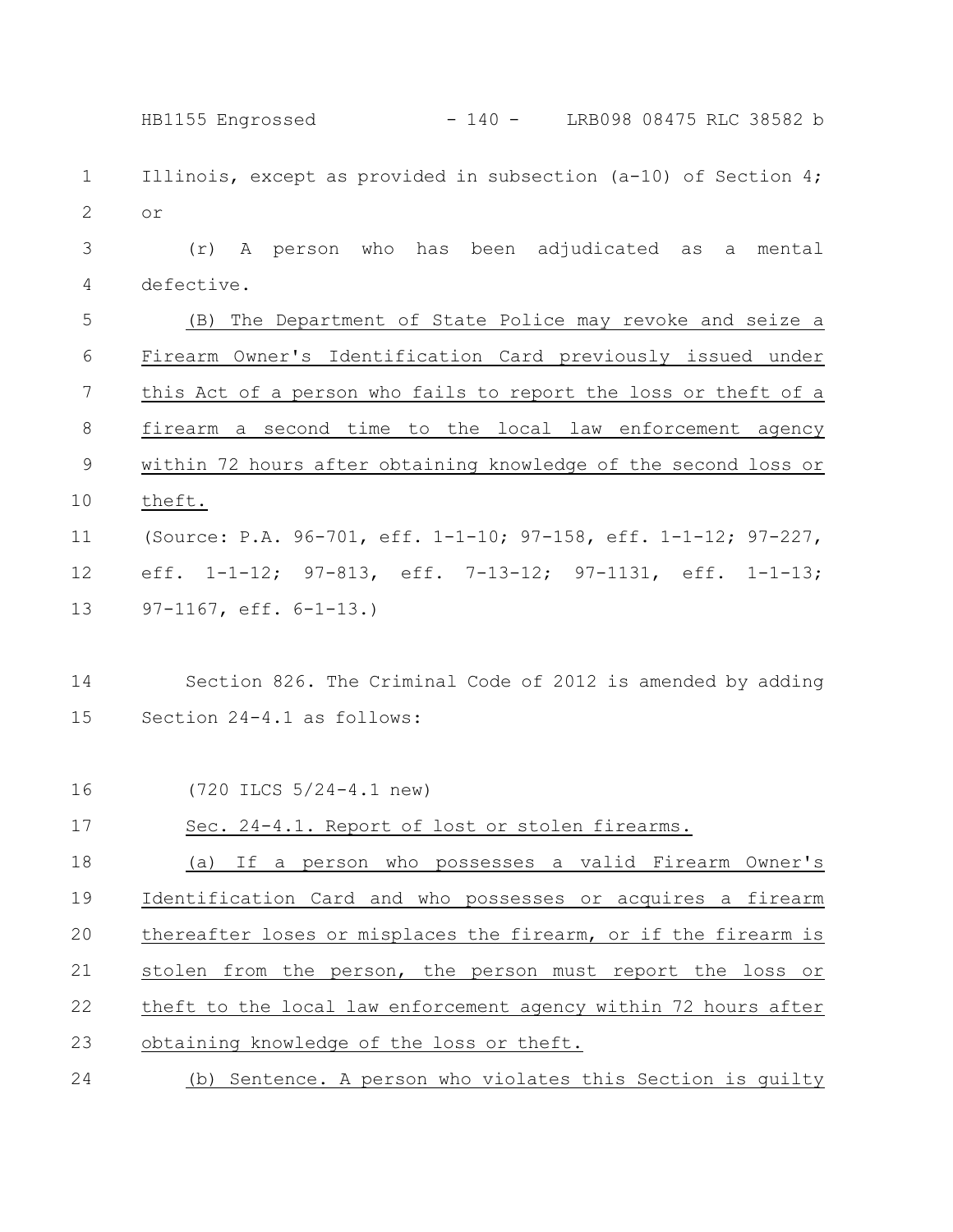Illinois, except as provided in subsection (a-10) of Section 4; or (r) A person who has been adjudicated as a mental defective. (B) The Department of State Police may revoke and seize a Firearm Owner's Identification Card previously issued under this Act of a person who fails to report the loss or theft of a firearm a second time to the local law enforcement agency within 72 hours after obtaining knowledge of the second loss or theft. (Source: P.A. 96-701, eff. 1-1-10; 97-158, eff. 1-1-12; 97-227, eff. 1-1-12; 97-813, eff. 7-13-12; 97-1131, eff. 1-1-13; 97-1167, eff. 6-1-13.) Section 826. The Criminal Code of 2012 is amended by adding Section 24-4.1 as follows: (720 ILCS 5/24-4.1 new) Sec. 24-4.1. Report of lost or stolen firearms. (a) If a person who possesses a valid Firearm Owner's Identification Card and who possesses or acquires a firearm thereafter loses or misplaces the firearm, or if the firearm is stolen from the person, the person must report the loss or theft to the local law enforcement agency within 72 hours after obtaining knowledge of the loss or theft. (b) Sentence. A person who violates this Section is guilty 1 2 3 4 5 6 7 8 9 10 11 12 13 14 15 16 17 18 19 20 21 22 23 24 HB1155 Engrossed - 140 - LRB098 08475 RLC 38582 b